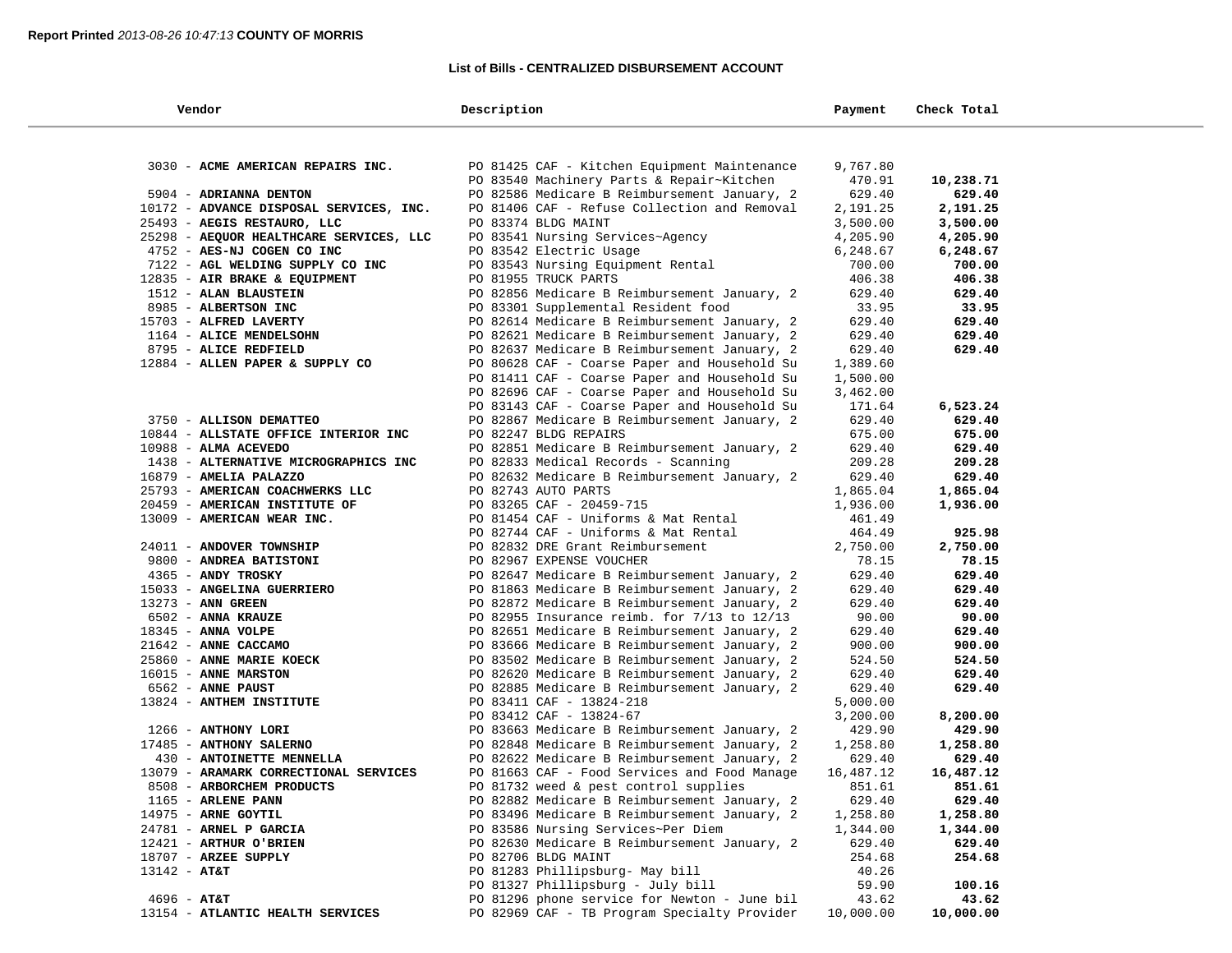## **List of Bills - CENTRALIZED DISBURSEMENT ACCOUNT**

| Vendor                                                      | Description                                                      | Payment          | Check Total |  |
|-------------------------------------------------------------|------------------------------------------------------------------|------------------|-------------|--|
|                                                             |                                                                  |                  |             |  |
| 3030 - ACME AMERICAN REPAIRS INC.                           | PO 81425 CAF - Kitchen Equipment Maintenance                     | 9,767.80         |             |  |
|                                                             | PO 83540 Machinery Parts & Repair~Kitchen                        | 470.91           | 10,238.71   |  |
| 5904 - ADRIANNA DENTON                                      | PO 82586 Medicare B Reimbursement January, 2                     | 629.40           | 629.40      |  |
| 10172 - ADVANCE DISPOSAL SERVICES, INC.                     | PO 81406 CAF - Refuse Collection and Removal                     | 2,191.25         | 2,191.25    |  |
| 25493 - AEGIS RESTAURO, LLC                                 | PO 83374 BLDG MAINT                                              | 3,500.00         | 3,500.00    |  |
| 25298 - AEQUOR HEALTHCARE SERVICES, LLC                     | PO 83541 Nursing Services~Agency                                 | 4,205.90         | 4,205.90    |  |
| 4752 - AES-NJ COGEN CO INC                                  | PO 83542 Electric Usage                                          | 6,248.67         | 6,248.67    |  |
| 7122 - AGL WELDING SUPPLY CO INC                            | PO 83543 Nursing Equipment Rental                                | 700.00           | 700.00      |  |
| 12835 - AIR BRAKE & EQUIPMENT                               | PO 81955 TRUCK PARTS                                             | 406.38           | 406.38      |  |
| 1512 - ALAN BLAUSTEIN                                       | PO 82856 Medicare B Reimbursement January, 2                     | 629.40           | 629.40      |  |
| 8985 - ALBERTSON INC                                        | PO 83301 Supplemental Resident food                              | 33.95            | 33.95       |  |
| 15703 - ALFRED LAVERTY                                      | PO 82614 Medicare B Reimbursement January, 2                     | 629.40           | 629.40      |  |
| 1164 - ALICE MENDELSOHN                                     | PO 82621 Medicare B Reimbursement January, 2                     | 629.40           | 629.40      |  |
| 8795 - ALICE REDFIELD                                       | PO 82637 Medicare B Reimbursement January, 2                     | 629.40           | 629.40      |  |
| 12884 - ALLEN PAPER & SUPPLY CO                             | PO 80628 CAF - Coarse Paper and Household Su                     | 1,389.60         |             |  |
|                                                             | PO 81411 CAF - Coarse Paper and Household Su                     | 1,500.00         |             |  |
|                                                             | PO 82696 CAF - Coarse Paper and Household Su                     | 3,462.00         |             |  |
|                                                             | PO 83143 CAF - Coarse Paper and Household Su                     | 171.64           | 6,523.24    |  |
| 3750 - ALLISON DEMATTEO                                     | PO 82867 Medicare B Reimbursement January, 2                     | 629.40           | 629.40      |  |
| 10844 - ALLSTATE OFFICE INTERIOR INC                        | PO 82247 BLDG REPAIRS                                            | 675.00           | 675.00      |  |
| $10988 - ALMA$ ACEVEDO                                      | PO 82851 Medicare B Reimbursement January, 2                     | 629.40           | 629.40      |  |
| 1438 - ALTERNATIVE MICROGRAPHICS INC                        | PO 82833 Medical Records - Scanning                              | 209.28           | 209.28      |  |
| $16879$ - AMELIA PALAZZO                                    | PO 82632 Medicare B Reimbursement January, 2                     | 629.40           | 629.40      |  |
| 25793 - AMERICAN COACHWERKS LLC                             | PO 82743 AUTO PARTS                                              | 1,865.04         | 1,865.04    |  |
| 20459 - AMERICAN INSTITUTE OF<br>13009 - AMERICAN WEAR INC. | PO 83265 CAF - 20459-715<br>PO 81454 CAF - Uniforms & Mat Rental | 1,936.00         | 1,936.00    |  |
|                                                             | PO 82744 CAF - Uniforms & Mat Rental                             | 461.49<br>464.49 | 925.98      |  |
| 24011 - ANDOVER TOWNSHIP                                    | PO 82832 DRE Grant Reimbursement                                 | 2,750.00         | 2,750.00    |  |
| 9800 - ANDREA BATISTONI                                     | PO 82967 EXPENSE VOUCHER                                         | 78.15            | 78.15       |  |
| 4365 - ANDY TROSKY                                          | PO 82647 Medicare B Reimbursement January, 2                     | 629.40           | 629.40      |  |
| 15033 - ANGELINA GUERRIERO                                  | PO 81863 Medicare B Reimbursement January, 2                     | 629.40           | 629.40      |  |
| 13273 - ANN GREEN                                           | PO 82872 Medicare B Reimbursement January, 2                     | 629.40           | 629.40      |  |
| 6502 - ANNA KRAUZE                                          | PO 82955 Insurance reimb. for $7/13$ to $12/13$                  | 90.00            | 90.00       |  |
| 18345 - ANNA VOLPE                                          | PO 82651 Medicare B Reimbursement January, 2                     | 629.40           | 629.40      |  |
| 21642 - ANNE CACCAMO                                        | PO 83666 Medicare B Reimbursement January, 2                     | 900.00           | 900.00      |  |
| 25860 - ANNE MARIE KOECK                                    | PO 83502 Medicare B Reimbursement January, 2                     | 524.50           | 524.50      |  |
| 16015 - ANNE MARSTON                                        | PO 82620 Medicare B Reimbursement January, 2                     | 629.40           | 629.40      |  |
| 6562 - ANNE PAUST                                           | PO 82885 Medicare B Reimbursement January, 2                     | 629.40           | 629.40      |  |
| 13824 - ANTHEM INSTITUTE                                    | PO 83411 CAF - 13824-218                                         | 5,000.00         |             |  |
|                                                             | PO 83412 CAF - 13824-67                                          | 3,200.00         | 8,200.00    |  |
| 1266 - ANTHONY LORI                                         | PO 83663 Medicare B Reimbursement January, 2                     | 429.90           | 429.90      |  |
| 17485 - ANTHONY SALERNO                                     | PO 82848 Medicare B Reimbursement January, 2                     | 1,258.80         | 1,258.80    |  |
| 430 - ANTOINETTE MENNELLA                                   | PO 82622 Medicare B Reimbursement January, 2                     | 629.40           | 629.40      |  |
| 13079 - ARAMARK CORRECTIONAL SERVICES                       | PO 81663 CAF - Food Services and Food Manage                     | 16,487.12        | 16,487.12   |  |
| 8508 - ARBORCHEM PRODUCTS                                   | PO 81732 weed & pest control supplies                            | 851.61           | 851.61      |  |
| 1165 - ARLENE PANN                                          | PO 82882 Medicare B Reimbursement January, 2                     | 629.40           | 629.40      |  |
| 14975 - ARNE GOYTIL                                         | PO 83496 Medicare B Reimbursement January, 2                     | 1,258.80         | 1,258.80    |  |
| 24781 - ARNEL P GARCIA                                      | PO 83586 Nursing Services~Per Diem                               | 1,344.00         | 1,344.00    |  |
| 12421 - ARTHUR O'BRIEN                                      | PO 82630 Medicare B Reimbursement January, 2                     | 629.40           | 629.40      |  |
| 18707 - ARZEE SUPPLY                                        | PO 82706 BLDG MAINT                                              | 254.68           | 254.68      |  |
| $13142 - AT&T$                                              | PO 81283 Phillipsburg- May bill                                  | 40.26            |             |  |
|                                                             | PO 81327 Phillipsburg - July bill                                | 59.90            | 100.16      |  |
| $4696 - AT&T$                                               | PO 81296 phone service for Newton - June bil                     | 43.62            | 43.62       |  |
| 13154 - ATLANTIC HEALTH SERVICES                            | PO 82969 CAF - TB Program Specialty Provider                     | 10,000.00        | 10,000.00   |  |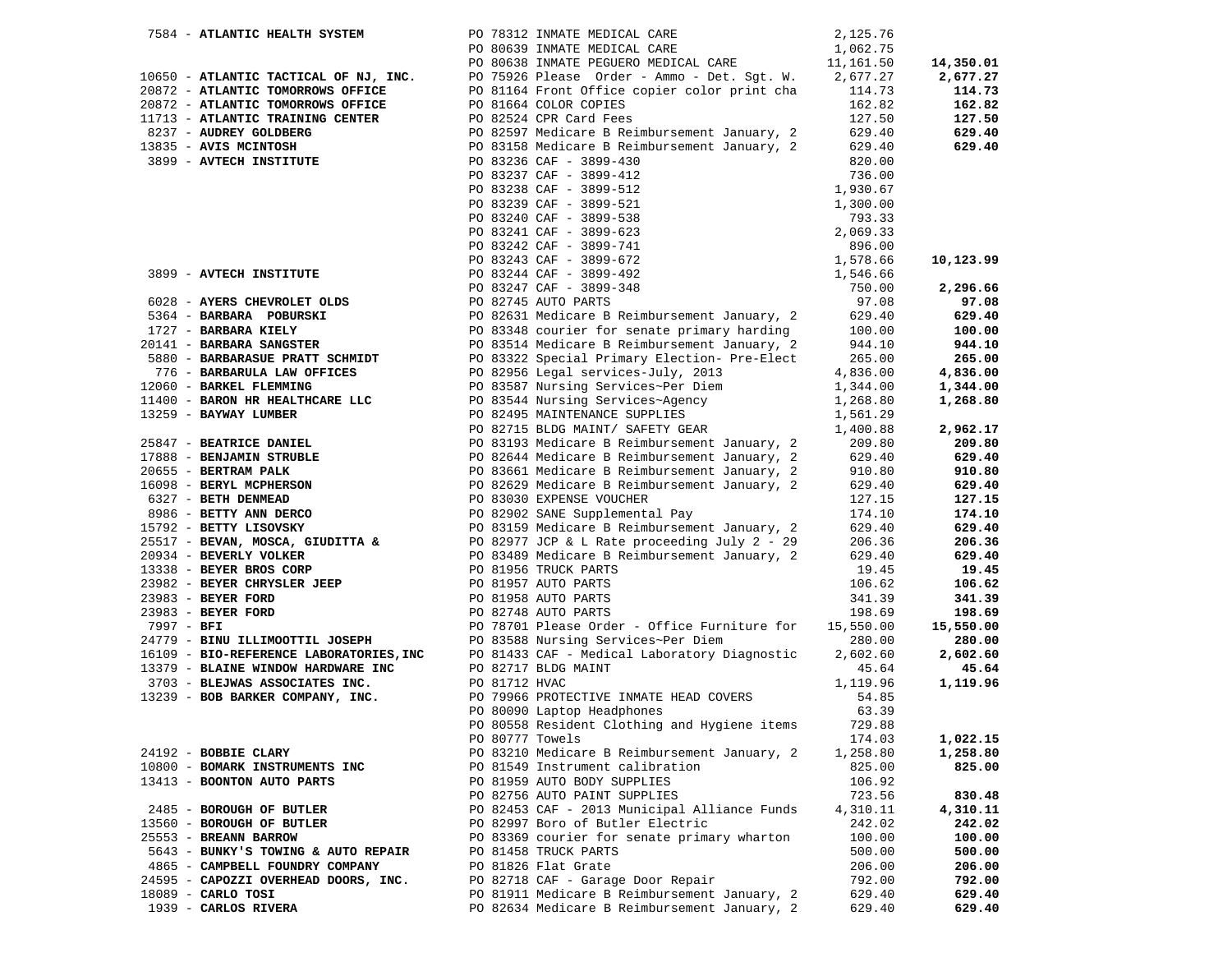| 7584 - ATLANTIC HEALTH SYSTEM                                                                                                                                                                             |                 | PO 78312 INMATE MEDICAL CARE                                                                                                                                                                                                                                                      | 2,125.76           |           |
|-----------------------------------------------------------------------------------------------------------------------------------------------------------------------------------------------------------|-----------------|-----------------------------------------------------------------------------------------------------------------------------------------------------------------------------------------------------------------------------------------------------------------------------------|--------------------|-----------|
|                                                                                                                                                                                                           |                 | PO 80639 INMATE MEDICAL CARE                                                                                                                                                                                                                                                      | 1,062.75           |           |
|                                                                                                                                                                                                           |                 | PO 80638 INMATE PEGUERO MEDICAL CARE 11,161.50                                                                                                                                                                                                                                    |                    | 14,350.01 |
| 10650 - ATLANTIC TACTICAL OF NJ, INC.                                                                                                                                                                     |                 | PO 75926 Please Order - Ammo - Det. Sgt. W. 2,677.27                                                                                                                                                                                                                              |                    | 2,677.27  |
| 20872 - ATLANTIC TOMORROWS OFFICE                                                                                                                                                                         |                 | PO 81164 Front Office copier color print cha 114.73                                                                                                                                                                                                                               |                    | 114.73    |
| 20872 - ATLANTIC TOMORROWS OFFICE                                                                                                                                                                         |                 | PO 81664 COLOR COPIES                                                                                                                                                                                                                                                             | 162.82             | 162.82    |
| 1983 - ATLANTIC TRAINING CENTER<br>237 - AUDREY GOLDBERG<br>237 - AUDREY GOLDBERG<br>237 - AUDREY GOLDBERG<br>237 - AVIS MCINTOSH<br>282597 Medicare B Rei                                                |                 |                                                                                                                                                                                                                                                                                   | 127.50             | 127.50    |
|                                                                                                                                                                                                           |                 | PO 82597 Medicare B Reimbursement January, 2 629.40                                                                                                                                                                                                                               |                    | 629.40    |
|                                                                                                                                                                                                           |                 | PO 83158 Medicare B Reimbursement January, 2 629.40                                                                                                                                                                                                                               |                    | 629.40    |
| 3899 - AVTECH INSTITUTE                                                                                                                                                                                   |                 | PO 83236 CAF - 3899-430                                                                                                                                                                                                                                                           | 820.00             |           |
|                                                                                                                                                                                                           |                 |                                                                                                                                                                                                                                                                                   |                    |           |
|                                                                                                                                                                                                           |                 |                                                                                                                                                                                                                                                                                   |                    |           |
|                                                                                                                                                                                                           |                 |                                                                                                                                                                                                                                                                                   |                    |           |
|                                                                                                                                                                                                           |                 |                                                                                                                                                                                                                                                                                   |                    |           |
|                                                                                                                                                                                                           |                 |                                                                                                                                                                                                                                                                                   |                    |           |
|                                                                                                                                                                                                           |                 |                                                                                                                                                                                                                                                                                   |                    |           |
|                                                                                                                                                                                                           |                 |                                                                                                                                                                                                                                                                                   |                    | 10,123.99 |
|                                                                                                                                                                                                           |                 | 3899 - AVTECH INSTITUTE<br>2012 - AVERS CHEVROLET OLDS<br>2014 - ANERS CHEVROLET OLDS<br>2014 - BARBARA POBURSKI PO 82745 AUTO PARTS<br>2014 - BARBARA KIELY PO 83348 courier for senate primary, 2 629.40<br>2014 - BARBARA SANGSTER PO                                          |                    |           |
|                                                                                                                                                                                                           |                 |                                                                                                                                                                                                                                                                                   |                    | 2,296.66  |
|                                                                                                                                                                                                           |                 |                                                                                                                                                                                                                                                                                   |                    | 97.08     |
|                                                                                                                                                                                                           |                 |                                                                                                                                                                                                                                                                                   |                    | 629.40    |
|                                                                                                                                                                                                           |                 |                                                                                                                                                                                                                                                                                   |                    | 100.00    |
| 20141 - BARBARA SANGSTER                                                                                                                                                                                  |                 |                                                                                                                                                                                                                                                                                   |                    | 944.10    |
| 5880 - BARBARASUE PRATT SCHMIDT                                                                                                                                                                           |                 | PO 83322 Special Primary Election- Pre-Elect                                                                                                                                                                                                                                      | 265.00             | 265.00    |
| 776 - BARBARULA LAW OFFICES                                                                                                                                                                               |                 | PO 82956 Legal services-July, 2013                                                                                                                                                                                                                                                | 4,836.00           | 4,836.00  |
| 12060 - BARKEL FLEMMING                                                                                                                                                                                   |                 | PO 83587 Nursing Services~Per Diem                                                                                                                                                                                                                                                | 1,344.00           | 1,344.00  |
| 11400 - BARON HR HEALTHCARE LLC                                                                                                                                                                           |                 |                                                                                                                                                                                                                                                                                   |                    | 1,268.80  |
|                                                                                                                                                                                                           |                 |                                                                                                                                                                                                                                                                                   |                    |           |
|                                                                                                                                                                                                           |                 |                                                                                                                                                                                                                                                                                   |                    | 2,962.17  |
|                                                                                                                                                                                                           |                 | 2003 - <b>ERAIT ANN DERICATE PROPERTY AND PEARMALLY CONSUMITENANCE SUPPLIES<br/> 2008 - <b>BATRICE DANTEL</b><br/> 2008 - <b>BEATRICE DANTEL</b><br/> 2008 - <b>BEATRICE DANTEL</b><br/> 2008 - <b>BEATRICE DANTEL</b><br/> 2008 - <b>BEATRICE DANTEL PROPERTY OF BUSINES</b></b> |                    | 209.80    |
|                                                                                                                                                                                                           |                 |                                                                                                                                                                                                                                                                                   |                    | 629.40    |
|                                                                                                                                                                                                           |                 |                                                                                                                                                                                                                                                                                   |                    | 910.80    |
|                                                                                                                                                                                                           |                 |                                                                                                                                                                                                                                                                                   |                    | 629.40    |
|                                                                                                                                                                                                           |                 |                                                                                                                                                                                                                                                                                   |                    | 127.15    |
|                                                                                                                                                                                                           |                 |                                                                                                                                                                                                                                                                                   |                    | 174.10    |
|                                                                                                                                                                                                           |                 |                                                                                                                                                                                                                                                                                   |                    | 629.40    |
|                                                                                                                                                                                                           |                 |                                                                                                                                                                                                                                                                                   |                    | 206.36    |
|                                                                                                                                                                                                           |                 |                                                                                                                                                                                                                                                                                   |                    | 629.40    |
|                                                                                                                                                                                                           |                 |                                                                                                                                                                                                                                                                                   |                    | 19.45     |
|                                                                                                                                                                                                           |                 |                                                                                                                                                                                                                                                                                   |                    | 106.62    |
| 23982 - BEYER CHRYSLER JEEP<br>23983 - BEYER FORD<br>23983 - BEYER FORD<br>23983 - BEYER FORD<br>23983 - BEYER FORD<br>23983 - BEYER FORD<br>23983 - BEYER FORD<br>2997 - BFI<br>2997 - BFI<br>2997 - PET |                 |                                                                                                                                                                                                                                                                                   | 341.39             | 341.39    |
|                                                                                                                                                                                                           |                 |                                                                                                                                                                                                                                                                                   | 198.69             | 198.69    |
|                                                                                                                                                                                                           |                 | PO 78701 Please Order - Office Furniture for                                                                                                                                                                                                                                      | 15,550.00          | 15,550.00 |
|                                                                                                                                                                                                           |                 |                                                                                                                                                                                                                                                                                   | 280.00             | 280.00    |
|                                                                                                                                                                                                           |                 | 24779 - EINU ILLIMOOTTIL JOSEPH PO 83588 Nursing Services~Per Diem<br>16109 - BIO-REFERENCE LABORATORIES,INC PO 81433 CAF - Medical Laboratory Diagnostic<br>13379 - BLAINE WINDOW HARDWARE INC PO 82717 BLDG MAINT                                                               | 2,602.60           | 2,602.60  |
|                                                                                                                                                                                                           |                 |                                                                                                                                                                                                                                                                                   | 45.64              | 45.64     |
| 3703 - BLEJWAS ASSOCIATES INC.                                                                                                                                                                            | PO 81712 HVAC   |                                                                                                                                                                                                                                                                                   | 1,119.96           | 1,119.96  |
| 13239 - BOB BARKER COMPANY, INC.                                                                                                                                                                          |                 | PO 79966 PROTECTIVE INMATE HEAD COVERS                                                                                                                                                                                                                                            | 54.85              |           |
|                                                                                                                                                                                                           |                 | PO 80090 Laptop Headphones                                                                                                                                                                                                                                                        | 63.39              |           |
|                                                                                                                                                                                                           |                 | PO 80558 Resident Clothing and Hygiene items                                                                                                                                                                                                                                      | 729.88             |           |
|                                                                                                                                                                                                           | PO 80777 Towels |                                                                                                                                                                                                                                                                                   | 174.03             | 1,022.15  |
|                                                                                                                                                                                                           |                 | PO 83210 Medicare B Reimbursement January, 2                                                                                                                                                                                                                                      |                    | 1,258.80  |
| 24192 - BOBBIE CLARY<br>10800 - BOMARK INSTRUMENTS INC                                                                                                                                                    |                 | PO 81549 Instrument calibration                                                                                                                                                                                                                                                   | 1,258.80<br>825.00 | 825.00    |
|                                                                                                                                                                                                           |                 | PO 81959 AUTO BODY SUPPLIES                                                                                                                                                                                                                                                       | 106.92             |           |
| 13413 - BOONTON AUTO PARTS                                                                                                                                                                                |                 | PO 82756 AUTO PAINT SUPPLIES                                                                                                                                                                                                                                                      | 723.56             | 830.48    |
|                                                                                                                                                                                                           |                 |                                                                                                                                                                                                                                                                                   |                    |           |
| 2485 - BOROUGH OF BUTLER                                                                                                                                                                                  |                 | PO 82453 CAF - 2013 Municipal Alliance Funds                                                                                                                                                                                                                                      | 4,310.11           | 4,310.11  |
| 13560 - BOROUGH OF BUTLER                                                                                                                                                                                 |                 | PO 82997 Boro of Butler Electric                                                                                                                                                                                                                                                  | 242.02             | 242.02    |
| 25553 - BREANN BARROW                                                                                                                                                                                     |                 | PO 83369 courier for senate primary wharton                                                                                                                                                                                                                                       | 100.00             | 100.00    |
| 5643 - BUNKY'S TOWING & AUTO REPAIR                                                                                                                                                                       |                 | PO 81458 TRUCK PARTS                                                                                                                                                                                                                                                              | 500.00             | 500.00    |
| 4865 - CAMPBELL FOUNDRY COMPANY                                                                                                                                                                           |                 | PO 81826 Flat Grate                                                                                                                                                                                                                                                               | 206.00             | 206.00    |
| 24595 - CAPOZZI OVERHEAD DOORS, INC.                                                                                                                                                                      |                 | PO 82718 CAF - Garage Door Repair                                                                                                                                                                                                                                                 | 792.00             | 792.00    |
| $18089$ - CARLO TOSI                                                                                                                                                                                      |                 | PO 81911 Medicare B Reimbursement January, 2                                                                                                                                                                                                                                      | 629.40             | 629.40    |
| 1939 - CARLOS RIVERA                                                                                                                                                                                      |                 | PO 82634 Medicare B Reimbursement January, 2                                                                                                                                                                                                                                      | 629.40             | 629.40    |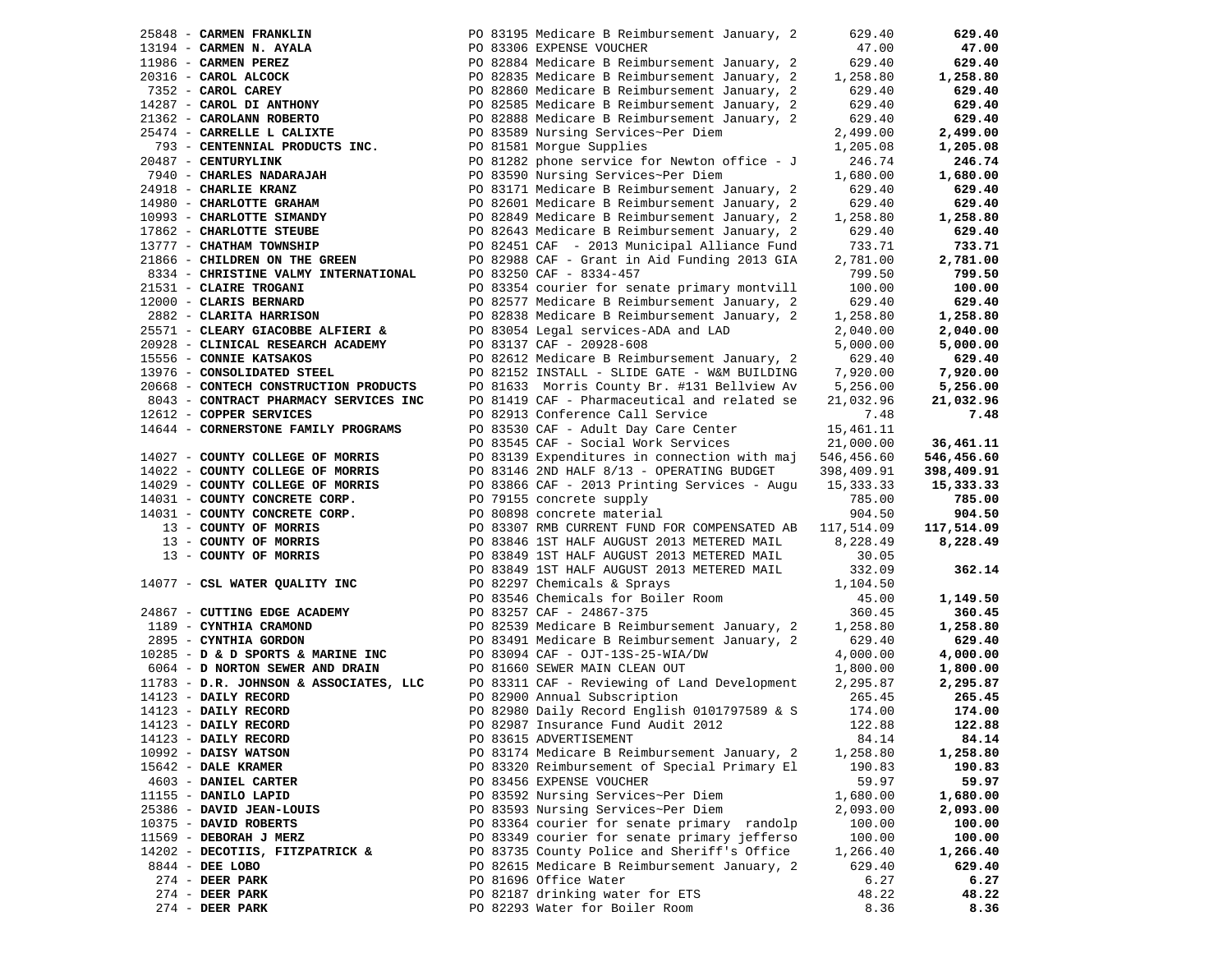|                                                                                                    |                                                                                                                                                                                                                                                | 629.40     | 629.40     |
|----------------------------------------------------------------------------------------------------|------------------------------------------------------------------------------------------------------------------------------------------------------------------------------------------------------------------------------------------------|------------|------------|
|                                                                                                    |                                                                                                                                                                                                                                                | 47.00      | 47.00      |
|                                                                                                    |                                                                                                                                                                                                                                                | 629.40     | 629.40     |
|                                                                                                    |                                                                                                                                                                                                                                                | 1,258.80   | 1,258.80   |
|                                                                                                    |                                                                                                                                                                                                                                                | 629.40     | 629.40     |
|                                                                                                    | 25848 - CARMEN FRANKLIN<br>25848 - CARMEN N. AYALA<br>273194 - CARMEN PEREZ<br>27352 - CAROL ALCOCK<br>27352 - CAROL DI ANTHONY<br>27352 - CAROL DI ANTHONY<br>27352 - CAROL DI ANTHONY<br>27352 - CAROL DI ANTHONY<br>27352 - CAROL DI ANTHON | 629.40     | 629.40     |
|                                                                                                    |                                                                                                                                                                                                                                                | 629.40     | 629.40     |
|                                                                                                    |                                                                                                                                                                                                                                                | 2,499.00   | 2,499.00   |
| 25474 - CARRELLE L CALIXTE<br>793 - CENTENNIAL PRODUCTS INC.                                       | PO 81581 Morgue Supplies                                                                                                                                                                                                                       | 1,205.08   | 1,205.08   |
| 20487 - CENTURYLINK                                                                                | PO 81282 phone service for Newton office - J                                                                                                                                                                                                   | 246.74     | 246.74     |
| 7940 - CHARLES NADARAJAH                                                                           | PO 83590 Nursing Services~Per Diem                                                                                                                                                                                                             | 1,680.00   | 1,680.00   |
| 24918 - CHARLIE KRANZ                                                                              | PO 83171 Medicare B Reimbursement January, 2                                                                                                                                                                                                   | 629.40     | 629.40     |
| 14980 - CHARLOTTE GRAHAM                                                                           | PO 82601 Medicare B Reimbursement January, 2                                                                                                                                                                                                   |            | 629.40     |
|                                                                                                    |                                                                                                                                                                                                                                                | 629.40     |            |
| 10993 - CHARLOTTE SIMANDY                                                                          | PO 82849 Medicare B Reimbursement January, 2                                                                                                                                                                                                   | 1,258.80   | 1,258.80   |
| 17862 - CHARLOTTE STEUBE                                                                           | PO 82643 Medicare B Reimbursement January, 2                                                                                                                                                                                                   | 629.40     | 629.40     |
| 13777 - CHATHAM TOWNSHIP                                                                           | PO 82451 CAF - 2013 Municipal Alliance Fund                                                                                                                                                                                                    | 733.71     | 733.71     |
| 21866 - CHILDREN ON THE GREEN                                                                      | PO 82988 CAF - Grant in Aid Funding 2013 GIA                                                                                                                                                                                                   | 2,781.00   | 2,781.00   |
| 8334 - CHRISTINE VALMY INTERNATIONAL                                                               | PO 83250 CAF - 8334-457                                                                                                                                                                                                                        | 799.50     | 799.50     |
| 21531 - CLAIRE TROGANI                                                                             | PO 83354 courier for senate primary montvill                                                                                                                                                                                                   | 100.00     | 100.00     |
| 12000 - CLARIS BERNARD                                                                             | PO 82577 Medicare B Reimbursement January, 2                                                                                                                                                                                                   | 629.40     | 629.40     |
| LZUUU - <b>CLARIS BERNARD</b><br>2882 - <b>CLARITA HARRISON</b><br>NESTI                           | PO 82838 Medicare B Reimbursement January, 2                                                                                                                                                                                                   | 1,258.80   | 1,258.80   |
| 25571 - CLEARY GIACOBBE ALFIERI &                                                                  | PO 83054 Legal services-ADA and LAD                                                                                                                                                                                                            | 2,040.00   | 2,040.00   |
| 20928 - CLINICAL RESEARCH ACADEMY                                                                  | PO 83137 CAF - 20928-608                                                                                                                                                                                                                       | 5,000.00   | 5,000.00   |
| 15556 - CONNIE KATSAKOS                                                                            | PO 82612 Medicare B Reimbursement January, 2                                                                                                                                                                                                   | 629.40     | 629.40     |
| 13976 - CONSOLIDATED STEEL                                                                         | PO 82152 INSTALL - SLIDE GATE - W&M BUILDING                                                                                                                                                                                                   | 7,920.00   | 7,920.00   |
| 20668 - CONTECH CONSTRUCTION PRODUCTS                                                              | PO 81633 Morris County Br. #131 Bellview Av                                                                                                                                                                                                    | 5,256.00   | 5,256.00   |
| 8043 - CONTRACT PHARMACY SERVICES INC                                                              | PO 81419 CAF - Pharmaceutical and related se                                                                                                                                                                                                   | 21,032.96  | 21,032.96  |
| 12612 - COPPER SERVICES                                                                            | PO 82913 Conference Call Service                                                                                                                                                                                                               | 7.48       | 7.48       |
| 14644 - CORNERSTONE FAMILY PROGRAMS                                                                | PO 83530 CAF - Adult Day Care Center                                                                                                                                                                                                           | 15,461.11  |            |
|                                                                                                    | PO 83545 CAF - Social Work Services                                                                                                                                                                                                            | 21,000.00  | 36,461.11  |
| 14027 - COUNTY COLLEGE OF MORRIS                                                                   | PO 83139 Expenditures in connection with maj                                                                                                                                                                                                   | 546,456.60 | 546,456.60 |
| 14022 - COUNTY COLLEGE OF MORRIS                                                                   | PO 83146 2ND HALF 8/13 - OPERATING BUDGET                                                                                                                                                                                                      | 398,409.91 | 398,409.91 |
| 14029 - COUNTY COLLEGE OF MORRIS                                                                   |                                                                                                                                                                                                                                                | 15,333.33  | 15,333.33  |
| 14031 - COUNTY CONCRETE CORP.                                                                      |                                                                                                                                                                                                                                                | 785.00     | 785.00     |
|                                                                                                    | PO 83866 CAF - 2013 Printing Services - Augu<br>PO 79155 concrete supply<br>PO 80898 concrete material                                                                                                                                         | 904.50     | 904.50     |
|                                                                                                    |                                                                                                                                                                                                                                                | 117,514.09 | 117,514.09 |
|                                                                                                    |                                                                                                                                                                                                                                                |            |            |
|                                                                                                    |                                                                                                                                                                                                                                                | 8,228.49   | 8,228.49   |
|                                                                                                    |                                                                                                                                                                                                                                                | 30.05      |            |
| 14077 - CSL WATER QUALITY INC<br>PO 82297 Chemicals & Sprays<br>PO 83546 Chemicals for Boiler Room | 14031 - COUNTY CONCRETE CORP.<br>14031 - COUNTY CONCRETE CORP.<br>13 - COUNTY OF MORRIS<br>13 - COUNTY OF MORRIS<br>13 - COUNTY OF MORRIS<br>13 - COUNTY OF MORRIS<br>13 - COUNTY OF MORRIS<br>13 - COUNTY OF MORRIS<br>140819 1ST HALF AUGUST | 332.09     | 362.14     |
|                                                                                                    |                                                                                                                                                                                                                                                | 1,104.50   |            |
|                                                                                                    | 24867 - CUTTING EDGE ACADEMY<br>1189 - CYNTHIA CRAMOND<br>2895 - CYNTHIA GORDON<br>2895 - CYNTHIA GORDON<br>2895 - CYNTHIA GORDON<br>2895 - CYNTHIA GORDON<br>20083491 Medicare B Reimbursement January, 2                                     | 45.00      | 1,149.50   |
|                                                                                                    |                                                                                                                                                                                                                                                | 360.45     | 360.45     |
|                                                                                                    |                                                                                                                                                                                                                                                | 1,258.80   | 1,258.80   |
|                                                                                                    |                                                                                                                                                                                                                                                | 629.40     | 629.40     |
| $10285$ - D & D SPORTS & MARINE INC                                                                | PO 83094 CAF - OJT-13S-25-WIA/DW                                                                                                                                                                                                               | 4,000.00   | 4,000.00   |
|                                                                                                    | PO 81660 SEWER MAIN CLEAN OUT                                                                                                                                                                                                                  | 1,800.00   | 1,800.00   |
| 6064 - D NORTON SEWER AND DRAIN<br>11783 - D.R. JOHNSON & ASSOCIATES, LLC                          | PO 83311 CAF - Reviewing of Land Development                                                                                                                                                                                                   | 2,295.87   | 2,295.87   |
| 14123 - DAILY RECORD                                                                               | PO 82900 Annual Subscription                                                                                                                                                                                                                   | 265.45     | 265.45     |
| 14123 - DAILY RECORD                                                                               | PO 82980 Daily Record English 0101797589 & S                                                                                                                                                                                                   | 174.00     | 174.00     |
| 14123 - DAILY RECORD                                                                               | PO 82987 Insurance Fund Audit 2012                                                                                                                                                                                                             | 122.88     | 122.88     |
| 14123 - DAILY RECORD                                                                               | PO 83615 ADVERTISEMENT                                                                                                                                                                                                                         | 84.14      | 84.14      |
| $10992$ - DAISY WATSON                                                                             | PO 83174 Medicare B Reimbursement January, 2                                                                                                                                                                                                   | 1,258.80   | 1,258.80   |
| $15642$ - DALE KRAMER                                                                              | PO 83320 Reimbursement of Special Primary El                                                                                                                                                                                                   | 190.83     | 190.83     |
| 4603 - DANIEL CARTER                                                                               | PO 83456 EXPENSE VOUCHER                                                                                                                                                                                                                       | 59.97      | 59.97      |
| 11155 - DANILO LAPID                                                                               | PO 83592 Nursing Services~Per Diem                                                                                                                                                                                                             | 1,680.00   | 1,680.00   |
| 25386 - DAVID JEAN-LOUIS                                                                           | PO 83593 Nursing Services~Per Diem                                                                                                                                                                                                             | 2,093.00   | 2,093.00   |
| 10375 - DAVID ROBERTS                                                                              | PO 83364 courier for senate primary randolp                                                                                                                                                                                                    | 100.00     | 100.00     |
| 11569 - DEBORAH J MERZ                                                                             | PO 83349 courier for senate primary jefferso                                                                                                                                                                                                   | 100.00     | 100.00     |
| 14202 - DECOTIIS, FITZPATRICK &                                                                    | PO 83735 County Police and Sheriff's Office                                                                                                                                                                                                    | 1,266.40   | 1,266.40   |
| 8844 - DEE LOBO                                                                                    | PO 82615 Medicare B Reimbursement January, 2                                                                                                                                                                                                   | 629.40     | 629.40     |
| $274$ - DEER PARK                                                                                  | PO 81696 Office Water                                                                                                                                                                                                                          | 6.27       | 6.27       |
| $274$ - DEER PARK                                                                                  | PO 82187 drinking water for ETS                                                                                                                                                                                                                | 48.22      | 48.22      |
| $274$ - DEER PARK                                                                                  | PO 82293 Water for Boiler Room                                                                                                                                                                                                                 | 8.36       | 8.36       |
|                                                                                                    |                                                                                                                                                                                                                                                |            |            |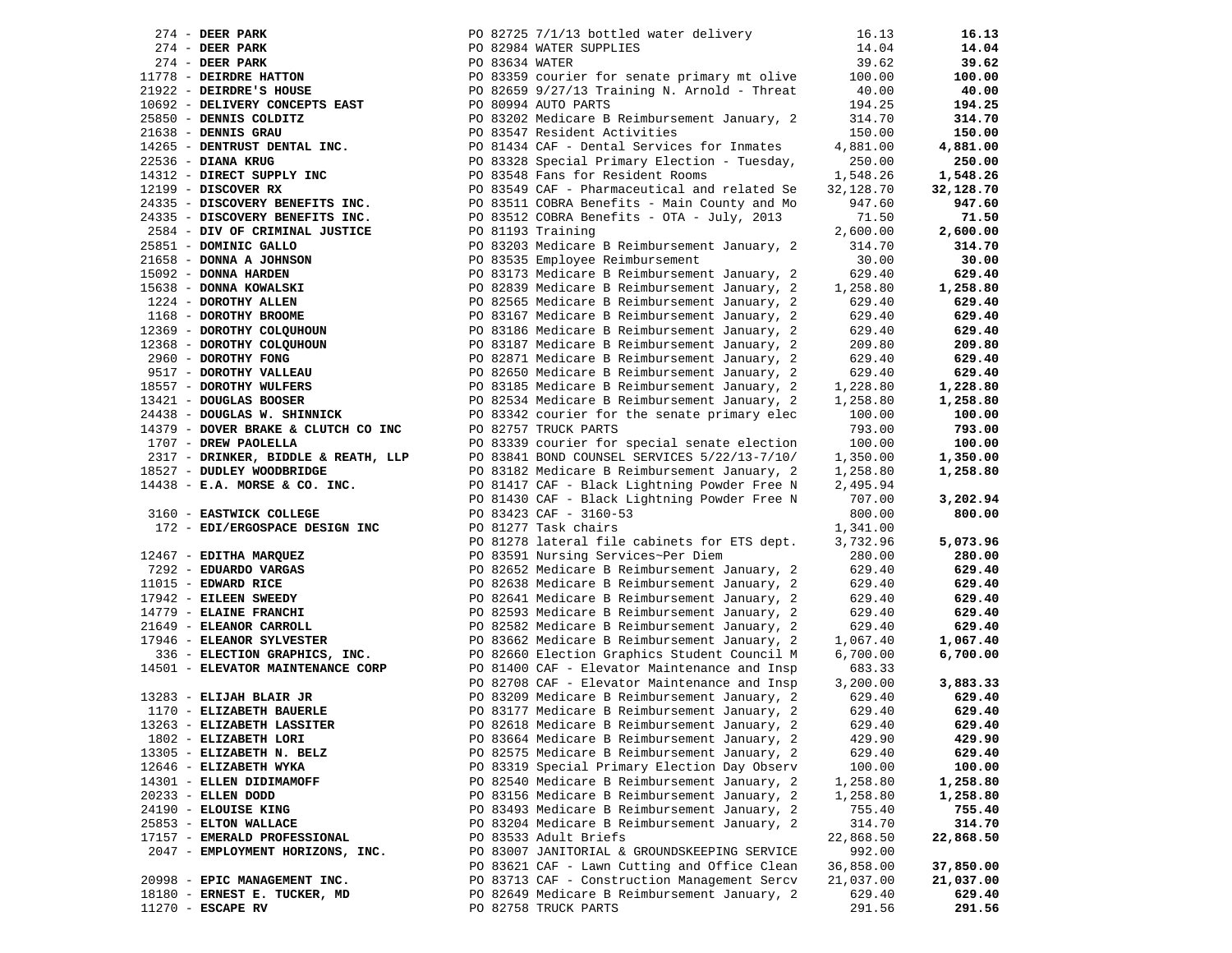|                                                                                                 | PO 82725 7/1/13 bottled water delivery                                                                         | 16.13     | 16.13     |
|-------------------------------------------------------------------------------------------------|----------------------------------------------------------------------------------------------------------------|-----------|-----------|
| $2/4$ - DEER PARK<br>274 - DEER PARK<br>11778 - DEIRDRE HATTON<br>21922 - DEIRDRE'S HOUSE       | PO 82984 WATER SUPPLIES                                                                                        | 14.04     | 14.04     |
|                                                                                                 | PO 83634 WATER<br>PO 83359 courier for senate primary mt olive<br>PO 82659 9/27/13 Training N. Arnold - Threat | 39.62     | 39.62     |
|                                                                                                 | PO 83359 courier for senate primary mt olive                                                                   | 100.00    | 100.00    |
|                                                                                                 |                                                                                                                | 40.00     | 40.00     |
| 10692 - DELIVERY CONCEPTS EAST                                                                  | PO 80994 AUTO PARTS                                                                                            | 194.25    | 194.25    |
| 25850 - DENNIS COLDITZ                                                                          | PO 83202 Medicare B Reimbursement January, 2                                                                   | 314.70    | 314.70    |
| $21638$ - DENNIS GRAU                                                                           | PO 83547 Resident Activities                                                                                   | 150.00    | 150.00    |
| 14265 - DENTRUST DENTAL INC.                                                                    | PO 81434 CAF - Dental Services for Inmates                                                                     | 4,881.00  | 4,881.00  |
| 22536 - DIANA KRUG                                                                              | PO 83328 Special Primary Election - Tuesday,                                                                   | 250.00    | 250.00    |
| 14312 - DIRECT SUPPLY INC                                                                       | PO 83548 Fans for Resident Rooms                                                                               | 1,548.26  | 1,548.26  |
| $12199$ - DISCOVER RX                                                                           | PO 83549 CAF - Pharmaceutical and related Se                                                                   | 32,128.70 | 32,128.70 |
| 24335 - DISCOVERY BENEFITS INC.                                                                 | PO 83511 COBRA Benefits - Main County and Mo                                                                   | 947.60    | 947.60    |
| 24335 - DISCOVERY BENEFITS INC.                                                                 | PO 83512 COBRA Benefits - OTA - July, 2013                                                                     | 71.50     | 71.50     |
| 2584 - DIV OF CRIMINAL JUSTICE                                                                  | PO 81193 Training                                                                                              | 2,600.00  | 2,600.00  |
| 25851 - DOMINIC GALLO                                                                           |                                                                                                                |           | 314.70    |
|                                                                                                 | PO 83203 Medicare B Reimbursement January, 2                                                                   | 314.70    |           |
| 21658 - DONNA A JOHNSON                                                                         | PO 83535 Employee Reimbursement                                                                                | 30.00     | 30.00     |
| 15092 - DONNA HARDEN<br>15638 - DONNA KOWALSKI<br>1224 - DOROTHY ALLEN<br>1168 - DOROTHY BROOME | PO 83173 Medicare B Reimbursement January, 2                                                                   | 629.40    | 629.40    |
|                                                                                                 | PO 82839 Medicare B Reimbursement January, 2                                                                   | 1,258.80  | 1,258.80  |
|                                                                                                 | PO 82565 Medicare B Reimbursement January, 2                                                                   | 629.40    | 629.40    |
|                                                                                                 | PO 83167 Medicare B Reimbursement January, 2                                                                   | 629.40    | 629.40    |
| 12369 - DOROTHY COLQUHOUN                                                                       | PO 83186 Medicare B Reimbursement January, 2                                                                   | 629.40    | 629.40    |
| 12368 - DOROTHY COLQUHOUN                                                                       | PO 83187 Medicare B Reimbursement January, 2                                                                   | 209.80    | 209.80    |
| 2960 - DOROTHY FONG                                                                             | PO 82871 Medicare B Reimbursement January, 2                                                                   | 629.40    | 629.40    |
| 9517 - DOROTHY VALLEAU                                                                          | PO 82650 Medicare B Reimbursement January, 2                                                                   | 629.40    | 629.40    |
| 18557 - DOROTHY WULFERS                                                                         | PO 83185 Medicare B Reimbursement January, 2                                                                   | 1,228.80  | 1,228.80  |
| 13421 - DOUGLAS BOOSER                                                                          | PO 82534 Medicare B Reimbursement January, 2                                                                   | 1,258.80  | 1,258.80  |
| 24438 - DOUGLAS W. SHINNICK                                                                     | PO 83342 courier for the senate primary elec                                                                   | 100.00    | 100.00    |
| 14379 - DOVER BRAKE & CLUTCH CO INC                                                             | PO 82757 TRUCK PARTS                                                                                           | 793.00    | 793.00    |
| 1707 - DREW PAOLELLA                                                                            | PO 83339 courier for special senate election                                                                   | 100.00    | 100.00    |
| 2317 - DRINKER, BIDDLE & REATH, LLP                                                             | PO 83841 BOND COUNSEL SERVICES 5/22/13-7/10/                                                                   | 1,350.00  | 1,350.00  |
| 18527 - DUDLEY WOODBRIDGE                                                                       | PO 83182 Medicare B Reimbursement January, 2                                                                   | 1,258.80  | 1,258.80  |
| $14438$ - E.A. MORSE & CO. INC.                                                                 | PO 81417 CAF - Black Lightning Powder Free N                                                                   | 2,495.94  |           |
|                                                                                                 | PO 81430 CAF - Black Lightning Powder Free N                                                                   | 707.00    | 3,202.94  |
| 3160 - EASTWICK COLLEGE                                                                         | PO 83423 CAF - 3160-53                                                                                         | 800.00    | 800.00    |
| 172 - EDI/ERGOSPACE DESIGN INC                                                                  | PO 81277 Task chairs                                                                                           | 1,341.00  |           |
|                                                                                                 | PO 81278 lateral file cabinets for ETS dept.                                                                   | 3,732.96  | 5,073.96  |
| 12467 - EDITHA MARQUEZ                                                                          | PO 83591 Nursing Services~Per Diem                                                                             | 280.00    | 280.00    |
| 7292 - EDUARDO VARGAS                                                                           | PO 82652 Medicare B Reimbursement January, 2                                                                   | 629.40    | 629.40    |
| $11015$ - EDWARD RICE                                                                           | PO 82638 Medicare B Reimbursement January, 2                                                                   | 629.40    | 629.40    |
| 17942 - EILEEN SWEEDY                                                                           | PO 82641 Medicare B Reimbursement January, 2                                                                   | 629.40    | 629.40    |
| 14779 - ELAINE FRANCHI                                                                          | PO 82593 Medicare B Reimbursement January, 2                                                                   | 629.40    | 629.40    |
| 21649 - ELEANOR CARROLL                                                                         | PO 82582 Medicare B Reimbursement January, 2                                                                   | 629.40    | 629.40    |
| 17946 - ELEANOR SYLVESTER                                                                       | PO 83662 Medicare B Reimbursement January, 2                                                                   | 1,067.40  | 1,067.40  |
| 336 - ELECTION GRAPHICS, INC.                                                                   | PO 82660 Election Graphics Student Council M                                                                   | 6,700.00  | 6,700.00  |
| 14501 - ELEVATOR MAINTENANCE CORP                                                               | PO 81400 CAF - Elevator Maintenance and Insp                                                                   | 683.33    |           |
|                                                                                                 | PO 82708 CAF - Elevator Maintenance and Insp                                                                   | 3,200.00  | 3,883.33  |
| 13283 - ELIJAH BLAIR JR                                                                         | PO 83209 Medicare B Reimbursement January, 2                                                                   | 629.40    | 629.40    |
| 1170 - ELIZABETH BAUERLE                                                                        | PO 83177 Medicare B Reimbursement January, 2                                                                   | 629.40    | 629.40    |
| 13263 - ELIZABETH LASSITER                                                                      | PO 82618 Medicare B Reimbursement January, 2                                                                   | 629.40    | 629.40    |
| 1802 - ELIZABETH LORI                                                                           | PO 83664 Medicare B Reimbursement January, 2                                                                   | 429.90    | 429.90    |
| 13305 - ELIZABETH N. BELZ                                                                       | PO 82575 Medicare B Reimbursement January, 2                                                                   | 629.40    | 629.40    |
| 12646 - ELIZABETH WYKA                                                                          | PO 83319 Special Primary Election Day Observ                                                                   | 100.00    | 100.00    |
| 14301 - ELLEN DIDIMAMOFF                                                                        | PO 82540 Medicare B Reimbursement January, 2                                                                   | 1,258.80  | 1,258.80  |
| 20233 - ELLEN DODD                                                                              | PO 83156 Medicare B Reimbursement January, 2                                                                   | 1,258.80  | 1,258.80  |
| 24190 - ELOUISE KING                                                                            | PO 83493 Medicare B Reimbursement January, 2                                                                   | 755.40    | 755.40    |
| 25853 - ELTON WALLACE                                                                           | PO 83204 Medicare B Reimbursement January, 2                                                                   |           | 314.70    |
|                                                                                                 | PO 83533 Adult Briefs                                                                                          | 314.70    |           |
| 17157 - EMERALD PROFESSIONAL                                                                    | PO 83007 JANITORIAL & GROUNDSKEEPING SERVICE                                                                   | 22,868.50 | 22,868.50 |
| 2047 - EMPLOYMENT HORIZONS, INC.                                                                |                                                                                                                | 992.00    |           |
|                                                                                                 | PO 83621 CAF - Lawn Cutting and Office Clean                                                                   | 36,858.00 | 37,850.00 |
| 20998 - EPIC MANAGEMENT INC.                                                                    | PO 83713 CAF - Construction Management Sercv                                                                   | 21,037.00 | 21,037.00 |
| 18180 - ERNEST E. TUCKER, MD                                                                    | PO 82649 Medicare B Reimbursement January, 2                                                                   | 629.40    | 629.40    |
| $11270$ - ESCAPE RV                                                                             | PO 82758 TRUCK PARTS                                                                                           | 291.56    | 291.56    |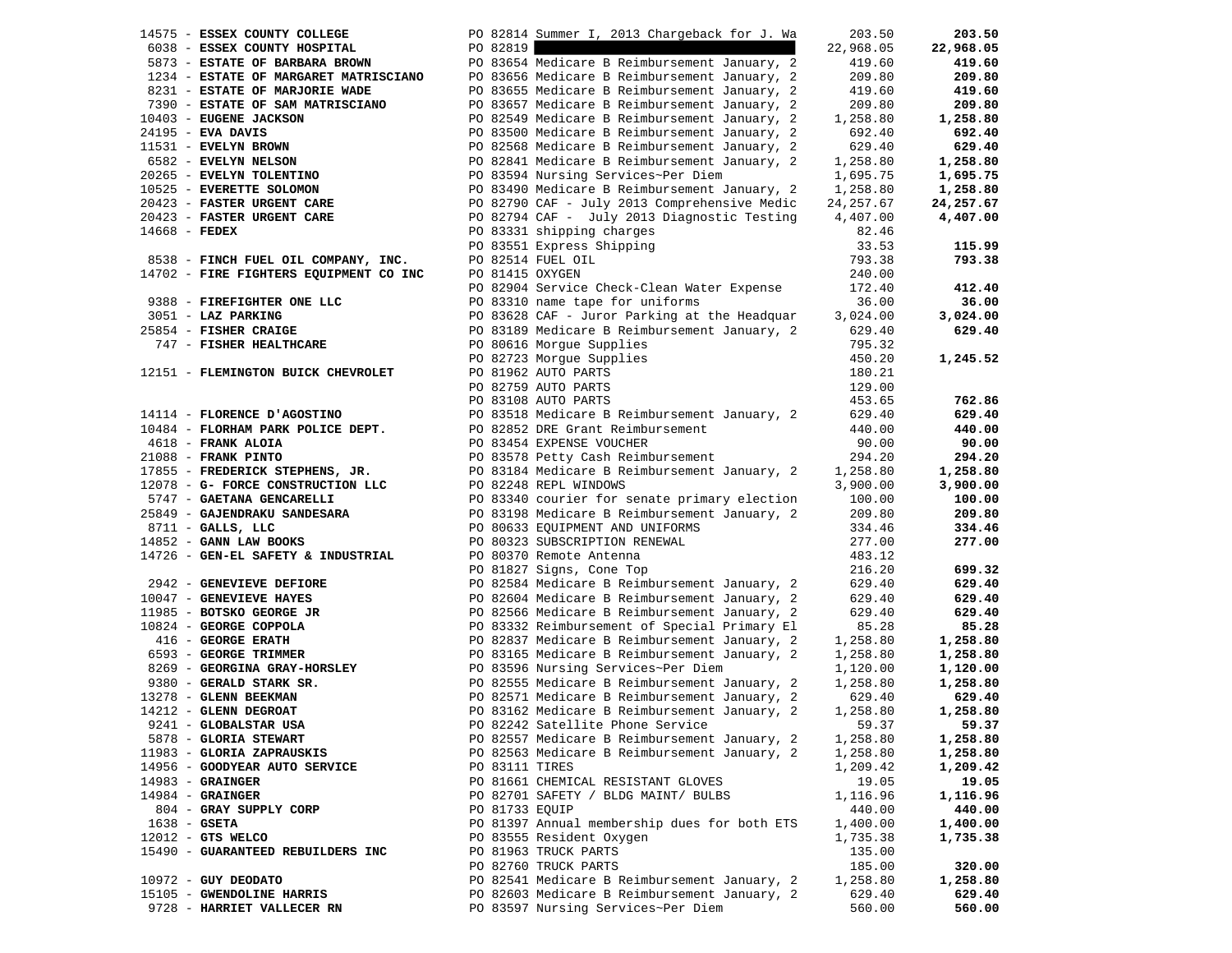|                | 14575 - ESSEX COUNTY COLLEGE                                                                                                                                                                                                                                         |                 | PO 82814 Summer I, 2013 Chargeback for J. Wa                                                                                                                                                                                                     | 203.50     | 203.50    |
|----------------|----------------------------------------------------------------------------------------------------------------------------------------------------------------------------------------------------------------------------------------------------------------------|-----------------|--------------------------------------------------------------------------------------------------------------------------------------------------------------------------------------------------------------------------------------------------|------------|-----------|
|                | 6038 - ESSEX COUNTY HOSPITAL                                                                                                                                                                                                                                         | PO 82819        |                                                                                                                                                                                                                                                  | 22,968.05  | 22,968.05 |
|                |                                                                                                                                                                                                                                                                      |                 |                                                                                                                                                                                                                                                  | 419.60     | 419.60    |
|                |                                                                                                                                                                                                                                                                      |                 |                                                                                                                                                                                                                                                  | 209.80     | 209.80    |
|                |                                                                                                                                                                                                                                                                      |                 |                                                                                                                                                                                                                                                  | 419.60     | 419.60    |
|                |                                                                                                                                                                                                                                                                      |                 | 7390 - ESTATE OF SAM MATRISCIANO PO 83657 Medicare B Reimbursement January, 2                                                                                                                                                                    | 209.80     | 209.80    |
|                |                                                                                                                                                                                                                                                                      |                 |                                                                                                                                                                                                                                                  | 1,258.80   | 1,258.80  |
|                |                                                                                                                                                                                                                                                                      |                 |                                                                                                                                                                                                                                                  | 692.40     | 692.40    |
|                |                                                                                                                                                                                                                                                                      |                 |                                                                                                                                                                                                                                                  | 629.40     | 629.40    |
|                |                                                                                                                                                                                                                                                                      |                 |                                                                                                                                                                                                                                                  | 1,258.80   | 1,258.80  |
|                |                                                                                                                                                                                                                                                                      |                 |                                                                                                                                                                                                                                                  | 1,695.75   | 1,695.75  |
|                |                                                                                                                                                                                                                                                                      |                 |                                                                                                                                                                                                                                                  | 1,258.80   | 1,258.80  |
|                |                                                                                                                                                                                                                                                                      |                 |                                                                                                                                                                                                                                                  | 24, 257.67 | 24,257.67 |
|                |                                                                                                                                                                                                                                                                      |                 |                                                                                                                                                                                                                                                  | 4,407.00   | 4,407.00  |
|                |                                                                                                                                                                                                                                                                      |                 |                                                                                                                                                                                                                                                  | 82.46      |           |
|                |                                                                                                                                                                                                                                                                      |                 | 7390 - ESTATE OF SAM MATRISCIANU<br>10403 - EUGENE JACKSON<br>24195 - EVA DAVIS<br>24195 - EVA DAVIS<br>11531 - EVELYN BROWN<br>10525 - EVELYN NELSON<br>20265 - EVELYN NELSON<br>10525 - EVELYN NELSON<br>10525 - EVELYN TOLENTINO<br>10625 - E | 33.53      | 115.99    |
|                | 8538 - FINCH FUEL OIL COMPANY, INC.                                                                                                                                                                                                                                  |                 | PO 82514 FUEL OIL                                                                                                                                                                                                                                | 793.38     | 793.38    |
|                | 14702 - FIRE FIGHTERS EQUIPMENT CO INC                                                                                                                                                                                                                               | PO 81415 OXYGEN |                                                                                                                                                                                                                                                  | 240.00     |           |
|                |                                                                                                                                                                                                                                                                      |                 | PO 82904 Service Check-Clean Water Expense                                                                                                                                                                                                       | 172.40     | 412.40    |
|                | 9388 - FIREFIGHTER ONE LLC                                                                                                                                                                                                                                           |                 | PO 83310 name tape for uniforms                                                                                                                                                                                                                  | 36.00      | 36.00     |
|                | 3051 - LAZ PARKING                                                                                                                                                                                                                                                   |                 | PO 83628 CAF - Juror Parking at the Headquar 3,024.00                                                                                                                                                                                            |            | 3,024.00  |
|                | 25854 - FISHER CRAIGE                                                                                                                                                                                                                                                |                 | PO 83189 Medicare B Reimbursement January, 2                                                                                                                                                                                                     | 629.40     | 629.40    |
|                | 747 - FISHER HEALTHCARE                                                                                                                                                                                                                                              |                 | PO 80616 Morgue Supplies                                                                                                                                                                                                                         | 795.32     |           |
|                |                                                                                                                                                                                                                                                                      |                 | PO 82723 Morgue Supplies                                                                                                                                                                                                                         | 450.20     | 1,245.52  |
|                | 12151 - FLEMINGTON BUICK CHEVROLET                                                                                                                                                                                                                                   |                 | PO 81962 AUTO PARTS                                                                                                                                                                                                                              | 180.21     |           |
|                |                                                                                                                                                                                                                                                                      |                 | PO 82759 AUTO PARTS                                                                                                                                                                                                                              | 129.00     |           |
|                |                                                                                                                                                                                                                                                                      |                 | PO 83108 AUTO PARTS                                                                                                                                                                                                                              | 453.65     | 762.86    |
|                | 14114 - FLORENCE D'AGOSTINO                                                                                                                                                                                                                                          |                 | PO 83518 Medicare B Reimbursement January, 2                                                                                                                                                                                                     | 629.40     | 629.40    |
|                | 10484 - FLORHAM PARK POLICE DEPT.                                                                                                                                                                                                                                    |                 |                                                                                                                                                                                                                                                  | 440.00     | 440.00    |
|                | 4618 - FRANK ALOIA                                                                                                                                                                                                                                                   |                 | PO 83518 Medicare B Reimbursement January, 2<br>PO 82852 DRE Grant Reimbursement<br>PO 83454 EXPENSE VOUCHER<br>PO 83578 Petty Cash Reimbursement                                                                                                | 90.00      | 90.00     |
|                | 21088 - FRANK PINTO                                                                                                                                                                                                                                                  |                 |                                                                                                                                                                                                                                                  | 294.20     | 294.20    |
|                |                                                                                                                                                                                                                                                                      |                 |                                                                                                                                                                                                                                                  | 1,258.80   | 1,258.80  |
|                |                                                                                                                                                                                                                                                                      |                 | 17855 - FREDERICK STEPHENS, JR.<br>17855 - FREDERICK STEPHENS, JR. PO 83184 Medicare B Reimbursement January, 2<br>12078 - G- FORCE CONSTRUCTION LLC<br>17955 - FREDERICK STEPHENS, JR. PO 82248 REPL WINDOWS<br>17955 - GAJENDRAKU SA           | 3,900.00   | 3,900.00  |
|                |                                                                                                                                                                                                                                                                      |                 |                                                                                                                                                                                                                                                  | 100.00     | 100.00    |
|                | 25849 - GAJENDRAKU SANDESARA                                                                                                                                                                                                                                         |                 |                                                                                                                                                                                                                                                  | 209.80     | 209.80    |
|                | 8711 - GALLS, LLC                                                                                                                                                                                                                                                    |                 | PO 80633 EQUIPMENT AND UNIFORMS                                                                                                                                                                                                                  | 334.46     | 334.46    |
|                | 14852 - GANN LAW BOOKS                                                                                                                                                                                                                                               |                 | PO 80323 SUBSCRIPTION RENEWAL                                                                                                                                                                                                                    | 277.00     | 277.00    |
|                | 14726 - GEN-EL SAFETY & INDUSTRIAL                                                                                                                                                                                                                                   |                 | PO 80370 Remote Antenna                                                                                                                                                                                                                          | 483.12     |           |
|                |                                                                                                                                                                                                                                                                      |                 | PO 81827 Signs, Cone Top                                                                                                                                                                                                                         | 216.20     | 699.32    |
|                | 2942 - GENEVIEVE DEFIORE                                                                                                                                                                                                                                             |                 | PO 82584 Medicare B Reimbursement January, 2                                                                                                                                                                                                     | 629.40     | 629.40    |
|                | 10047 - GENEVIEVE HAYES                                                                                                                                                                                                                                              |                 | PO 82604 Medicare B Reimbursement January, 2                                                                                                                                                                                                     | 629.40     | 629.40    |
|                | 11985 - BOTSKO GEORGE JR                                                                                                                                                                                                                                             |                 | PO 82566 Medicare B Reimbursement January, 2                                                                                                                                                                                                     | 629.40     | 629.40    |
|                |                                                                                                                                                                                                                                                                      |                 | PO 83332 Reimbursement of Special Primary El                                                                                                                                                                                                     | 85.28      | 85.28     |
|                |                                                                                                                                                                                                                                                                      |                 | PO 82837 Medicare B Reimbursement January, 2                                                                                                                                                                                                     | 1,258.80   | 1,258.80  |
|                | 10824 - GEORGE COPPOLA<br>416 - GEORGE ERATH<br>6593 - GEORGE TRIMMER                                                                                                                                                                                                |                 | PO 83165 Medicare B Reimbursement January, 2                                                                                                                                                                                                     | 1,258.80   | 1,258.80  |
|                |                                                                                                                                                                                                                                                                      |                 |                                                                                                                                                                                                                                                  | 1,120.00   | 1,120.00  |
|                | CORGO CONGERT CONSUMER<br>2003 / MERICAN PO 83165 Medicare B Reimbursement Ja<br>2009 - <b>GEORGINA GRAY-HORSLEY</b><br>2008 - <b>GERALD STARK SR.</b><br>2008 - <b>GERALD STARK SR.</b><br>2008 - <b>GERALD STARK SR.</b><br>2008 - <b>GERALD STARK SR.</b><br>2008 |                 | PO 82555 Medicare B Reimbursement January, 2                                                                                                                                                                                                     | 1,258.80   | 1,258.80  |
|                | 13278 - GLENN BEEKMAN                                                                                                                                                                                                                                                |                 | PO 82571 Medicare B Reimbursement January, 2                                                                                                                                                                                                     | 629.40     | 629.40    |
|                | 14212 - GLENN DEGROAT                                                                                                                                                                                                                                                |                 | PO 83162 Medicare B Reimbursement January, 2                                                                                                                                                                                                     | 1,258.80   | 1,258.80  |
|                | 9241 - GLOBALSTAR USA                                                                                                                                                                                                                                                |                 | PO 82242 Satellite Phone Service 59.37                                                                                                                                                                                                           |            | 59.37     |
|                | 5878 - GLORIA STEWART                                                                                                                                                                                                                                                |                 | PO 82557 Medicare B Reimbursement January, 2                                                                                                                                                                                                     | 1,258.80   | 1,258.80  |
|                | 11983 - GLORIA ZAPRAUSKIS                                                                                                                                                                                                                                            |                 | PO 82563 Medicare B Reimbursement January, 2                                                                                                                                                                                                     | 1,258.80   | 1,258.80  |
|                | 14956 - GOODYEAR AUTO SERVICE                                                                                                                                                                                                                                        | PO 83111 TIRES  |                                                                                                                                                                                                                                                  | 1,209.42   | 1,209.42  |
|                | $14983 -$ GRAINGER                                                                                                                                                                                                                                                   |                 | PO 81661 CHEMICAL RESISTANT GLOVES                                                                                                                                                                                                               | 19.05      | 19.05     |
|                | $14984$ - GRAINGER                                                                                                                                                                                                                                                   |                 | PO 82701 SAFETY / BLDG MAINT/ BULBS                                                                                                                                                                                                              | 1,116.96   | 1,116.96  |
|                | 804 - GRAY SUPPLY CORP                                                                                                                                                                                                                                               | PO 81733 EQUIP  |                                                                                                                                                                                                                                                  | 440.00     | 440.00    |
| $1638 - GSETA$ |                                                                                                                                                                                                                                                                      |                 | PO 81397 Annual membership dues for both ETS                                                                                                                                                                                                     | 1,400.00   | 1,400.00  |
|                | $12012$ - GTS WELCO                                                                                                                                                                                                                                                  |                 | PO 83555 Resident Oxygen                                                                                                                                                                                                                         | 1,735.38   | 1,735.38  |
|                | 15490 - GUARANTEED REBUILDERS INC                                                                                                                                                                                                                                    |                 | PO 81963 TRUCK PARTS                                                                                                                                                                                                                             | 135.00     |           |
|                |                                                                                                                                                                                                                                                                      |                 | PO 82760 TRUCK PARTS                                                                                                                                                                                                                             | 185.00     | 320.00    |
|                | $10972$ - GUY DEODATO                                                                                                                                                                                                                                                |                 | PO 82541 Medicare B Reimbursement January, 2                                                                                                                                                                                                     | 1,258.80   | 1,258.80  |
|                | 15105 - GWENDOLINE HARRIS                                                                                                                                                                                                                                            |                 | PO 82603 Medicare B Reimbursement January, 2                                                                                                                                                                                                     | 629.40     | 629.40    |
|                | 9728 - HARRIET VALLECER RN                                                                                                                                                                                                                                           |                 | PO 83597 Nursing Services~Per Diem                                                                                                                                                                                                               | 560.00     | 560.00    |
|                |                                                                                                                                                                                                                                                                      |                 |                                                                                                                                                                                                                                                  |            |           |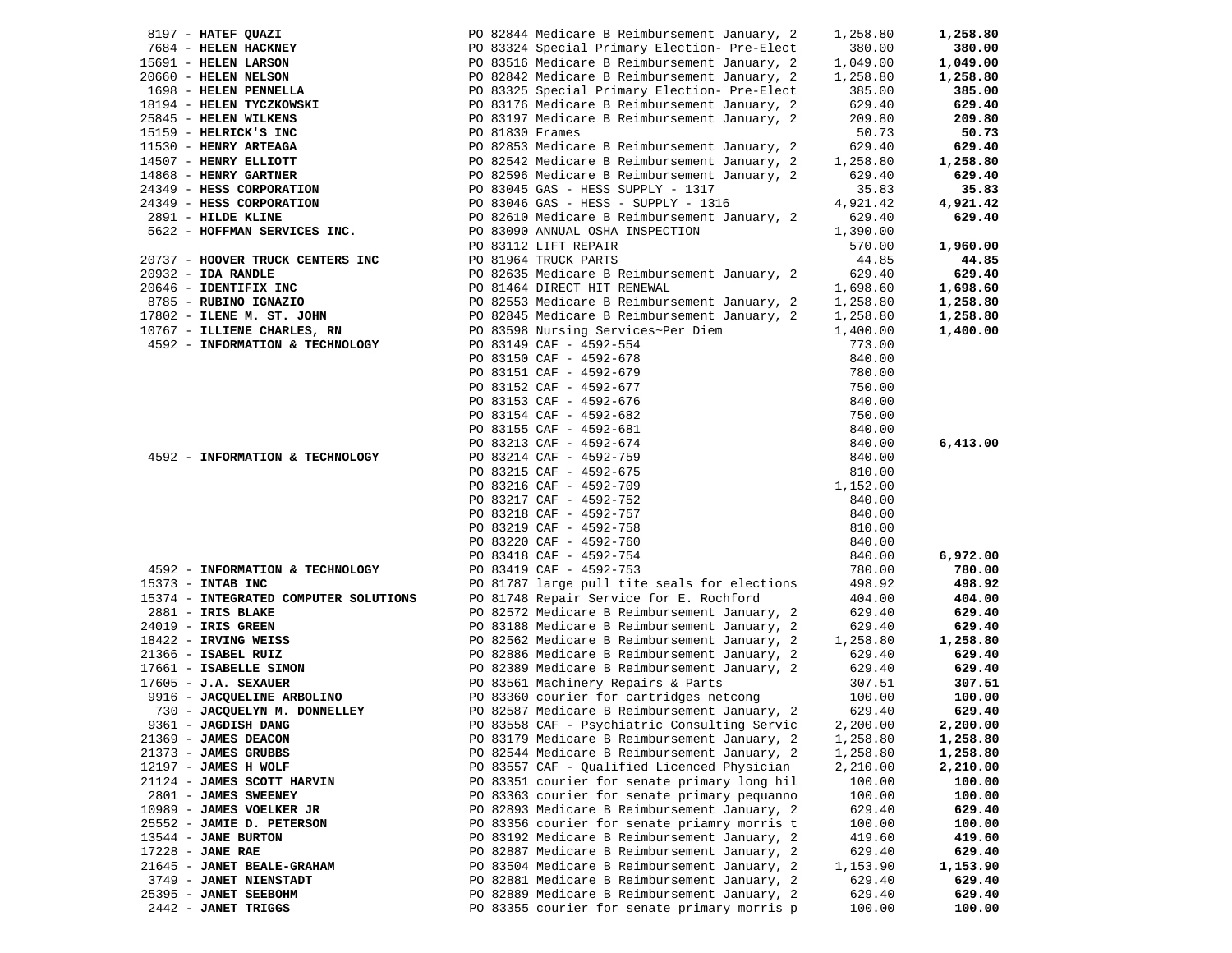| 8197 - HATEF QUAZI                            |                         | PO 82844 Medicare B Reimbursement January, 2                                                 | 1,258.80             | 1,258.80           |
|-----------------------------------------------|-------------------------|----------------------------------------------------------------------------------------------|----------------------|--------------------|
| 7684 - HELEN HACKNEY                          |                         | PO 83324 Special Primary Election- Pre-Elect                                                 | 380.00               | 380.00             |
| 15691 - HELEN LARSON                          |                         | PO 83516 Medicare B Reimbursement January, 2                                                 | 1,049.00             | 1,049.00           |
| 20660 - HELEN NELSON                          |                         | PO 82842 Medicare B Reimbursement January, 2                                                 | 1,258.80             | 1,258.80           |
| 1698 - HELEN PENNELLA                         |                         | PO 83325 Special Primary Election- Pre-Elect                                                 | 385.00               | 385.00             |
| 18194 - HELEN TYCZKOWSKI                      |                         | PO 83176 Medicare B Reimbursement January, 2                                                 | 629.40               | 629.40             |
| 25845 - HELEN WILKENS                         |                         | PO 83197 Medicare B Reimbursement January, 2                                                 | 209.80               | 209.80             |
| 15159 - HELRICK'S INC                         | PO 81830 Frames         |                                                                                              | 50.73                | 50.73              |
| 11530 - HENRY ARTEAGA                         |                         | PO 82853 Medicare B Reimbursement January, 2                                                 | 629.40               | 629.40             |
| 14507 - HENRY ELLIOTT                         |                         | PO 82542 Medicare B Reimbursement January, 2                                                 | 1,258.80             | 1,258.80           |
| 14868 - HENRY GARTNER                         |                         | PO 82596 Medicare B Reimbursement January, 2                                                 | 629.40               | 629.40             |
| 24349 - HESS CORPORATION                      |                         | PO 83045 GAS - HESS SUPPLY - 1317                                                            | 35.83                | 35.83              |
| 24349 - HESS CORPORATION                      |                         | PO 83046 GAS - HESS - SUPPLY - 1316                                                          | 4,921.42             | 4,921.42           |
| 2891 - HILDE KLINE                            |                         | PO 82610 Medicare B Reimbursement January, 2                                                 | 629.40               | 629.40             |
| 5622 - HOFFMAN SERVICES INC.                  |                         | PO 83090 ANNUAL OSHA INSPECTION                                                              | 1,390.00             |                    |
|                                               | PO 83112 LIFT REPAIR    |                                                                                              | 570.00               | 1,960.00           |
| 20737 - HOOVER TRUCK CENTERS INC              | PO 81964 TRUCK PARTS    |                                                                                              | 44.85                | 44.85              |
| $20932 - IDA RANDLE$                          |                         | PO 82635 Medicare B Reimbursement January, 2                                                 | 629.40               | 629.40             |
| 20646 - IDENTIFIX INC                         |                         | PO 81464 DIRECT HIT RENEWAL                                                                  | 1,698.60             | 1,698.60           |
| 8785 - RUBINO IGNAZIO                         |                         | PO 82553 Medicare B Reimbursement January, 2                                                 | 1,258.80             | 1,258.80           |
| 17802 - ILENE M. ST. JOHN                     |                         | PO 82845 Medicare B Reimbursement January, 2                                                 | 1,258.80             | 1,258.80           |
| 10767 - ILLIENE CHARLES, RN                   |                         | PO 83598 Nursing Services~Per Diem                                                           | 1,400.00             | 1,400.00           |
| 4592 - INFORMATION & TECHNOLOGY               | PO 83149 CAF - 4592-554 |                                                                                              | 773.00               |                    |
|                                               | PO 83150 CAF - 4592-678 |                                                                                              | 840.00               |                    |
|                                               | PO 83151 CAF - 4592-679 |                                                                                              | 780.00               |                    |
|                                               | PO 83152 CAF - 4592-677 |                                                                                              | 750.00               |                    |
|                                               | PO 83153 CAF - 4592-676 |                                                                                              | 840.00               |                    |
|                                               | PO 83154 CAF - 4592-682 |                                                                                              | 750.00               |                    |
|                                               | PO 83155 CAF - 4592-681 |                                                                                              | 840.00               |                    |
|                                               | PO 83213 CAF - 4592-674 |                                                                                              | 840.00               | 6,413.00           |
| 4592 - INFORMATION & TECHNOLOGY               | PO 83214 CAF - 4592-759 |                                                                                              | 840.00               |                    |
|                                               | PO 83215 CAF - 4592-675 |                                                                                              | 810.00               |                    |
|                                               | PO 83216 CAF - 4592-709 |                                                                                              | 1,152.00             |                    |
|                                               | PO 83217 CAF - 4592-752 |                                                                                              | 840.00               |                    |
|                                               | PO 83218 CAF - 4592-757 |                                                                                              | 840.00               |                    |
|                                               | PO 83219 CAF - 4592-758 |                                                                                              | 810.00               |                    |
|                                               | PO 83220 CAF - 4592-760 |                                                                                              | 840.00               |                    |
|                                               | PO 83418 CAF - 4592-754 |                                                                                              | 840.00               | 6,972.00           |
| 4592 - INFORMATION & TECHNOLOGY               | PO 83419 CAF - 4592-753 |                                                                                              | 780.00               | 780.00             |
| 15373 - INTAB INC                             |                         | PO 81787 large pull tite seals for elections                                                 | 498.92               | 498.92             |
| 15374 - INTEGRATED COMPUTER SOLUTIONS         |                         | PO 81748 Repair Service for E. Rochford                                                      | 404.00               | 404.00             |
| 2881 - IRIS BLAKE                             |                         | PO 82572 Medicare B Reimbursement January, 2                                                 | 629.40               | 629.40             |
|                                               |                         |                                                                                              |                      |                    |
| 24019 - IRIS GREEN                            |                         | PO 83188 Medicare B Reimbursement January, 2                                                 | 629.40               | 629.40             |
| $18422$ - IRVING WEISS<br>21366 - ISABEL RUIZ |                         | PO 82562 Medicare B Reimbursement January, 2<br>PO 82886 Medicare B Reimbursement January, 2 | 1,258.80<br>629.40   | 1,258.80<br>629.40 |
| 17661 - ISABELLE SIMON                        |                         | PO 82389 Medicare B Reimbursement January, 2                                                 | 629.40               | 629.40             |
| $17605 - J.A.$ SEXAUER                        |                         | PO 83561 Machinery Repairs & Parts                                                           | 307.51               | 307.51             |
| 9916 - JACQUELINE ARBOLINO                    |                         | PO 83360 courier for cartridges netcong                                                      | 100.00               | 100.00             |
| 730 - JACQUELYN M. DONNELLEY                  |                         | PO 82587 Medicare B Reimbursement January, 2                                                 | 629.40               | 629.40             |
| 9361 - JAGDISH DANG                           |                         | PO 83558 CAF - Psychiatric Consulting Servic                                                 | 2,200.00             | 2,200.00           |
| 21369 - JAMES DEACON                          |                         | PO 83179 Medicare B Reimbursement January, 2                                                 | 1,258.80             | 1,258.80           |
| 21373 - JAMES GRUBBS                          |                         | PO 82544 Medicare B Reimbursement January, 2                                                 |                      | 1,258.80           |
| 12197 - JAMES H WOLF                          |                         | PO 83557 CAF - Qualified Licenced Physician                                                  | 1,258.80<br>2,210.00 | 2,210.00           |
| 21124 - JAMES SCOTT HARVIN                    |                         | PO 83351 courier for senate primary long hil                                                 | 100.00               |                    |
| 2801 - JAMES SWEENEY                          |                         | PO 83363 courier for senate primary pequanno                                                 | 100.00               | 100.00<br>100.00   |
|                                               |                         |                                                                                              |                      |                    |
| 10989 - JAMES VOELKER JR                      |                         | PO 82893 Medicare B Reimbursement January, 2                                                 | 629.40<br>100.00     | 629.40             |
| 25552 - JAMIE D. PETERSON                     |                         | PO 83356 courier for senate priamry morris t                                                 |                      | 100.00             |
| 13544 - JANE BURTON                           |                         | PO 83192 Medicare B Reimbursement January, 2                                                 | 419.60               | 419.60             |
| $17228$ - JANE RAE                            |                         | PO 82887 Medicare B Reimbursement January, 2                                                 | 629.40               | 629.40             |
| 21645 - JANET BEALE-GRAHAM                    |                         | PO 83504 Medicare B Reimbursement January, 2                                                 | 1,153.90             | 1,153.90           |
| 3749 - JANET NIENSTADT                        |                         | PO 82881 Medicare B Reimbursement January, 2                                                 | 629.40               | 629.40             |
| 25395 - JANET SEEBOHM                         |                         | PO 82889 Medicare B Reimbursement January, 2                                                 | 629.40               | 629.40             |
| 2442 - JANET TRIGGS                           |                         | PO 83355 courier for senate primary morris p                                                 | 100.00               | 100.00             |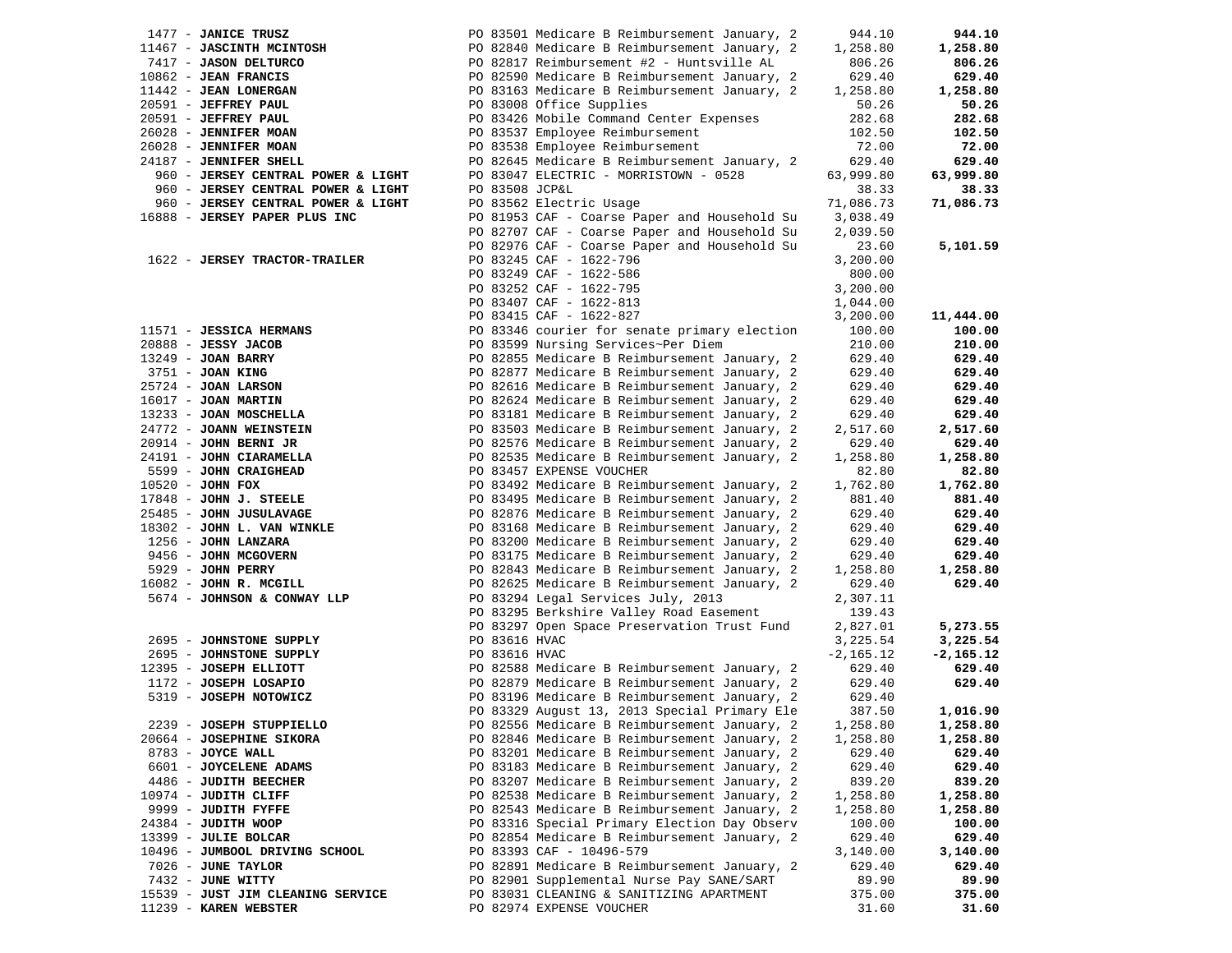| 1477 - JANICE TRUSZ                                                                                                                                                                                                      |                | PO 83501 Medicare B Reimbursement January, 2       | 944.10      | 944.10      |
|--------------------------------------------------------------------------------------------------------------------------------------------------------------------------------------------------------------------------|----------------|----------------------------------------------------|-------------|-------------|
|                                                                                                                                                                                                                          |                | PO 82840 Medicare B Reimbursement January, 2       | 1,258.80    | 1,258.80    |
|                                                                                                                                                                                                                          |                | PO 82817 Reimbursement #2 - Huntsville AL          | 806.26      | 806.26      |
|                                                                                                                                                                                                                          |                | PO 82590 Medicare B Reimbursement January, 2       | 629.40      | 629.40      |
| 11467 - JASCINTH MCINTOSH<br>7417 - JASON DELTURCO<br>10862 - JEAN FRANCIS<br>11442 - JEAN LONERGAN                                                                                                                      |                | PO 83163 Medicare B Reimbursement January, 2       | 1,258.80    | 1,258.80    |
| 20591 - JEFFREY PAUL                                                                                                                                                                                                     |                | PO 83008 Office Supplies                           | 50.26       | 50.26       |
| 20591 - JEFFREY PAUL                                                                                                                                                                                                     |                | PO 83426 Mobile Command Center Expenses            | 282.68      | 282.68      |
|                                                                                                                                                                                                                          |                |                                                    |             |             |
| 26028 - JENNIFER MOAN                                                                                                                                                                                                    |                | PO 83537 Employee Reimbursement                    | 102.50      | 102.50      |
| 26028 - JENNIFER MOAN                                                                                                                                                                                                    |                | PO 83538 Employee Reimbursement                    | 72.00       | 72.00       |
| 24187 - JENNIFER SHELL                                                                                                                                                                                                   |                | PO 82645 Medicare B Reimbursement January, 2       | 629.40      | 629.40      |
| 960 - JERSEY CENTRAL POWER & LIGHT                                                                                                                                                                                       |                | PO 83047 ELECTRIC - MORRISTOWN - 0528              | 63,999.80   | 63,999.80   |
| 960 - JERSEY CENTRAL POWER & LIGHT                                                                                                                                                                                       | PO 83508 JCP&L |                                                    | 38.33       | 38.33       |
| 960 - JERSEY CENTRAL POWER & LIGHT                                                                                                                                                                                       |                | PO 83562 Electric Usage                            | 71,086.73   | 71,086.73   |
| 16888 - JERSEY PAPER PLUS INC                                                                                                                                                                                            |                | PO 81953 CAF - Coarse Paper and Household Su       | 3,038.49    |             |
|                                                                                                                                                                                                                          |                | PO 82707 CAF - Coarse Paper and Household Su       | 2,039.50    |             |
|                                                                                                                                                                                                                          |                | PO 82976 CAF - Coarse Paper and Household Su       | 23.60       | 5,101.59    |
| 1622 - JERSEY TRACTOR-TRAILER                                                                                                                                                                                            |                | PO 83245 CAF - 1622-796                            | 3,200.00    |             |
|                                                                                                                                                                                                                          |                | PO 83249 CAF - 1622-586                            | 800.00      |             |
|                                                                                                                                                                                                                          |                | PO 83252 CAF - 1622-795<br>PO 83497 3--            | 3,200.00    |             |
|                                                                                                                                                                                                                          |                |                                                    |             |             |
|                                                                                                                                                                                                                          |                | PO 83407 CAF - 1622-813<br>PO 83415 CAF - 1622-827 | 1,044.00    |             |
|                                                                                                                                                                                                                          |                |                                                    | 3,200.00    | 11,444.00   |
| $11571 - JESSTCA HERMANS$<br>11571 - JESSICA HERMANS<br>20888 - JESSY JACOB<br>13249 - JOAN BARRY<br>3751 - JOAN KING<br>25724 - JOAN LARSON<br>16017 - JOAN MARTIN<br>13233 - JOAN MOSCHELLA<br>24772 - JOANN WEINSTEIN |                | PO 83346 courier for senate primary election       | 100.00      | 100.00      |
|                                                                                                                                                                                                                          |                | PO 83599 Nursing Services~Per Diem                 | 210.00      | 210.00      |
|                                                                                                                                                                                                                          |                | PO 82855 Medicare B Reimbursement January, 2       | 629.40      | 629.40      |
|                                                                                                                                                                                                                          |                | PO 82877 Medicare B Reimbursement January, 2       | 629.40      | 629.40      |
|                                                                                                                                                                                                                          |                | PO 82616 Medicare B Reimbursement January, 2       | 629.40      | 629.40      |
|                                                                                                                                                                                                                          |                | PO 82624 Medicare B Reimbursement January, 2       | 629.40      | 629.40      |
|                                                                                                                                                                                                                          |                | PO 83181 Medicare B Reimbursement January, 2       | 629.40      | 629.40      |
|                                                                                                                                                                                                                          |                | PO 83503 Medicare B Reimbursement January, 2       | 2,517.60    | 2,517.60    |
| 20914 - JOHN BERNI JR                                                                                                                                                                                                    |                | PO 82576 Medicare B Reimbursement January, 2       | 629.40      | 629.40      |
|                                                                                                                                                                                                                          |                | PO 82535 Medicare B Reimbursement January, 2       | 1,258.80    | 1,258.80    |
| 24191 - JOHN CIARAMELLA                                                                                                                                                                                                  |                |                                                    |             |             |
| 5599 - JOHN CRAIGHEAD                                                                                                                                                                                                    |                | PO 83457 EXPENSE VOUCHER                           | 82.80       | 82.80       |
| $10520 - JOHN$ FOX                                                                                                                                                                                                       |                | PO 83492 Medicare B Reimbursement January, 2       | 1,762.80    | 1,762.80    |
| $10520 - 0044$<br>$17848 - JOHN J. STEELE$                                                                                                                                                                               |                | PO 83495 Medicare B Reimbursement January, 2       | 881.40      | 881.40      |
| 25485 - JOHN JUSULAVAGE                                                                                                                                                                                                  |                | PO 82876 Medicare B Reimbursement January, 2       | 629.40      | 629.40      |
| 18302 - JOHN L. VAN WINKLE                                                                                                                                                                                               |                | PO 83168 Medicare B Reimbursement January, 2       | 629.40      | 629.40      |
| 1256 - JOHN LANZARA                                                                                                                                                                                                      |                | PO 83200 Medicare B Reimbursement January, 2       | 629.40      | 629.40      |
| 9456 - JOHN MCGOVERN                                                                                                                                                                                                     |                | PO 83175 Medicare B Reimbursement January, 2       | 629.40      | 629.40      |
| 5929 - JOHN PERRY                                                                                                                                                                                                        |                | PO 82843 Medicare B Reimbursement January, 2       | 1,258.80    | 1,258.80    |
| 16082 - JOHN R. MCGILL                                                                                                                                                                                                   |                | PO 82625 Medicare B Reimbursement January, 2       | 629.40      | 629.40      |
| 5674 - JOHNSON & CONWAY LLP                                                                                                                                                                                              |                | PO 83294 Legal Services July, 2013                 | 2,307.11    |             |
|                                                                                                                                                                                                                          |                | PO 83295 Berkshire Valley Road Easement            | 139.43      |             |
|                                                                                                                                                                                                                          |                | PO 83297 Open Space Preservation Trust Fund        | 2,827.01    |             |
|                                                                                                                                                                                                                          |                |                                                    |             | 5,273.55    |
| 2695 - JOHNSTONE SUPPLY                                                                                                                                                                                                  | PO 83616 HVAC  |                                                    | 3,225.54    | 3,225.54    |
| 2695 - JOHNSTONE SUPPLY                                                                                                                                                                                                  | PO 83616 HVAC  |                                                    | $-2,165.12$ | $-2,165.12$ |
| 12395 - JOSEPH ELLIOTT                                                                                                                                                                                                   |                | PO 82588 Medicare B Reimbursement January, 2       | 629.40      | 629.40      |
| 1172 - JOSEPH LOSAPIO                                                                                                                                                                                                    |                | PO 82879 Medicare B Reimbursement January, 2       | 629.40      | 629.40      |
| 5319 - JOSEPH NOTOWICZ                                                                                                                                                                                                   |                | PO 83196 Medicare B Reimbursement January, 2       | 629.40      |             |
|                                                                                                                                                                                                                          |                | PO 83329 August 13, 2013 Special Primary Ele       | 387.50      | 1,016.90    |
| 2239 - JOSEPH STUPPIELLO                                                                                                                                                                                                 |                | PO 82556 Medicare B Reimbursement January, 2       | 1,258.80    | 1,258.80    |
| 20664 - JOSEPHINE SIKORA                                                                                                                                                                                                 |                | PO 82846 Medicare B Reimbursement January, 2       | 1,258.80    | 1,258.80    |
| 8783 - JOYCE WALL                                                                                                                                                                                                        |                | PO 83201 Medicare B Reimbursement January, 2       | 629.40      | 629.40      |
| 6601 - JOYCELENE ADAMS                                                                                                                                                                                                   |                | PO 83183 Medicare B Reimbursement January, 2       | 629.40      | 629.40      |
| 4486 - JUDITH BEECHER                                                                                                                                                                                                    |                | PO 83207 Medicare B Reimbursement January, 2       | 839.20      | 839.20      |
| 10974 - JUDITH CLIFF                                                                                                                                                                                                     |                | PO 82538 Medicare B Reimbursement January, 2       | 1,258.80    | 1,258.80    |
|                                                                                                                                                                                                                          |                |                                                    |             |             |
| 9999 - JUDITH FYFFE                                                                                                                                                                                                      |                | PO 82543 Medicare B Reimbursement January, 2       | 1,258.80    | 1,258.80    |
| 24384 - JUDITH WOOP                                                                                                                                                                                                      |                | PO 83316 Special Primary Election Day Observ       | 100.00      | 100.00      |
| 13399 - JULIE BOLCAR                                                                                                                                                                                                     |                | PO 82854 Medicare B Reimbursement January, 2       | 629.40      | 629.40      |
| 10496 - JUMBOOL DRIVING SCHOOL                                                                                                                                                                                           |                | PO 83393 CAF - 10496-579                           | 3,140.00    | 3,140.00    |
| 7026 - JUNE TAYLOR                                                                                                                                                                                                       |                | PO 82891 Medicare B Reimbursement January, 2       | 629.40      | 629.40      |
| 7432 - JUNE WITTY                                                                                                                                                                                                        |                | PO 82901 Supplemental Nurse Pay SANE/SART          | 89.90       | 89.90       |
| 15539 - JUST JIM CLEANING SERVICE                                                                                                                                                                                        |                | PO 83031 CLEANING & SANITIZING APARTMENT           | 375.00      | 375.00      |
| 11239 - KAREN WEBSTER                                                                                                                                                                                                    |                | PO 82974 EXPENSE VOUCHER                           | 31.60       | 31.60       |
|                                                                                                                                                                                                                          |                |                                                    |             |             |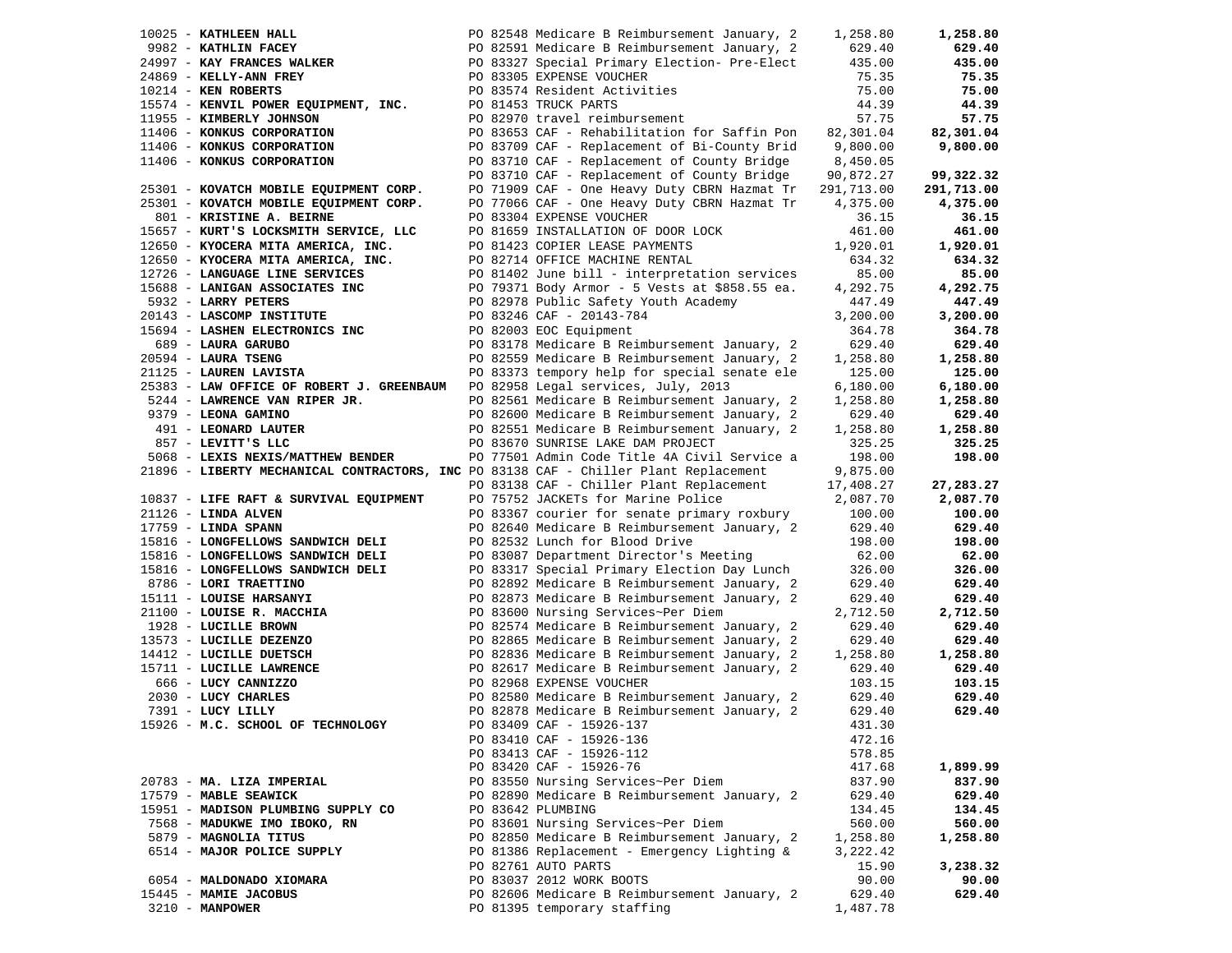| 10025 - KATHLEEN HALL      |                                                                                                                                                                                                      |  | PO 82548 Medicare B Reimbursement January, 2                                         | 1,258.80   | 1,258.80   |
|----------------------------|------------------------------------------------------------------------------------------------------------------------------------------------------------------------------------------------------|--|--------------------------------------------------------------------------------------|------------|------------|
| 9982 - KATHLIN FACEY       |                                                                                                                                                                                                      |  | PO 82591 Medicare B Reimbursement January, 2                                         | 629.40     | 629.40     |
|                            |                                                                                                                                                                                                      |  | 24997 - KAY FRANCES WALKER PO 83327 Special Primary Election-Pre-Elect               | 435.00     | 435.00     |
| 24869 - KELLY-ANN FREY     |                                                                                                                                                                                                      |  | PO 83305 EXPENSE VOUCHER                                                             | 75.35      | 75.35      |
| $10214$ - KEN ROBERTS      |                                                                                                                                                                                                      |  | PO 83574 Resident Activities                                                         | 75.00      | 75.00      |
|                            | 15574 - KENVIL POWER EQUIPMENT, INC.                                                                                                                                                                 |  | PO 81453 TRUCK PARTS                                                                 | 44.39      | 44.39      |
| 11955 - KIMBERLY JOHNSON   |                                                                                                                                                                                                      |  | PO 82970 travel reimbursement                                                        | 57.75      | 57.75      |
|                            | 11406 - KONKUS CORPORATION                                                                                                                                                                           |  | PO 83653 CAF - Rehabilitation for Saffin Pon                                         | 82,301.04  | 82,301.04  |
|                            | 11406 - KONKUS CORPORATION                                                                                                                                                                           |  | PO 83709 CAF - Replacement of Bi-County Brid 9,800.00                                |            | 9,800.00   |
| 11406 - KONKUS CORPORATION |                                                                                                                                                                                                      |  | PO 83710 CAF - Replacement of County Bridge                                          | 8,450.05   |            |
|                            |                                                                                                                                                                                                      |  | PO 83710 CAF - Replacement of County Bridge                                          | 90,872.27  | 99,322.32  |
|                            | 25301 - KOVATCH MOBILE EQUIPMENT CORP.                                                                                                                                                               |  | PO 71909 CAF - One Heavy Duty CBRN Hazmat Tr                                         | 291,713.00 | 291,713.00 |
|                            | 25301 - KOVATCH MOBILE EQUIPMENT CORP.                                                                                                                                                               |  | PO 77066 CAF - One Heavy Duty CBRN Hazmat Tr                                         | 4,375.00   | 4,375.00   |
|                            | 801 - KRISTINE A. BEIRNE                                                                                                                                                                             |  | PO 83304 EXPENSE VOUCHER                                                             | 36.15      | 36.15      |
|                            | 15657 - KURT'S LOCKSMITH SERVICE, LLC                                                                                                                                                                |  | PO 81659 INSTALLATION OF DOOR LOCK                                                   | 461.00     | 461.00     |
|                            | 12650 - KYOCERA MITA AMERICA, INC.                                                                                                                                                                   |  | PO 81423 COPIER LEASE PAYMENTS                                                       | 1,920.01   | 1,920.01   |
|                            |                                                                                                                                                                                                      |  | PO 82714 OFFICE MACHINE RENTAL                                                       | 634.32     | 634.32     |
|                            | 12650 - KYOCERA MITA AMERICA, INC.                                                                                                                                                                   |  |                                                                                      |            |            |
|                            | 12726 - LANGUAGE LINE SERVICES                                                                                                                                                                       |  | PO 81402 June bill - interpretation services                                         | 85.00      | 85.00      |
|                            | 15688 - LANIGAN ASSOCIATES INC                                                                                                                                                                       |  | PO 79371 Body Armor - 5 Vests at \$858.55 ea.                                        | 4,292.75   | 4,292.75   |
| 5932 - LARRY PETERS        |                                                                                                                                                                                                      |  | PO 82978 Public Safety Youth Academy                                                 | 447.49     | 447.49     |
|                            | 20143 - LASCOMP INSTITUTE                                                                                                                                                                            |  | PO 83246 CAF - 20143-784                                                             | 3,200.00   | 3,200.00   |
|                            | 15694 - LASHEN ELECTRONICS INC                                                                                                                                                                       |  | PO 82003 EOC Equipment                                                               | 364.78     | 364.78     |
| 689 - LAURA GARUBO         |                                                                                                                                                                                                      |  | PO 83178 Medicare B Reimbursement January, 2                                         | 629.40     | 629.40     |
| 20594 - LAURA TSENG        |                                                                                                                                                                                                      |  | PO 82559 Medicare B Reimbursement January, 2                                         | 1,258.80   | 1,258.80   |
| 21125 - LAUREN LAVISTA     |                                                                                                                                                                                                      |  | PO 83373 tempory help for special senate ele                                         | 125.00     | 125.00     |
|                            | 25383 - LAW OFFICE OF ROBERT J. GREENBAUM PO 82958 Legal services, July, 2013                                                                                                                        |  |                                                                                      | 6,180.00   | 6,180.00   |
|                            | 5244 - LAWRENCE VAN RIPER JR.                                                                                                                                                                        |  | PO 82561 Medicare B Reimbursement January, 2                                         | 1,258.80   | 1,258.80   |
| 9379 - LEONA GAMINO        |                                                                                                                                                                                                      |  | PO 82600 Medicare B Reimbursement January, 2                                         | 629.40     | 629.40     |
| 491 - LEONARD LAUTER       |                                                                                                                                                                                                      |  | PO 82551 Medicare B Reimbursement January, 2                                         | 1,258.80   | 1,258.80   |
| 857 - LEVITT'S LLC         |                                                                                                                                                                                                      |  | PO 83670 SUNRISE LAKE DAM PROJECT                                                    | 325.25     | 325.25     |
|                            | 5068 - LEXIS NEXIS/MATTHEW BENDER                                                                                                                                                                    |  | PO 77501 Admin Code Title 4A Civil Service a                                         | 198.00     | 198.00     |
|                            |                                                                                                                                                                                                      |  | 21896 - LIBERTY MECHANICAL CONTRACTORS, INC PO 83138 CAF - Chiller Plant Replacement | 9,875.00   |            |
|                            |                                                                                                                                                                                                      |  | PO 83138 CAF - Chiller Plant Replacement                                             | 17,408.27  | 27,283.27  |
|                            | 10837 - LIFE RAFT & SURVIVAL EQUIPMENT                                                                                                                                                               |  | PO 75752 JACKETs for Marine Police                                                   | 2,087.70   | 2,087.70   |
| 21126 - LINDA ALVEN        |                                                                                                                                                                                                      |  | PO 83367 courier for senate primary roxbury                                          | 100.00     | 100.00     |
| 17759 - LINDA SPANN        |                                                                                                                                                                                                      |  | PO 82640 Medicare B Reimbursement January, 2                                         | 629.40     | 629.40     |
|                            | 15816 - LONGFELLOWS SANDWICH DELI                                                                                                                                                                    |  | PO 82532 Lunch for Blood Drive                                                       | 198.00     | 198.00     |
|                            | 15816 - LONGFELLOWS SANDWICH DELI                                                                                                                                                                    |  | PO 83087 Department Director's Meeting                                               | 62.00      | 62.00      |
|                            | 15816 - LONGFELLOWS SANDWICH DELI                                                                                                                                                                    |  | PO 83317 Special Primary Election Day Lunch                                          | 326.00     | 326.00     |
| 8786 - LORI TRAETTINO      |                                                                                                                                                                                                      |  | PO 82892 Medicare B Reimbursement January, 2                                         | 629.40     | 629.40     |
| 15111 - LOUISE HARSANYI    |                                                                                                                                                                                                      |  | PO 82873 Medicare B Reimbursement January, 2                                         | 629.40     | 629.40     |
|                            |                                                                                                                                                                                                      |  | PO 83600 Nursing Services~Per Diem                                                   | 2,712.50   | 2,712.50   |
|                            |                                                                                                                                                                                                      |  | PO 82574 Medicare B Reimbursement January, 2                                         | 629.40     | 629.40     |
|                            |                                                                                                                                                                                                      |  | PO 82865 Medicare B Reimbursement January, 2                                         | 629.40     | 629.40     |
|                            | 19111 - LOOISE RARSANTI<br>1928 - LUCILLE BROWN<br>13573 - LUCILLE DEZENZO<br>14412 - LUCILLE DUETSCH<br>15711 - LUCILLE LAWRENCE<br>666 - LUCY CANNIZZO<br>2030 - LUCY CHARLES<br>7391 - LUCY LILLY |  | PO 82836 Medicare B Reimbursement January, 2                                         | 1,258.80   | 1,258.80   |
|                            |                                                                                                                                                                                                      |  | PO 82617 Medicare B Reimbursement January, 2                                         | 629.40     | 629.40     |
|                            |                                                                                                                                                                                                      |  | PO 82968 EXPENSE VOUCHER                                                             | 103.15     | 103.15     |
|                            |                                                                                                                                                                                                      |  | PO 82580 Medicare B Reimbursement January, 2                                         | 629.40     | 629.40     |
| 7391 - LUCY LILLY          |                                                                                                                                                                                                      |  | PO 82878 Medicare B Reimbursement January, 2                                         | 629.40     | 629.40     |
|                            | 15926 - M.C. SCHOOL OF TECHNOLOGY                                                                                                                                                                    |  | PO 83409 CAF - 15926-137                                                             | 431.30     |            |
|                            |                                                                                                                                                                                                      |  | PO 83410 CAF - 15926-136                                                             | 472.16     |            |
|                            |                                                                                                                                                                                                      |  | PO 83413 CAF - 15926-112                                                             | 578.85     |            |
|                            |                                                                                                                                                                                                      |  | PO 83420 CAF - 15926-76                                                              | 417.68     | 1,899.99   |
| 20783 - MA. LIZA IMPERIAL  |                                                                                                                                                                                                      |  | PO 83550 Nursing Services~Per Diem                                                   | 837.90     | 837.90     |
| 17579 - MABLE SEAWICK      |                                                                                                                                                                                                      |  | PO 82890 Medicare B Reimbursement January, 2                                         | 629.40     | 629.40     |
|                            | 15951 - MADISON PLUMBING SUPPLY CO                                                                                                                                                                   |  | PO 83642 PLUMBING                                                                    | 134.45     | 134.45     |
|                            |                                                                                                                                                                                                      |  |                                                                                      |            |            |
|                            | 7568 - MADUKWE IMO IBOKO, RN                                                                                                                                                                         |  | PO 83601 Nursing Services~Per Diem                                                   | 560.00     | 560.00     |
| 5879 - MAGNOLIA TITUS      |                                                                                                                                                                                                      |  | PO 82850 Medicare B Reimbursement January, 2                                         | 1,258.80   | 1,258.80   |
|                            | 6514 - MAJOR POLICE SUPPLY                                                                                                                                                                           |  | PO 81386 Replacement - Emergency Lighting &                                          | 3,222.42   |            |
|                            |                                                                                                                                                                                                      |  | PO 82761 AUTO PARTS                                                                  | 15.90      | 3,238.32   |
| 6054 - MALDONADO XIOMARA   |                                                                                                                                                                                                      |  | PO 83037 2012 WORK BOOTS                                                             | 90.00      | 90.00      |
| 15445 - MAMIE JACOBUS      |                                                                                                                                                                                                      |  | PO 82606 Medicare B Reimbursement January, 2                                         | 629.40     | 629.40     |
| 3210 - MANPOWER            |                                                                                                                                                                                                      |  | PO 81395 temporary staffing                                                          | 1,487.78   |            |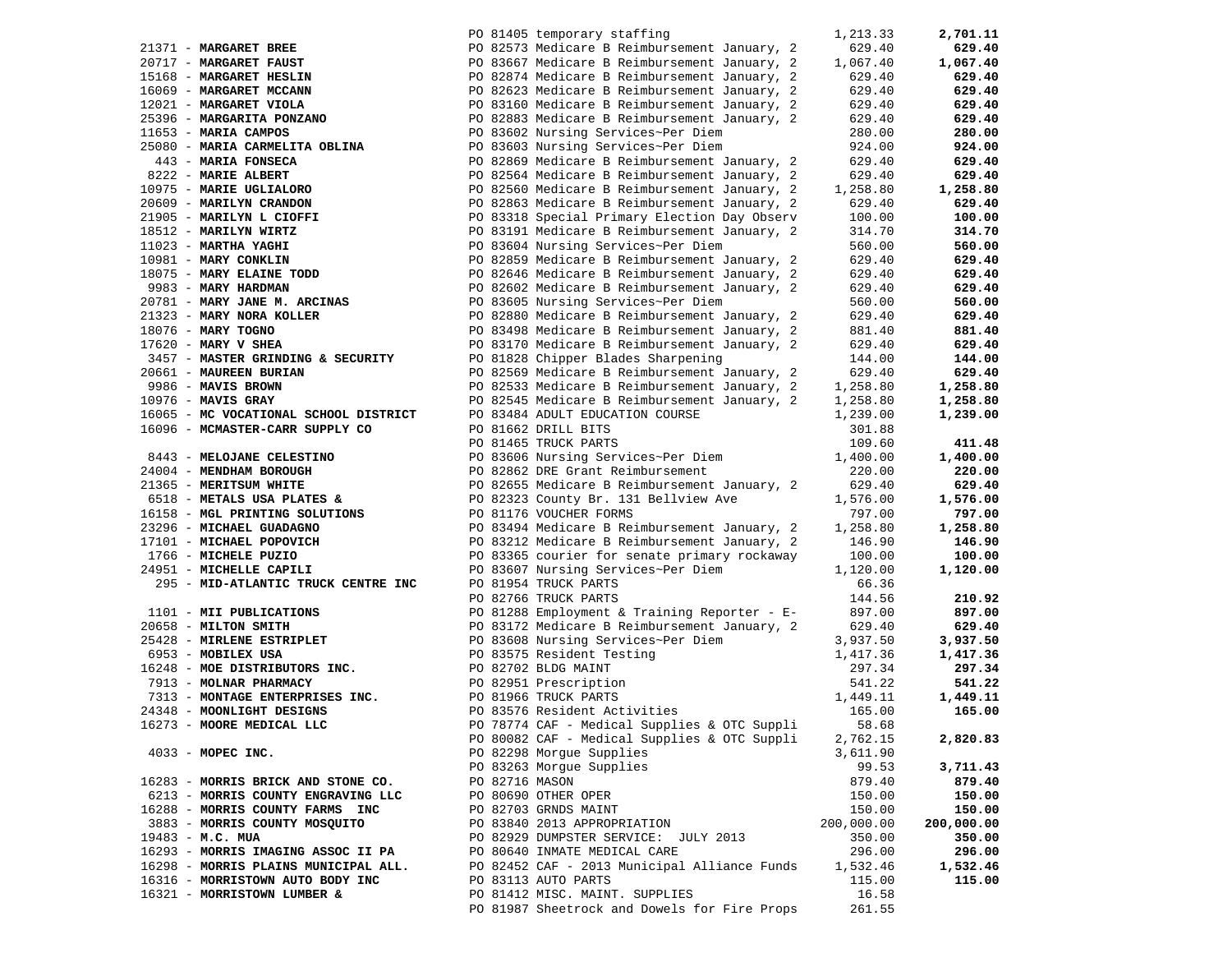|                                                                                                   |                     |                                                                                                                                                                                                                                                                           | 1,213.33   | 2,701.11   |
|---------------------------------------------------------------------------------------------------|---------------------|---------------------------------------------------------------------------------------------------------------------------------------------------------------------------------------------------------------------------------------------------------------------------|------------|------------|
|                                                                                                   |                     |                                                                                                                                                                                                                                                                           | 629.40     | 629.40     |
|                                                                                                   |                     |                                                                                                                                                                                                                                                                           | 1,067.40   | 1,067.40   |
|                                                                                                   |                     | 21371 - MARGARET BREE<br>20717 - MARGARET FAUST<br>20717 - MARGARET FAUST<br>2083667 Medicare B Reimbursement January, 2<br>20823 Medicare B Reimbursement January, 2<br>200823 Medicare B Reimbursement January, 2<br>200823 Medicare B R                                | 629.40     | 629.40     |
|                                                                                                   |                     |                                                                                                                                                                                                                                                                           | 629.40     | 629.40     |
|                                                                                                   |                     |                                                                                                                                                                                                                                                                           | 629.40     |            |
|                                                                                                   |                     |                                                                                                                                                                                                                                                                           |            | 629.40     |
| 25396 - MARGARITA PONZANO<br>11653 - MARIA CAMPOS                                                 |                     | PO 82883 Medicare B Reimbursement January, 2<br>PO 82883 Medicare B Reimbursement J<br>PO 83602 Nursing Services~Per Diem                                                                                                                                                 | 629.40     | 629.40     |
| 11653 - MARIA CAMPOS                                                                              |                     |                                                                                                                                                                                                                                                                           | 280.00     | 280.00     |
| 25080 - MARIA CARMELITA OBLINA<br>443 - MARIA FONSECA                                             |                     | PO 83603 Nursing Services~Per Diem                                                                                                                                                                                                                                        | 924.00     | 924.00     |
|                                                                                                   |                     | PO 82869 Medicare B Reimbursement January, 2                                                                                                                                                                                                                              | 629.40     | 629.40     |
| 8222 - MARIE ALBERT<br>10975 - MARIE UGLIALORO                                                    |                     | PO 82564 Medicare B Reimbursement January, 2                                                                                                                                                                                                                              | 629.40     | 629.40     |
|                                                                                                   |                     | PO 82560 Medicare B Reimbursement January, 2                                                                                                                                                                                                                              | 1,258.80   | 1,258.80   |
| 20609 - MARILYN CRANDON                                                                           |                     | PO 82863 Medicare B Reimbursement January, 2                                                                                                                                                                                                                              | 629.40     | 629.40     |
| 21905 - MARILYN L CIOFFI<br>18512 - MARILYN WIRTZ                                                 |                     | PO 83318 Special Primary Election Day Observ                                                                                                                                                                                                                              | 100.00     | 100.00     |
|                                                                                                   |                     | PO 83191 Medicare B Reimbursement January, 2                                                                                                                                                                                                                              | 314.70     | 314.70     |
| 18512 - MARILYN WIRTZ<br>11023 - MARTHA YAGHI<br>10981 - MARY CONKLIN<br>18075 - MARY ELAINE TODD |                     | PO 83604 Nursing Services~Per Diem                                                                                                                                                                                                                                        | 560.00     | 560.00     |
|                                                                                                   |                     | PO 82859 Medicare B Reimbursement January, 2                                                                                                                                                                                                                              | 629.40     | 629.40     |
|                                                                                                   |                     |                                                                                                                                                                                                                                                                           |            |            |
|                                                                                                   |                     | PO 82859 Medicare B Reimbursement January, 2<br>18075 - <b>MARY ELAINE TODD</b><br>9983 - <b>MARY HARDMAN</b><br>20781 - <b>MARY JANE M. ARCINAS</b><br>20781 - <b>MARY JANE M. ARCINAS</b><br>20781 - <b>MARY JANE M. ARCINAS</b><br>20781 - <b>MARY JANE M. ARCINAS</b> | 629.40     | 629.40     |
|                                                                                                   |                     |                                                                                                                                                                                                                                                                           | 629.40     | 629.40     |
|                                                                                                   |                     |                                                                                                                                                                                                                                                                           | 560.00     | 560.00     |
| $21323 - \text{MARY NORMAL KOLLER}$                                                               |                     | PO 82880 Medicare B Reimbursement January, 2                                                                                                                                                                                                                              | 629.40     | 629.40     |
| 18076 - MARY TOGNO                                                                                |                     | PO 83498 Medicare B Reimbursement January, 2                                                                                                                                                                                                                              | 881.40     | 881.40     |
| $17620$ - MARY V SHEA                                                                             |                     | PO 83170 Medicare B Reimbursement January, 2                                                                                                                                                                                                                              | 629.40     | 629.40     |
| 3457 - MASTER GRINDING & SECURITY                                                                 |                     | PO 81828 Chipper Blades Sharpening                                                                                                                                                                                                                                        | 144.00     | 144.00     |
| 20661 - MAUREEN BURIAN                                                                            |                     | PO 82569 Medicare B Reimbursement January, 2                                                                                                                                                                                                                              | 629.40     | 629.40     |
| 9986 - MAVIS BROWN                                                                                |                     | PO 82533 Medicare B Reimbursement January, 2 1,258.80                                                                                                                                                                                                                     |            | 1,258.80   |
| $10976$ - MAVIS GRAY                                                                              |                     | PO 82545 Medicare B Reimbursement January, 2 1,258.80                                                                                                                                                                                                                     |            | 1,258.80   |
| 16065 - MC VOCATIONAL SCHOOL DISTRICT                                                             |                     |                                                                                                                                                                                                                                                                           | 1,239.00   | 1,239.00   |
| 16096 - MCMASTER-CARR SUPPLY CO                                                                   |                     | PO 83484 ADULT EDUCATION COURSE<br>PO 81662 DRILL BITS                                                                                                                                                                                                                    | 301.88     |            |
|                                                                                                   |                     | PO 81465 TRUCK PARTS                                                                                                                                                                                                                                                      | 109.60     | 411.48     |
| 8443 - MELOJANE CELESTINO                                                                         |                     |                                                                                                                                                                                                                                                                           |            | 1,400.00   |
|                                                                                                   |                     | PO 83606 Nursing Services~Per Diem 1,400.00<br>PO 82862 DRE Grant Reimbursement 220.00                                                                                                                                                                                    |            |            |
| 24004 - MENDHAM BOROUGH                                                                           |                     |                                                                                                                                                                                                                                                                           |            | 220.00     |
| 21365 - MERITSUM WHITE                                                                            |                     | PO 82655 Medicare B Reimbursement January, 2 629.40                                                                                                                                                                                                                       |            | 629.40     |
| 6518 - METALS USA PLATES &                                                                        |                     | PO 82323 County Br. 131 Bellview Ave                                                                                                                                                                                                                                      | 1,576.00   | 1,576.00   |
|                                                                                                   |                     | 19158 - MGL PRINTING SOLUTIONS<br>16158 - MGL PRINTING SOLUTIONS<br>23296 - MICHAEL GUADAGNO<br>23296 - MICHAEL GUADAGNO                                                                                                                                                  |            | 797.00     |
|                                                                                                   |                     |                                                                                                                                                                                                                                                                           |            | 1,258.80   |
| 17101 - MICHAEL POPOVICH                                                                          |                     | PO 83212 Medicare B Reimbursement January, 2 146.90                                                                                                                                                                                                                       |            | 146.90     |
| 1766 - MICHELE PUZIO                                                                              |                     | PO 83365 courier for senate primary rockaway                                                                                                                                                                                                                              | 100.00     | 100.00     |
| 24951 - MICHELLE CAPILI                                                                           |                     | PO 83607 Nursing Services~Per Diem                                                                                                                                                                                                                                        | 1,120.00   | 1,120.00   |
| 295 - MID-ATLANTIC TRUCK CENTRE INC                                                               |                     | PO 81954 TRUCK PARTS                                                                                                                                                                                                                                                      | 66.36      |            |
|                                                                                                   |                     | PO 82766 TRUCK PARTS                                                                                                                                                                                                                                                      | 144.56     | 210.92     |
|                                                                                                   |                     |                                                                                                                                                                                                                                                                           |            | 897.00     |
|                                                                                                   |                     |                                                                                                                                                                                                                                                                           |            | 629.40     |
|                                                                                                   |                     |                                                                                                                                                                                                                                                                           |            | 3,937.50   |
|                                                                                                   |                     | 20658 - MILTON SMITH<br>20658 - MILTON SMITH<br>25428 - MIRLENE ESTRIPLET<br>25428 - MIRLENE ESTRIPLET<br>25428 - MIRLENE ESTRIPLET<br>2697.00<br>25428 - MOBILEX USA<br>2697.3<br>26297.4 PO 83575 Resident Testing<br>297.3<br>2498 - MOONLIGHT                         |            | 1,417.36   |
| 16248 - MOBILEX USA<br>16248 - MOE DISTRIBUTORS INC.                                              |                     |                                                                                                                                                                                                                                                                           |            | 297.34     |
|                                                                                                   |                     |                                                                                                                                                                                                                                                                           |            | 541.22     |
|                                                                                                   |                     |                                                                                                                                                                                                                                                                           |            | 1,449.11   |
|                                                                                                   |                     |                                                                                                                                                                                                                                                                           |            |            |
|                                                                                                   |                     |                                                                                                                                                                                                                                                                           |            | 165.00     |
| 16273 - MOORE MEDICAL LLC                                                                         |                     | PO 78774 CAF - Medical Supplies & OTC Suppli                                                                                                                                                                                                                              |            |            |
|                                                                                                   |                     | PO 80082 CAF - Medical Supplies & OTC Suppli                                                                                                                                                                                                                              | 2,762.15   | 2,820.83   |
| $4033$ - MOPEC INC.                                                                               |                     | PO 82298 Morque Supplies                                                                                                                                                                                                                                                  | 3,611.90   |            |
|                                                                                                   |                     | PO 83263 Morgue Supplies                                                                                                                                                                                                                                                  | 99.53      | 3,711.43   |
| 16283 - MORRIS BRICK AND STONE CO.                                                                | PO 82716 MASON      |                                                                                                                                                                                                                                                                           | 879.40     | 879.40     |
| 6213 - MORRIS COUNTY ENGRAVING LLC                                                                | PO 80690 OTHER OPER |                                                                                                                                                                                                                                                                           | 150.00     | 150.00     |
| 16288 - MORRIS COUNTY FARMS INC                                                                   |                     | PO 82703 GRNDS MAINT                                                                                                                                                                                                                                                      | 150.00     | 150.00     |
| 3883 - MORRIS COUNTY MOSQUITO                                                                     |                     | PO 83840 2013 APPROPRIATION                                                                                                                                                                                                                                               | 200,000.00 | 200,000.00 |
| 19483 - M.C. MUA                                                                                  |                     | PO 82929 DUMPSTER SERVICE: JULY 2013                                                                                                                                                                                                                                      | 350.00     | 350.00     |
| 16293 - MORRIS IMAGING ASSOC II PA                                                                |                     | PO 80640 INMATE MEDICAL CARE                                                                                                                                                                                                                                              | 296.00     | 296.00     |
| 16298 - MORRIS PLAINS MUNICIPAL ALL.                                                              |                     | PO 82452 CAF - 2013 Municipal Alliance Funds 1,532.46                                                                                                                                                                                                                     |            | 1,532.46   |
| 16316 - MORRISTOWN AUTO BODY INC                                                                  |                     | PO 83113 AUTO PARTS                                                                                                                                                                                                                                                       | 115.00     | 115.00     |
| 16321 - MORRISTOWN LUMBER &                                                                       |                     | PO 81412 MISC. MAINT. SUPPLIES                                                                                                                                                                                                                                            | 16.58      |            |
|                                                                                                   |                     | PO 81987 Sheetrock and Dowels for Fire Props                                                                                                                                                                                                                              | 261.55     |            |
|                                                                                                   |                     |                                                                                                                                                                                                                                                                           |            |            |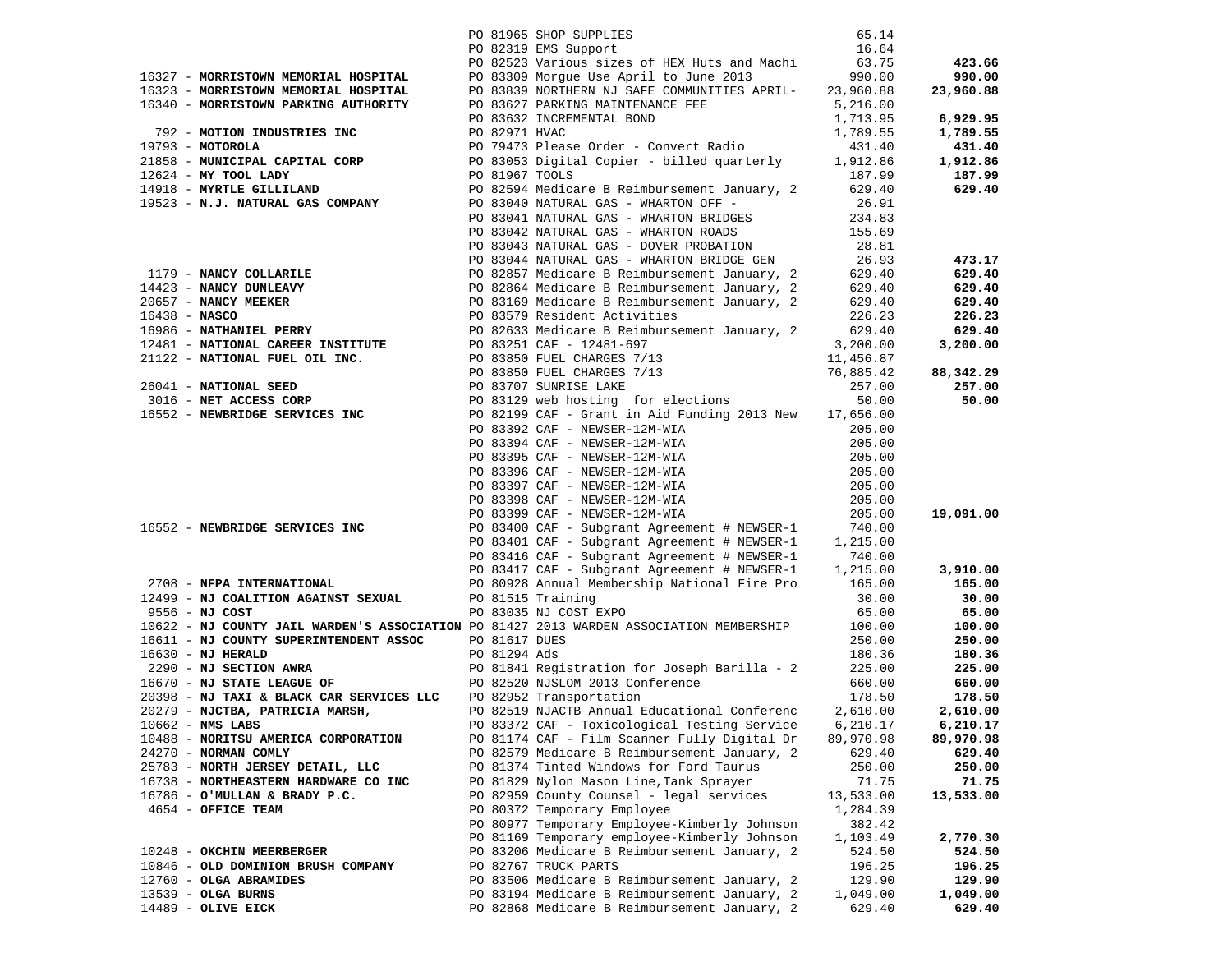|                                                                                                                                                                                                                                                                                                              |  | PO 81965 SHOP SUPPLIES<br>PO 82319 EMS Support                                                                                                                                                                                          | 65.14            |                  |
|--------------------------------------------------------------------------------------------------------------------------------------------------------------------------------------------------------------------------------------------------------------------------------------------------------------|--|-----------------------------------------------------------------------------------------------------------------------------------------------------------------------------------------------------------------------------------------|------------------|------------------|
|                                                                                                                                                                                                                                                                                                              |  |                                                                                                                                                                                                                                         | 16.64            |                  |
|                                                                                                                                                                                                                                                                                                              |  | PO 82523 Various sizes of HEX Huts and Machi 63.75<br>16327 - <b>MORRISTOWN MEMORIAL HOSPITAL</b> PO 83309 Morgue Use April to June 2013<br>16323 - MORRISTOWN MEMORIAL HOSPITAL PO 83839 NORTHERN NJ SAFE COMMUNITIES APRIL- 23,960.88 |                  | 423.66           |
|                                                                                                                                                                                                                                                                                                              |  |                                                                                                                                                                                                                                         |                  | 990.00           |
|                                                                                                                                                                                                                                                                                                              |  |                                                                                                                                                                                                                                         |                  | 23,960.88        |
|                                                                                                                                                                                                                                                                                                              |  |                                                                                                                                                                                                                                         |                  |                  |
|                                                                                                                                                                                                                                                                                                              |  |                                                                                                                                                                                                                                         |                  | 6,929.95         |
|                                                                                                                                                                                                                                                                                                              |  |                                                                                                                                                                                                                                         |                  | 1,789.55         |
|                                                                                                                                                                                                                                                                                                              |  |                                                                                                                                                                                                                                         |                  | 431.40           |
|                                                                                                                                                                                                                                                                                                              |  |                                                                                                                                                                                                                                         |                  | 1,912.86         |
|                                                                                                                                                                                                                                                                                                              |  |                                                                                                                                                                                                                                         |                  | 187.99           |
|                                                                                                                                                                                                                                                                                                              |  |                                                                                                                                                                                                                                         |                  | 629.40           |
|                                                                                                                                                                                                                                                                                                              |  |                                                                                                                                                                                                                                         |                  |                  |
|                                                                                                                                                                                                                                                                                                              |  |                                                                                                                                                                                                                                         |                  |                  |
|                                                                                                                                                                                                                                                                                                              |  |                                                                                                                                                                                                                                         |                  |                  |
|                                                                                                                                                                                                                                                                                                              |  |                                                                                                                                                                                                                                         |                  |                  |
|                                                                                                                                                                                                                                                                                                              |  |                                                                                                                                                                                                                                         |                  | 473.17           |
|                                                                                                                                                                                                                                                                                                              |  |                                                                                                                                                                                                                                         |                  | 629.40           |
|                                                                                                                                                                                                                                                                                                              |  |                                                                                                                                                                                                                                         |                  | 629.40           |
|                                                                                                                                                                                                                                                                                                              |  |                                                                                                                                                                                                                                         |                  | 629.40           |
|                                                                                                                                                                                                                                                                                                              |  |                                                                                                                                                                                                                                         |                  | 226.23           |
|                                                                                                                                                                                                                                                                                                              |  |                                                                                                                                                                                                                                         |                  | 629.40           |
|                                                                                                                                                                                                                                                                                                              |  |                                                                                                                                                                                                                                         |                  | 3,200.00         |
|                                                                                                                                                                                                                                                                                                              |  |                                                                                                                                                                                                                                         |                  |                  |
|                                                                                                                                                                                                                                                                                                              |  |                                                                                                                                                                                                                                         |                  | 88,342.29        |
|                                                                                                                                                                                                                                                                                                              |  |                                                                                                                                                                                                                                         |                  | 257.00<br>50.00  |
| 90 83043 NATURAL GAS - DOVER PROBATION<br>PO 83043 NATURAL GAS - DOVER PROBATION<br>PO 83044 NATURAL GAS - DOVER PROBATION<br>PO 83044 NATURAL GAS - WHAT CAS - WHAT CAS - WHAT COLLARILE<br>PO 82857 Nedicare B Reimbursement January                                                                       |  |                                                                                                                                                                                                                                         |                  |                  |
|                                                                                                                                                                                                                                                                                                              |  |                                                                                                                                                                                                                                         | 205.00           |                  |
|                                                                                                                                                                                                                                                                                                              |  | PO 83392 CAF - NEWSER-12M-WIA<br>PO 83394 CAF - NEWSER-12M-WIA                                                                                                                                                                          |                  |                  |
|                                                                                                                                                                                                                                                                                                              |  |                                                                                                                                                                                                                                         |                  |                  |
|                                                                                                                                                                                                                                                                                                              |  |                                                                                                                                                                                                                                         |                  |                  |
|                                                                                                                                                                                                                                                                                                              |  |                                                                                                                                                                                                                                         |                  |                  |
|                                                                                                                                                                                                                                                                                                              |  |                                                                                                                                                                                                                                         |                  |                  |
|                                                                                                                                                                                                                                                                                                              |  |                                                                                                                                                                                                                                         |                  | 19,091.00        |
|                                                                                                                                                                                                                                                                                                              |  |                                                                                                                                                                                                                                         |                  |                  |
|                                                                                                                                                                                                                                                                                                              |  |                                                                                                                                                                                                                                         |                  |                  |
|                                                                                                                                                                                                                                                                                                              |  |                                                                                                                                                                                                                                         |                  |                  |
|                                                                                                                                                                                                                                                                                                              |  |                                                                                                                                                                                                                                         |                  | 3,910.00         |
| 90 83392 CAF - NEWSER-12M-WIA<br>90 83394 CAF - NEWSER-12M-WIA<br>90 83394 CAF - NEWSER-12M-WIA<br>90 83395 CAF - NEWSER-12M-WIA<br>90 83396 CAF - NEWSER-12M-WIA<br>90 83396 CAF - NEWSER-12M-WIA<br>90 83396 CAF - NEWSER-12M-WIA<br>90 8<br>2708 - NFPA INTERNATIONAL<br>12499 - NJ COALITION AGAING CITY |  |                                                                                                                                                                                                                                         |                  | 165.00           |
| 12499 - NJ COALITION AGAINST SEXUAL PO 81515 Training                                                                                                                                                                                                                                                        |  |                                                                                                                                                                                                                                         | 30.00            | 30.00            |
| 9556 - NJ COST                                                                                                                                                                                                                                                                                               |  | PO 83035 NJ COST EXPO                                                                                                                                                                                                                   | 65.00            | 65.00            |
|                                                                                                                                                                                                                                                                                                              |  | 10622 - NJ COUNTY JAIL WARDEN'S ASSOCIATION PO 81427 2013 WARDEN ASSOCIATION MEMBERSHIP 100.00                                                                                                                                          |                  | 100.00           |
|                                                                                                                                                                                                                                                                                                              |  |                                                                                                                                                                                                                                         |                  | 250.00           |
|                                                                                                                                                                                                                                                                                                              |  |                                                                                                                                                                                                                                         |                  | 180.36           |
| 16611 - NJ COUNTY SUPERINTENDENT ASSOC<br>16630 - NJ HERALD<br>2290 - NJ SECTION AWRA<br>2290 - NJ SECTION AWRA<br>2290 - NJ SECTION AWRA<br>2290 - NJ STATE LEAGUE OF<br>2008 - NJ TAXI & BLACK CAR SERVICES LLC<br>2008 - NJ TAXI & BLACK                                                                  |  |                                                                                                                                                                                                                                         |                  | 225.00           |
|                                                                                                                                                                                                                                                                                                              |  |                                                                                                                                                                                                                                         |                  | 660.00           |
|                                                                                                                                                                                                                                                                                                              |  |                                                                                                                                                                                                                                         |                  | 178.50           |
|                                                                                                                                                                                                                                                                                                              |  | 20279 - NJCTBA, PATRICIA MARSH, PO 82519 NJACTB Annual Educational Conference                                                                                                                                                           | 2,610.00         | 2,610.00         |
|                                                                                                                                                                                                                                                                                                              |  | 10662 - NMS LABS 6,210.17 6,210.17 6,210.17                                                                                                                                                                                             |                  |                  |
| 10488 - NORITSU AMERICA CORPORATION<br>24270 - NORMAN COMLY                                                                                                                                                                                                                                                  |  | PO 81174 CAF - Film Scanner Fully Digital Dr<br>PO 82579 Medicare B Reimbursement January, 2                                                                                                                                            | 89,970.98        | 89,970.98        |
| 25783 - NORTH JERSEY DETAIL, LLC                                                                                                                                                                                                                                                                             |  | PO 81374 Tinted Windows for Ford Taurus                                                                                                                                                                                                 | 629.40<br>250.00 | 629.40<br>250.00 |
| 16738 - NORTHEASTERN HARDWARE CO INC                                                                                                                                                                                                                                                                         |  | PO 81829 Nylon Mason Line, Tank Sprayer                                                                                                                                                                                                 | 71.75            | 71.75            |
| 16786 - O'MULLAN & BRADY P.C.                                                                                                                                                                                                                                                                                |  | PO 82959 County Counsel - legal services                                                                                                                                                                                                | 13,533.00        | 13,533.00        |
| 4654 - OFFICE TEAM                                                                                                                                                                                                                                                                                           |  | PO 80372 Temporary Employee                                                                                                                                                                                                             | 1,284.39         |                  |
|                                                                                                                                                                                                                                                                                                              |  | PO 80977 Temporary Employee-Kimberly Johnson                                                                                                                                                                                            | 382.42           |                  |
|                                                                                                                                                                                                                                                                                                              |  | PO 81169 Temporary employee-Kimberly Johnson                                                                                                                                                                                            | 1,103.49         | 2,770.30         |
| 10248 - OKCHIN MEERBERGER                                                                                                                                                                                                                                                                                    |  | PO 83206 Medicare B Reimbursement January, 2                                                                                                                                                                                            | 524.50           | 524.50           |
| 10846 - OLD DOMINION BRUSH COMPANY                                                                                                                                                                                                                                                                           |  | PO 82767 TRUCK PARTS                                                                                                                                                                                                                    | 196.25           | 196.25           |
| 12760 - OLGA ABRAMIDES                                                                                                                                                                                                                                                                                       |  | PO 83506 Medicare B Reimbursement January, 2                                                                                                                                                                                            | 129.90           | 129.90           |
| 13539 - OLGA BURNS                                                                                                                                                                                                                                                                                           |  | PO 83194 Medicare B Reimbursement January, 2                                                                                                                                                                                            | 1,049.00         | 1,049.00         |
| 14489 - OLIVE EICK                                                                                                                                                                                                                                                                                           |  | PO 82868 Medicare B Reimbursement January, 2                                                                                                                                                                                            | 629.40           | 629.40           |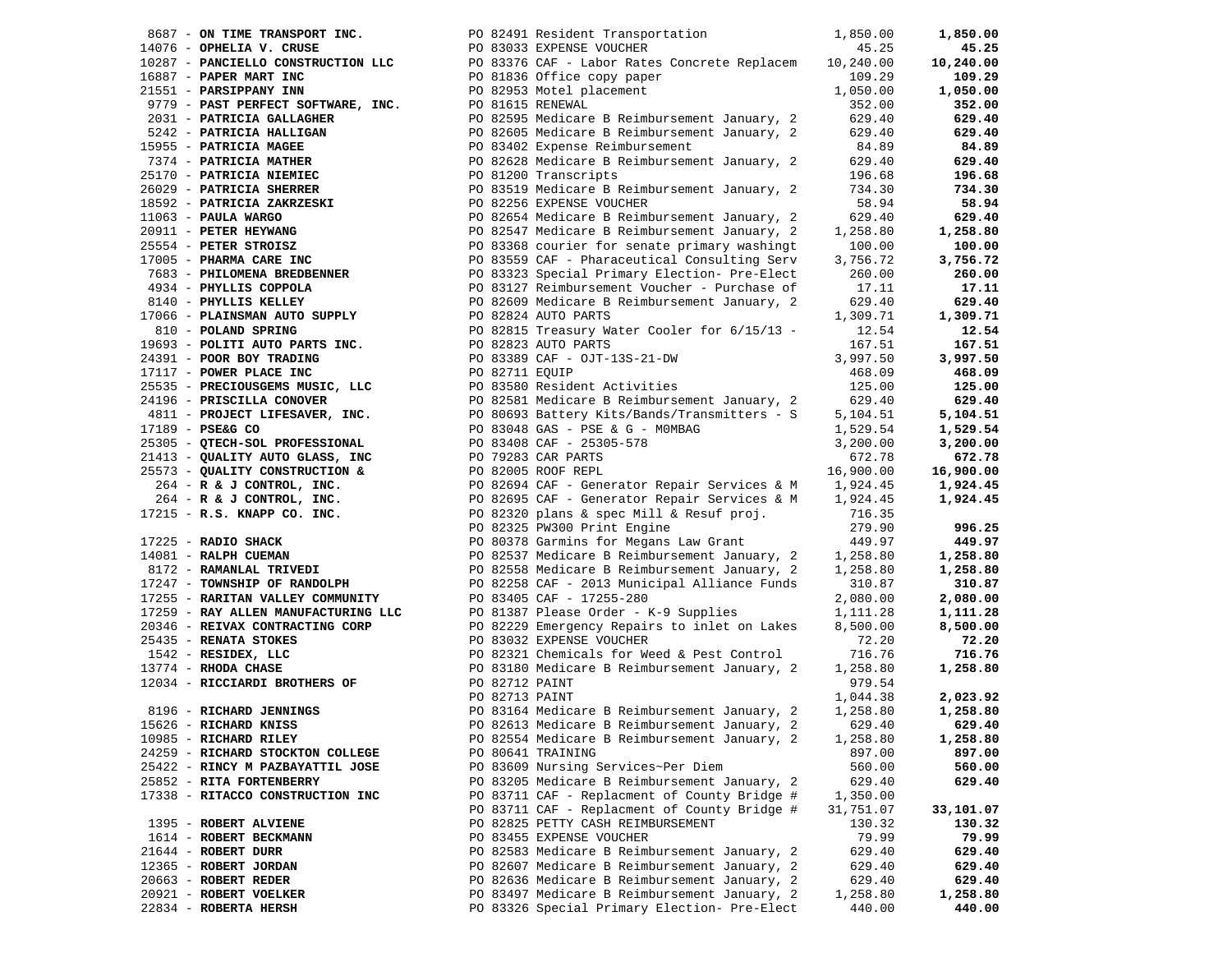| 8687 - ON TIME TRANSPORT INC.    | PO 82491 Resident Transportation                                                                                                                                                                                                                                           | 1,850.00  | 1,850.00  |
|----------------------------------|----------------------------------------------------------------------------------------------------------------------------------------------------------------------------------------------------------------------------------------------------------------------------|-----------|-----------|
| 14076 - OPHELIA V. CRUSE         | PO 83033 EXPENSE VOUCHER                                                                                                                                                                                                                                                   | 45.25     | 45.25     |
|                                  |                                                                                                                                                                                                                                                                            |           | 10,240.00 |
|                                  |                                                                                                                                                                                                                                                                            |           | 109.29    |
|                                  |                                                                                                                                                                                                                                                                            |           | 1,050.00  |
|                                  |                                                                                                                                                                                                                                                                            |           | 352.00    |
|                                  |                                                                                                                                                                                                                                                                            |           | 629.40    |
|                                  |                                                                                                                                                                                                                                                                            |           | 629.40    |
|                                  |                                                                                                                                                                                                                                                                            |           | 84.89     |
|                                  |                                                                                                                                                                                                                                                                            |           | 629.40    |
|                                  |                                                                                                                                                                                                                                                                            |           | 196.68    |
|                                  |                                                                                                                                                                                                                                                                            |           |           |
|                                  |                                                                                                                                                                                                                                                                            |           | 734.30    |
|                                  |                                                                                                                                                                                                                                                                            |           | 58.94     |
|                                  |                                                                                                                                                                                                                                                                            |           | 629.40    |
|                                  |                                                                                                                                                                                                                                                                            |           | 1,258.80  |
|                                  |                                                                                                                                                                                                                                                                            |           | 100.00    |
|                                  |                                                                                                                                                                                                                                                                            |           | 3,756.72  |
|                                  |                                                                                                                                                                                                                                                                            |           | 260.00    |
|                                  |                                                                                                                                                                                                                                                                            |           | 17.11     |
|                                  |                                                                                                                                                                                                                                                                            |           | 629.40    |
|                                  |                                                                                                                                                                                                                                                                            |           | 1,309.71  |
|                                  |                                                                                                                                                                                                                                                                            |           | 12.54     |
|                                  |                                                                                                                                                                                                                                                                            |           | 167.51    |
|                                  |                                                                                                                                                                                                                                                                            |           | 3,997.50  |
|                                  |                                                                                                                                                                                                                                                                            |           | 468.09    |
|                                  |                                                                                                                                                                                                                                                                            |           |           |
|                                  |                                                                                                                                                                                                                                                                            |           | 125.00    |
|                                  |                                                                                                                                                                                                                                                                            |           | 629.40    |
|                                  |                                                                                                                                                                                                                                                                            |           | 5,104.51  |
|                                  |                                                                                                                                                                                                                                                                            |           | 1,529.54  |
|                                  |                                                                                                                                                                                                                                                                            |           | 3,200.00  |
|                                  |                                                                                                                                                                                                                                                                            |           | 672.78    |
|                                  |                                                                                                                                                                                                                                                                            |           | 16,900.00 |
|                                  |                                                                                                                                                                                                                                                                            |           | 1,924.45  |
|                                  |                                                                                                                                                                                                                                                                            |           | 1,924.45  |
|                                  |                                                                                                                                                                                                                                                                            |           |           |
|                                  |                                                                                                                                                                                                                                                                            |           | 996.25    |
|                                  |                                                                                                                                                                                                                                                                            |           | 449.97    |
|                                  |                                                                                                                                                                                                                                                                            |           | 1,258.80  |
|                                  |                                                                                                                                                                                                                                                                            |           | 1,258.80  |
|                                  |                                                                                                                                                                                                                                                                            |           | 310.87    |
|                                  |                                                                                                                                                                                                                                                                            |           | 2,080.00  |
|                                  |                                                                                                                                                                                                                                                                            |           |           |
|                                  | 3837 - GW THE THOMSTER TRY PROGRESS TRANSFER TRANSFER (1913)<br>1923 - PRODUCE CONFIDENT TRANSFER (1913) 2012 CM (1914)<br>1923 - PRODUCE TRANSFER TRANSFER (1913) 2013 CM (1914)<br>21131 - PRODUCE TRANSFER (1914) 2013 - 2014 (1914                                     | 1,111.28  | 1,111.28  |
|                                  |                                                                                                                                                                                                                                                                            | 8,500.00  | 8,500.00  |
|                                  | 90 83405 CAR - 17255-280<br>17259 - <b>RAY ALLEN MANUFACTURING LLC</b><br>20346 - <b>REIVAX CONTRACTING CORP</b><br>25435 - <b>RENATA STOKES</b><br>25435 - <b>RENATA STOKES</b><br>25435 - <b>RENATA STOKES</b><br>25435 - <b>RESIDEX, LLC</b><br>263229 Emergency Repair | 72.20     | 72.20     |
|                                  |                                                                                                                                                                                                                                                                            | 716.76    | 716.76    |
|                                  |                                                                                                                                                                                                                                                                            | 1,258.80  | 1,258.80  |
|                                  |                                                                                                                                                                                                                                                                            | 979.54    |           |
|                                  |                                                                                                                                                                                                                                                                            | 1,044.38  | 2,023.92  |
|                                  |                                                                                                                                                                                                                                                                            | 1,258.80  | 1,258.80  |
|                                  |                                                                                                                                                                                                                                                                            | 629.40    | 629.40    |
| 10985 - RICHARD RILEY            | PO 82554 Medicare B Reimbursement January, 2                                                                                                                                                                                                                               | 1,258.80  | 1,258.80  |
| 24259 - RICHARD STOCKTON COLLEGE | PO 80641 TRAINING                                                                                                                                                                                                                                                          | 897.00    | 897.00    |
| 25422 - RINCY M PAZBAYATTIL JOSE | PO 83609 Nursing Services~Per Diem                                                                                                                                                                                                                                         | 560.00    | 560.00    |
| 25852 - RITA FORTENBERRY         | PO 83205 Medicare B Reimbursement January, 2                                                                                                                                                                                                                               | 629.40    | 629.40    |
| 17338 - RITACCO CONSTRUCTION INC | PO 83711 CAF - Replacment of County Bridge #                                                                                                                                                                                                                               | 1,350.00  |           |
|                                  | PO 83711 CAF - Replacment of County Bridge #                                                                                                                                                                                                                               | 31,751.07 | 33,101.07 |
|                                  | PO 82825 PETTY CASH REIMBURSEMENT                                                                                                                                                                                                                                          |           |           |
| 1395 - ROBERT ALVIENE            |                                                                                                                                                                                                                                                                            | 130.32    | 130.32    |
| 1614 - ROBERT BECKMANN           | PO 83455 EXPENSE VOUCHER                                                                                                                                                                                                                                                   | 79.99     | 79.99     |
| 21644 - ROBERT DURR              | PO 82583 Medicare B Reimbursement January, 2                                                                                                                                                                                                                               | 629.40    | 629.40    |
| 12365 - ROBERT JORDAN            | PO 82607 Medicare B Reimbursement January, 2                                                                                                                                                                                                                               | 629.40    | 629.40    |
| 20663 - ROBERT REDER             | PO 82636 Medicare B Reimbursement January, 2                                                                                                                                                                                                                               | 629.40    | 629.40    |
| 20921 - ROBERT VOELKER           | PO 83497 Medicare B Reimbursement January, 2                                                                                                                                                                                                                               | 1,258.80  | 1,258.80  |
| 22834 - ROBERTA HERSH            | PO 83326 Special Primary Election- Pre-Elect                                                                                                                                                                                                                               | 440.00    | 440.00    |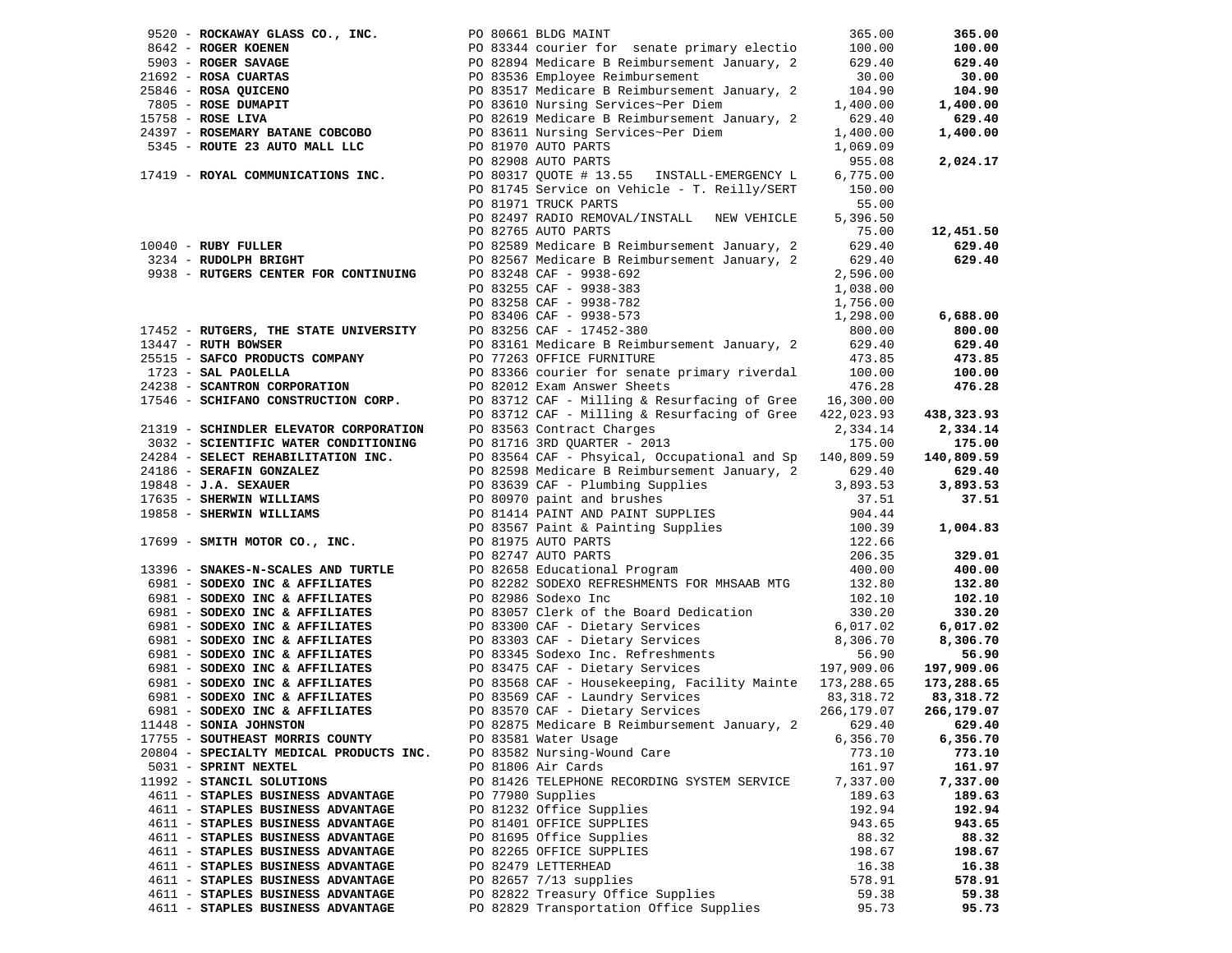| 9520 - ROCKAWAY GLASS CO., INC. PO 80661 BLDG MAINT                                                           |                                                                                                                                                                                                                                                    | 365.00               | 365.00     |
|---------------------------------------------------------------------------------------------------------------|----------------------------------------------------------------------------------------------------------------------------------------------------------------------------------------------------------------------------------------------------|----------------------|------------|
|                                                                                                               | 9642 - ROGER KOENEN<br>9642 - ROGER SAVAGE<br>9642 - ROGER SAVAGE<br>97803 - ROGER SAVAGE<br>97805 - ROSA CUARTAS<br>97805 - ROSE DUMAPIT<br>97805 - ROSE DUMAPIT<br>97805 - ROSE DUMAPIT<br>97805 - ROSE DUMAPIT<br>97805 - ROSE DUMAPIT<br>97805 |                      | 100.00     |
|                                                                                                               |                                                                                                                                                                                                                                                    |                      | 629.40     |
|                                                                                                               |                                                                                                                                                                                                                                                    |                      | 30.00      |
|                                                                                                               |                                                                                                                                                                                                                                                    |                      | 104.90     |
|                                                                                                               |                                                                                                                                                                                                                                                    |                      | 1,400.00   |
|                                                                                                               |                                                                                                                                                                                                                                                    |                      | 629.40     |
| $24397 - ROSEMARY BATANE COBCOBO$                                                                             |                                                                                                                                                                                                                                                    | 1,400.00             | 1,400.00   |
| 5345 - ROUTE 23 AUTO MALL LLC                                                                                 | PO 83611 Nursing Services~Per Diem<br>PO 81970 AUTO PARTS                                                                                                                                                                                          | 1,069.09             |            |
|                                                                                                               | PO 82908 AUTO PARTS                                                                                                                                                                                                                                | 955.08               | 2,024.17   |
| 17419 - ROYAL COMMUNICATIONS INC.                                                                             | PO 80317 QUOTE # 13.55 INSTALL-EMERGENCY L                                                                                                                                                                                                         | 6,775.00             |            |
|                                                                                                               | PO 81745 Service on Vehicle - T. Reilly/SERT 150.00                                                                                                                                                                                                |                      |            |
|                                                                                                               | PO 81971 TRUCK PARTS                                                                                                                                                                                                                               | 55.00                |            |
|                                                                                                               | PO 82497 RADIO REMOVAL/INSTALL NEW VEHICLE                                                                                                                                                                                                         | 5,396.50             |            |
|                                                                                                               | PO 82765 AUTO PARTS                                                                                                                                                                                                                                | 75.00                | 12,451.50  |
| 10040 - RUBY FULLER<br>3234 - RUDOLPH BRIGHT                                                                  |                                                                                                                                                                                                                                                    |                      | 629.40     |
|                                                                                                               | PO 82589 Medicare B Reimbursement January, 2         629.40<br>PO 82567 Medicare B Reimbursement January, 2        629.40                                                                                                                          |                      | 629.40     |
| 9938 - RUTGERS CENTER FOR CONTINUING                                                                          |                                                                                                                                                                                                                                                    | 2,596.00             |            |
|                                                                                                               |                                                                                                                                                                                                                                                    | 1,038.00             |            |
|                                                                                                               |                                                                                                                                                                                                                                                    | 1,756.00             |            |
|                                                                                                               | PO 83248 CAF - 9938-692<br>PO 83255 CAF - 9938-383<br>PO 83258 CAF - 9938-782<br>PO 83406 CAF - 9938-573<br>PO 83256 CAF - 17452-380                                                                                                               | 1,298.00             | 6,688.00   |
|                                                                                                               |                                                                                                                                                                                                                                                    |                      | 800.00     |
| 17452 - RUTGERS, THE STATE UNIVERSITY<br>13447 - RUTH BOWSER                                                  |                                                                                                                                                                                                                                                    |                      | 629.40     |
|                                                                                                               | PO 83161 Medicare B Reimbursement January, 2 629.40<br>PO 77263 OFFICE FURNITURE                                                                                                                                                                   |                      | 473.85     |
| 25515 - SAFCO PRODUCTS COMPANY TO PO 77263 OFFICE FURNITURE<br>1723 - SAL PAOLELLA PO 83366 courier for senat | PO 83366 courier for senate primary riverdal 100.00                                                                                                                                                                                                |                      | 100.00     |
| 24238 - SCANTRON CORPORATION                                                                                  | PO 82012 Exam Answer Sheets                                                                                                                                                                                                                        | 476.28               | 476.28     |
| 17546 - SCHIFANO CONSTRUCTION CORP.                                                                           | PO 83712 CAF - Milling & Resurfacing of Gree 16,300.00                                                                                                                                                                                             |                      |            |
|                                                                                                               | PO 83712 CAF - Milling & Resurfacing of Gree $422,023.93$                                                                                                                                                                                          |                      | 438,323.93 |
| 21319 - SCHINDLER ELEVATOR CORPORATION                                                                        | PO 83563 Contract Charges                                                                                                                                                                                                                          | 2,334.14             | 2,334.14   |
| 3032 - SCIENTIFIC WATER CONDITIONING                                                                          | PO 81716 3RD QUARTER - 2013                                                                                                                                                                                                                        | 175.00               | 175.00     |
|                                                                                                               | PO 83564 CAF - Phsyical, Occupational and Sp 140,809.59                                                                                                                                                                                            |                      | 140,809.59 |
| 24284 - SELECT REHABILITATION INC.<br>24186 - SERAFIN GONZALEZ<br>24186 - SERAFIN GONZALEZ                    | PO 82598 Medicare B Reimbursement January, 2                                                                                                                                                                                                       | 629.40               | 629.40     |
| 19848 - J.A. SEXAUER                                                                                          |                                                                                                                                                                                                                                                    | 3,893.53             | 3,893.53   |
| 17635 - SHERWIN WILLIAMS                                                                                      |                                                                                                                                                                                                                                                    | 37.51                | 37.51      |
| 19858 - SHERWIN WILLIAMS                                                                                      |                                                                                                                                                                                                                                                    | 904.44               |            |
|                                                                                                               |                                                                                                                                                                                                                                                    | 100.39               | 1,004.83   |
| 17699 - SMITH MOTOR CO., INC.                                                                                 |                                                                                                                                                                                                                                                    | 122.66               |            |
|                                                                                                               | PO 83639 CAF - Plumbing Supplies<br>PO 80970 paint and brushes<br>PO 80970 paint and brushes<br>PO 81414 PAINT AND PAINT SUPPLIES<br>PO 83567 Paint & Painting Supplies<br>PO 81975 AUTO PARTS<br>PO 82747 AUTO PAPTS                              | 206.35               | 329.01     |
|                                                                                                               | PO 82747 AUTO PARTS<br>PO 82658 Educational Program                                                                                                                                                                                                | 400.00               | 400.00     |
| 13396 - SNAKES-N-SCALES AND TURTLE<br>6981 - SODEXO INC & AFFILIATES<br>6981 - SODEXO INC & AFFILIATES        | PO 82282 SODEXO REFRESHMENTS FOR MHSAAB MTG 132.80                                                                                                                                                                                                 |                      | 132.80     |
| 6981 - SODEXO INC & AFFILIATES                                                                                | PO 82986 Sodexo Inc                                                                                                                                                                                                                                | 102.10               | 102.10     |
| 6981 - SODEXO INC & AFFILIATES                                                                                | PO 83057 Clerk of the Board Dedication                                                                                                                                                                                                             | 330.20               | 330.20     |
| 6981 - SODEXO INC & AFFILIATES                                                                                |                                                                                                                                                                                                                                                    |                      | 6,017.02   |
| 6981 - SODEXO INC & AFFILIATES                                                                                | PO 83300 CAF - Dietary Services<br>PO 83303 CAF - Dietary Services                                                                                                                                                                                 | 6,017.02<br>8,306.70 | 8,306.70   |
| 6981 - SODEXO INC & AFFILIATES                                                                                |                                                                                                                                                                                                                                                    |                      | 56.90      |
| 6981 - SODEXO INC & AFFILIATES                                                                                |                                                                                                                                                                                                                                                    |                      | 197,909.06 |
| 6981 - SODEXO INC & AFFILIATES                                                                                | PO 83568 CAF - Housekeeping, Facility Mainte 173,288.65                                                                                                                                                                                            |                      | 173,288.65 |
| 6981 - SODEXO INC & AFFILIATES                                                                                |                                                                                                                                                                                                                                                    | 83,318.72            | 83,318.72  |
| 6981 - SODEXO INC & AFFILIATES                                                                                | PO 83568 CAF - HOUSERECHING, 1988<br>PO 83569 CAF - Laundry Services<br>PO 83570 CAF - Dietary Services                                                                                                                                            | 266,179.07           | 266,179.07 |
| 11448 - SONIA JOHNSTON                                                                                        | PO 82875 Medicare B Reimbursement January, 2 629.40                                                                                                                                                                                                |                      | 629.40     |
| 17755 - SOUTHEAST MORRIS COUNTY                                                                               | PO 83581 Water Usage                                                                                                                                                                                                                               | 6,356.70             | 6,356.70   |
| 20804 - SPECIALTY MEDICAL PRODUCTS INC.                                                                       | PO 83582 Nursing-Wound Care                                                                                                                                                                                                                        | 773.10               | 773.10     |
| 5031 - SPRINT NEXTEL                                                                                          | PO 81806 Air Cards                                                                                                                                                                                                                                 | 161.97               | 161.97     |
| 11992 - STANCIL SOLUTIONS                                                                                     | PO 81426 TELEPHONE RECORDING SYSTEM SERVICE                                                                                                                                                                                                        | 7,337.00             | 7,337.00   |
| 4611 - STAPLES BUSINESS ADVANTAGE                                                                             | PO 77980 Supplies                                                                                                                                                                                                                                  | 189.63               | 189.63     |
| 4611 - STAPLES BUSINESS ADVANTAGE                                                                             | PO 81232 Office Supplies                                                                                                                                                                                                                           | 192.94               | 192.94     |
| 4611 - STAPLES BUSINESS ADVANTAGE                                                                             | PO 81401 OFFICE SUPPLIES                                                                                                                                                                                                                           | 943.65               | 943.65     |
| 4611 - STAPLES BUSINESS ADVANTAGE                                                                             | PO 81695 Office Supplies                                                                                                                                                                                                                           | 88.32                | 88.32      |
| 4611 - STAPLES BUSINESS ADVANTAGE                                                                             | PO 82265 OFFICE SUPPLIES                                                                                                                                                                                                                           | 198.67               | 198.67     |
| 4611 - STAPLES BUSINESS ADVANTAGE                                                                             | PO 82479 LETTERHEAD                                                                                                                                                                                                                                | 16.38                | 16.38      |
| 4611 - STAPLES BUSINESS ADVANTAGE                                                                             | PO 82657 7/13 supplies                                                                                                                                                                                                                             | 578.91               | 578.91     |
| 4611 - STAPLES BUSINESS ADVANTAGE                                                                             | PO 82822 Treasury Office Supplies                                                                                                                                                                                                                  | 59.38                | 59.38      |
| 4611 - STAPLES BUSINESS ADVANTAGE                                                                             | PO 82829 Transportation Office Supplies                                                                                                                                                                                                            | 95.73                | 95.73      |
|                                                                                                               |                                                                                                                                                                                                                                                    |                      |            |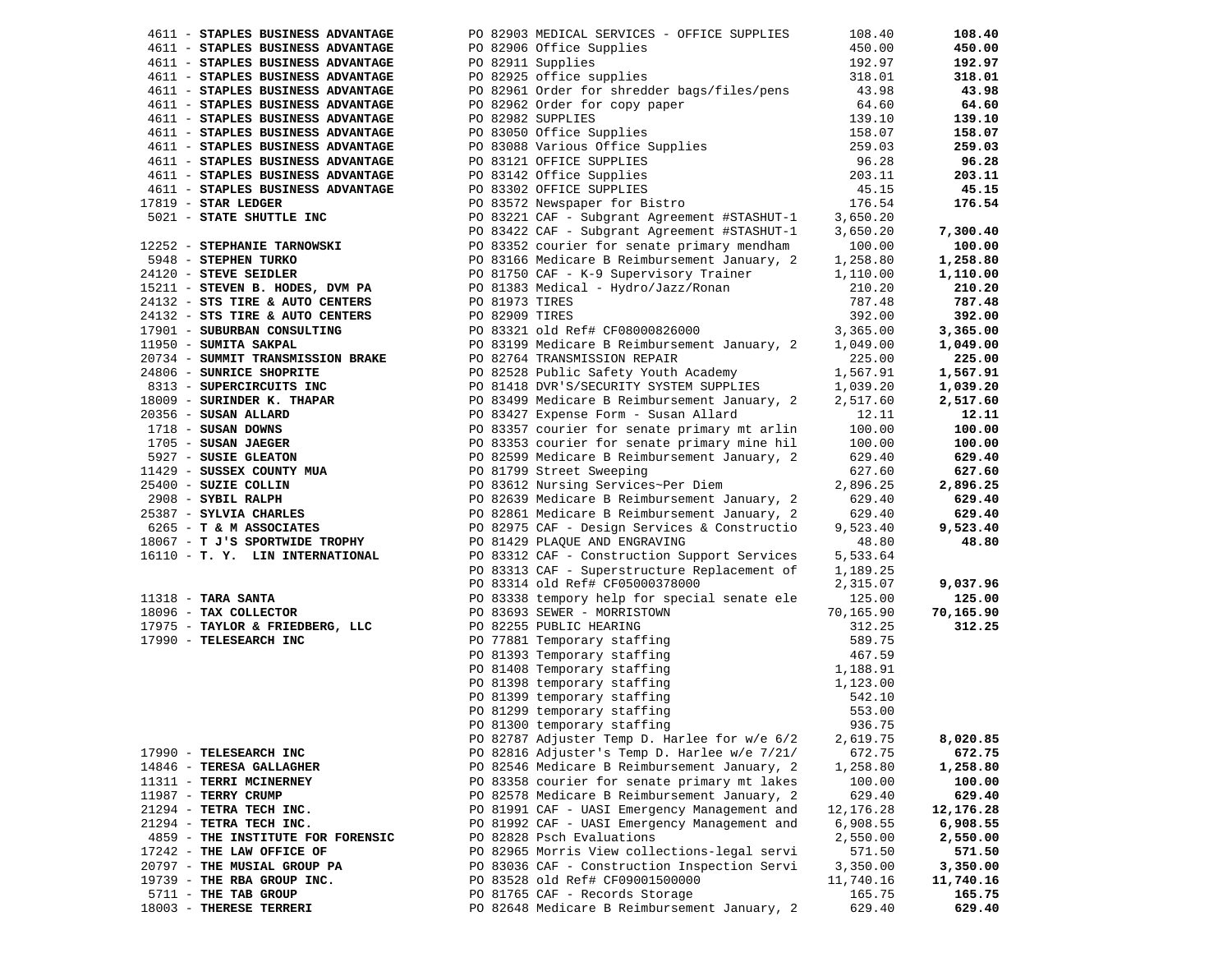| 4611 - STAPLES BUSINESS ADVANTAGE                                                                                                                                                                                                            |                | PO 82903 MEDICAL SERVICES - OFFICE SUPPLIES                                                                                                                                                                                                            | 108.40           | 108.40    |
|----------------------------------------------------------------------------------------------------------------------------------------------------------------------------------------------------------------------------------------------|----------------|--------------------------------------------------------------------------------------------------------------------------------------------------------------------------------------------------------------------------------------------------------|------------------|-----------|
| 4611 - STAPLES BUSINESS ADVANTAGE                                                                                                                                                                                                            |                | PO 82906 Office Supplies                                                                                                                                                                                                                               | 450.00           | 450.00    |
| 4611 - STAPLES BUSINESS ADVANTAGE                                                                                                                                                                                                            |                | PO 82911 Supplies                                                                                                                                                                                                                                      | 192.97           | 192.97    |
| 4611 - STAPLES BUSINESS ADVANTAGE                                                                                                                                                                                                            |                | PO 82925 office supplies                                                                                                                                                                                                                               | 318.01           | 318.01    |
| 4611 - STAPLES BUSINESS ADVANTAGE                                                                                                                                                                                                            |                | PO 82961 Order for shredder bags/files/pens                                                                                                                                                                                                            | 43.98            | 43.98     |
| 4611 - STAPLES BUSINESS ADVANTAGE                                                                                                                                                                                                            |                |                                                                                                                                                                                                                                                        | 64.60            | 64.60     |
| 4611 - STAPLES BUSINESS ADVANTAGE                                                                                                                                                                                                            |                |                                                                                                                                                                                                                                                        | 139.10           | 139.10    |
| 4611 - STAPLES BUSINESS ADVANTAGE                                                                                                                                                                                                            |                |                                                                                                                                                                                                                                                        | 158.07           | 158.07    |
| 4611 - STAPLES BUSINESS ADVANTAGE                                                                                                                                                                                                            |                |                                                                                                                                                                                                                                                        | 259.03           | 259.03    |
| 4611 - STAPLES BUSINESS ADVANTAGE                                                                                                                                                                                                            |                | PO 02962 Order for copy paper<br>PO 02962 Order for copy paper<br>PO 02982 SUPPLIES<br>PO 03050 Office Supplies<br>PO 03103 Various Office Supplies<br>PO 03142 Office Supplies<br>PO 03302 OFFICE SUPPLIES<br>PO 03572 Newspaper for Bistro           | 96.28            | 96.28     |
| 4611 - STAPLES BUSINESS ADVANTAGE                                                                                                                                                                                                            |                |                                                                                                                                                                                                                                                        | 203.11           | 203.11    |
|                                                                                                                                                                                                                                              |                |                                                                                                                                                                                                                                                        |                  |           |
| 4611 - STAPLES BUSINESS ADVANTAGE                                                                                                                                                                                                            |                |                                                                                                                                                                                                                                                        | 45.15            | 45.15     |
| $17819$ - STAR LEDGER                                                                                                                                                                                                                        |                |                                                                                                                                                                                                                                                        | 176.54           | 176.54    |
| 5021 - STATE SHUTTLE INC                                                                                                                                                                                                                     |                | PO 83221 CAF - Subgrant Agreement #STASHUT-1                                                                                                                                                                                                           | 3,650.20         |           |
|                                                                                                                                                                                                                                              |                | PO 83422 CAF - Subgrant Agreement #STASHUT-1                                                                                                                                                                                                           | 3,650.20         | 7,300.40  |
| 12252 - STEPHANIE TARNOWSKI                                                                                                                                                                                                                  |                | PO 83352 courier for senate primary mendham                                                                                                                                                                                                            | 100.00           | 100.00    |
| 5948 - STEPHEN TURKO                                                                                                                                                                                                                         |                | PO 83166 Medicare B Reimbursement January, 2                                                                                                                                                                                                           | 1,258.80         | 1,258.80  |
| 24120 - STEVE SEIDLER                                                                                                                                                                                                                        |                | PO 81750 CAF - K-9 Supervisory Trainer                                                                                                                                                                                                                 | 1,110.00         | 1,110.00  |
| 15211 - STEVEN B. HODES, DVM PA                                                                                                                                                                                                              |                | PO 81383 Medical - Hydro/Jazz/Ronan                                                                                                                                                                                                                    | 210.20           | 210.20    |
| 24132 - STS TIRE & AUTO CENTERS                                                                                                                                                                                                              | PO 81973 TIRES |                                                                                                                                                                                                                                                        | 787.48           | 787.48    |
| 24132 - STS TIRE & AUTO CENTERS                                                                                                                                                                                                              | PO 82909 TIRES |                                                                                                                                                                                                                                                        | 392.00           | 392.00    |
| 17901 - SUBURBAN CONSULTING                                                                                                                                                                                                                  |                | PO 83321 old Ref# CF08000826000                                                                                                                                                                                                                        | 3,365.00         | 3,365.00  |
| 11950 - SUMITA SAKPAL                                                                                                                                                                                                                        |                | PO 83199 Medicare B Reimbursement January, 2                                                                                                                                                                                                           | 1,049.00         | 1,049.00  |
| 20734 - SUMMIT TRANSMISSION BRAKE                                                                                                                                                                                                            |                | PO 82764 TRANSMISSION REPAIR                                                                                                                                                                                                                           | 225.00           | 225.00    |
| 24806 - SUNRICE SHOPRITE                                                                                                                                                                                                                     |                | PO 82528 Public Safety Youth Academy                                                                                                                                                                                                                   | 1,567.91         | 1,567.91  |
|                                                                                                                                                                                                                                              |                | PO 81418 DVR'S/SECURITY SYSTEM SUPPLIES                                                                                                                                                                                                                | 1,039.20         | 1,039.20  |
|                                                                                                                                                                                                                                              |                | PO 83499 Medicare B Reimbursement January, 2                                                                                                                                                                                                           |                  | 2,517.60  |
|                                                                                                                                                                                                                                              |                |                                                                                                                                                                                                                                                        | 2,517.60         |           |
|                                                                                                                                                                                                                                              |                |                                                                                                                                                                                                                                                        | 12.11            | 12.11     |
| 24806 - SUNRICE SHOPRITE<br>8033 - SUPERCRIPUTE INC<br>813 - SUPERCRIPUTE INCREASE PO 81418 DVR'S SECURITY SYSTEM SUPPLIE<br>20356 - SUSAN ALLARD<br>20356 - SUSAN ALLARD<br>20356 - SUSAN ALLARD<br>20356 - SUSAN ALLARD<br>27 - SUSAN JAEG |                | PO 83357 courier for senate primary mt arlin                                                                                                                                                                                                           | 100.00           | 100.00    |
|                                                                                                                                                                                                                                              |                | PO 83353 courier for senate primary mine hil                                                                                                                                                                                                           | 100.00           | 100.00    |
|                                                                                                                                                                                                                                              |                | PO 82599 Medicare B Reimbursement January, 2                                                                                                                                                                                                           | 629.40           | 629.40    |
|                                                                                                                                                                                                                                              |                |                                                                                                                                                                                                                                                        | 627.60           | 627.60    |
|                                                                                                                                                                                                                                              |                |                                                                                                                                                                                                                                                        | 2,896.25         | 2,896.25  |
|                                                                                                                                                                                                                                              |                | PO 82639 Medicare B Reimbursement January, 2                                                                                                                                                                                                           | 629.40           | 629.40    |
|                                                                                                                                                                                                                                              |                | PO 82861 Medicare B Reimbursement January, 2                                                                                                                                                                                                           | 629.40           | 629.40    |
|                                                                                                                                                                                                                                              |                | PO 82975 CAF - Design Services & Constructio                                                                                                                                                                                                           | 9,523.40         | 9,523.40  |
| 18067 - T J'S SPORTWIDE TROPHY                                                                                                                                                                                                               |                | PO 81429 PLAQUE AND ENGRAVING                                                                                                                                                                                                                          | 48.80            | 48.80     |
| 16110 - T. Y. LIN INTERNATIONAL                                                                                                                                                                                                              |                | PO 83312 CAF - Construction Support Services                                                                                                                                                                                                           | 5,533.64         |           |
|                                                                                                                                                                                                                                              |                | PO 83313 CAF - Superstructure Replacement of                                                                                                                                                                                                           | 1,189.25         |           |
|                                                                                                                                                                                                                                              |                | PO 83314 old Ref# CF05000378000                                                                                                                                                                                                                        | 2,315.07         | 9,037.96  |
|                                                                                                                                                                                                                                              |                | PO 83338 tempory help for special senate ele                                                                                                                                                                                                           | 125.00           | 125.00    |
| 11318 - <b>TARA SANTA</b><br>18096 - <b>TAX COLLECTOR</b>                                                                                                                                                                                    |                | PO 83693 SEWER - MORRISTOWN                                                                                                                                                                                                                            | 70,165.90        | 70,165.90 |
| 17975 - TAYLOR & FRIEDBERG, LLC                                                                                                                                                                                                              |                |                                                                                                                                                                                                                                                        | 312.25           | 312.25    |
| 17990 - TELESEARCH INC                                                                                                                                                                                                                       |                |                                                                                                                                                                                                                                                        | 589.75           |           |
|                                                                                                                                                                                                                                              |                |                                                                                                                                                                                                                                                        | 467.59           |           |
|                                                                                                                                                                                                                                              |                |                                                                                                                                                                                                                                                        | 1,188.91         |           |
|                                                                                                                                                                                                                                              |                | FO 82255 BUBLIC HEARING<br>PO 82255 BUBLIC HEARING<br>PO 77881 Temporary staffing<br>PO 81393 Temporary staffing<br>PO 81398 temporary staffing<br>PO 81399 temporary staffing<br>PO 81299 temporary staffing<br>PO 81300 temporary staffing<br>PO 813 | 1,123.00         |           |
|                                                                                                                                                                                                                                              |                |                                                                                                                                                                                                                                                        |                  |           |
|                                                                                                                                                                                                                                              |                |                                                                                                                                                                                                                                                        | 542.10<br>553.00 |           |
|                                                                                                                                                                                                                                              |                |                                                                                                                                                                                                                                                        |                  |           |
|                                                                                                                                                                                                                                              |                | PO 81300 temporary staffing                                                                                                                                                                                                                            | 936.75           |           |
|                                                                                                                                                                                                                                              |                | PO 82787 Adjuster Temp D. Harlee for w/e 6/2                                                                                                                                                                                                           | 2,619.75         | 8,020.85  |
| 17990 - TELESEARCH INC                                                                                                                                                                                                                       |                | PO 82816 Adjuster's Temp D. Harlee w/e 7/21/                                                                                                                                                                                                           | 672.75           | 672.75    |
| 14846 - TERESA GALLAGHER                                                                                                                                                                                                                     |                | PO 82546 Medicare B Reimbursement January, 2                                                                                                                                                                                                           | 1,258.80         | 1,258.80  |
| 11311 - TERRI MCINERNEY                                                                                                                                                                                                                      |                | PO 83358 courier for senate primary mt lakes                                                                                                                                                                                                           | 100.00           | 100.00    |
| 11987 - TERRY CRUMP                                                                                                                                                                                                                          |                | PO 82578 Medicare B Reimbursement January, 2                                                                                                                                                                                                           | 629.40           | 629.40    |
| 21294 - TETRA TECH INC.                                                                                                                                                                                                                      |                | PO 81991 CAF - UASI Emergency Management and                                                                                                                                                                                                           | 12, 176.28       | 12,176.28 |
| 21294 - TETRA TECH INC.                                                                                                                                                                                                                      |                | PO 81992 CAF - UASI Emergency Management and                                                                                                                                                                                                           | 6,908.55         | 6,908.55  |
| 4859 - THE INSTITUTE FOR FORENSIC                                                                                                                                                                                                            |                | PO 82828 Psch Evaluations                                                                                                                                                                                                                              | 2,550.00         | 2,550.00  |
| 17242 - THE LAW OFFICE OF                                                                                                                                                                                                                    |                | PO 82965 Morris View collections-legal servi                                                                                                                                                                                                           | 571.50           | 571.50    |
| 20797 - THE MUSIAL GROUP PA                                                                                                                                                                                                                  |                | PO 83036 CAF - Construction Inspection Servi                                                                                                                                                                                                           | 3,350.00         | 3,350.00  |
| 19739 - THE RBA GROUP INC.                                                                                                                                                                                                                   |                | PO 83528 old Ref# CF09001500000                                                                                                                                                                                                                        | 11,740.16        | 11,740.16 |
| 5711 - THE TAB GROUP                                                                                                                                                                                                                         |                | PO 81765 CAF - Records Storage                                                                                                                                                                                                                         | 165.75           | 165.75    |
| 18003 - THERESE TERRERI                                                                                                                                                                                                                      |                | PO 82648 Medicare B Reimbursement January, 2                                                                                                                                                                                                           | 629.40           | 629.40    |
|                                                                                                                                                                                                                                              |                |                                                                                                                                                                                                                                                        |                  |           |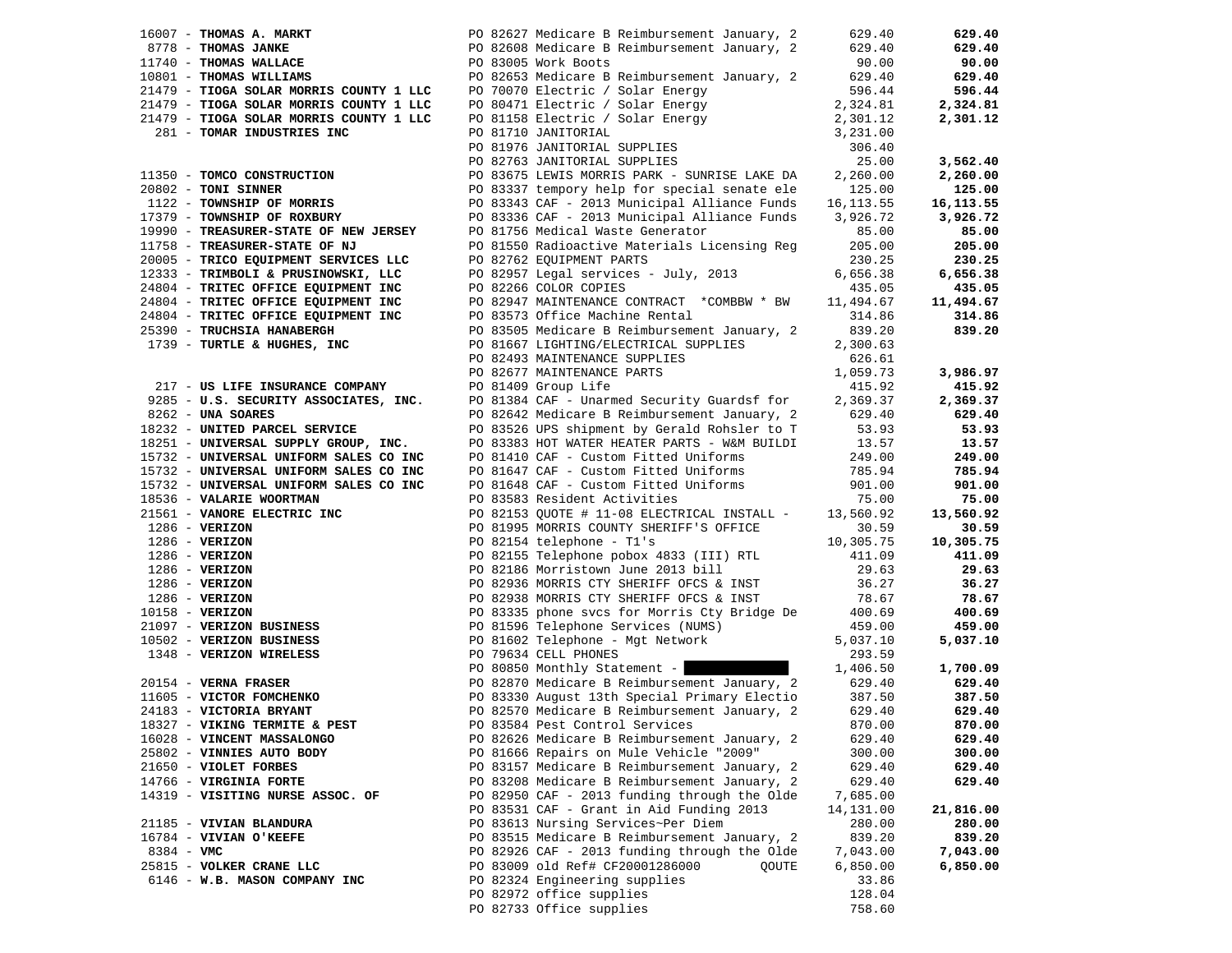|              |                                                                                                                                         |                                                                                                                                                                                                                                                                                                                                                                                                                            | 629.40    | 629.40     |
|--------------|-----------------------------------------------------------------------------------------------------------------------------------------|----------------------------------------------------------------------------------------------------------------------------------------------------------------------------------------------------------------------------------------------------------------------------------------------------------------------------------------------------------------------------------------------------------------------------|-----------|------------|
|              |                                                                                                                                         |                                                                                                                                                                                                                                                                                                                                                                                                                            | 629.40    | 629.40     |
|              |                                                                                                                                         |                                                                                                                                                                                                                                                                                                                                                                                                                            | 90.00     | 90.00      |
|              |                                                                                                                                         |                                                                                                                                                                                                                                                                                                                                                                                                                            |           | 629.40     |
|              |                                                                                                                                         | PO 82653 Medicare B Reimbursement January, 2 629.40<br>PO 70070 Electric / Solar Energy 596.44                                                                                                                                                                                                                                                                                                                             |           | 596.44     |
|              |                                                                                                                                         | 2000 - IRONA SOLAR MORRIS COUNTY 1 LLC 2000 PO 70070 Electric / Solar Energy<br>21479 - TIOGA SOLAR MORRIS COUNTY 1 LLC 20000 Electric / Solar Energy<br>21479 - TIOGA SOLAR MORRIS COUNTY 1 LLC 200000 Electric / Solar Energy<br>2147                                                                                                                                                                                    |           |            |
|              |                                                                                                                                         |                                                                                                                                                                                                                                                                                                                                                                                                                            |           | 2,324.81   |
|              |                                                                                                                                         |                                                                                                                                                                                                                                                                                                                                                                                                                            |           | 2,301.12   |
|              |                                                                                                                                         |                                                                                                                                                                                                                                                                                                                                                                                                                            |           |            |
|              |                                                                                                                                         |                                                                                                                                                                                                                                                                                                                                                                                                                            |           |            |
|              |                                                                                                                                         |                                                                                                                                                                                                                                                                                                                                                                                                                            |           | 3,562.40   |
|              | 11350 - TOMCO CONSTRUCTION                                                                                                              | PO 83675 LEWIS MORRIS PARK - SUNRISE LAKE DA 2,260.00                                                                                                                                                                                                                                                                                                                                                                      |           | 2,260.00   |
|              | 20802 - TONI SINNER                                                                                                                     | PO 83337 tempory help for special senate ele                                                                                                                                                                                                                                                                                                                                                                               | 125.00    | 125.00     |
|              | 1122 - TOWNSHIP OF MORRIS                                                                                                               | PO 83343 CAF - 2013 Municipal Alliance Funds 16,113.55                                                                                                                                                                                                                                                                                                                                                                     |           | 16, 113.55 |
|              | 17379 - TOWNSHIP OF ROXBURY                                                                                                             | PO 83336 CAF - 2013 Municipal Alliance Funds 3,926.72                                                                                                                                                                                                                                                                                                                                                                      |           | 3,926.72   |
|              | 19990 - TREASURER-STATE OF NEW JERSEY                                                                                                   |                                                                                                                                                                                                                                                                                                                                                                                                                            |           |            |
|              |                                                                                                                                         | PO 81756 Medical Waste Generator                                                                                                                                                                                                                                                                                                                                                                                           | 85.00     | 85.00      |
|              | 11758 - TREASURER-STATE OF NJ                                                                                                           | PO 81550 Radioactive Materials Licensing Reg                                                                                                                                                                                                                                                                                                                                                                               | 205.00    | 205.00     |
|              | 20005 - TRICO EQUIPMENT SERVICES LLC                                                                                                    | PO 82762 EQUIPMENT PARTS                                                                                                                                                                                                                                                                                                                                                                                                   | 230.25    | 230.25     |
|              | 12333 - TRIMBOLI & PRUSINOWSKI, LLC<br>24804 - TRITEC OFFICE EQUIPMENT INC                                                              | PO 82957 Legal services - July, 2013                                                                                                                                                                                                                                                                                                                                                                                       | 6,656.38  | 6,656.38   |
|              |                                                                                                                                         | PO 82266 COLOR COPIES                                                                                                                                                                                                                                                                                                                                                                                                      | 435.05    | 435.05     |
|              |                                                                                                                                         | PO 82947 MAINTENANCE CONTRACT *COMBBW * BW                                                                                                                                                                                                                                                                                                                                                                                 | 11,494.67 | 11,494.67  |
|              |                                                                                                                                         | PO 83573 Office Machine Rental                                                                                                                                                                                                                                                                                                                                                                                             | 314.86    | 314.86     |
|              | 24804 - TRITEC OFFICE EQUIPMENT INC<br>24804 - TRITEC OFFICE EQUIPMENT INC<br>25390 - TRUCHSIA HANABERGH<br>1739 - TURTLE & HUGHES, INC | PO 83505 Medicare B Reimbursement January, 2                                                                                                                                                                                                                                                                                                                                                                               | 839.20    | 839.20     |
|              | 1739 - TURTLE & HUGHES, INC                                                                                                             | PO 81667 LIGHTING/ELECTRICAL SUPPLIES 2,300.63                                                                                                                                                                                                                                                                                                                                                                             |           |            |
|              |                                                                                                                                         |                                                                                                                                                                                                                                                                                                                                                                                                                            |           |            |
|              |                                                                                                                                         | PO 82493 MAINTENANCE SUPPLIES                                                                                                                                                                                                                                                                                                                                                                                              | 626.61    |            |
|              | 217 - US LIFE INSURANCE COMPANY<br>9285 - U.S. SECURITY ASSOCIATES, INC.                                                                | PO 82677 MAINTENANCE PARTS                                                                                                                                                                                                                                                                                                                                                                                                 | 1,059.73  | 3,986.97   |
|              |                                                                                                                                         | PO 81409 Group Life                                                                                                                                                                                                                                                                                                                                                                                                        | 415.92    | 415.92     |
|              |                                                                                                                                         | PO 81384 CAF - Unarmed Security Guardsf for 2,369.37                                                                                                                                                                                                                                                                                                                                                                       |           | 2,369.37   |
|              |                                                                                                                                         |                                                                                                                                                                                                                                                                                                                                                                                                                            |           | 629.40     |
|              | 18232 - UNITED PARCEL SERVICE                                                                                                           | PO 82642 Medicare B Reimbursement January, 2 629.40<br>PO 83526 UPS shipment by Gerald Rohsler to T 53.93                                                                                                                                                                                                                                                                                                                  |           | 53.93      |
|              | 18251 - UNIVERSAL SUPPLY GROUP, INC.<br>15732 - UNIVERSAL UNIFORM SALES CO INC                                                          | PO 83383 HOT WATER HEATER PARTS - W&M BUILDI 13.57<br>PO 83383 HOT WATER HEATER PARTS - W&M BUILDI 13.57                                                                                                                                                                                                                                                                                                                   |           | 13.57      |
|              |                                                                                                                                         |                                                                                                                                                                                                                                                                                                                                                                                                                            |           | 249.00     |
|              | 15732 - UNIVERSAL UNIFORM SALES CO INC                                                                                                  |                                                                                                                                                                                                                                                                                                                                                                                                                            |           | 785.94     |
|              |                                                                                                                                         | $\begin{tabular}{lllllllllllll} \texttt{PO 81647 } \texttt{CAF} & \texttt{-} \texttt{Customer Fitted Uniforms} & & & & & \texttt{785.94} \\ \texttt{PO 81648 } \texttt{CAF} & \texttt{-} \texttt{Customer Fitted Uniforms} & & & \texttt{901.00} \\ \texttt{PO 83583 Resident Activities & & & \texttt{75.00} \\ \texttt{PO 82153 QUOTE} & \texttt{\# 11-08 ELECTRICAL INSTALL -} & & \texttt{13,560.92} \\ \end{tabular}$ |           | 901.00     |
|              | 15732 - UNIVERSAL UNIFORM SALES CO INC                                                                                                  |                                                                                                                                                                                                                                                                                                                                                                                                                            |           |            |
|              |                                                                                                                                         |                                                                                                                                                                                                                                                                                                                                                                                                                            |           | 75.00      |
|              |                                                                                                                                         |                                                                                                                                                                                                                                                                                                                                                                                                                            |           | 13,560.92  |
|              |                                                                                                                                         |                                                                                                                                                                                                                                                                                                                                                                                                                            |           | 30.59      |
|              |                                                                                                                                         |                                                                                                                                                                                                                                                                                                                                                                                                                            |           | 10,305.75  |
|              |                                                                                                                                         |                                                                                                                                                                                                                                                                                                                                                                                                                            |           | 411.09     |
|              |                                                                                                                                         |                                                                                                                                                                                                                                                                                                                                                                                                                            |           | 29.63      |
|              |                                                                                                                                         |                                                                                                                                                                                                                                                                                                                                                                                                                            |           | 36.27      |
|              |                                                                                                                                         |                                                                                                                                                                                                                                                                                                                                                                                                                            |           | 78.67      |
|              |                                                                                                                                         |                                                                                                                                                                                                                                                                                                                                                                                                                            |           | 400.69     |
|              |                                                                                                                                         |                                                                                                                                                                                                                                                                                                                                                                                                                            |           | 459.00     |
|              |                                                                                                                                         |                                                                                                                                                                                                                                                                                                                                                                                                                            |           | 5,037.10   |
|              |                                                                                                                                         |                                                                                                                                                                                                                                                                                                                                                                                                                            |           |            |
|              |                                                                                                                                         |                                                                                                                                                                                                                                                                                                                                                                                                                            |           |            |
|              |                                                                                                                                         |                                                                                                                                                                                                                                                                                                                                                                                                                            |           | 1,700.09   |
|              |                                                                                                                                         |                                                                                                                                                                                                                                                                                                                                                                                                                            |           | 629.40     |
|              |                                                                                                                                         |                                                                                                                                                                                                                                                                                                                                                                                                                            |           | 387.50     |
|              |                                                                                                                                         |                                                                                                                                                                                                                                                                                                                                                                                                                            |           | 629.40     |
|              |                                                                                                                                         |                                                                                                                                                                                                                                                                                                                                                                                                                            |           | 870.00     |
|              | 16028 - VINCENT MASSALONGO                                                                                                              | PO 82626 Medicare B Reimbursement January, 2                                                                                                                                                                                                                                                                                                                                                                               | 629.40    | 629.40     |
|              | 25802 - VINNIES AUTO BODY                                                                                                               | PO 81666 Repairs on Mule Vehicle "2009"                                                                                                                                                                                                                                                                                                                                                                                    | 300.00    | 300.00     |
|              | 21650 - VIOLET FORBES                                                                                                                   | PO 83157 Medicare B Reimbursement January, 2                                                                                                                                                                                                                                                                                                                                                                               | 629.40    | 629.40     |
|              | 14766 - VIRGINIA FORTE                                                                                                                  | PO 83208 Medicare B Reimbursement January, 2                                                                                                                                                                                                                                                                                                                                                                               | 629.40    | 629.40     |
|              | 14319 - VISITING NURSE ASSOC. OF                                                                                                        | PO 82950 CAF - 2013 funding through the Olde                                                                                                                                                                                                                                                                                                                                                                               | 7,685.00  |            |
|              |                                                                                                                                         |                                                                                                                                                                                                                                                                                                                                                                                                                            |           |            |
|              |                                                                                                                                         | PO 83531 CAF - Grant in Aid Funding 2013                                                                                                                                                                                                                                                                                                                                                                                   | 14,131.00 | 21,816.00  |
|              | 21185 - VIVIAN BLANDURA                                                                                                                 | PO 83613 Nursing Services~Per Diem                                                                                                                                                                                                                                                                                                                                                                                         | 280.00    | 280.00     |
|              | 16784 - VIVIAN O'KEEFE                                                                                                                  | PO 83515 Medicare B Reimbursement January, 2                                                                                                                                                                                                                                                                                                                                                                               | 839.20    | 839.20     |
| $8384 - VMC$ |                                                                                                                                         | PO 82926 CAF - 2013 funding through the Olde                                                                                                                                                                                                                                                                                                                                                                               | 7,043.00  | 7,043.00   |
|              | 25815 - VOLKER CRANE LLC                                                                                                                | PO 83009 old Ref# CF20001286000<br>QOUTE                                                                                                                                                                                                                                                                                                                                                                                   | 6,850.00  | 6,850.00   |
|              | 6146 - W.B. MASON COMPANY INC                                                                                                           | PO 82324 Engineering supplies                                                                                                                                                                                                                                                                                                                                                                                              | 33.86     |            |
|              |                                                                                                                                         | PO 82972 office supplies                                                                                                                                                                                                                                                                                                                                                                                                   | 128.04    |            |
|              |                                                                                                                                         | PO 82733 Office supplies                                                                                                                                                                                                                                                                                                                                                                                                   | 758.60    |            |
|              |                                                                                                                                         |                                                                                                                                                                                                                                                                                                                                                                                                                            |           |            |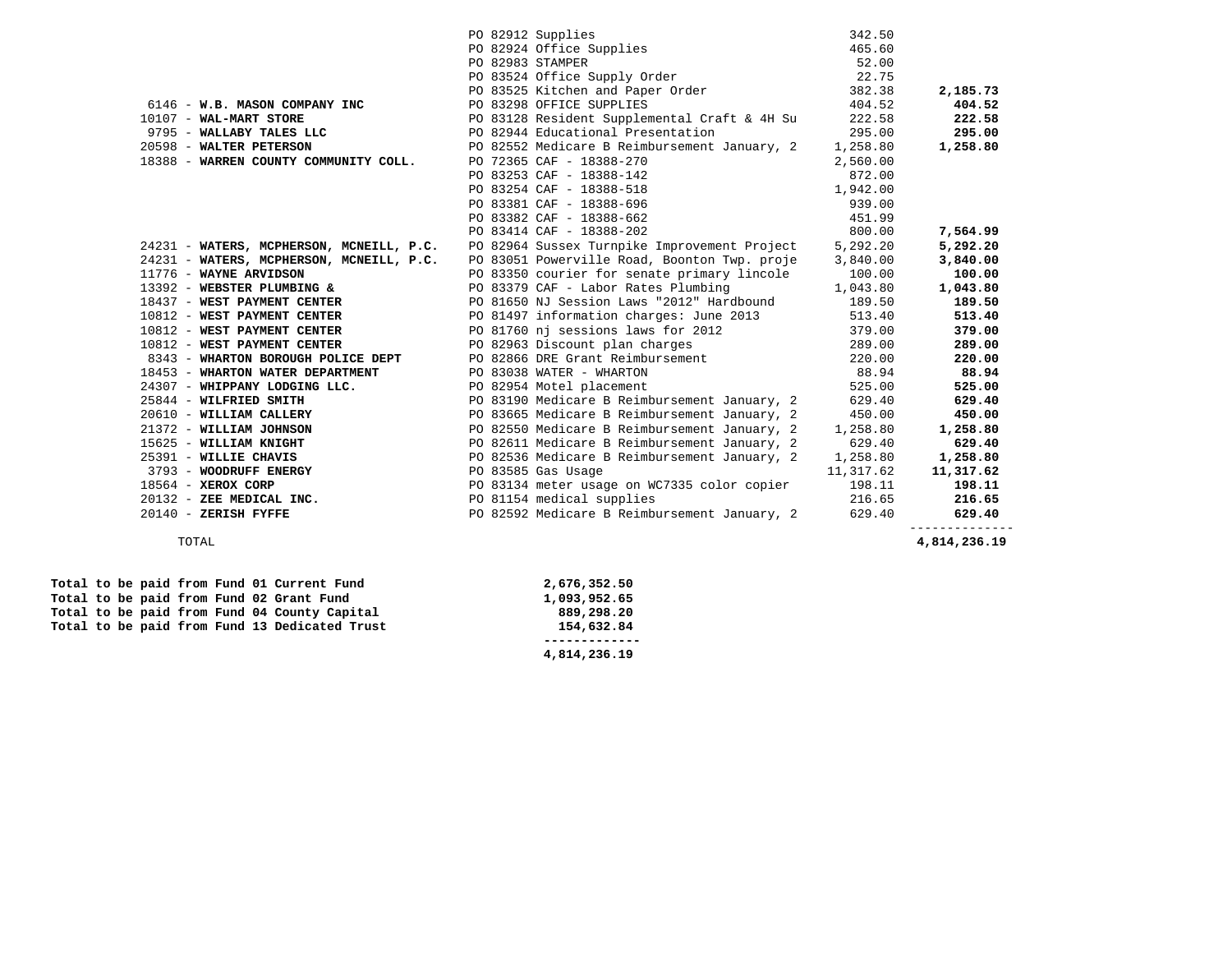|                                          | PO 82912 Supplies                                                            | 342.50    |           |
|------------------------------------------|------------------------------------------------------------------------------|-----------|-----------|
|                                          | PO 82924 Office Supplies<br>PO 82983 STAMPER<br>PO 83524 Office Supply Order | 465.60    |           |
|                                          |                                                                              | 52.00     |           |
|                                          |                                                                              | 22.75     |           |
|                                          | PO 83525 Kitchen and Paper Order                                             | 382.38    | 2,185.73  |
| 6146 - W.B. MASON COMPANY INC            | PO 83298 OFFICE SUPPLIES                                                     | 404.52    | 404.52    |
| 10107 - WAL-MART STORE                   | PO 83128 Resident Supplemental Craft & 4H Su                                 | 222.58    | 222.58    |
| 9795 - WALLABY TALES LLC                 | PO 82944 Educational Presentation                                            | 295.00    | 295.00    |
| 20598 - WALTER PETERSON                  | PO 82552 Medicare B Reimbursement January, 2                                 | 1,258.80  | 1,258.80  |
| 18388 - WARREN COUNTY COMMUNITY COLL.    | PO 72365 CAF - 18388-270                                                     | 2,560.00  |           |
|                                          | PO 83253 CAF - 18388-142                                                     | 872.00    |           |
|                                          | PO 83254 CAF - 18388-518                                                     | 1,942.00  |           |
|                                          | PO 83381 CAF - 18388-696                                                     | 939.00    |           |
|                                          | PO 83382 CAF - 18388-662                                                     | 451.99    |           |
|                                          | PO 83414 CAF - 18388-202                                                     | 800.00    | 7,564.99  |
| 24231 - WATERS, MCPHERSON, MCNEILL, P.C. | PO 82964 Sussex Turnpike Improvement Project                                 | 5,292.20  | 5,292.20  |
| 24231 - WATERS, MCPHERSON, MCNEILL, P.C. | PO 83051 Powerville Road, Boonton Twp. proje                                 | 3,840.00  | 3,840.00  |
| 11776 - WAYNE ARVIDSON                   | PO 83350 courier for senate primary lincole                                  | 100.00    | 100.00    |
| 13392 - WEBSTER PLUMBING &               | PO 83379 CAF - Labor Rates Plumbing                                          | 1,043.80  | 1,043.80  |
| 18437 - WEST PAYMENT CENTER              | PO 81650 NJ Session Laws "2012" Hardbound                                    | 189.50    | 189.50    |
| 10812 - WEST PAYMENT CENTER              | PO 81497 information charges: June 2013 513.40                               |           | 513.40    |
| 10812 - WEST PAYMENT CENTER              | PO 81760 nj sessions laws for 2012                                           | 379.00    | 379.00    |
| 10812 - WEST PAYMENT CENTER              | PO 82963 Discount plan charges                                               | 289.00    | 289.00    |
| 8343 - WHARTON BOROUGH POLICE DEPT       | PO 82866 DRE Grant Reimbursement                                             | 220.00    | 220.00    |
| 18453 - WHARTON WATER DEPARTMENT         | PO 83038 WATER - WHARTON                                                     | 88.94     | 88.94     |
| 24307 - WHIPPANY LODGING LLC.            | PO 82954 Motel placement                                                     | 525.00    | 525.00    |
| 25844 - WILFRIED SMITH                   | PO 83190 Medicare B Reimbursement January, 2                                 | 629.40    | 629.40    |
| 20610 - WILLIAM CALLERY                  | PO 83665 Medicare B Reimbursement January, 2                                 | 450.00    | 450.00    |
| 21372 - WILLIAM JOHNSON                  | PO 82550 Medicare B Reimbursement January, 2                                 | 1,258.80  | 1,258.80  |
| 15625 - WILLIAM KNIGHT                   | PO 82611 Medicare B Reimbursement January, 2                                 | 629.40    | 629.40    |
| 25391 - WILLIE CHAVIS                    | PO 82536 Medicare B Reimbursement January, 2                                 | 1,258.80  | 1,258.80  |
| 3793 - WOODRUFF ENERGY                   | PO 83585 Gas Usage                                                           | 11,317.62 | 11,317.62 |
| $18564$ - XEROX CORP                     | PO 83134 meter usage on WC7335 color copier                                  | 198.11    | 198.11    |
| 20132 - ZEE MEDICAL INC.                 | PO 81154 medical supplies                                                    | 216.65    | 216.65    |
| $20140$ - ZERISH FYFFE                   | PO 82592 Medicare B Reimbursement January, 2                                 | 629.40    | 629.40    |
|                                          |                                                                              |           |           |

--------------

 **------------- 4,814,236.19** 

 **Total to be paid from Fund 01 Current Fund 2,676,352.50 Total to be paid from Fund 02 Grant Fund 1,093,952.65 <br>
<b>Total to be paid from Fund 04 County Capital** 1989,298.20 Total to be paid from Fund 04 County Capital  **Total to be paid from Fund 13 Dedicated Trust 154,632.84** 

TOTAL **4,814,236.19**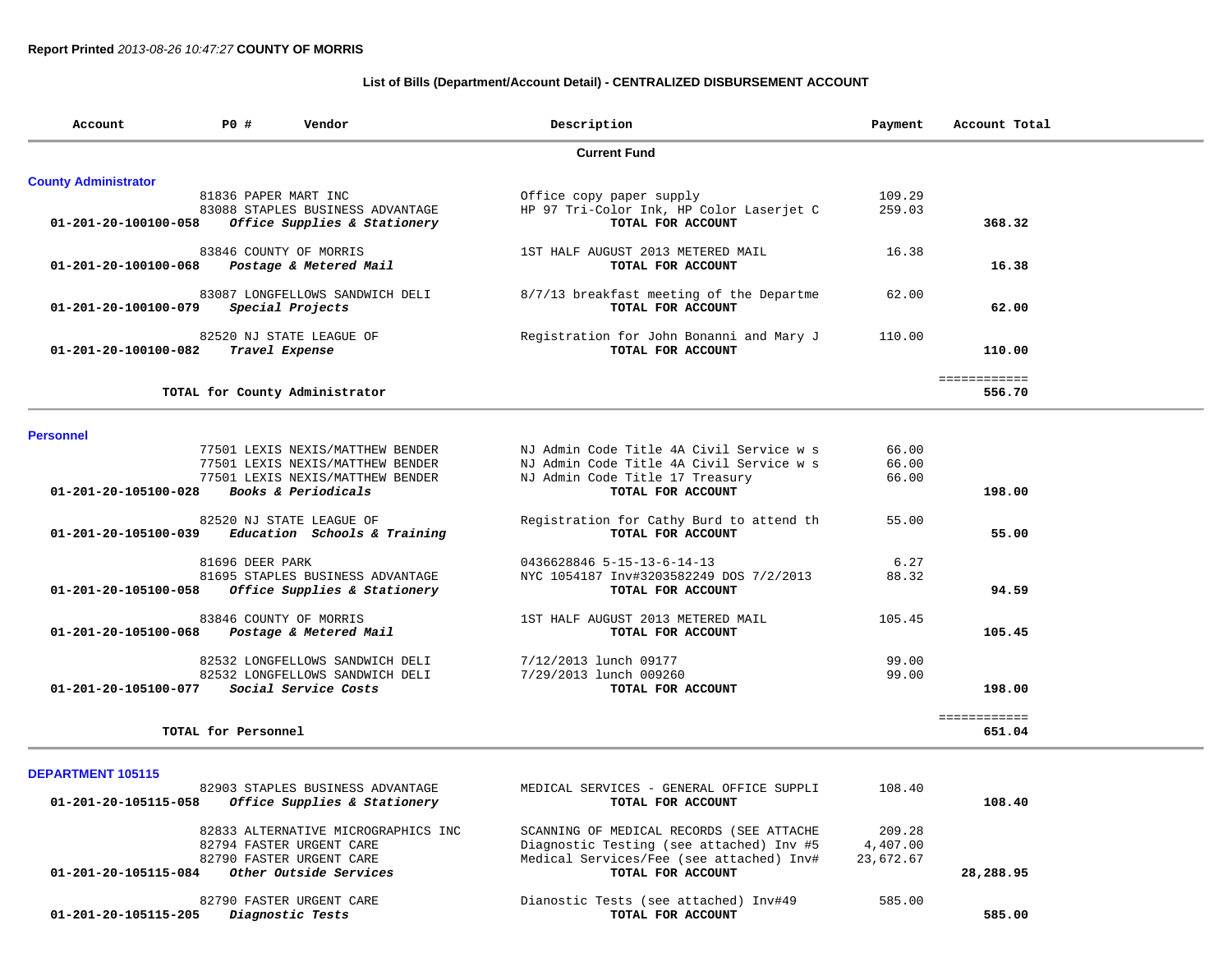## **List of Bills (Department/Account Detail) - CENTRALIZED DISBURSEMENT ACCOUNT**

|                             |                                                     | <b>Current Fund</b>                      |        |              |
|-----------------------------|-----------------------------------------------------|------------------------------------------|--------|--------------|
| <b>County Administrator</b> |                                                     |                                          |        |              |
|                             | 81836 PAPER MART INC                                | Office copy paper supply                 | 109.29 |              |
|                             | 83088 STAPLES BUSINESS ADVANTAGE                    | HP 97 Tri-Color Ink, HP Color Laserjet C | 259.03 |              |
| 01-201-20-100100-058        | Office Supplies & Stationery                        | TOTAL FOR ACCOUNT                        |        | 368.32       |
|                             | 83846 COUNTY OF MORRIS                              | 1ST HALF AUGUST 2013 METERED MAIL        | 16.38  |              |
| 01-201-20-100100-068        | Postage & Metered Mail                              | TOTAL FOR ACCOUNT                        |        | 16.38        |
|                             | 83087 LONGFELLOWS SANDWICH DELI                     | 8/7/13 breakfast meeting of the Departme | 62.00  |              |
| 01-201-20-100100-079        | Special Projects                                    | TOTAL FOR ACCOUNT                        |        | 62.00        |
|                             | 82520 NJ STATE LEAGUE OF                            | Registration for John Bonanni and Mary J | 110.00 |              |
| 01-201-20-100100-082        | Travel Expense                                      | TOTAL FOR ACCOUNT                        |        | 110.00       |
|                             |                                                     |                                          |        | ============ |
|                             | TOTAL for County Administrator                      |                                          |        | 556.70       |
|                             |                                                     |                                          |        |              |
| <b>Personnel</b>            | 77501 LEXIS NEXIS/MATTHEW BENDER                    | NJ Admin Code Title 4A Civil Service w s | 66.00  |              |
|                             | 77501 LEXIS NEXIS/MATTHEW BENDER                    | NJ Admin Code Title 4A Civil Service w s | 66.00  |              |
|                             | 77501 LEXIS NEXIS/MATTHEW BENDER                    | NJ Admin Code Title 17 Treasury          | 66.00  |              |
| 01-201-20-105100-028        | Books & Periodicals                                 | TOTAL FOR ACCOUNT                        |        | 198.00       |
|                             |                                                     |                                          |        |              |
|                             | 82520 NJ STATE LEAGUE OF                            | Registration for Cathy Burd to attend th | 55.00  |              |
|                             | $01-201-20-105100-039$ Education Schools & Training | TOTAL FOR ACCOUNT                        |        | 55.00        |
|                             | 81696 DEER PARK                                     | 0436628846 5-15-13-6-14-13               | 6.27   |              |
|                             | 81695 STAPLES BUSINESS ADVANTAGE                    | NYC 1054187 Inv#3203582249 DOS 7/2/2013  | 88.32  |              |
| 01-201-20-105100-058        | Office Supplies & Stationery                        | TOTAL FOR ACCOUNT                        |        | 94.59        |
|                             | 83846 COUNTY OF MORRIS                              | 1ST HALF AUGUST 2013 METERED MAIL        | 105.45 |              |
| 01-201-20-105100-068        | Postage & Metered Mail                              | TOTAL FOR ACCOUNT                        |        | 105.45       |
|                             | 82532 LONGFELLOWS SANDWICH DELI                     | 7/12/2013 lunch 09177                    | 99.00  |              |
|                             | 82532 LONGFELLOWS SANDWICH DELI                     | 7/29/2013 lunch 009260                   | 99.00  |              |
|                             | 01-201-20-105100-077 Social Service Costs           | TOTAL FOR ACCOUNT                        |        | 198.00       |
|                             |                                                     |                                          |        | ============ |
|                             | TOTAL for Personnel                                 |                                          |        | 651.04       |

| 82903 STAPLES BUSINESS ADVANTAGE<br>Office Supplies & Stationery<br>01-201-20-105115-058 | MEDICAL SERVICES - GENERAL OFFICE SUPPLI<br>TOTAL FOR ACCOUNT | 108.40    | 108.40    |
|------------------------------------------------------------------------------------------|---------------------------------------------------------------|-----------|-----------|
| 82833 ALTERNATIVE MICROGRAPHICS INC                                                      | SCANNING OF MEDICAL RECORDS (SEE ATTACHE                      | 209.28    |           |
| 82794 FASTER URGENT CARE                                                                 | Diagnostic Testing (see attached) Inv #5                      | 4,407.00  |           |
| 82790 FASTER URGENT CARE                                                                 | Medical Services/Fee (see attached) Inv#                      | 23,672.67 |           |
| Other Outside Services<br>01-201-20-105115-084                                           | TOTAL FOR ACCOUNT                                             |           | 28,288.95 |
| 82790 FASTER URGENT CARE                                                                 | Dianostic Tests (see attached) Inv#49                         | 585.00    |           |
| Diagnostic Tests<br>01-201-20-105115-205                                                 | TOTAL FOR ACCOUNT                                             |           | 585.00    |
|                                                                                          |                                                               |           |           |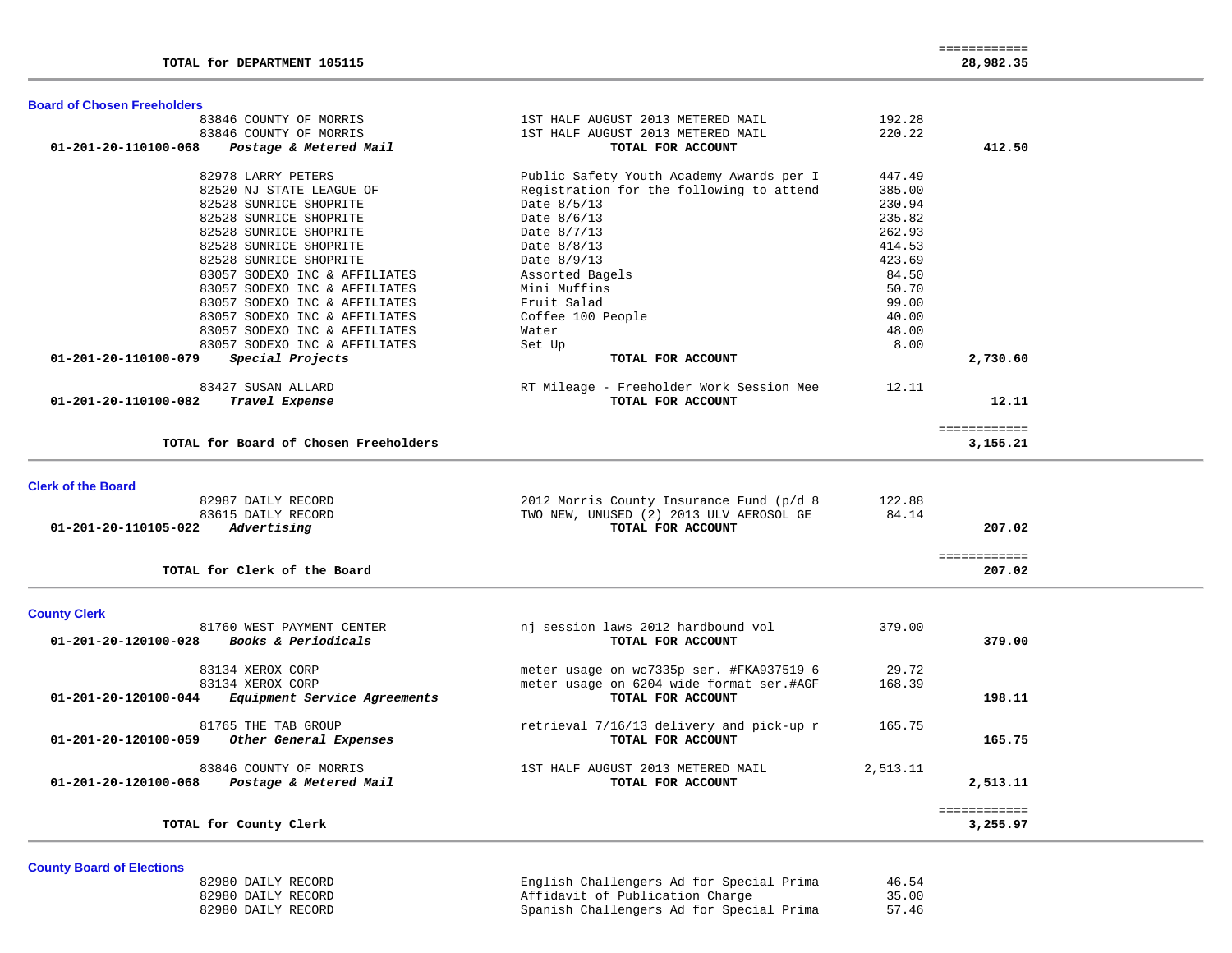|  | <b>Board of Chosen Freeholders</b> |  |  |
|--|------------------------------------|--|--|
|--|------------------------------------|--|--|

| 83846 COUNTY OF MORRIS                                                   | 1ST HALF AUGUST 2013 METERED MAIL                      | 192.28   |              |  |
|--------------------------------------------------------------------------|--------------------------------------------------------|----------|--------------|--|
| 83846 COUNTY OF MORRIS<br>01-201-20-110100-068<br>Postage & Metered Mail | 1ST HALF AUGUST 2013 METERED MAIL<br>TOTAL FOR ACCOUNT | 220.22   | 412.50       |  |
| 82978 LARRY PETERS                                                       | Public Safety Youth Academy Awards per I               | 447.49   |              |  |
| 82520 NJ STATE LEAGUE OF                                                 | Registration for the following to attend               | 385.00   |              |  |
| 82528 SUNRICE SHOPRITE                                                   | Date 8/5/13                                            | 230.94   |              |  |
| 82528 SUNRICE SHOPRITE                                                   | Date 8/6/13                                            | 235.82   |              |  |
| 82528 SUNRICE SHOPRITE                                                   | Date 8/7/13                                            | 262.93   |              |  |
| 82528 SUNRICE SHOPRITE                                                   | Date 8/8/13                                            | 414.53   |              |  |
| 82528 SUNRICE SHOPRITE                                                   | Date 8/9/13                                            | 423.69   |              |  |
| 83057 SODEXO INC & AFFILIATES                                            | Assorted Bagels                                        | 84.50    |              |  |
| 83057 SODEXO INC & AFFILIATES                                            | Mini Muffins                                           | 50.70    |              |  |
| 83057 SODEXO INC & AFFILIATES                                            | Fruit Salad                                            | 99.00    |              |  |
| 83057 SODEXO INC & AFFILIATES                                            | Coffee 100 People                                      | 40.00    |              |  |
| 83057 SODEXO INC & AFFILIATES                                            | Water                                                  | 48.00    |              |  |
| 83057 SODEXO INC & AFFILIATES                                            | Set Up                                                 | 8.00     |              |  |
| Special Projects<br>01-201-20-110100-079                                 | TOTAL FOR ACCOUNT                                      |          | 2,730.60     |  |
|                                                                          |                                                        |          |              |  |
| 83427 SUSAN ALLARD                                                       | RT Mileage - Freeholder Work Session Mee               | 12.11    |              |  |
| 01-201-20-110100-082<br>Travel Expense                                   | TOTAL FOR ACCOUNT                                      |          | 12.11        |  |
|                                                                          |                                                        |          |              |  |
|                                                                          |                                                        |          | ============ |  |
| TOTAL for Board of Chosen Freeholders                                    |                                                        |          | 3,155.21     |  |
|                                                                          |                                                        |          |              |  |
| <b>Clerk of the Board</b>                                                |                                                        |          |              |  |
| 82987 DAILY RECORD                                                       | 2012 Morris County Insurance Fund (p/d 8               | 122.88   |              |  |
| 83615 DAILY RECORD                                                       | TWO NEW, UNUSED (2) 2013 ULV AEROSOL GE                | 84.14    |              |  |
| Advertising<br>01-201-20-110105-022                                      | TOTAL FOR ACCOUNT                                      |          | 207.02       |  |
|                                                                          |                                                        |          | ============ |  |
| TOTAL for Clerk of the Board                                             |                                                        |          | 207.02       |  |
|                                                                          |                                                        |          |              |  |
| <b>County Clerk</b>                                                      |                                                        |          |              |  |
| 81760 WEST PAYMENT CENTER                                                | nj session laws 2012 hardbound vol                     | 379.00   |              |  |
| Books & Periodicals<br>01-201-20-120100-028                              | TOTAL FOR ACCOUNT                                      |          | 379.00       |  |
| 83134 XEROX CORP                                                         | meter usage on wc7335p ser. #FKA937519 6               | 29.72    |              |  |
| 83134 XEROX CORP                                                         | meter usage on 6204 wide format ser.#AGF               | 168.39   |              |  |
| Equipment Service Agreements<br>01-201-20-120100-044                     | TOTAL FOR ACCOUNT                                      |          | 198.11       |  |
|                                                                          |                                                        |          |              |  |
| 81765 THE TAB GROUP                                                      | retrieval 7/16/13 delivery and pick-up r               | 165.75   |              |  |
| Other General Expenses<br>01-201-20-120100-059                           | TOTAL FOR ACCOUNT                                      |          | 165.75       |  |
| 83846 COUNTY OF MORRIS                                                   | 1ST HALF AUGUST 2013 METERED MAIL                      | 2,513.11 |              |  |
| Postage & Metered Mail<br>01-201-20-120100-068                           | TOTAL FOR ACCOUNT                                      |          | 2,513.11     |  |
|                                                                          |                                                        |          |              |  |
|                                                                          |                                                        |          | ============ |  |
| TOTAL for County Clerk                                                   |                                                        |          | 3,255.97     |  |
|                                                                          |                                                        |          |              |  |

## **County Board of Elections**

| 82980 DAILY RECORD | English Challengers Ad for Special Prima | 46.54 |
|--------------------|------------------------------------------|-------|
| 82980 DAILY RECORD | Affidavit of Publication Charge          | 35.00 |
| 82980 DAILY RECORD | Spanish Challengers Ad for Special Prima | 57.46 |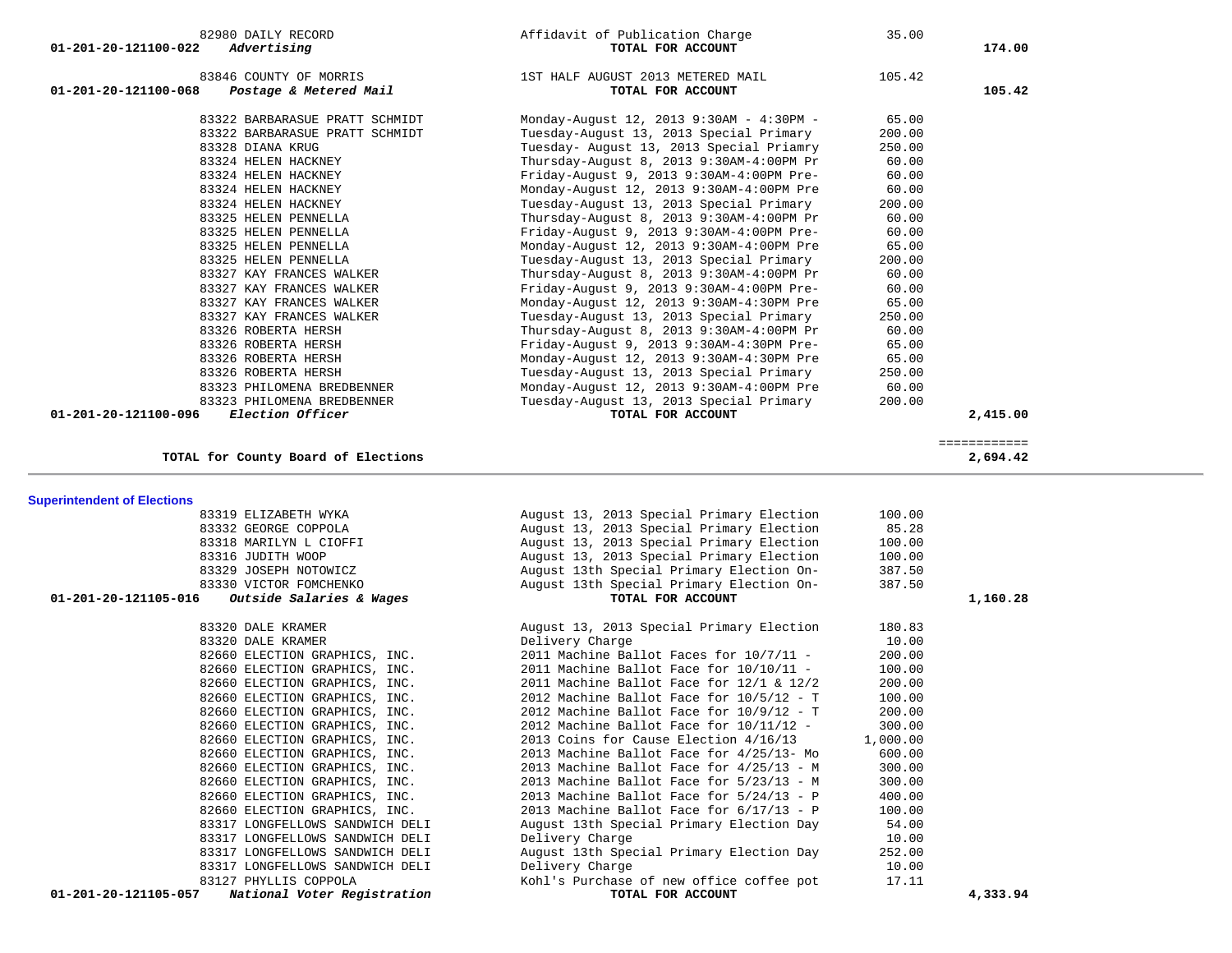|                                    | 82980 DAILY RECORD                                       | Affidavit of Publication Charge                               | 35.00          |              |  |
|------------------------------------|----------------------------------------------------------|---------------------------------------------------------------|----------------|--------------|--|
| 01-201-20-121100-022               | Advertising                                              | TOTAL FOR ACCOUNT                                             |                | 174.00       |  |
|                                    |                                                          |                                                               |                |              |  |
|                                    | 83846 COUNTY OF MORRIS                                   | 1ST HALF AUGUST 2013 METERED MAIL                             | 105.42         |              |  |
| 01-201-20-121100-068               | Postage & Metered Mail                                   | TOTAL FOR ACCOUNT                                             |                | 105.42       |  |
|                                    | 83322 BARBARASUE PRATT SCHMIDT                           | Monday-August 12, 2013 9:30AM - 4:30PM -                      | 65.00          |              |  |
|                                    | 83322 BARBARASUE PRATT SCHMIDT                           | Tuesday-August 13, 2013 Special Primary                       | 200.00         |              |  |
|                                    | 83328 DIANA KRUG                                         | Tuesday- August 13, 2013 Special Priamry                      | 250.00         |              |  |
|                                    | 83324 HELEN HACKNEY                                      | Thursday-August 8, 2013 9:30AM-4:00PM Pr                      | 60.00          |              |  |
|                                    | 83324 HELEN HACKNEY                                      | Friday-August 9, 2013 9:30AM-4:00PM Pre-                      | 60.00          |              |  |
|                                    | 83324 HELEN HACKNEY                                      | Monday-August 12, 2013 9:30AM-4:00PM Pre                      | 60.00          |              |  |
|                                    | 83324 HELEN HACKNEY                                      | Tuesday-August 13, 2013 Special Primary                       | 200.00         |              |  |
|                                    | 83325 HELEN PENNELLA                                     | Thursday-August 8, 2013 9:30AM-4:00PM Pr                      | 60.00          |              |  |
|                                    | 83325 HELEN PENNELLA                                     | Friday-August 9, 2013 9:30AM-4:00PM Pre-                      | 60.00          |              |  |
|                                    | 83325 HELEN PENNELLA                                     | Monday-August 12, 2013 9:30AM-4:00PM Pre                      | 65.00          |              |  |
|                                    | 83325 HELEN PENNELLA                                     | Tuesday-August 13, 2013 Special Primary                       | 200.00         |              |  |
|                                    | 83327 KAY FRANCES WALKER                                 | Thursday-August 8, 2013 9:30AM-4:00PM Pr                      | 60.00          |              |  |
|                                    | 83327 KAY FRANCES WALKER                                 | Friday-August 9, 2013 9:30AM-4:00PM Pre-                      | 60.00          |              |  |
|                                    | 83327 KAY FRANCES WALKER                                 | Monday-August 12, 2013 9:30AM-4:30PM Pre                      | 65.00          |              |  |
|                                    | 83327 KAY FRANCES WALKER                                 | Tuesday-August 13, 2013 Special Primary                       | 250.00         |              |  |
|                                    | 83326 ROBERTA HERSH                                      | Thursday-August 8, 2013 9:30AM-4:00PM Pr                      | 60.00          |              |  |
|                                    | 83326 ROBERTA HERSH                                      | Friday-August 9, 2013 9:30AM-4:30PM Pre-                      | 65.00          |              |  |
|                                    | 83326 ROBERTA HERSH                                      | Monday-August 12, 2013 9:30AM-4:30PM Pre                      | 65.00          |              |  |
|                                    | 83326 ROBERTA HERSH                                      | Tuesday-August 13, 2013 Special Primary                       | 250.00         |              |  |
|                                    | 83323 PHILOMENA BREDBENNER                               | Monday-August 12, 2013 9:30AM-4:00PM Pre                      | 60.00          |              |  |
|                                    | 83323 PHILOMENA BREDBENNER                               | Tuesday-August 13, 2013 Special Primary                       | 200.00         |              |  |
| 01-201-20-121100-096               | Election Officer                                         | TOTAL FOR ACCOUNT                                             |                | 2,415.00     |  |
|                                    |                                                          |                                                               |                | ============ |  |
|                                    | TOTAL for County Board of Elections                      |                                                               |                | 2,694.42     |  |
|                                    |                                                          |                                                               |                |              |  |
|                                    |                                                          |                                                               |                |              |  |
|                                    | 83319 ELIZABETH WYKA                                     | August 13, 2013 Special Primary Election                      | 100.00         |              |  |
|                                    | 83332 GEORGE COPPOLA                                     | August 13, 2013 Special Primary Election                      | 85.28          |              |  |
|                                    | 83318 MARILYN L CIOFFI                                   | August 13, 2013 Special Primary Election                      | 100.00         |              |  |
|                                    | 83316 JUDITH WOOP                                        | August 13, 2013 Special Primary Election                      | 100.00         |              |  |
|                                    | 83329 JOSEPH NOTOWICZ                                    | August 13th Special Primary Election On-                      | 387.50         |              |  |
| 01-201-20-121105-016               | 83330 VICTOR FOMCHENKO<br>Outside Salaries & Wages       | August 13th Special Primary Election On-<br>TOTAL FOR ACCOUNT | 387.50         | 1,160.28     |  |
|                                    |                                                          |                                                               |                |              |  |
|                                    | 83320 DALE KRAMER                                        | August 13, 2013 Special Primary Election                      | 180.83         |              |  |
|                                    | 83320 DALE KRAMER                                        | Delivery Charge                                               | 10.00          |              |  |
|                                    | 82660 ELECTION GRAPHICS, INC.                            | 2011 Machine Ballot Faces for 10/7/11 -                       | 200.00         |              |  |
|                                    | 82660 ELECTION GRAPHICS, INC.                            | 2011 Machine Ballot Face for $10/10/11$ -                     | 100.00         |              |  |
| <b>Superintendent of Elections</b> | 82660 ELECTION GRAPHICS, INC.                            | 2011 Machine Ballot Face for $12/1$ & $12/2$                  | 200.00         |              |  |
|                                    | 82660 ELECTION GRAPHICS, INC.                            | 2012 Machine Ballot Face for $10/5/12$ - T                    | 100.00         |              |  |
|                                    | 82660 ELECTION GRAPHICS, INC.                            | 2012 Machine Ballot Face for $10/9/12$ - T                    | 200.00         |              |  |
|                                    | 82660 ELECTION GRAPHICS, INC.                            | 2012 Machine Ballot Face for 10/11/12 -                       | 300.00         |              |  |
|                                    | 82660 ELECTION GRAPHICS, INC.                            | 2013 Coins for Cause Election 4/16/13                         | 1,000.00       |              |  |
|                                    | 82660 ELECTION GRAPHICS, INC.                            | 2013 Machine Ballot Face for 4/25/13- Mo                      | 600.00         |              |  |
|                                    | 82660 ELECTION GRAPHICS, INC.                            | 2013 Machine Ballot Face for $4/25/13$ - M                    | 300.00         |              |  |
|                                    | 82660 ELECTION GRAPHICS, INC.                            | 2013 Machine Ballot Face for 5/23/13 - M                      | 300.00         |              |  |
|                                    | 82660 ELECTION GRAPHICS, INC.                            | 2013 Machine Ballot Face for $5/24/13$ - P                    | 400.00         |              |  |
|                                    | 82660 ELECTION GRAPHICS, INC.                            | 2013 Machine Ballot Face for $6/17/13$ - P                    | 100.00         |              |  |
|                                    | 83317 LONGFELLOWS SANDWICH DELI                          | August 13th Special Primary Election Day                      | 54.00          |              |  |
|                                    | 83317 LONGFELLOWS SANDWICH DELI                          | Delivery Charge                                               | 10.00          |              |  |
|                                    | 83317 LONGFELLOWS SANDWICH DELI                          | August 13th Special Primary Election Day                      | 252.00         |              |  |
|                                    | 83317 LONGFELLOWS SANDWICH DELI<br>83127 PHYLLIS COPPOLA | Delivery Charge<br>Kohl's Purchase of new office coffee pot   | 10.00<br>17.11 |              |  |
| 01-201-20-121105-057               | National Voter Registration                              | TOTAL FOR ACCOUNT                                             |                | 4,333.94     |  |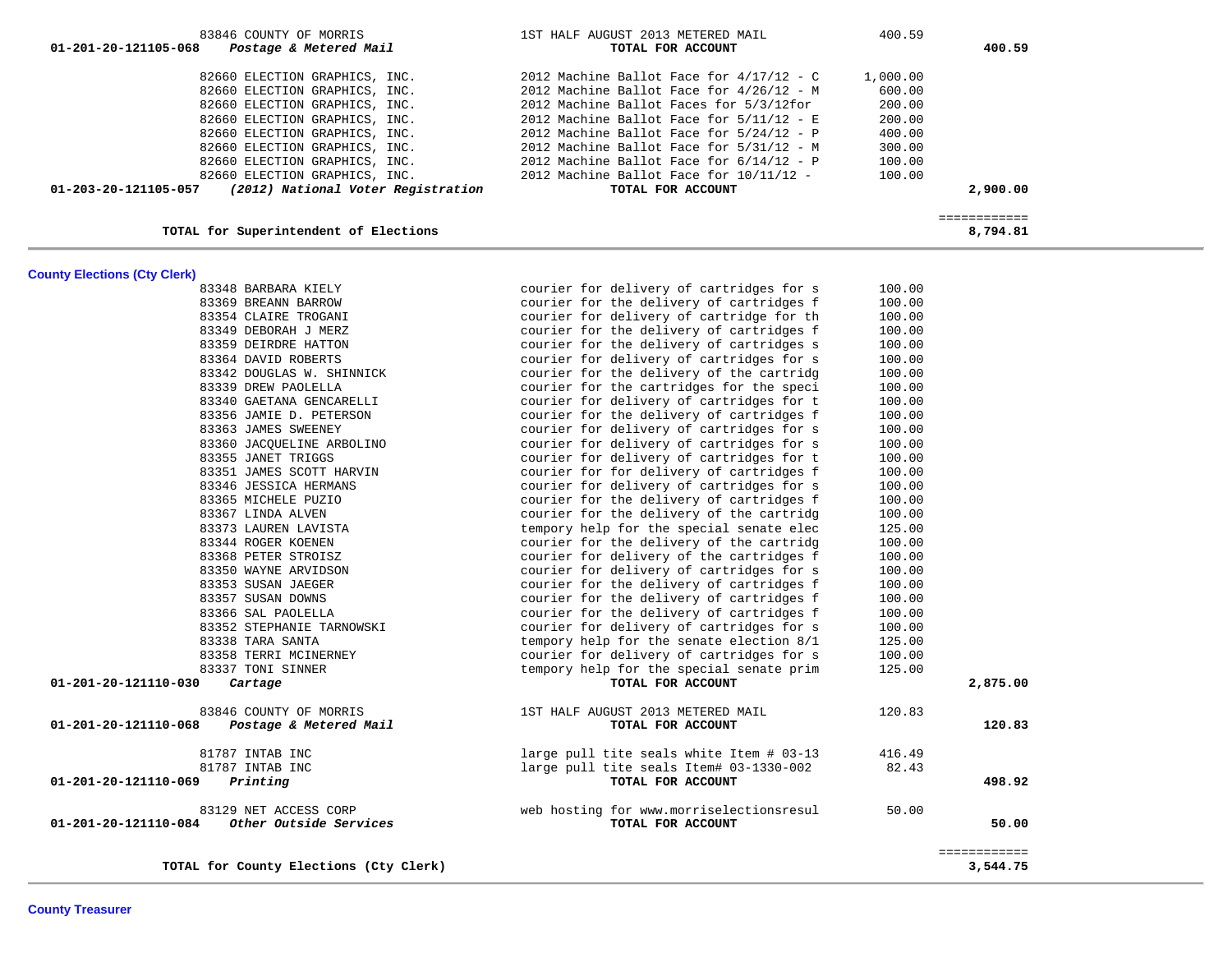| 83846 COUNTY OF MORRIS<br>01-201-20-121105-068<br>Postage & Metered Mail | 1ST HALF AUGUST 2013 METERED MAIL<br>TOTAL FOR ACCOUNT | 400.59   | 400.59      |
|--------------------------------------------------------------------------|--------------------------------------------------------|----------|-------------|
|                                                                          |                                                        |          |             |
| 82660 ELECTION GRAPHICS, INC.                                            | 2012 Machine Ballot Face for $4/17/12 - C$             | 1,000.00 |             |
| 82660 ELECTION GRAPHICS, INC.                                            | 2012 Machine Ballot Face for $4/26/12$ - M             | 600.00   |             |
| 82660 ELECTION GRAPHICS, INC.                                            | 2012 Machine Ballot Faces for 5/3/12for                | 200.00   |             |
| 82660 ELECTION GRAPHICS, INC.                                            | 2012 Machine Ballot Face for $5/11/12 - E$             | 200.00   |             |
| 82660 ELECTION GRAPHICS, INC.                                            | 2012 Machine Ballot Face for $5/24/12$ - P             | 400.00   |             |
| 82660 ELECTION GRAPHICS, INC.                                            | 2012 Machine Ballot Face for $5/31/12$ - M             | 300.00   |             |
| 82660 ELECTION GRAPHICS, INC.                                            | 2012 Machine Ballot Face for $6/14/12$ - P             | 100.00   |             |
| 82660 ELECTION GRAPHICS, INC.                                            | 2012 Machine Ballot Face for $10/11/12$ -              | 100.00   |             |
| (2012) National Voter Registration<br>01-203-20-121105-057               | TOTAL FOR ACCOUNT                                      |          | 2,900,00    |
|                                                                          |                                                        |          | ----------- |
| TOTAL for Superintendent of Elections                                    |                                                        |          | 8,794.81    |

# **County Elections (Cty Clerk)**

| TOTAL for County Elections (Cty Clerk)                                                                                                   |                  | ============<br>3,544.75 |
|------------------------------------------------------------------------------------------------------------------------------------------|------------------|--------------------------|
| 83129 NET ACCESS CORP<br>web hosting for www.morriselectionsresul<br>01-201-20-121110-084<br>Other Outside Services<br>TOTAL FOR ACCOUNT | 50.00            | 50.00                    |
| 01-201-20-121110-069<br>TOTAL FOR ACCOUNT<br>Printing                                                                                    |                  | 498.92                   |
| 81787 INTAB INC<br>large pull tite seals Item# 03-1330-002                                                                               | 82.43            |                          |
| 81787 INTAB INC<br>large pull tite seals white Item # 03-13                                                                              | 416.49           |                          |
| Postage & Metered Mail<br>01-201-20-121110-068<br>TOTAL FOR ACCOUNT                                                                      |                  | 120.83                   |
| 83846 COUNTY OF MORRIS<br>1ST HALF AUGUST 2013 METERED MAIL                                                                              | 120.83           |                          |
| 01-201-20-121110-030<br>Cartage<br>TOTAL FOR ACCOUNT                                                                                     |                  | 2,875.00                 |
| 83337 TONI SINNER<br>tempory help for the special senate prim                                                                            | 125.00           |                          |
| 83358 TERRI MCINERNEY<br>courier for delivery of cartridges for s                                                                        | 100.00           |                          |
| 83338 TARA SANTA<br>tempory help for the senate election 8/1                                                                             | 125.00           |                          |
| 83352 STEPHANIE TARNOWSKI<br>courier for delivery of cartridges for s                                                                    | 100.00           |                          |
| 83366 SAL PAOLELLA<br>courier for the delivery of cartridges f                                                                           | 100.00           |                          |
| 83357 SUSAN DOWNS<br>courier for the delivery of cartridges f                                                                            | 100.00           |                          |
| 83353 SUSAN JAEGER<br>courier for the delivery of cartridges f                                                                           | 100.00           |                          |
| 83350 WAYNE ARVIDSON<br>courier for delivery of cartridges for s                                                                         | 100.00           |                          |
| courier for delivery of the cartridges f<br>83368 PETER STROISZ                                                                          | 100.00           |                          |
| courier for the delivery of the cartridg<br>83344 ROGER KOENEN                                                                           | 100.00           |                          |
| 83373 LAUREN LAVISTA<br>tempory help for the special senate elec                                                                         | 125.00           |                          |
| 83367 LINDA ALVEN<br>courier for the delivery of the cartridg                                                                            | 100.00           |                          |
| 83365 MICHELE PUZIO<br>courier for the delivery of cartridges f                                                                          | 100.00           |                          |
| courier for delivery of cartridges for s<br>83346 JESSICA HERMANS                                                                        | 100.00           |                          |
| 83351 JAMES SCOTT HARVIN<br>courier for for delivery of cartridges f                                                                     | 100.00           |                          |
| courier for delivery of cartridges for t<br>83355 JANET TRIGGS                                                                           | 100.00           |                          |
| courier for delivery of cartridges for s<br>83360 JACQUELINE ARBOLINO                                                                    | 100.00           |                          |
| courier for the delivery of cartridges f<br>courier for delivery of cartridges for s<br>83363 JAMES SWEENEY                              | 100.00<br>100.00 |                          |
| 83340 GAETANA GENCARELLI<br>courier for delivery of cartridges for t<br>83356 JAMIE D. PETERSON                                          | 100.00           |                          |
| courier for the cartridges for the speci<br>83339 DREW PAOLELLA                                                                          | 100.00           |                          |
| 83342 DOUGLAS W. SHINNICK<br>courier for the delivery of the cartridg                                                                    | 100.00           |                          |
| courier for delivery of cartridges for s<br>83364 DAVID ROBERTS                                                                          | 100.00           |                          |
| 83359 DEIRDRE HATTON<br>courier for the delivery of cartridges s                                                                         | 100.00           |                          |
| courier for the delivery of cartridges f<br>83349 DEBORAH J MERZ                                                                         | 100.00           |                          |
| courier for delivery of cartridge for th<br>83354 CLAIRE TROGANI                                                                         | 100.00           |                          |
| 83369 BREANN BARROW<br>courier for the delivery of cartridges f                                                                          | 100.00           |                          |
| courier for delivery of cartridges for s<br>83348 BARBARA KIELY                                                                          | 100.00           |                          |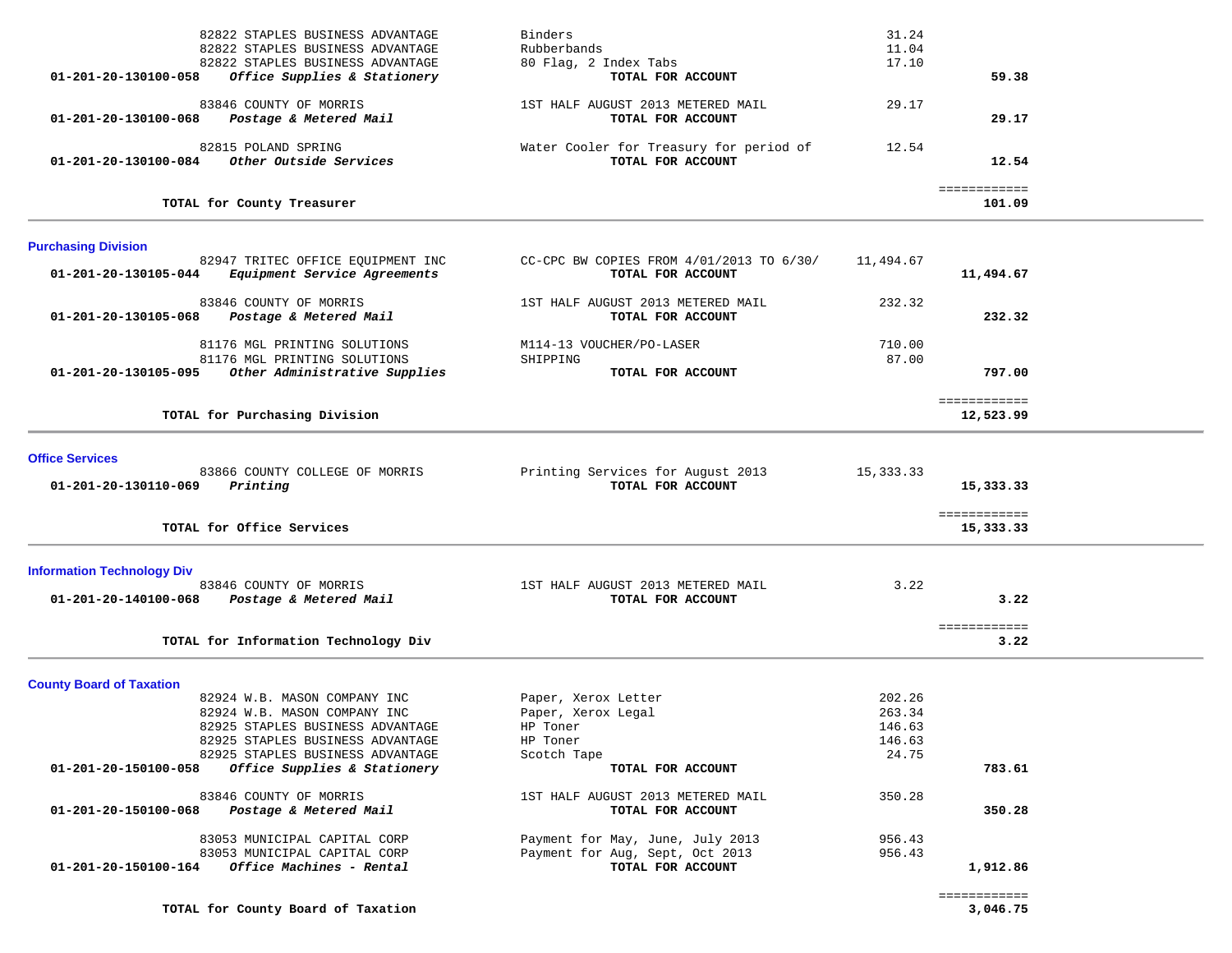| 01-201-20-130100-058                                      | 82822 STAPLES BUSINESS ADVANTAGE<br>82822 STAPLES BUSINESS ADVANTAGE<br>82822 STAPLES BUSINESS ADVANTAGE<br>Office Supplies & Stationery                                 | Binders<br>Rubberbands<br>80 Flag, 2 Index Tabs<br>TOTAL FOR ACCOUNT                                          | 31.24<br>11.04<br>17.10                       | 59.38                     |  |
|-----------------------------------------------------------|--------------------------------------------------------------------------------------------------------------------------------------------------------------------------|---------------------------------------------------------------------------------------------------------------|-----------------------------------------------|---------------------------|--|
| $01 - 201 - 20 - 130100 - 068$                            | 83846 COUNTY OF MORRIS<br>Postage & Metered Mail                                                                                                                         | 1ST HALF AUGUST 2013 METERED MAIL<br>TOTAL FOR ACCOUNT                                                        | 29.17                                         | 29.17                     |  |
| 01-201-20-130100-084                                      | 82815 POLAND SPRING<br>Other Outside Services                                                                                                                            | Water Cooler for Treasury for period of<br>TOTAL FOR ACCOUNT                                                  | 12.54                                         | 12.54                     |  |
|                                                           | TOTAL for County Treasurer                                                                                                                                               |                                                                                                               |                                               | ============<br>101.09    |  |
| <b>Purchasing Division</b>                                |                                                                                                                                                                          |                                                                                                               |                                               |                           |  |
| 01-201-20-130105-044                                      | 82947 TRITEC OFFICE EQUIPMENT INC<br>Equipment Service Agreements                                                                                                        | CC-CPC BW COPIES FROM 4/01/2013 TO 6/30/<br>TOTAL FOR ACCOUNT                                                 | 11,494.67                                     | 11,494.67                 |  |
| 01-201-20-130105-068                                      | 83846 COUNTY OF MORRIS<br>Postage & Metered Mail                                                                                                                         | 1ST HALF AUGUST 2013 METERED MAIL<br>TOTAL FOR ACCOUNT                                                        | 232.32                                        | 232.32                    |  |
| 01-201-20-130105-095                                      | 81176 MGL PRINTING SOLUTIONS<br>81176 MGL PRINTING SOLUTIONS<br>Other Administrative Supplies                                                                            | M114-13 VOUCHER/PO-LASER<br>SHIPPING<br>TOTAL FOR ACCOUNT                                                     | 710.00<br>87.00                               | 797.00                    |  |
|                                                           | TOTAL for Purchasing Division                                                                                                                                            |                                                                                                               |                                               | ============<br>12,523.99 |  |
| <b>Office Services</b><br>01-201-20-130110-069            | 83866 COUNTY COLLEGE OF MORRIS<br>Printing                                                                                                                               | Printing Services for August 2013<br>TOTAL FOR ACCOUNT                                                        | 15,333.33                                     | 15,333.33                 |  |
|                                                           | TOTAL for Office Services                                                                                                                                                |                                                                                                               |                                               | ============<br>15,333.33 |  |
| <b>Information Technology Div</b><br>01-201-20-140100-068 | 83846 COUNTY OF MORRIS<br>Postage & Metered Mail                                                                                                                         | 1ST HALF AUGUST 2013 METERED MAIL<br>TOTAL FOR ACCOUNT                                                        | 3.22                                          | 3.22                      |  |
|                                                           | TOTAL for Information Technology Div                                                                                                                                     |                                                                                                               |                                               | ============<br>3.22      |  |
| <b>County Board of Taxation</b>                           | 82924 W.B. MASON COMPANY INC<br>82924 W.B. MASON COMPANY INC<br>82925 STAPLES BUSINESS ADVANTAGE<br>82925 STAPLES BUSINESS ADVANTAGE<br>82925 STAPLES BUSINESS ADVANTAGE | Paper, Xerox Letter<br>Paper, Xerox Legal<br>HP Toner<br>HP Toner<br>Scotch Tape                              | 202.26<br>263.34<br>146.63<br>146.63<br>24.75 |                           |  |
| 01-201-20-150100-058                                      | Office Supplies & Stationery<br>83846 COUNTY OF MORRIS                                                                                                                   | TOTAL FOR ACCOUNT<br>1ST HALF AUGUST 2013 METERED MAIL                                                        | 350.28                                        | 783.61                    |  |
| 01-201-20-150100-068<br>01-201-20-150100-164              | Postage & Metered Mail<br>83053 MUNICIPAL CAPITAL CORP<br>83053 MUNICIPAL CAPITAL CORP<br>Office Machines - Rental                                                       | TOTAL FOR ACCOUNT<br>Payment for May, June, July 2013<br>Payment for Aug, Sept, Oct 2013<br>TOTAL FOR ACCOUNT | 956.43<br>956.43                              | 350.28<br>1,912.86        |  |

**TOTAL for County Board of Taxation 3,046.75**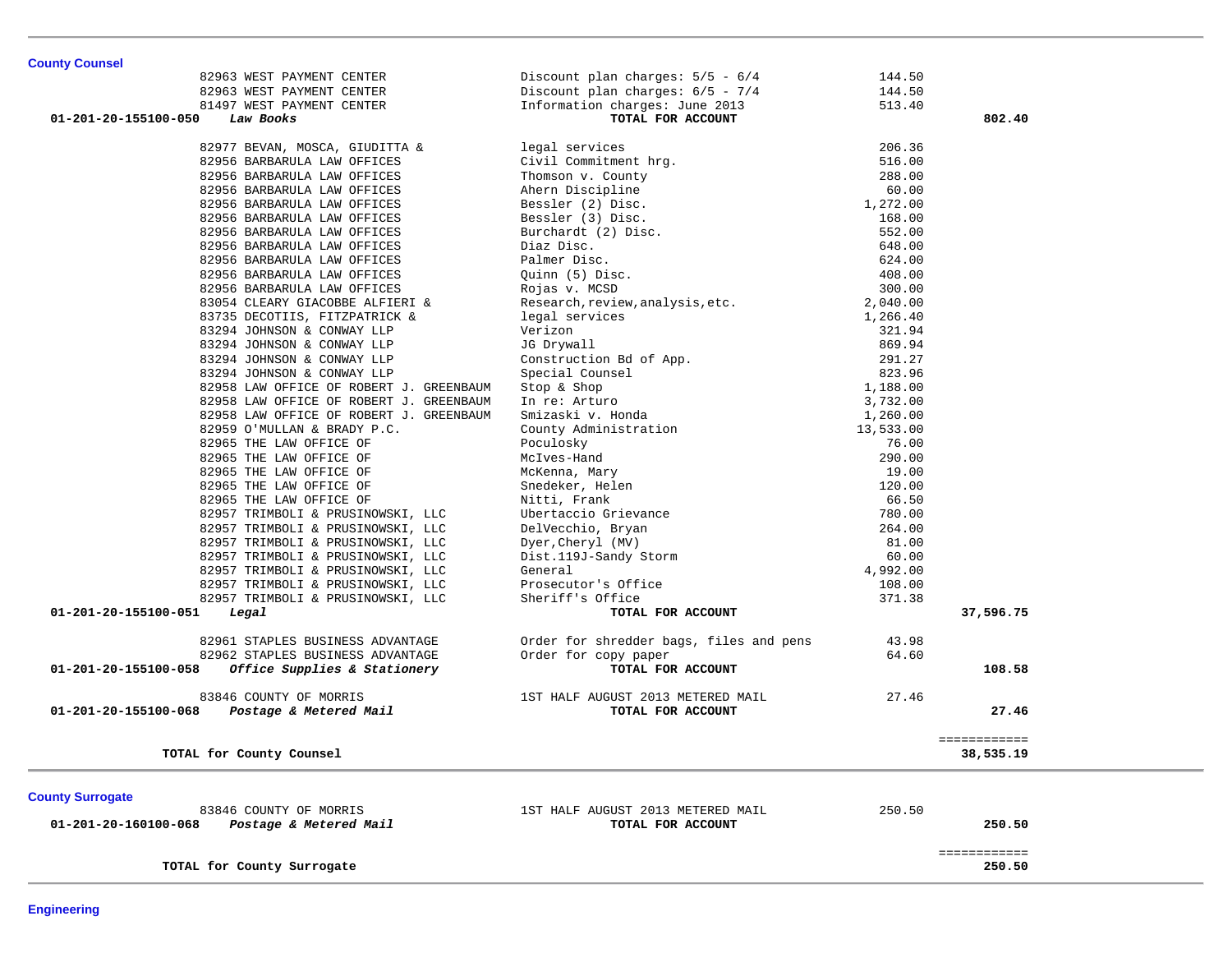| <b>County Counsel</b>                                |                                                                                                                                                                                                |                  |              |
|------------------------------------------------------|------------------------------------------------------------------------------------------------------------------------------------------------------------------------------------------------|------------------|--------------|
| 82963 WEST PAYMENT CENTER                            | Discount plan charges: $5/5 - 6/4$                                                                                                                                                             | 144.50           |              |
| 82963 WEST PAYMENT CENTER                            | Discount plan charges: 6/5 - 7/4<br>Information charges: June 2013                                                                                                                             | 144.50           |              |
| 81497 WEST PAYMENT CENTER                            |                                                                                                                                                                                                | 513.40           |              |
| Law Books<br>01-201-20-155100-050                    | TOTAL FOR ACCOUNT                                                                                                                                                                              |                  | 802.40       |
| 82977 BEVAN, MOSCA, GIUDITTA &                       | legal services                                                                                                                                                                                 | 206.36           |              |
| 82956 BARBARULA LAW OFFICES                          | Civil Commitment hrg.                                                                                                                                                                          | 516.00           |              |
| 82956 BARBARULA LAW OFFICES                          |                                                                                                                                                                                                | 288.00           |              |
| 82956 BARBARULA LAW OFFICES                          |                                                                                                                                                                                                | 60.00            |              |
| 82956 BARBARULA LAW OFFICES                          |                                                                                                                                                                                                | 1,272.00         |              |
| 82956 BARBARULA LAW OFFICES                          |                                                                                                                                                                                                | 168.00           |              |
| 82956 BARBARULA LAW OFFICES                          |                                                                                                                                                                                                | 552.00           |              |
| 82956 BARBARULA LAW OFFICES                          |                                                                                                                                                                                                | 648.00           |              |
| 82956 BARBARULA LAW OFFICES                          | Thomson v. County<br>Thomson v. County<br>Ahern Discipline<br>Bessler (2) Disc.<br>Bessler (3) Disc.<br>Burchardt (2) Disc.<br>Diaz Disc.<br>Palmer Disc.<br>Quinn (5) Disc.<br>Rojas v. MCSD. | 624.00           |              |
|                                                      |                                                                                                                                                                                                | 408.00           |              |
| 82956 BARBARULA LAW OFFICES                          |                                                                                                                                                                                                | 300.00           |              |
| 82956 BARBARULA LAW OFFICES                          |                                                                                                                                                                                                |                  |              |
| 83054 CLEARY GIACOBBE ALFIERI &                      | Research, review, analysis, etc.                                                                                                                                                               | 2,040.00         |              |
| 83735 DECOTIIS, FITZPATRICK &                        | legal services                                                                                                                                                                                 | 1,266.40         |              |
| 83294 JOHNSON & CONWAY LLP                           | Verizon                                                                                                                                                                                        | 321.94<br>869.94 |              |
| 83294 JOHNSON & CONWAY LLP                           | JG Drywall<br>Construction Bd of App.<br>Special Counsel<br>Stop & Shop<br>In re: Arturo<br>Smizaski v. Honda<br>County Administration<br>Doculeky                                             |                  |              |
| 83294 JOHNSON & CONWAY LLP                           |                                                                                                                                                                                                | 291.27           |              |
| 83294 JOHNSON & CONWAY LLP                           |                                                                                                                                                                                                | 823.96           |              |
| 82958 LAW OFFICE OF ROBERT J. GREENBAUM              |                                                                                                                                                                                                | 1,188.00         |              |
| 82958 LAW OFFICE OF ROBERT J. GREENBAUM              |                                                                                                                                                                                                | 3,732.00         |              |
| 82958 LAW OFFICE OF ROBERT J. GREENBAUM              |                                                                                                                                                                                                | 1,260.00         |              |
| 82959 O'MULLAN & BRADY P.C.                          |                                                                                                                                                                                                | 13,533.00        |              |
| 82965 THE LAW OFFICE OF                              | Poculosky                                                                                                                                                                                      | 76.00            |              |
| 82965 THE LAW OFFICE OF                              | Noclives-Hand<br>McKenna, Mary<br>Snedeker, Helen<br>Nitti, Frank<br>Ubertaccio Grievance<br>DelVecchio, Bryan<br>Dyer, Cheryl (MV)<br>Dist 119.1-Sandy Storm                                  | 290.00           |              |
| 82965 THE LAW OFFICE OF                              |                                                                                                                                                                                                | 19.00            |              |
| 82965 THE LAW OFFICE OF                              |                                                                                                                                                                                                | 120.00           |              |
| 82965 THE LAW OFFICE OF                              |                                                                                                                                                                                                | 66.50            |              |
| 82957 TRIMBOLI & PRUSINOWSKI, LLC                    |                                                                                                                                                                                                | 780.00           |              |
| 82957 TRIMBOLI & PRUSINOWSKI, LLC                    |                                                                                                                                                                                                | 264.00           |              |
| 82957 TRIMBOLI & PRUSINOWSKI, LLC                    |                                                                                                                                                                                                | 81.00            |              |
| 82957 TRIMBOLI & PRUSINOWSKI, LLC                    | Dist.119J-Sandy Storm                                                                                                                                                                          | 60.00            |              |
| 82957 TRIMBOLI & PRUSINOWSKI, LLC                    | General                                                                                                                                                                                        | 4,992.00         |              |
| 82957 TRIMBOLI & PRUSINOWSKI, LLC                    | Prosecutor's Office                                                                                                                                                                            | 108.00           |              |
| 82957 TRIMBOLI & PRUSINOWSKI, LLC                    | Sheriff's Office                                                                                                                                                                               | 371.38           |              |
| 01-201-20-155100-051<br>Legal                        | TOTAL FOR ACCOUNT                                                                                                                                                                              |                  | 37,596.75    |
| 82961 STAPLES BUSINESS ADVANTAGE                     | Order for shredder bags, files and pens                                                                                                                                                        | 43.98            |              |
| 82962 STAPLES BUSINESS ADVANTAGE                     | Order for copy paper                                                                                                                                                                           | 64.60            |              |
| 01-201-20-155100-058<br>Office Supplies & Stationery | TOTAL FOR ACCOUNT                                                                                                                                                                              |                  | 108.58       |
|                                                      |                                                                                                                                                                                                |                  |              |
| 83846 COUNTY OF MORRIS                               | 1ST HALF AUGUST 2013 METERED MAIL                                                                                                                                                              | 27.46            |              |
| Postage & Metered Mail<br>01-201-20-155100-068       | TOTAL FOR ACCOUNT                                                                                                                                                                              |                  | 27.46        |
|                                                      |                                                                                                                                                                                                |                  |              |
|                                                      |                                                                                                                                                                                                |                  | ============ |
| TOTAL for County Counsel                             |                                                                                                                                                                                                |                  | 38,535.19    |
|                                                      |                                                                                                                                                                                                |                  |              |
| <b>County Surrogate</b>                              |                                                                                                                                                                                                |                  |              |
| 83846 COUNTY OF MORRIS                               | 1ST HALF AUGUST 2013 METERED MAIL                                                                                                                                                              | 250.50           |              |
| Postage & Metered Mail<br>01-201-20-160100-068       | TOTAL FOR ACCOUNT                                                                                                                                                                              |                  | 250.50       |
|                                                      |                                                                                                                                                                                                |                  |              |
|                                                      |                                                                                                                                                                                                |                  | ============ |
| TOTAL for County Surrogate                           |                                                                                                                                                                                                |                  | 250.50       |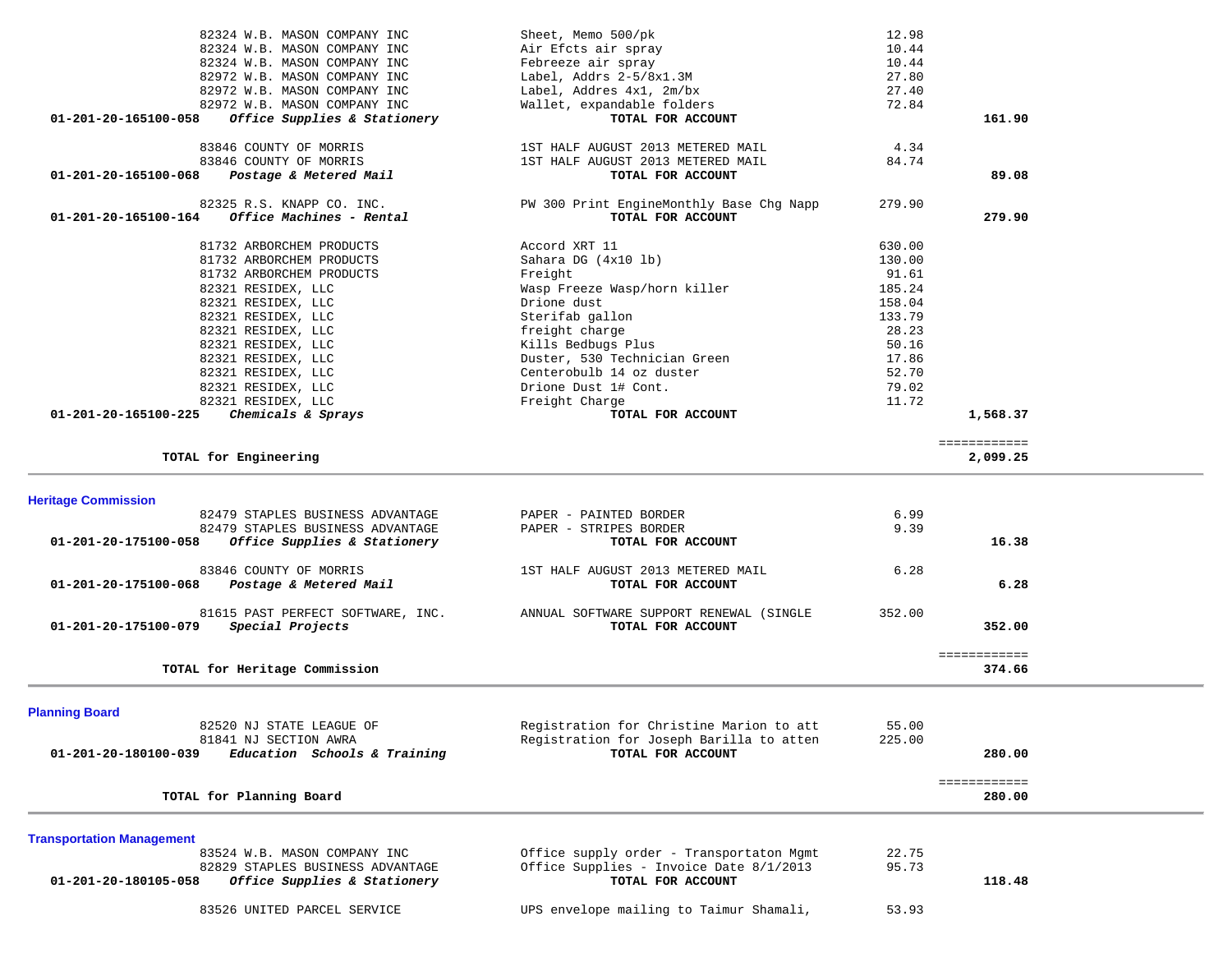| 82324 W.B. MASON COMPANY INC                                    | Sheet, Memo 500/pk                       | 12.98  |              |  |
|-----------------------------------------------------------------|------------------------------------------|--------|--------------|--|
| 82324 W.B. MASON COMPANY INC                                    | Air Efcts air spray                      | 10.44  |              |  |
|                                                                 |                                          |        |              |  |
| 82324 W.B. MASON COMPANY INC                                    | Febreeze air spray                       | 10.44  |              |  |
| 82972 W.B. MASON COMPANY INC                                    | Label, Addrs 2-5/8x1.3M                  | 27.80  |              |  |
| 82972 W.B. MASON COMPANY INC                                    | Label, Addres 4x1, 2m/bx                 | 27.40  |              |  |
| 82972 W.B. MASON COMPANY INC                                    | Wallet, expandable folders               | 72.84  |              |  |
| Office Supplies & Stationery<br>01-201-20-165100-058            | TOTAL FOR ACCOUNT                        |        | 161.90       |  |
|                                                                 |                                          |        |              |  |
|                                                                 |                                          |        |              |  |
| 83846 COUNTY OF MORRIS                                          | 1ST HALF AUGUST 2013 METERED MAIL        | 4.34   |              |  |
| 83846 COUNTY OF MORRIS                                          | 1ST HALF AUGUST 2013 METERED MAIL        | 84.74  |              |  |
| 01-201-20-165100-068<br>Postage & Metered Mail                  | TOTAL FOR ACCOUNT                        |        | 89.08        |  |
|                                                                 |                                          |        |              |  |
|                                                                 |                                          |        |              |  |
| 82325 R.S. KNAPP CO. INC.                                       | PW 300 Print EngineMonthly Base Chg Napp | 279.90 |              |  |
| <i>Office Machines - Rental</i><br>01-201-20-165100-164         | TOTAL FOR ACCOUNT                        |        | 279.90       |  |
|                                                                 |                                          |        |              |  |
| 81732 ARBORCHEM PRODUCTS                                        | Accord XRT 11                            | 630.00 |              |  |
| 81732 ARBORCHEM PRODUCTS                                        | Sahara DG $(4x10$ lb)                    | 130.00 |              |  |
|                                                                 |                                          |        |              |  |
| 81732 ARBORCHEM PRODUCTS                                        | Freight                                  | 91.61  |              |  |
| 82321 RESIDEX, LLC                                              | Wasp Freeze Wasp/horn killer             | 185.24 |              |  |
| 82321 RESIDEX, LLC                                              | Drione dust                              | 158.04 |              |  |
| 82321 RESIDEX, LLC                                              | Sterifab gallon                          | 133.79 |              |  |
|                                                                 |                                          |        |              |  |
| 82321 RESIDEX, LLC                                              | freight charge                           | 28.23  |              |  |
| 82321 RESIDEX, LLC                                              | Kills Bedbugs Plus                       | 50.16  |              |  |
| 82321 RESIDEX, LLC                                              | Duster, 530 Technician Green             | 17.86  |              |  |
| 82321 RESIDEX, LLC                                              | Centerobulb 14 oz duster                 | 52.70  |              |  |
|                                                                 |                                          |        |              |  |
| 82321 RESIDEX, LLC                                              | Drione Dust 1# Cont.                     | 79.02  |              |  |
| 82321 RESIDEX, LLC                                              | Freight Charge                           | 11.72  |              |  |
| 01-201-20-165100-225<br>Chemicals & Sprays                      | TOTAL FOR ACCOUNT                        |        | 1,568.37     |  |
|                                                                 |                                          |        |              |  |
|                                                                 |                                          |        | ============ |  |
| TOTAL for Engineering                                           |                                          |        | 2,099.25     |  |
|                                                                 |                                          |        |              |  |
|                                                                 |                                          |        |              |  |
|                                                                 |                                          |        |              |  |
|                                                                 |                                          |        |              |  |
| <b>Heritage Commission</b>                                      |                                          |        |              |  |
| 82479 STAPLES BUSINESS ADVANTAGE                                | PAPER - PAINTED BORDER                   | 6.99   |              |  |
| 82479 STAPLES BUSINESS ADVANTAGE                                | PAPER - STRIPES BORDER                   | 9.39   |              |  |
|                                                                 |                                          |        | 16.38        |  |
| Office Supplies & Stationery<br>01-201-20-175100-058            | TOTAL FOR ACCOUNT                        |        |              |  |
|                                                                 |                                          |        |              |  |
| 83846 COUNTY OF MORRIS                                          | 1ST HALF AUGUST 2013 METERED MAIL        | 6.28   |              |  |
| Postage & Metered Mail<br>01-201-20-175100-068                  | TOTAL FOR ACCOUNT                        |        | 6.28         |  |
|                                                                 |                                          |        |              |  |
| 81615 PAST PERFECT SOFTWARE, INC.                               | ANNUAL SOFTWARE SUPPORT RENEWAL (SINGLE  | 352.00 |              |  |
|                                                                 |                                          |        |              |  |
| 01-201-20-175100-079<br>Special Projects                        | TOTAL FOR ACCOUNT                        |        | 352.00       |  |
|                                                                 |                                          |        |              |  |
|                                                                 |                                          |        | ============ |  |
| TOTAL for Heritage Commission                                   |                                          |        | 374.66       |  |
|                                                                 |                                          |        |              |  |
|                                                                 |                                          |        |              |  |
|                                                                 |                                          |        |              |  |
| <b>Planning Board</b>                                           |                                          |        |              |  |
| 82520 NJ STATE LEAGUE OF                                        | Registration for Christine Marion to att | 55.00  |              |  |
| 81841 NJ SECTION AWRA                                           | Registration for Joseph Barilla to atten | 225.00 |              |  |
| Education Schools & Training<br>01-201-20-180100-039            | TOTAL FOR ACCOUNT                        |        | 280.00       |  |
|                                                                 |                                          |        |              |  |
|                                                                 |                                          |        | ============ |  |
| TOTAL for Planning Board                                        |                                          |        | 280.00       |  |
|                                                                 |                                          |        |              |  |
|                                                                 |                                          |        |              |  |
|                                                                 |                                          |        |              |  |
| <b>Transportation Management</b>                                |                                          |        |              |  |
| 83524 W.B. MASON COMPANY INC                                    | Office supply order - Transportaton Mgmt | 22.75  |              |  |
| 82829 STAPLES BUSINESS ADVANTAGE                                | Office Supplies - Invoice Date 8/1/2013  | 95.73  |              |  |
| 01-201-20-180105-058<br><i>Office Supplies &amp; Stationery</i> | TOTAL FOR ACCOUNT                        |        | 118.48       |  |
|                                                                 |                                          |        |              |  |
| 83526 UNITED PARCEL SERVICE                                     | UPS envelope mailing to Taimur Shamali,  | 53.93  |              |  |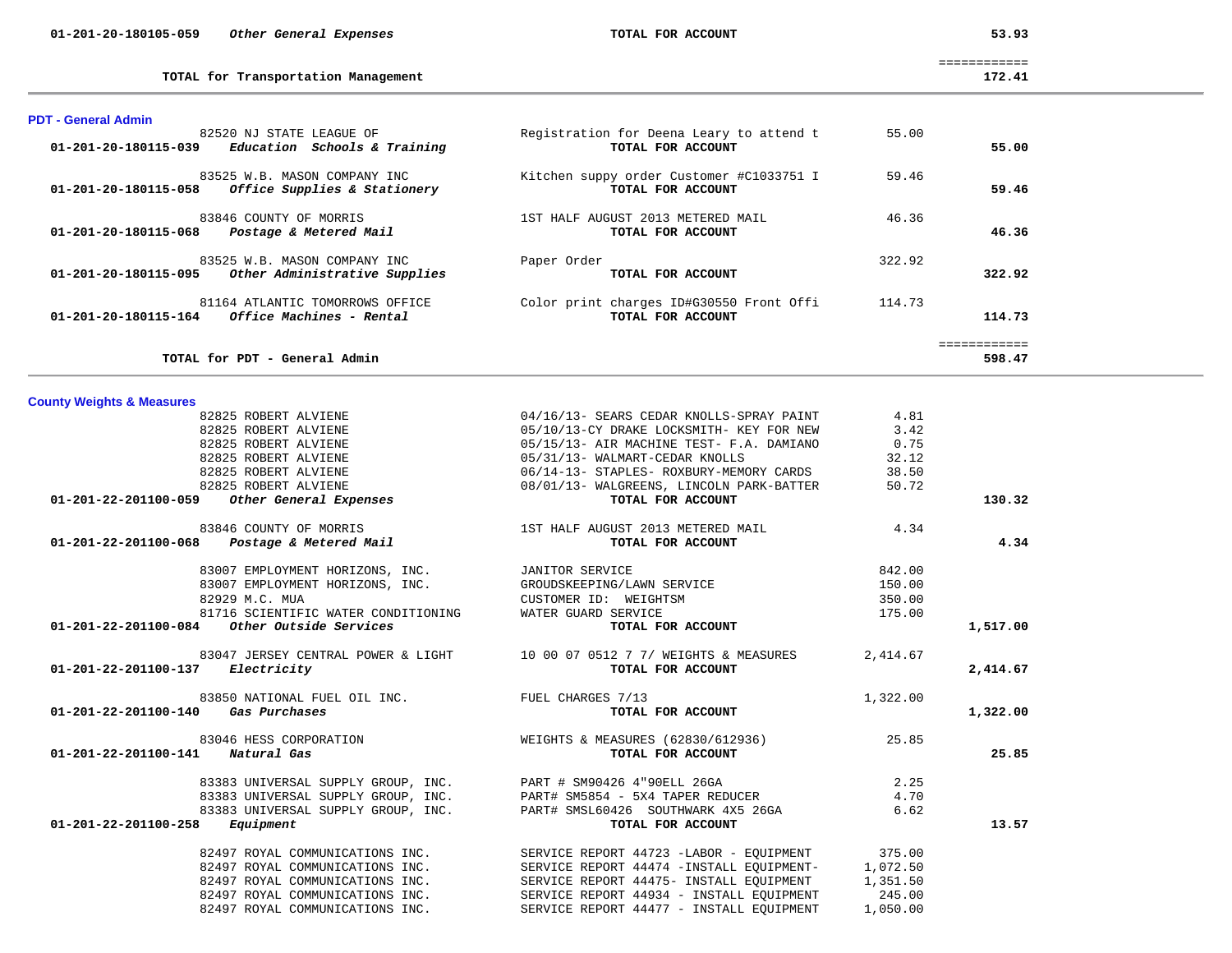| 82825 ROBERT ALVIENE                                                                                                               | 06/14-13- STAPLES- ROXBURY-MEMORY CARDS                                           | 38.50    |          |
|------------------------------------------------------------------------------------------------------------------------------------|-----------------------------------------------------------------------------------|----------|----------|
| $$\tt 82825~ROBERT~ALVIEWE$\\ 08/01/13- WALGREENS, LINCOLN {PARK-BATTER} 50.72\\ 09/01/13- WALGREENS, LINCOLN {PARK-BATTER} 50.72$ |                                                                                   |          |          |
|                                                                                                                                    |                                                                                   |          | 130.32   |
| 83846 COUNTY OF MORRIS                                                                                                             | 1ST HALF AUGUST 2013 METERED MAIL 4.34                                            |          |          |
| 01-201-22-201100-068  Postage & Metered Mail                                                                                       | TOTAL FOR ACCOUNT                                                                 |          | 4.34     |
|                                                                                                                                    |                                                                                   | 842.00   |          |
| 83007 EMPLOYMENT HORIZONS, INC.<br>83007 EMPLOYMENT HORIZONS, INC. GROUDSKEEPING/LAWN SERVICE                                      |                                                                                   | 150.00   |          |
| 82929 M.C. MUA                                                                                                                     | CUSTOMER ID: WEIGHTSM                                                             | 350.00   |          |
| 81716 SCIENTIFIC WATER CONDITIONING WATER GUARD SERVICE                                                                            |                                                                                   | 175.00   |          |
| 01-201-22-201100-084 Other Outside Services                                                                                        | TOTAL FOR ACCOUNT                                                                 |          | 1,517.00 |
|                                                                                                                                    | 83047 JERSEY CENTRAL POWER & LIGHT 10 00 07 0512 7 7/ WEIGHTS & MEASURES 2,414.67 |          |          |
| 01-201-22-201100-137 Electricity                                                                                                   | TOTAL FOR ACCOUNT                                                                 |          | 2,414.67 |
| 83850 NATIONAL FUEL OIL INC. TUEL TUEL CHARGES 7/13                                                                                |                                                                                   | 1,322.00 |          |
| 01-201-22-201100-140 Gas Purchases                                                                                                 | TOTAL FOR ACCOUNT                                                                 |          | 1,322.00 |
|                                                                                                                                    | 83046 HESS CORPORATION 695.85 (62830/612936) WEIGHTS & MEASURES (62830/612936)    |          |          |
| 01-201-22-201100-141 Natural Gas                                                                                                   | TOTAL FOR ACCOUNT                                                                 |          | 25.85    |
| 83383 UNIVERSAL SUPPLY GROUP, INC. PART # SM90426 4"90ELL 26GA                                                                     |                                                                                   | 2.25     |          |
|                                                                                                                                    | 83383 UNIVERSAL SUPPLY GROUP, INC. PART# SM5854 - 5X4 TAPER REDUCER 4.70          |          |          |
|                                                                                                                                    | 83383 UNIVERSAL SUPPLY GROUP, INC. PART# SMSL60426 SOUTHWARK 4X5 26GA 6.62        |          |          |
| $01 - 201 - 22 - 201100 - 258$ Equipment                                                                                           | TOTAL FOR ACCOUNT                                                                 |          | 13.57    |
|                                                                                                                                    | 82497 ROYAL COMMUNICATIONS INC. SERVICE REPORT 44723 -LABOR - EQUIPMENT 375.00    |          |          |
|                                                                                                                                    | 82497 ROYAL COMMUNICATIONS INC. SERVICE REPORT 44474 -INSTALL EQUIPMENT- 1,072.50 |          |          |
|                                                                                                                                    | 82497 ROYAL COMMUNICATIONS INC. SERVICE REPORT 44475- INSTALL EQUIPMENT 1,351.50  |          |          |
|                                                                                                                                    | 82497 ROYAL COMMUNICATIONS INC. SERVICE REPORT 44934 - INSTALL EOUIPMENT 245.00   |          |          |
| 82497 ROYAL COMMUNICATIONS INC.                                                                                                    | SERVICE REPORT 44477 - INSTALL EOUIPMENT                                          | 1,050.00 |          |

| 01 201 20 100119 0 <i>03</i> | Conci Administractive Duppiles                                     | 101AU FOR ACCOONT                                             | ------           |
|------------------------------|--------------------------------------------------------------------|---------------------------------------------------------------|------------------|
| 01-201-20-180115-164         | 81164 ATLANTIC TOMORROWS OFFICE<br><i>Office Machines - Rental</i> | Color print charges ID#G30550 Front Offi<br>TOTAL FOR ACCOUNT | 114.73<br>114.73 |
|                              |                                                                    |                                                               |                  |
|                              | TOTAL for PDT - General Admin                                      |                                                               | 598.47           |

**PDT - General Admin**  82520 NJ STATE LEAGUE OF Registration for Deena Leary to attend t 55.00  **01-201-20-180115-039** *Education Schools & Training* **TOTAL FOR ACCOUNT 55.00** 83525 W.B. MASON COMPANY INC Kitchen suppy order Customer #C1033751 I 59.46  **01-201-20-180115-058** *Office Supplies & Stationery* **TOTAL FOR ACCOUNT 59.46** 83846 COUNTY OF MORRIS THALF AUGUST 2013 METERED MAIL 46.36  **01-201-20-180115-068** *Postage & Metered Mail* **TOTAL FOR ACCOUNT 46.36** 83525 W.B. MASON COMPANY INC Paper Order 322.92  **01-201-20-180115-095** *Other Administrative Supplies* **TOTAL FOR ACCOUNT 322.92** 81164 ATLANTIC TOMORROWS OFFICE Color print charges ID#G30550 Front Offi 114.73  **01-201-20-180115-164** *Office Machines - Rental* **TOTAL FOR ACCOUNT 114.73**114.73

> 82825 ROBERT ALVIENE  $04/16/13$ - SEARS CEDAR KNOLLS-SPRAY PAINT  $4.81$  82825 ROBERT ALVIENE 05/10/13-CY DRAKE LOCKSMITH- KEY FOR NEW 3.42 82825 ROBERT ALVIENE 05/15/13- AIR MACHINE TEST- F.A. DAMIANO 0.75 82825 ROBERT ALVIENE 05/31/13- WALMART-CEDAR KNOLLS 32.12

**County Weights & Measures**

**TOTAL for Transportation Management 172.41**

============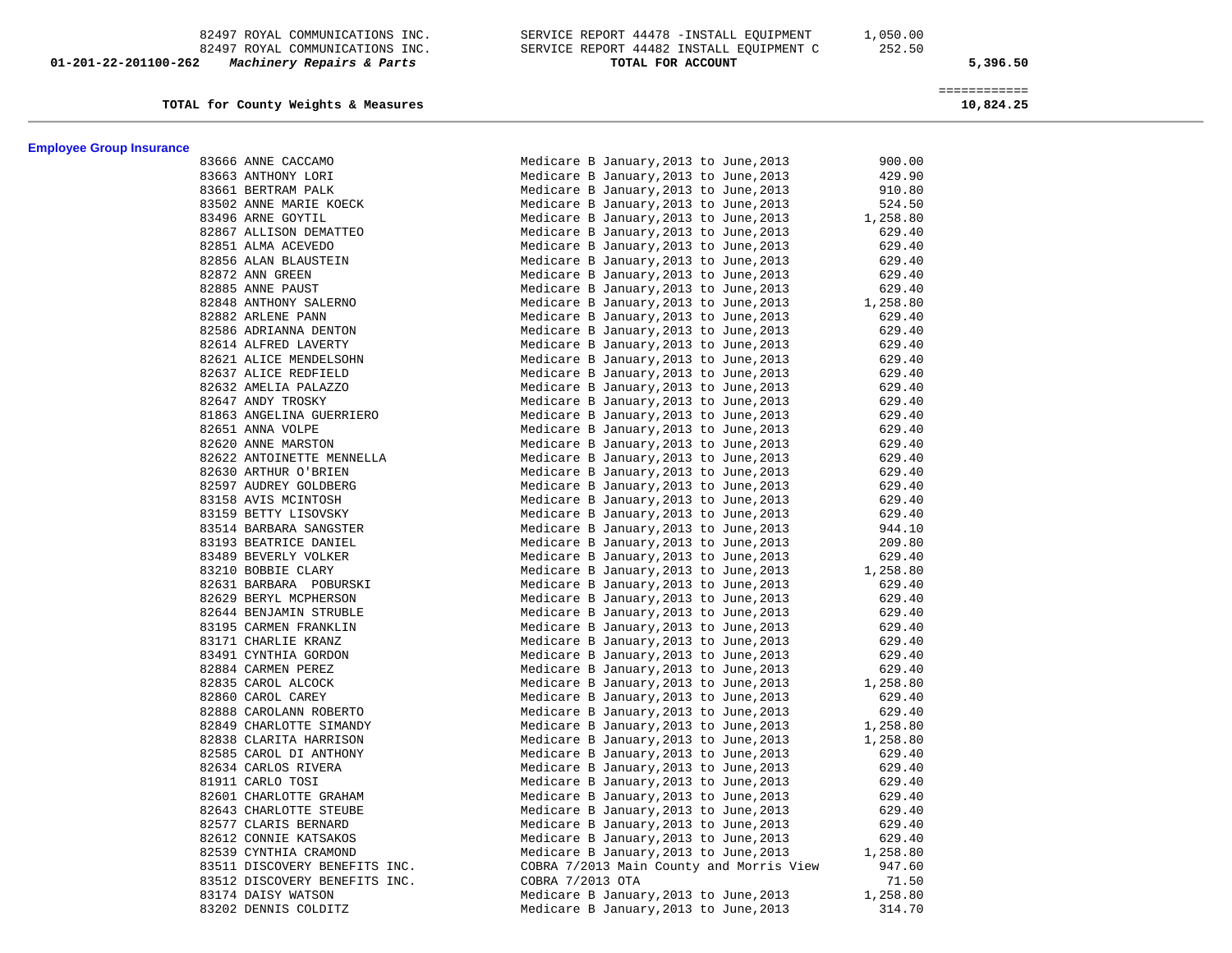82497 ROYAL COMMUNICATIONS INC. SERVICE REPORT 44478 -INSTALL EQUIPMENT 1,050.00 82497 ROYAL COMMUNICATIONS INC. SERVICE REPORT 44482 INSTALL EQUIPMENT C 252.50  **01-201-22-201100-262** *Machinery Repairs & Parts* **TOTAL FOR ACCOUNT 5,396.50**

**TOTAL for County Weights & Measures 10,824.25**

============

| <b>Employee Group Insurance</b> | 83666 ANNE CACCAMO<br>83663 ANTHONY LORI<br>83663 ANTHONY LORI<br>83663 ANTHONY LORI<br>83496 ARNE GOYTLL COYTLE<br>83496 ARNE GOYTLL ISON DEMATTEO<br>82867 ALLISON DEMATTEN<br>82865 ALMN SLAUSTETIN<br>82885 ANNE RAUST<br>82885 ANNE RAUST<br> |                                          |          |
|---------------------------------|----------------------------------------------------------------------------------------------------------------------------------------------------------------------------------------------------------------------------------------------------|------------------------------------------|----------|
|                                 |                                                                                                                                                                                                                                                    | Medicare B January, 2013 to June, 2013   | 900.00   |
|                                 |                                                                                                                                                                                                                                                    | Medicare B January, 2013 to June, 2013   | 429.90   |
|                                 |                                                                                                                                                                                                                                                    | Medicare B January, 2013 to June, 2013   | 910.80   |
|                                 |                                                                                                                                                                                                                                                    | Medicare B January, 2013 to June, 2013   | 524.50   |
|                                 |                                                                                                                                                                                                                                                    | Medicare B January, 2013 to June, 2013   | 1,258.80 |
|                                 |                                                                                                                                                                                                                                                    | Medicare B January, 2013 to June, 2013   | 629.40   |
|                                 |                                                                                                                                                                                                                                                    | Medicare B January, 2013 to June, 2013   | 629.40   |
|                                 |                                                                                                                                                                                                                                                    | Medicare B January, 2013 to June, 2013   | 629.40   |
|                                 |                                                                                                                                                                                                                                                    | Medicare B January, 2013 to June, 2013   | 629.40   |
|                                 |                                                                                                                                                                                                                                                    | Medicare B January, 2013 to June, 2013   | 629.40   |
|                                 |                                                                                                                                                                                                                                                    | Medicare B January, 2013 to June, 2013   | 1,258.80 |
|                                 |                                                                                                                                                                                                                                                    | Medicare B January, 2013 to June, 2013   | 629.40   |
|                                 |                                                                                                                                                                                                                                                    | Medicare B January, 2013 to June, 2013   | 629.40   |
|                                 |                                                                                                                                                                                                                                                    | Medicare B January, 2013 to June, 2013   | 629.40   |
|                                 |                                                                                                                                                                                                                                                    | Medicare B January, 2013 to June, 2013   | 629.40   |
|                                 |                                                                                                                                                                                                                                                    | Medicare B January, 2013 to June, 2013   | 629.40   |
|                                 |                                                                                                                                                                                                                                                    | Medicare B January, 2013 to June, 2013   | 629.40   |
|                                 |                                                                                                                                                                                                                                                    | Medicare B January, 2013 to June, 2013   | 629.40   |
|                                 |                                                                                                                                                                                                                                                    | Medicare B January, 2013 to June, 2013   | 629.40   |
|                                 |                                                                                                                                                                                                                                                    | Medicare B January, 2013 to June, 2013   | 629.40   |
|                                 |                                                                                                                                                                                                                                                    | Medicare B January, 2013 to June, 2013   | 629.40   |
|                                 |                                                                                                                                                                                                                                                    | Medicare B January, 2013 to June, 2013   | 629.40   |
|                                 |                                                                                                                                                                                                                                                    | Medicare B January, 2013 to June, 2013   | 629.40   |
|                                 |                                                                                                                                                                                                                                                    | Medicare B January, 2013 to June, 2013   | 629.40   |
|                                 |                                                                                                                                                                                                                                                    | Medicare B January, 2013 to June, 2013   | 629.40   |
|                                 |                                                                                                                                                                                                                                                    | Medicare B January, 2013 to June, 2013   | 629.40   |
|                                 |                                                                                                                                                                                                                                                    | Medicare B January, 2013 to June, 2013   | 944.10   |
|                                 |                                                                                                                                                                                                                                                    | Medicare B January, 2013 to June, 2013   | 209.80   |
|                                 |                                                                                                                                                                                                                                                    | Medicare B January, 2013 to June, 2013   | 629.40   |
|                                 |                                                                                                                                                                                                                                                    | Medicare B January, 2013 to June, 2013   | 1,258.80 |
|                                 |                                                                                                                                                                                                                                                    | Medicare B January, 2013 to June, 2013   | 629.40   |
|                                 |                                                                                                                                                                                                                                                    | Medicare B January, 2013 to June, 2013   | 629.40   |
|                                 |                                                                                                                                                                                                                                                    | Medicare B January, 2013 to June, 2013   | 629.40   |
|                                 |                                                                                                                                                                                                                                                    | Medicare B January, 2013 to June, 2013   | 629.40   |
|                                 |                                                                                                                                                                                                                                                    | Medicare B January, 2013 to June, 2013   | 629.40   |
|                                 |                                                                                                                                                                                                                                                    | Medicare B January, 2013 to June, 2013   | 629.40   |
|                                 |                                                                                                                                                                                                                                                    | Medicare B January, 2013 to June, 2013   | 629.40   |
|                                 |                                                                                                                                                                                                                                                    | Medicare B January, 2013 to June, 2013   | 1,258.80 |
|                                 |                                                                                                                                                                                                                                                    | Medicare B January, 2013 to June, 2013   | 629.40   |
|                                 |                                                                                                                                                                                                                                                    | Medicare B January, 2013 to June, 2013   | 629.40   |
|                                 |                                                                                                                                                                                                                                                    | Medicare B January, 2013 to June, 2013   | 1,258.80 |
|                                 |                                                                                                                                                                                                                                                    | Medicare B January, 2013 to June, 2013   | 1,258.80 |
|                                 |                                                                                                                                                                                                                                                    | Medicare B January, 2013 to June, 2013   | 629.40   |
|                                 |                                                                                                                                                                                                                                                    | Medicare B January, 2013 to June, 2013   | 629.40   |
|                                 |                                                                                                                                                                                                                                                    | Medicare B January, 2013 to June, 2013   | 629.40   |
|                                 |                                                                                                                                                                                                                                                    | Medicare B January, 2013 to June, 2013   | 629.40   |
|                                 |                                                                                                                                                                                                                                                    | Medicare B January, 2013 to June, 2013   | 629.40   |
|                                 |                                                                                                                                                                                                                                                    | Medicare B January, 2013 to June, 2013   | 629.40   |
|                                 |                                                                                                                                                                                                                                                    | Medicare B January, 2013 to June, 2013   | 629.40   |
|                                 |                                                                                                                                                                                                                                                    | Medicare B January, 2013 to June, 2013   | 1,258.80 |
|                                 | 83511 DISCOVERY BENEFITS INC.                                                                                                                                                                                                                      | COBRA 7/2013 Main County and Morris View | 947.60   |
|                                 | 83512 DISCOVERY BENEFITS INC.                                                                                                                                                                                                                      | COBRA 7/2013 OTA                         | 71.50    |
|                                 | 83174 DAISY WATSON                                                                                                                                                                                                                                 | Medicare B January, 2013 to June, 2013   | 1,258.80 |
|                                 | 83202 DENNIS COLDITZ                                                                                                                                                                                                                               | Medicare B January, 2013 to June, 2013   | 314.70   |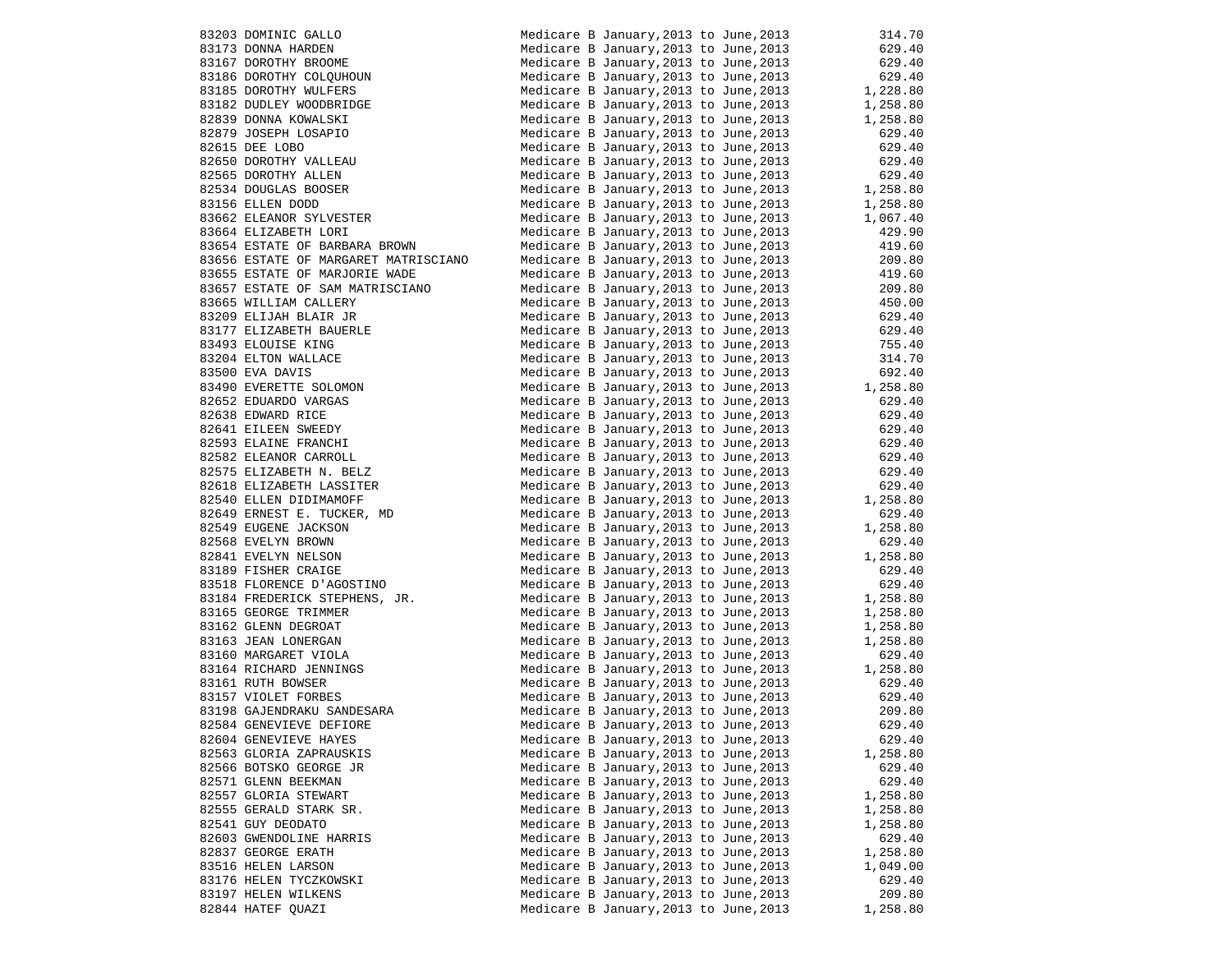|                                        | 314.70                                                                                                                                                                                                                                                                                                                                                                                                                                                                                                                                                                                                                                                                                                                                                                                                                                                                                                                                                                                                                                                                                                                                                                                                                                                                                                                                                                                                                                                                                                                                                                                                                                                                                                                                                                                                                                                                                                                                                                                                                                                                                                                                                                                                                                                                                                                                                                |
|----------------------------------------|-----------------------------------------------------------------------------------------------------------------------------------------------------------------------------------------------------------------------------------------------------------------------------------------------------------------------------------------------------------------------------------------------------------------------------------------------------------------------------------------------------------------------------------------------------------------------------------------------------------------------------------------------------------------------------------------------------------------------------------------------------------------------------------------------------------------------------------------------------------------------------------------------------------------------------------------------------------------------------------------------------------------------------------------------------------------------------------------------------------------------------------------------------------------------------------------------------------------------------------------------------------------------------------------------------------------------------------------------------------------------------------------------------------------------------------------------------------------------------------------------------------------------------------------------------------------------------------------------------------------------------------------------------------------------------------------------------------------------------------------------------------------------------------------------------------------------------------------------------------------------------------------------------------------------------------------------------------------------------------------------------------------------------------------------------------------------------------------------------------------------------------------------------------------------------------------------------------------------------------------------------------------------------------------------------------------------------------------------------------------------|
|                                        | 629.40                                                                                                                                                                                                                                                                                                                                                                                                                                                                                                                                                                                                                                                                                                                                                                                                                                                                                                                                                                                                                                                                                                                                                                                                                                                                                                                                                                                                                                                                                                                                                                                                                                                                                                                                                                                                                                                                                                                                                                                                                                                                                                                                                                                                                                                                                                                                                                |
|                                        | 629.40<br>629.40                                                                                                                                                                                                                                                                                                                                                                                                                                                                                                                                                                                                                                                                                                                                                                                                                                                                                                                                                                                                                                                                                                                                                                                                                                                                                                                                                                                                                                                                                                                                                                                                                                                                                                                                                                                                                                                                                                                                                                                                                                                                                                                                                                                                                                                                                                                                                      |
|                                        |                                                                                                                                                                                                                                                                                                                                                                                                                                                                                                                                                                                                                                                                                                                                                                                                                                                                                                                                                                                                                                                                                                                                                                                                                                                                                                                                                                                                                                                                                                                                                                                                                                                                                                                                                                                                                                                                                                                                                                                                                                                                                                                                                                                                                                                                                                                                                                       |
|                                        |                                                                                                                                                                                                                                                                                                                                                                                                                                                                                                                                                                                                                                                                                                                                                                                                                                                                                                                                                                                                                                                                                                                                                                                                                                                                                                                                                                                                                                                                                                                                                                                                                                                                                                                                                                                                                                                                                                                                                                                                                                                                                                                                                                                                                                                                                                                                                                       |
|                                        |                                                                                                                                                                                                                                                                                                                                                                                                                                                                                                                                                                                                                                                                                                                                                                                                                                                                                                                                                                                                                                                                                                                                                                                                                                                                                                                                                                                                                                                                                                                                                                                                                                                                                                                                                                                                                                                                                                                                                                                                                                                                                                                                                                                                                                                                                                                                                                       |
|                                        |                                                                                                                                                                                                                                                                                                                                                                                                                                                                                                                                                                                                                                                                                                                                                                                                                                                                                                                                                                                                                                                                                                                                                                                                                                                                                                                                                                                                                                                                                                                                                                                                                                                                                                                                                                                                                                                                                                                                                                                                                                                                                                                                                                                                                                                                                                                                                                       |
|                                        |                                                                                                                                                                                                                                                                                                                                                                                                                                                                                                                                                                                                                                                                                                                                                                                                                                                                                                                                                                                                                                                                                                                                                                                                                                                                                                                                                                                                                                                                                                                                                                                                                                                                                                                                                                                                                                                                                                                                                                                                                                                                                                                                                                                                                                                                                                                                                                       |
|                                        |                                                                                                                                                                                                                                                                                                                                                                                                                                                                                                                                                                                                                                                                                                                                                                                                                                                                                                                                                                                                                                                                                                                                                                                                                                                                                                                                                                                                                                                                                                                                                                                                                                                                                                                                                                                                                                                                                                                                                                                                                                                                                                                                                                                                                                                                                                                                                                       |
|                                        |                                                                                                                                                                                                                                                                                                                                                                                                                                                                                                                                                                                                                                                                                                                                                                                                                                                                                                                                                                                                                                                                                                                                                                                                                                                                                                                                                                                                                                                                                                                                                                                                                                                                                                                                                                                                                                                                                                                                                                                                                                                                                                                                                                                                                                                                                                                                                                       |
|                                        |                                                                                                                                                                                                                                                                                                                                                                                                                                                                                                                                                                                                                                                                                                                                                                                                                                                                                                                                                                                                                                                                                                                                                                                                                                                                                                                                                                                                                                                                                                                                                                                                                                                                                                                                                                                                                                                                                                                                                                                                                                                                                                                                                                                                                                                                                                                                                                       |
|                                        |                                                                                                                                                                                                                                                                                                                                                                                                                                                                                                                                                                                                                                                                                                                                                                                                                                                                                                                                                                                                                                                                                                                                                                                                                                                                                                                                                                                                                                                                                                                                                                                                                                                                                                                                                                                                                                                                                                                                                                                                                                                                                                                                                                                                                                                                                                                                                                       |
|                                        |                                                                                                                                                                                                                                                                                                                                                                                                                                                                                                                                                                                                                                                                                                                                                                                                                                                                                                                                                                                                                                                                                                                                                                                                                                                                                                                                                                                                                                                                                                                                                                                                                                                                                                                                                                                                                                                                                                                                                                                                                                                                                                                                                                                                                                                                                                                                                                       |
|                                        |                                                                                                                                                                                                                                                                                                                                                                                                                                                                                                                                                                                                                                                                                                                                                                                                                                                                                                                                                                                                                                                                                                                                                                                                                                                                                                                                                                                                                                                                                                                                                                                                                                                                                                                                                                                                                                                                                                                                                                                                                                                                                                                                                                                                                                                                                                                                                                       |
|                                        |                                                                                                                                                                                                                                                                                                                                                                                                                                                                                                                                                                                                                                                                                                                                                                                                                                                                                                                                                                                                                                                                                                                                                                                                                                                                                                                                                                                                                                                                                                                                                                                                                                                                                                                                                                                                                                                                                                                                                                                                                                                                                                                                                                                                                                                                                                                                                                       |
|                                        |                                                                                                                                                                                                                                                                                                                                                                                                                                                                                                                                                                                                                                                                                                                                                                                                                                                                                                                                                                                                                                                                                                                                                                                                                                                                                                                                                                                                                                                                                                                                                                                                                                                                                                                                                                                                                                                                                                                                                                                                                                                                                                                                                                                                                                                                                                                                                                       |
|                                        |                                                                                                                                                                                                                                                                                                                                                                                                                                                                                                                                                                                                                                                                                                                                                                                                                                                                                                                                                                                                                                                                                                                                                                                                                                                                                                                                                                                                                                                                                                                                                                                                                                                                                                                                                                                                                                                                                                                                                                                                                                                                                                                                                                                                                                                                                                                                                                       |
|                                        |                                                                                                                                                                                                                                                                                                                                                                                                                                                                                                                                                                                                                                                                                                                                                                                                                                                                                                                                                                                                                                                                                                                                                                                                                                                                                                                                                                                                                                                                                                                                                                                                                                                                                                                                                                                                                                                                                                                                                                                                                                                                                                                                                                                                                                                                                                                                                                       |
|                                        |                                                                                                                                                                                                                                                                                                                                                                                                                                                                                                                                                                                                                                                                                                                                                                                                                                                                                                                                                                                                                                                                                                                                                                                                                                                                                                                                                                                                                                                                                                                                                                                                                                                                                                                                                                                                                                                                                                                                                                                                                                                                                                                                                                                                                                                                                                                                                                       |
|                                        |                                                                                                                                                                                                                                                                                                                                                                                                                                                                                                                                                                                                                                                                                                                                                                                                                                                                                                                                                                                                                                                                                                                                                                                                                                                                                                                                                                                                                                                                                                                                                                                                                                                                                                                                                                                                                                                                                                                                                                                                                                                                                                                                                                                                                                                                                                                                                                       |
|                                        |                                                                                                                                                                                                                                                                                                                                                                                                                                                                                                                                                                                                                                                                                                                                                                                                                                                                                                                                                                                                                                                                                                                                                                                                                                                                                                                                                                                                                                                                                                                                                                                                                                                                                                                                                                                                                                                                                                                                                                                                                                                                                                                                                                                                                                                                                                                                                                       |
|                                        |                                                                                                                                                                                                                                                                                                                                                                                                                                                                                                                                                                                                                                                                                                                                                                                                                                                                                                                                                                                                                                                                                                                                                                                                                                                                                                                                                                                                                                                                                                                                                                                                                                                                                                                                                                                                                                                                                                                                                                                                                                                                                                                                                                                                                                                                                                                                                                       |
|                                        |                                                                                                                                                                                                                                                                                                                                                                                                                                                                                                                                                                                                                                                                                                                                                                                                                                                                                                                                                                                                                                                                                                                                                                                                                                                                                                                                                                                                                                                                                                                                                                                                                                                                                                                                                                                                                                                                                                                                                                                                                                                                                                                                                                                                                                                                                                                                                                       |
|                                        |                                                                                                                                                                                                                                                                                                                                                                                                                                                                                                                                                                                                                                                                                                                                                                                                                                                                                                                                                                                                                                                                                                                                                                                                                                                                                                                                                                                                                                                                                                                                                                                                                                                                                                                                                                                                                                                                                                                                                                                                                                                                                                                                                                                                                                                                                                                                                                       |
|                                        |                                                                                                                                                                                                                                                                                                                                                                                                                                                                                                                                                                                                                                                                                                                                                                                                                                                                                                                                                                                                                                                                                                                                                                                                                                                                                                                                                                                                                                                                                                                                                                                                                                                                                                                                                                                                                                                                                                                                                                                                                                                                                                                                                                                                                                                                                                                                                                       |
|                                        |                                                                                                                                                                                                                                                                                                                                                                                                                                                                                                                                                                                                                                                                                                                                                                                                                                                                                                                                                                                                                                                                                                                                                                                                                                                                                                                                                                                                                                                                                                                                                                                                                                                                                                                                                                                                                                                                                                                                                                                                                                                                                                                                                                                                                                                                                                                                                                       |
|                                        |                                                                                                                                                                                                                                                                                                                                                                                                                                                                                                                                                                                                                                                                                                                                                                                                                                                                                                                                                                                                                                                                                                                                                                                                                                                                                                                                                                                                                                                                                                                                                                                                                                                                                                                                                                                                                                                                                                                                                                                                                                                                                                                                                                                                                                                                                                                                                                       |
|                                        |                                                                                                                                                                                                                                                                                                                                                                                                                                                                                                                                                                                                                                                                                                                                                                                                                                                                                                                                                                                                                                                                                                                                                                                                                                                                                                                                                                                                                                                                                                                                                                                                                                                                                                                                                                                                                                                                                                                                                                                                                                                                                                                                                                                                                                                                                                                                                                       |
|                                        |                                                                                                                                                                                                                                                                                                                                                                                                                                                                                                                                                                                                                                                                                                                                                                                                                                                                                                                                                                                                                                                                                                                                                                                                                                                                                                                                                                                                                                                                                                                                                                                                                                                                                                                                                                                                                                                                                                                                                                                                                                                                                                                                                                                                                                                                                                                                                                       |
|                                        |                                                                                                                                                                                                                                                                                                                                                                                                                                                                                                                                                                                                                                                                                                                                                                                                                                                                                                                                                                                                                                                                                                                                                                                                                                                                                                                                                                                                                                                                                                                                                                                                                                                                                                                                                                                                                                                                                                                                                                                                                                                                                                                                                                                                                                                                                                                                                                       |
|                                        |                                                                                                                                                                                                                                                                                                                                                                                                                                                                                                                                                                                                                                                                                                                                                                                                                                                                                                                                                                                                                                                                                                                                                                                                                                                                                                                                                                                                                                                                                                                                                                                                                                                                                                                                                                                                                                                                                                                                                                                                                                                                                                                                                                                                                                                                                                                                                                       |
|                                        |                                                                                                                                                                                                                                                                                                                                                                                                                                                                                                                                                                                                                                                                                                                                                                                                                                                                                                                                                                                                                                                                                                                                                                                                                                                                                                                                                                                                                                                                                                                                                                                                                                                                                                                                                                                                                                                                                                                                                                                                                                                                                                                                                                                                                                                                                                                                                                       |
|                                        |                                                                                                                                                                                                                                                                                                                                                                                                                                                                                                                                                                                                                                                                                                                                                                                                                                                                                                                                                                                                                                                                                                                                                                                                                                                                                                                                                                                                                                                                                                                                                                                                                                                                                                                                                                                                                                                                                                                                                                                                                                                                                                                                                                                                                                                                                                                                                                       |
|                                        |                                                                                                                                                                                                                                                                                                                                                                                                                                                                                                                                                                                                                                                                                                                                                                                                                                                                                                                                                                                                                                                                                                                                                                                                                                                                                                                                                                                                                                                                                                                                                                                                                                                                                                                                                                                                                                                                                                                                                                                                                                                                                                                                                                                                                                                                                                                                                                       |
|                                        |                                                                                                                                                                                                                                                                                                                                                                                                                                                                                                                                                                                                                                                                                                                                                                                                                                                                                                                                                                                                                                                                                                                                                                                                                                                                                                                                                                                                                                                                                                                                                                                                                                                                                                                                                                                                                                                                                                                                                                                                                                                                                                                                                                                                                                                                                                                                                                       |
|                                        |                                                                                                                                                                                                                                                                                                                                                                                                                                                                                                                                                                                                                                                                                                                                                                                                                                                                                                                                                                                                                                                                                                                                                                                                                                                                                                                                                                                                                                                                                                                                                                                                                                                                                                                                                                                                                                                                                                                                                                                                                                                                                                                                                                                                                                                                                                                                                                       |
|                                        |                                                                                                                                                                                                                                                                                                                                                                                                                                                                                                                                                                                                                                                                                                                                                                                                                                                                                                                                                                                                                                                                                                                                                                                                                                                                                                                                                                                                                                                                                                                                                                                                                                                                                                                                                                                                                                                                                                                                                                                                                                                                                                                                                                                                                                                                                                                                                                       |
|                                        | 629.40                                                                                                                                                                                                                                                                                                                                                                                                                                                                                                                                                                                                                                                                                                                                                                                                                                                                                                                                                                                                                                                                                                                                                                                                                                                                                                                                                                                                                                                                                                                                                                                                                                                                                                                                                                                                                                                                                                                                                                                                                                                                                                                                                                                                                                                                                                                                                                |
|                                        | 1,258.80                                                                                                                                                                                                                                                                                                                                                                                                                                                                                                                                                                                                                                                                                                                                                                                                                                                                                                                                                                                                                                                                                                                                                                                                                                                                                                                                                                                                                                                                                                                                                                                                                                                                                                                                                                                                                                                                                                                                                                                                                                                                                                                                                                                                                                                                                                                                                              |
|                                        | 629.40                                                                                                                                                                                                                                                                                                                                                                                                                                                                                                                                                                                                                                                                                                                                                                                                                                                                                                                                                                                                                                                                                                                                                                                                                                                                                                                                                                                                                                                                                                                                                                                                                                                                                                                                                                                                                                                                                                                                                                                                                                                                                                                                                                                                                                                                                                                                                                |
|                                        |                                                                                                                                                                                                                                                                                                                                                                                                                                                                                                                                                                                                                                                                                                                                                                                                                                                                                                                                                                                                                                                                                                                                                                                                                                                                                                                                                                                                                                                                                                                                                                                                                                                                                                                                                                                                                                                                                                                                                                                                                                                                                                                                                                                                                                                                                                                                                                       |
|                                        |                                                                                                                                                                                                                                                                                                                                                                                                                                                                                                                                                                                                                                                                                                                                                                                                                                                                                                                                                                                                                                                                                                                                                                                                                                                                                                                                                                                                                                                                                                                                                                                                                                                                                                                                                                                                                                                                                                                                                                                                                                                                                                                                                                                                                                                                                                                                                                       |
|                                        |                                                                                                                                                                                                                                                                                                                                                                                                                                                                                                                                                                                                                                                                                                                                                                                                                                                                                                                                                                                                                                                                                                                                                                                                                                                                                                                                                                                                                                                                                                                                                                                                                                                                                                                                                                                                                                                                                                                                                                                                                                                                                                                                                                                                                                                                                                                                                                       |
|                                        |                                                                                                                                                                                                                                                                                                                                                                                                                                                                                                                                                                                                                                                                                                                                                                                                                                                                                                                                                                                                                                                                                                                                                                                                                                                                                                                                                                                                                                                                                                                                                                                                                                                                                                                                                                                                                                                                                                                                                                                                                                                                                                                                                                                                                                                                                                                                                                       |
|                                        |                                                                                                                                                                                                                                                                                                                                                                                                                                                                                                                                                                                                                                                                                                                                                                                                                                                                                                                                                                                                                                                                                                                                                                                                                                                                                                                                                                                                                                                                                                                                                                                                                                                                                                                                                                                                                                                                                                                                                                                                                                                                                                                                                                                                                                                                                                                                                                       |
|                                        | 1,258.80                                                                                                                                                                                                                                                                                                                                                                                                                                                                                                                                                                                                                                                                                                                                                                                                                                                                                                                                                                                                                                                                                                                                                                                                                                                                                                                                                                                                                                                                                                                                                                                                                                                                                                                                                                                                                                                                                                                                                                                                                                                                                                                                                                                                                                                                                                                                                              |
|                                        |                                                                                                                                                                                                                                                                                                                                                                                                                                                                                                                                                                                                                                                                                                                                                                                                                                                                                                                                                                                                                                                                                                                                                                                                                                                                                                                                                                                                                                                                                                                                                                                                                                                                                                                                                                                                                                                                                                                                                                                                                                                                                                                                                                                                                                                                                                                                                                       |
|                                        |                                                                                                                                                                                                                                                                                                                                                                                                                                                                                                                                                                                                                                                                                                                                                                                                                                                                                                                                                                                                                                                                                                                                                                                                                                                                                                                                                                                                                                                                                                                                                                                                                                                                                                                                                                                                                                                                                                                                                                                                                                                                                                                                                                                                                                                                                                                                                                       |
|                                        | 629.40                                                                                                                                                                                                                                                                                                                                                                                                                                                                                                                                                                                                                                                                                                                                                                                                                                                                                                                                                                                                                                                                                                                                                                                                                                                                                                                                                                                                                                                                                                                                                                                                                                                                                                                                                                                                                                                                                                                                                                                                                                                                                                                                                                                                                                                                                                                                                                |
|                                        |                                                                                                                                                                                                                                                                                                                                                                                                                                                                                                                                                                                                                                                                                                                                                                                                                                                                                                                                                                                                                                                                                                                                                                                                                                                                                                                                                                                                                                                                                                                                                                                                                                                                                                                                                                                                                                                                                                                                                                                                                                                                                                                                                                                                                                                                                                                                                                       |
|                                        |                                                                                                                                                                                                                                                                                                                                                                                                                                                                                                                                                                                                                                                                                                                                                                                                                                                                                                                                                                                                                                                                                                                                                                                                                                                                                                                                                                                                                                                                                                                                                                                                                                                                                                                                                                                                                                                                                                                                                                                                                                                                                                                                                                                                                                                                                                                                                                       |
|                                        |                                                                                                                                                                                                                                                                                                                                                                                                                                                                                                                                                                                                                                                                                                                                                                                                                                                                                                                                                                                                                                                                                                                                                                                                                                                                                                                                                                                                                                                                                                                                                                                                                                                                                                                                                                                                                                                                                                                                                                                                                                                                                                                                                                                                                                                                                                                                                                       |
|                                        |                                                                                                                                                                                                                                                                                                                                                                                                                                                                                                                                                                                                                                                                                                                                                                                                                                                                                                                                                                                                                                                                                                                                                                                                                                                                                                                                                                                                                                                                                                                                                                                                                                                                                                                                                                                                                                                                                                                                                                                                                                                                                                                                                                                                                                                                                                                                                                       |
|                                        |                                                                                                                                                                                                                                                                                                                                                                                                                                                                                                                                                                                                                                                                                                                                                                                                                                                                                                                                                                                                                                                                                                                                                                                                                                                                                                                                                                                                                                                                                                                                                                                                                                                                                                                                                                                                                                                                                                                                                                                                                                                                                                                                                                                                                                                                                                                                                                       |
| Medicare B January, 2013 to June, 2013 | 629.40                                                                                                                                                                                                                                                                                                                                                                                                                                                                                                                                                                                                                                                                                                                                                                                                                                                                                                                                                                                                                                                                                                                                                                                                                                                                                                                                                                                                                                                                                                                                                                                                                                                                                                                                                                                                                                                                                                                                                                                                                                                                                                                                                                                                                                                                                                                                                                |
|                                        | 1,258.80                                                                                                                                                                                                                                                                                                                                                                                                                                                                                                                                                                                                                                                                                                                                                                                                                                                                                                                                                                                                                                                                                                                                                                                                                                                                                                                                                                                                                                                                                                                                                                                                                                                                                                                                                                                                                                                                                                                                                                                                                                                                                                                                                                                                                                                                                                                                                              |
|                                        |                                                                                                                                                                                                                                                                                                                                                                                                                                                                                                                                                                                                                                                                                                                                                                                                                                                                                                                                                                                                                                                                                                                                                                                                                                                                                                                                                                                                                                                                                                                                                                                                                                                                                                                                                                                                                                                                                                                                                                                                                                                                                                                                                                                                                                                                                                                                                                       |
| Medicare B January, 2013 to June, 2013 |                                                                                                                                                                                                                                                                                                                                                                                                                                                                                                                                                                                                                                                                                                                                                                                                                                                                                                                                                                                                                                                                                                                                                                                                                                                                                                                                                                                                                                                                                                                                                                                                                                                                                                                                                                                                                                                                                                                                                                                                                                                                                                                                                                                                                                                                                                                                                                       |
| Medicare B January, 2013 to June, 2013 | 629.40                                                                                                                                                                                                                                                                                                                                                                                                                                                                                                                                                                                                                                                                                                                                                                                                                                                                                                                                                                                                                                                                                                                                                                                                                                                                                                                                                                                                                                                                                                                                                                                                                                                                                                                                                                                                                                                                                                                                                                                                                                                                                                                                                                                                                                                                                                                                                                |
| Medicare B January, 2013 to June, 2013 | 629.40                                                                                                                                                                                                                                                                                                                                                                                                                                                                                                                                                                                                                                                                                                                                                                                                                                                                                                                                                                                                                                                                                                                                                                                                                                                                                                                                                                                                                                                                                                                                                                                                                                                                                                                                                                                                                                                                                                                                                                                                                                                                                                                                                                                                                                                                                                                                                                |
| Medicare B January, 2013 to June, 2013 | 1,258.80                                                                                                                                                                                                                                                                                                                                                                                                                                                                                                                                                                                                                                                                                                                                                                                                                                                                                                                                                                                                                                                                                                                                                                                                                                                                                                                                                                                                                                                                                                                                                                                                                                                                                                                                                                                                                                                                                                                                                                                                                                                                                                                                                                                                                                                                                                                                                              |
| Medicare B January, 2013 to June, 2013 | 1,258.80                                                                                                                                                                                                                                                                                                                                                                                                                                                                                                                                                                                                                                                                                                                                                                                                                                                                                                                                                                                                                                                                                                                                                                                                                                                                                                                                                                                                                                                                                                                                                                                                                                                                                                                                                                                                                                                                                                                                                                                                                                                                                                                                                                                                                                                                                                                                                              |
| Medicare B January, 2013 to June, 2013 | 1,258.80                                                                                                                                                                                                                                                                                                                                                                                                                                                                                                                                                                                                                                                                                                                                                                                                                                                                                                                                                                                                                                                                                                                                                                                                                                                                                                                                                                                                                                                                                                                                                                                                                                                                                                                                                                                                                                                                                                                                                                                                                                                                                                                                                                                                                                                                                                                                                              |
| Medicare B January, 2013 to June, 2013 | 629.40                                                                                                                                                                                                                                                                                                                                                                                                                                                                                                                                                                                                                                                                                                                                                                                                                                                                                                                                                                                                                                                                                                                                                                                                                                                                                                                                                                                                                                                                                                                                                                                                                                                                                                                                                                                                                                                                                                                                                                                                                                                                                                                                                                                                                                                                                                                                                                |
| Medicare B January, 2013 to June, 2013 | 1,258.80                                                                                                                                                                                                                                                                                                                                                                                                                                                                                                                                                                                                                                                                                                                                                                                                                                                                                                                                                                                                                                                                                                                                                                                                                                                                                                                                                                                                                                                                                                                                                                                                                                                                                                                                                                                                                                                                                                                                                                                                                                                                                                                                                                                                                                                                                                                                                              |
| Medicare B January, 2013 to June, 2013 | 1,049.00                                                                                                                                                                                                                                                                                                                                                                                                                                                                                                                                                                                                                                                                                                                                                                                                                                                                                                                                                                                                                                                                                                                                                                                                                                                                                                                                                                                                                                                                                                                                                                                                                                                                                                                                                                                                                                                                                                                                                                                                                                                                                                                                                                                                                                                                                                                                                              |
| Medicare B January, 2013 to June, 2013 | 629.40                                                                                                                                                                                                                                                                                                                                                                                                                                                                                                                                                                                                                                                                                                                                                                                                                                                                                                                                                                                                                                                                                                                                                                                                                                                                                                                                                                                                                                                                                                                                                                                                                                                                                                                                                                                                                                                                                                                                                                                                                                                                                                                                                                                                                                                                                                                                                                |
| Medicare B January, 2013 to June, 2013 | 209.80                                                                                                                                                                                                                                                                                                                                                                                                                                                                                                                                                                                                                                                                                                                                                                                                                                                                                                                                                                                                                                                                                                                                                                                                                                                                                                                                                                                                                                                                                                                                                                                                                                                                                                                                                                                                                                                                                                                                                                                                                                                                                                                                                                                                                                                                                                                                                                |
|                                        | 83203 DOMINIC GALLO<br>83173 DONNA HARDEN<br>83167 DOROTHY BROOME<br>83186 DOROTHY COLQUHOUN<br>83185 DOROTHY WULFERS<br>83182 DUDLEY WOODBRIDGE<br>82839 DONNA KOWALSKI<br>82635 DOROTHY LALLEAU<br>82655 DOROTHY NALLEAU<br>82656 DOROTHY NALLEAU<br>82565<br>Medicare B January, 2013 to June, 2013<br>Medicare B January, 2013 to June, 2013<br>Medicare B January, 2013 to June, 2013<br>Medicare B January, 2013 to June, 2013 629.40<br>Medicare B January, 2013 to June, 2013 1, 228.80<br>Medicare B January, 2013 to June, 2013<br>Medicare B January, 2013 to June, 2013 1, 258.80<br>Medicare B January, 2013 to June, 2013 1, 258.80<br>Medicare B January, 2013 to June, 2013 629.40<br>Medicare B January, 2013 to June, 2013 629.40<br>Medicare B January, 2013 to June, 2013 629.40<br>Medicare B January, 2013 to June, 2013 629.40<br>Medicare B January, 2013 to June,<br>Medicare B January, 2013 to June, 2013 1,067.40<br>Medicare B January, 2013 to June, 2013 1429.90<br>Medicare B January, 2013 to June, 2013 429.90<br>Medicare B January, 2013 to June, 2013 419.60<br>Medicare B January, 2013 to June, 2013 209.80<br>Medicare B January, 2013 to June, 2013 419.60<br>Medicare B January, 2013 to June,<br>Medicare B January, 2013 to June, 2013 629.40<br>Medicare B January, 2013 to June, 2013 629.40<br>Medicare B January, 2013 to June, 2013 629.40<br>Medicare B January, 2013 to June, 2013 629.40<br>Medicare B January, 2013 to June,<br>Medicare B January, 2013 to June, 2013<br>Medicare B January, 2013 to June, 2013<br>Medicare B January, 2013 to June, 2013<br>Medicare B January, 2013 to June, 2013<br>Medicare B January, 2013 to June, 2013 1, 258.80<br>Medicare B January, 2013 to June, 2013 629.40<br>Medicare B January, 2013 to June, 2013 629.40<br>Medicare B January, 2013 to June, 2013 1, 258.80<br>The Theory 2013 to June, 2013 1, 258.80<br>Medicare B January, 2013 to June, 2013 $1,258.80$<br>Medicare B January, 2013 to June, 2013<br>Medicare B January, 2013 to June, 2013 $1,258.80$<br>Medicare B January, 2013 to June, 2013<br>Medicare B January, 2013 to June, 2013 $1,258.80$<br>Medicare B January, 2013 to June, 2013 629.40<br>Medicare B January, 2013 to June, 2013 629.40<br>Medicare B January, 2013 to June, 2013 209.80<br>Medicare B January, 2013 to June, 2013 629.40 |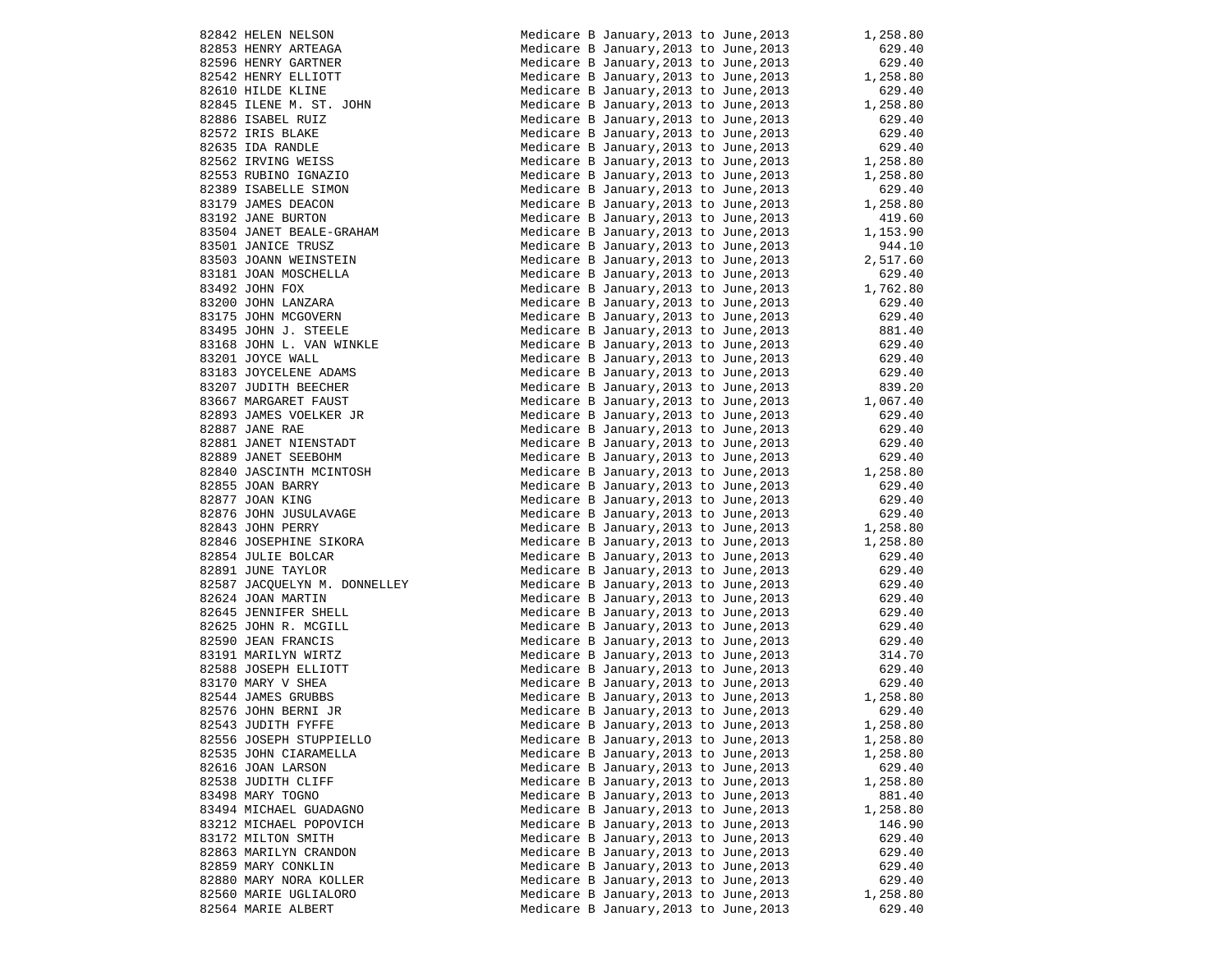| 82842 HELEN NELSON                                                                                                                                                                            | Medicare B January,2013 to June,2013   | 1,258.80                     |
|-----------------------------------------------------------------------------------------------------------------------------------------------------------------------------------------------|----------------------------------------|------------------------------|
| 82853 HENRY ARTEAGA                                                                                                                                                                           | Medicare B January, 2013 to June, 2013 | 629.40                       |
| 82596 HENRY GARTNER                                                                                                                                                                           | Medicare B January, 2013 to June, 2013 | 629.40                       |
| 82542 HENRY ELLIOTT                                                                                                                                                                           | Medicare B January, 2013 to June, 2013 | 1,258.80                     |
| 82610 HILDE KLINE                                                                                                                                                                             | Medicare B January, 2013 to June, 2013 | 629.40                       |
| 82845 ILENE M. ST. JOHN                                                                                                                                                                       | Medicare B January, 2013 to June, 2013 | 1,258.80                     |
|                                                                                                                                                                                               |                                        |                              |
| 82886 ISABEL RUIZ                                                                                                                                                                             | Medicare B January, 2013 to June, 2013 | 629.40                       |
|                                                                                                                                                                                               | Medicare B January, 2013 to June, 2013 | 629.40                       |
| 82572 IRIS BLAKE<br>82635 IDA RANDLE<br>82562 IRVING WEISS<br>82553 RUBINO IGNAZIO<br>32635 IDA<br>82562 IRVING WEISS<br>82553 RUBINO IGNAZIO<br>82389 ISABELLE SIMON<br>32389 ISABELLE SIMON | Medicare B January, 2013 to June, 2013 | 629.40                       |
|                                                                                                                                                                                               | Medicare B January, 2013 to June, 2013 | 1,258.80                     |
|                                                                                                                                                                                               | Medicare B January, 2013 to June, 2013 | 1,258.80                     |
|                                                                                                                                                                                               | Medicare B January, 2013 to June, 2013 | 629.40                       |
|                                                                                                                                                                                               | Medicare B January, 2013 to June, 2013 | 1,258.80                     |
|                                                                                                                                                                                               | Medicare B January, 2013 to June, 2013 | 419.60                       |
| 83504 JANET BEALE-GRAHAM                                                                                                                                                                      | Medicare B January, 2013 to June, 2013 | 1,153.90                     |
| 83501 JANICE TRUSZ                                                                                                                                                                            | Medicare B January, 2013 to June, 2013 | 944.10                       |
| 83503 JOANN WEINSTEIN                                                                                                                                                                         | Medicare B January, 2013 to June, 2013 | 2,517.60<br>629.40           |
| 83503 JOANN WEINSTEIN<br>83492 JOHN FOX<br>83492 JOHN FOX<br>83200 JOHN LANZARA<br>83175 JOHN MCGOVERN<br>83495 JOHN J. STEELE                                                                | Medicare B January, 2013 to June, 2013 |                              |
|                                                                                                                                                                                               | Medicare B January, 2013 to June, 2013 |                              |
|                                                                                                                                                                                               | Medicare B January, 2013 to June, 2013 | 1,762.80<br>629.40<br>629.40 |
|                                                                                                                                                                                               | Medicare B January, 2013 to June, 2013 | 629.40                       |
|                                                                                                                                                                                               | Medicare B January, 2013 to June, 2013 | 881.40                       |
|                                                                                                                                                                                               | Medicare B January, 2013 to June, 2013 | 629.40                       |
| 83168 JOHN L. VAN WINKLE<br>83201 JOYCE WALL                                                                                                                                                  |                                        | 629.40                       |
|                                                                                                                                                                                               | Medicare B January, 2013 to June, 2013 |                              |
|                                                                                                                                                                                               | Medicare B January, 2013 to June, 2013 | 629.40                       |
|                                                                                                                                                                                               | Medicare B January, 2013 to June, 2013 | 839.20                       |
| ADAMS<br>JUITH BEECHER<br>63667 MARGARET FAUST<br>82893 JAMES VOELKER JR<br>82887 JANE RAE<br>2881 JANET NIENSTADT<br>389 JANET SEEPOT<br>340 JASC                                            | Medicare B January, 2013 to June, 2013 | 1,067.40                     |
|                                                                                                                                                                                               | Medicare B January, 2013 to June, 2013 | 629.40                       |
|                                                                                                                                                                                               | Medicare B January, 2013 to June, 2013 | 629.40                       |
|                                                                                                                                                                                               | Medicare B January, 2013 to June, 2013 | 629.40                       |
|                                                                                                                                                                                               | Medicare B January, 2013 to June, 2013 | 629.40                       |
| 82889 JANET SEEBOHM<br>82840 JASCINTH MCINTOSH<br>82855 JOAN BARRY<br>82877 JOAN KING<br>82876 JOHN JUSULAVAGE<br>82843 JOHN PERRY                                                            | Medicare B January, 2013 to June, 2013 | 1,258.80                     |
|                                                                                                                                                                                               | Medicare B January, 2013 to June, 2013 | 629.40                       |
|                                                                                                                                                                                               | Medicare B January, 2013 to June, 2013 | 629.40                       |
|                                                                                                                                                                                               | Medicare B January, 2013 to June, 2013 | 629.40                       |
|                                                                                                                                                                                               | Medicare B January, 2013 to June, 2013 | 1,258.80                     |
| 82846 JOSEPHINE SIKORA                                                                                                                                                                        | Medicare B January, 2013 to June, 2013 | 1,258.80                     |
| 82854 JULIE BOLCAR                                                                                                                                                                            | Medicare B January, 2013 to June, 2013 | 629.40                       |
| 82891 JUNE TAYLOR                                                                                                                                                                             | Medicare B January, 2013 to June, 2013 |                              |
|                                                                                                                                                                                               |                                        | 629.40<br>629.40             |
| 82587 JACQUELYN M. DONNELLEY                                                                                                                                                                  | Medicare B January, 2013 to June, 2013 |                              |
| 82624 JOAN MARTIN                                                                                                                                                                             | Medicare B January, 2013 to June, 2013 | 629.40<br>629.40             |
| 82645 JENNIFER SHELL                                                                                                                                                                          | Medicare B January, 2013 to June, 2013 |                              |
| 82625 JOHN R. MCGILL                                                                                                                                                                          | Medicare B January, 2013 to June, 2013 | 629.40<br>629.40             |
| 82590 JEAN FRANCIS                                                                                                                                                                            | Medicare B January, 2013 to June, 2013 |                              |
| 83191 MARILYN WIRTZ                                                                                                                                                                           | Medicare B January, 2013 to June, 2013 | 314.70<br>629.40             |
| 82588 JOSEPH ELLIOTT                                                                                                                                                                          | Medicare B January, 2013 to June, 2013 |                              |
| 83170 MARY V SHEA                                                                                                                                                                             | Medicare B January, 2013 to June, 2013 | 629.40                       |
| 82544 JAMES GRUBBS                                                                                                                                                                            | Medicare B January, 2013 to June, 2013 | 1,258.80                     |
| 82576 JOHN BERNI JR                                                                                                                                                                           | Medicare B January, 2013 to June, 2013 | 629.40                       |
| 82543 JUDITH FYFFE                                                                                                                                                                            | Medicare B January, 2013 to June, 2013 | 1,258.80                     |
| 82556 JOSEPH STUPPIELLO                                                                                                                                                                       | Medicare B January, 2013 to June, 2013 | 1,258.80                     |
| 82535 JOHN CIARAMELLA                                                                                                                                                                         | Medicare B January, 2013 to June, 2013 | 1,258.80                     |
| 82616 JOAN LARSON                                                                                                                                                                             | Medicare B January, 2013 to June, 2013 | 629.40                       |
| 82538 JUDITH CLIFF                                                                                                                                                                            | Medicare B January, 2013 to June, 2013 | 1,258.80                     |
| 83498 MARY TOGNO                                                                                                                                                                              | Medicare B January, 2013 to June, 2013 | 881.40                       |
| 83494 MICHAEL GUADAGNO                                                                                                                                                                        | Medicare B January, 2013 to June, 2013 | 1,258.80                     |
|                                                                                                                                                                                               |                                        |                              |
| 83212 MICHAEL POPOVICH                                                                                                                                                                        | Medicare B January, 2013 to June, 2013 | 146.90                       |
| 83172 MILTON SMITH                                                                                                                                                                            | Medicare B January, 2013 to June, 2013 | 629.40                       |
| 82863 MARILYN CRANDON                                                                                                                                                                         | Medicare B January, 2013 to June, 2013 | 629.40                       |
| 82859 MARY CONKLIN                                                                                                                                                                            | Medicare B January, 2013 to June, 2013 | 629.40                       |
| 82880 MARY NORA KOLLER                                                                                                                                                                        | Medicare B January, 2013 to June, 2013 | 629.40                       |
| 82560 MARIE UGLIALORO                                                                                                                                                                         | Medicare B January, 2013 to June, 2013 | 1,258.80                     |
| 82564 MARIE ALBERT                                                                                                                                                                            | Medicare B January, 2013 to June, 2013 | 629.40                       |
|                                                                                                                                                                                               |                                        |                              |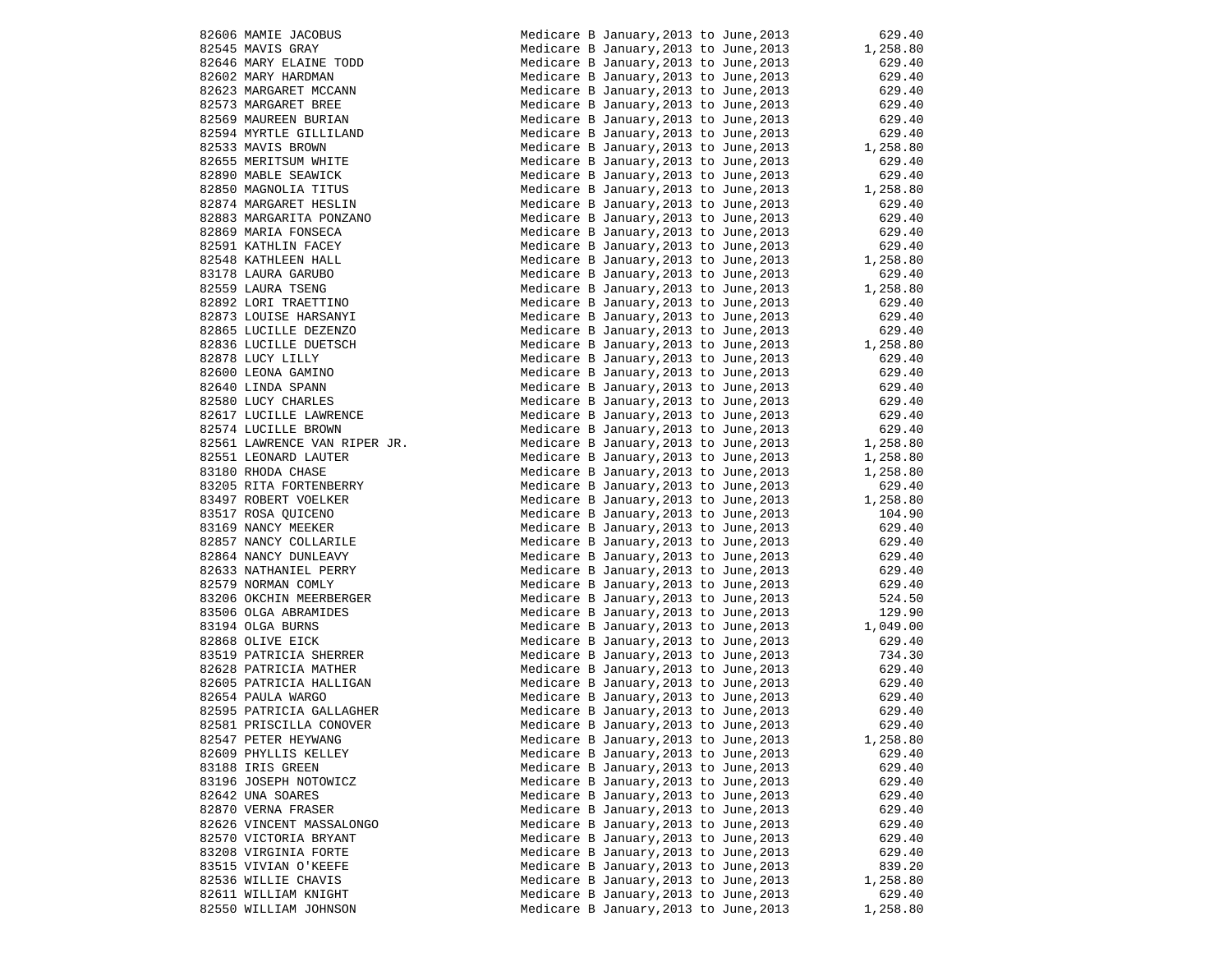|                                                                                                                                                                                                                                                              | Medicare B January, 2013 to June, 2013                                           |          | 629.40             |
|--------------------------------------------------------------------------------------------------------------------------------------------------------------------------------------------------------------------------------------------------------------|----------------------------------------------------------------------------------|----------|--------------------|
| 82606 MAMIE JACOBUS<br>82545 MAVIS GRAY<br>82646 MARY ELAINE TODD<br>82602 MARY ELAINE TODD<br>82623 MARGARET BURINN<br>82553 MARGARET BURINN<br>82594 MYRTLE GILLILAND<br>82594 MYRTLE GILLILAND<br>82533 MAVIS BROWN<br>82655 MERITSUM WHITE<br>82655 MERI | Medicare B January, 2013 to June, 2013                                           |          | 1,258.80           |
|                                                                                                                                                                                                                                                              | Medicare B January, 2013 to June, 2013                                           |          | 629.40             |
|                                                                                                                                                                                                                                                              | Medicare B January, 2013 to June, 2013                                           |          | 629.40             |
|                                                                                                                                                                                                                                                              | Medicare B January, 2013 to June, 2013                                           |          | 629.40             |
|                                                                                                                                                                                                                                                              | Medicare B January, 2013 to June, 2013                                           |          | 629.40             |
|                                                                                                                                                                                                                                                              | Medicare B January, 2013 to June, 2013                                           |          | 629.40             |
|                                                                                                                                                                                                                                                              | Medicare B January, 2013 to June, 2013                                           |          | 629.40             |
|                                                                                                                                                                                                                                                              | Medicare B January, 2013 to June, 2013                                           |          | 1,258.80           |
|                                                                                                                                                                                                                                                              | Medicare B January, 2013 to June, 2013                                           |          | 629.40             |
|                                                                                                                                                                                                                                                              | Medicare B January, 2013 to June, 2013                                           |          | 629.40             |
|                                                                                                                                                                                                                                                              |                                                                                  |          |                    |
|                                                                                                                                                                                                                                                              | Medicare B January, 2013 to June, 2013                                           |          | 1,258.80<br>629.40 |
|                                                                                                                                                                                                                                                              | Medicare B January, 2013 to June, 2013                                           |          |                    |
|                                                                                                                                                                                                                                                              | Medicare B January, 2013 to June, 2013<br>Medicare B January, 2013 to June, 2013 |          | 629.40             |
|                                                                                                                                                                                                                                                              |                                                                                  |          | 629.40             |
|                                                                                                                                                                                                                                                              | Medicare B January, 2013 to June, 2013                                           |          | 629.40             |
|                                                                                                                                                                                                                                                              | Medicare B January, 2013 to June, 2013                                           |          | 1,258.80           |
|                                                                                                                                                                                                                                                              | Medicare B January, 2013 to June, 2013                                           |          | 629.40             |
|                                                                                                                                                                                                                                                              | Medicare B January, 2013 to June, 2013                                           |          | 1,258.80           |
|                                                                                                                                                                                                                                                              |                                                                                  |          | 629.40             |
|                                                                                                                                                                                                                                                              | Medicare B January, 2013 to June, 2013<br>Medicare B January, 2013 to June, 2013 |          | 629.40             |
|                                                                                                                                                                                                                                                              |                                                                                  |          | 629.40             |
|                                                                                                                                                                                                                                                              | Medicare B January, 2013 to June, 2013<br>Medicare B January, 2013 to June, 2013 |          | 629.40<br>1,258.80 |
|                                                                                                                                                                                                                                                              |                                                                                  |          | 629.40             |
|                                                                                                                                                                                                                                                              | medicare B January, 2013 to June, 2013<br>Medicare B January, 2013 to June, 2013 |          | 629.40             |
|                                                                                                                                                                                                                                                              | Medicare B January, 2013 to June, 2013                                           |          |                    |
|                                                                                                                                                                                                                                                              | Medicare B January, 2013 to June, 2013                                           |          | 629.4∪<br>629.40   |
| 82617 LUCILLE LAWRENCE                                                                                                                                                                                                                                       | Medicare B January, 2013 to June, 2013                                           |          | 629.40             |
| 82574 LUCILLE BROWN                                                                                                                                                                                                                                          | Medicare B January, 2013 to June, 2013                                           |          | 629.40             |
|                                                                                                                                                                                                                                                              |                                                                                  |          |                    |
| 82561 LAWRENCE VAN RIPER JR.                                                                                                                                                                                                                                 | Medicare B January, 2013 to June, 2013                                           |          | 1,258.80           |
| 82551 LEONARD LAUTER                                                                                                                                                                                                                                         | Medicare B January, 2013 to June, 2013                                           |          | 1,258.80           |
| 83180 RHODA CHASE                                                                                                                                                                                                                                            | Medicare B January, 2013 to June, 2013                                           |          | 1,258.80           |
| 83205 RITA FORTENBERRY                                                                                                                                                                                                                                       | Medicare B January,2013 to June,2013                                             |          | 629.40             |
|                                                                                                                                                                                                                                                              | Medicare B January, 2013 to June, 2013                                           | 1,258.80 |                    |
|                                                                                                                                                                                                                                                              | Medicare B January, 2013 to June, 2013                                           |          | 104.90             |
|                                                                                                                                                                                                                                                              | Medicare B January, 2013 to June, 2013                                           |          | 629.40             |
| 83497 ROBERT VOELKER<br>83517 ROSA QUICENO<br>83169 NANCY MEEKER<br>82857 NANCY COLLARILE                                                                                                                                                                    | Medicare B January, 2013 to June, 2013                                           |          | 629.40             |
| 82864 NANCY DUNLEAVY                                                                                                                                                                                                                                         | Medicare B January, 2013 to June, 2013                                           |          | 629.40             |
| 82633 NATHANIEL PERRY                                                                                                                                                                                                                                        | Medicare B January, 2013 to June, 2013                                           |          | 629.40             |
| 82579 NORMAN COMLY                                                                                                                                                                                                                                           | Medicare B January, 2013 to June, 2013                                           |          | 629.40             |
| 83206 OKCHIN MEERBERGER                                                                                                                                                                                                                                      | Medicare B January, 2013 to June, 2013                                           |          | 524.50             |
| 83506 OLGA ABRAMIDES                                                                                                                                                                                                                                         | Medicare B January, 2013 to June, 2013                                           |          | 129.90             |
| 83194 OLGA BURNS                                                                                                                                                                                                                                             | Medicare B January, 2013 to June, 2013                                           |          | 1,049.00           |
| 82868 OLIVE EICK                                                                                                                                                                                                                                             | Medicare B January, 2013 to June, 2013                                           |          | 629.40             |
| 83519 PATRICIA SHERRER                                                                                                                                                                                                                                       | Medicare B January, 2013 to June, 2013                                           |          | 734.30             |
| 83519 PATRICIA SABANDA.<br>82628 PATRICIA MATHER<br>10000 DATPICIA HALLIGAN                                                                                                                                                                                  | Medicare B January, 2013 to June, 2013                                           |          | 629.40             |
|                                                                                                                                                                                                                                                              | Medicare B January, 2013 to June, 2013                                           |          | 629.40             |
| 82654 PAULA WARGO                                                                                                                                                                                                                                            | Medicare B January, 2013 to June, 2013                                           |          | 629.40             |
| 82595 PATRICIA GALLAGHER                                                                                                                                                                                                                                     | Medicare B January, 2013 to June, 2013                                           |          | 629.40             |
| 82581 PRISCILLA CONOVER                                                                                                                                                                                                                                      | Medicare B January, 2013 to June, 2013                                           |          | 629.40             |
|                                                                                                                                                                                                                                                              |                                                                                  |          |                    |
| 82547 PETER HEYWANG                                                                                                                                                                                                                                          | Medicare B January, 2013 to June, 2013                                           |          | 1,258.80           |
| 82609 PHYLLIS KELLEY                                                                                                                                                                                                                                         | Medicare B January, 2013 to June, 2013                                           |          | 629.40             |
| 83188 IRIS GREEN                                                                                                                                                                                                                                             | Medicare B January, 2013 to June, 2013                                           |          | 629.40             |
| 83196 JOSEPH NOTOWICZ                                                                                                                                                                                                                                        | Medicare B January, 2013 to June, 2013                                           |          | 629.40             |
| 82642 UNA SOARES                                                                                                                                                                                                                                             | Medicare B January, 2013 to June, 2013                                           |          | 629.40             |
| 82870 VERNA FRASER                                                                                                                                                                                                                                           | Medicare B January, 2013 to June, 2013                                           |          | 629.40             |
| 82626 VINCENT MASSALONGO                                                                                                                                                                                                                                     | Medicare B January, 2013 to June, 2013                                           |          | 629.40             |
| 82570 VICTORIA BRYANT                                                                                                                                                                                                                                        | Medicare B January, 2013 to June, 2013                                           |          | 629.40             |
| 83208 VIRGINIA FORTE                                                                                                                                                                                                                                         | Medicare B January, 2013 to June, 2013                                           |          | 629.40             |
| 83515 VIVIAN O'KEEFE                                                                                                                                                                                                                                         | Medicare B January, 2013 to June, 2013                                           |          | 839.20             |
| 82536 WILLIE CHAVIS                                                                                                                                                                                                                                          | Medicare B January, 2013 to June, 2013                                           |          | 1,258.80           |
| 82611 WILLIAM KNIGHT                                                                                                                                                                                                                                         | Medicare B January, 2013 to June, 2013                                           |          | 629.40             |
| 82550 WILLIAM JOHNSON                                                                                                                                                                                                                                        | Medicare B January, 2013 to June, 2013                                           |          | 1,258.80           |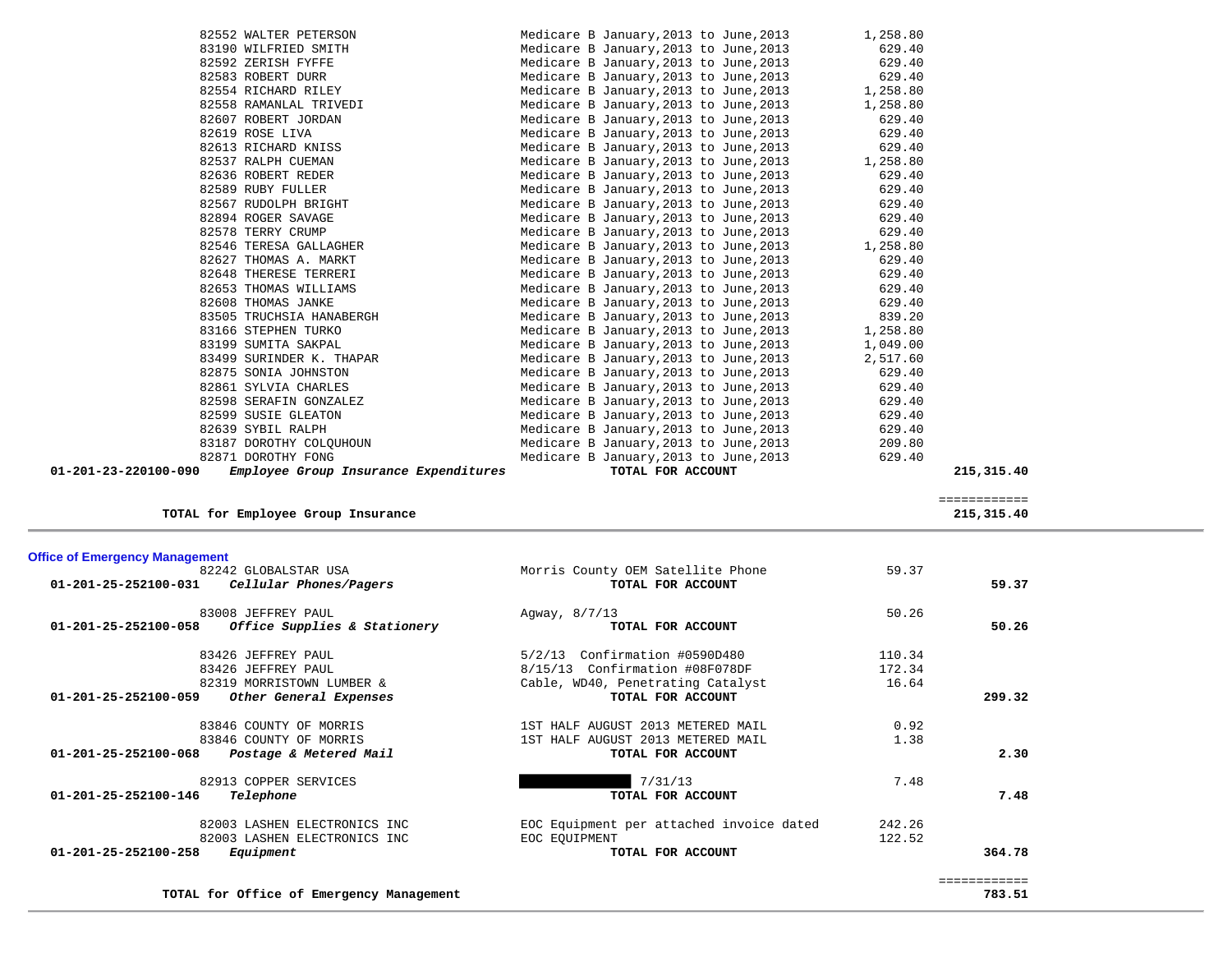| Employee Group Insurance Expenditures<br>01-201-23-220100-090 | TOTAL FOR ACCOUNT                                                                                 | 215,315.40 |
|---------------------------------------------------------------|---------------------------------------------------------------------------------------------------|------------|
| 82871 DOROTHY FONG                                            | Medicare B January, 2013 to June, 2013<br>629.40                                                  |            |
| 83187 DOROTHY COLOUHOUN                                       | Medicare B January,2013 to June,2013<br>209.80                                                    |            |
| 82639 SYBIL RALPH                                             | Medicare B January, 2013 to June, 2013<br>629.40                                                  |            |
| 82599 SUSIE GLEATON                                           | Medicare B January, 2013 to June, 2013<br>629.40                                                  |            |
| 82598 SERAFIN GONZALEZ                                        | Medicare B January, 2013 to June, 2013<br>629.40                                                  |            |
| 82861 SYLVIA CHARLES                                          | Medicare B January, 2013 to June, 2013<br>629.40                                                  |            |
| 82875 SONIA JOHNSTON                                          | Medicare B January, 2013 to June, 2013<br>629.40                                                  |            |
| 83499 SURINDER K. THAPAR                                      | Medicare B January, 2013 to June, 2013<br>2,517.60                                                |            |
| 83199 SUMITA SAKPAL                                           | Medicare B January, 2013 to June, 2013<br>1,049.00                                                |            |
| 83166 STEPHEN TURKO                                           | Medicare B January, 2013 to June, 2013<br>1,258.80                                                |            |
| 83505 TRUCHSIA HANABERGH                                      | Medicare B January, 2013 to June, 2013<br>839.20                                                  |            |
| 82608 THOMAS JANKE                                            | 629.40<br>Medicare B January, 2013 to June, 2013                                                  |            |
| 82653 THOMAS WILLIAMS                                         | Medicare B January, 2013 to June, 2013<br>629.40                                                  |            |
| 82648 THERESE TERRERI                                         | Medicare B January, 2013 to June, 2013<br>629.40                                                  |            |
| 82627 THOMAS A. MARKT                                         | Medicare B January, 2013 to June, 2013<br>629.40                                                  |            |
| 82546 TERESA GALLAGHER                                        | Medicare B January, 2013 to June, 2013<br>1,258.80                                                |            |
| 82578 TERRY CRUMP                                             | Medicare B January, 2013 to June, 2013<br>629.40                                                  |            |
| 82894 ROGER SAVAGE                                            | Medicare B January, 2013 to June, 2013<br>629.40                                                  |            |
| 82567 RUDOLPH BRIGHT                                          | Medicare B January, 2013 to June, 2013<br>629.40                                                  |            |
| 82589 RUBY FULLER                                             | Medicare B January, 2013 to June, 2013<br>629.40                                                  |            |
| 82636 ROBERT REDER                                            | Medicare B January, 2013 to June, 2013<br>629.40                                                  |            |
| 82537 RALPH CUEMAN                                            | Medicare B January, 2013 to June, 2013<br>1,258.80                                                |            |
| 82613 RICHARD KNISS                                           | Medicare B January, 2013 to June, 2013 629.40                                                     |            |
| 82619 ROSE LIVA                                               | Medicare B January, 2013 to June, 2013<br>629.40                                                  |            |
| 82607 ROBERT JORDAN                                           | Medicare B January, 2013 to June, 2013 629.40                                                     |            |
| 82558 RAMANLAL TRIVEDI                                        | Medicare B January, 2013 to June, 2013 1, 258.80                                                  |            |
| 82554 RICHARD RILEY                                           | Medicare B January, 2013 to June, 2013<br>1,258.80                                                |            |
| 82592 ZERISH FYFFE<br>82583 ROBERT DURR                       | Medicare B January, 2013 to June, 2013 629.40<br>Medicare B January, 2013 to June, 2013<br>629.40 |            |
| 83190 WILFRIED SMITH                                          | 629.40<br>Medicare B January, 2013 to June, 2013                                                  |            |
| 82552 WALTER PETERSON                                         | Medicare B January, 2013 to June, 2013 $1,258.80$                                                 |            |
|                                                               |                                                                                                   |            |

TOTAL for Employee Group Insurance

**TOTAL for Office of Emergency Management 783.51**

 ============  $\frac{215,315.40}{215,315.40}$ 

| <b>Office of Emergency Management</b>                    |                                          |        |        |
|----------------------------------------------------------|------------------------------------------|--------|--------|
| 82242 GLOBALSTAR USA                                     | Morris County OEM Satellite Phone        | 59.37  |        |
| $01 - 201 - 25 - 252100 - 031$<br>Cellular Phones/Pagers | TOTAL FOR ACCOUNT                        |        | 59.37  |
| 83008 JEFFREY PAUL                                       | Agway, 8/7/13                            | 50.26  |        |
| Office Supplies & Stationery<br>01-201-25-252100-058     | TOTAL FOR ACCOUNT                        |        | 50.26  |
| 83426 JEFFREY PAUL                                       | 5/2/13 Confirmation #0590D480            | 110.34 |        |
| 83426 JEFFREY PAUL                                       | 8/15/13 Confirmation #08F078DF           | 172.34 |        |
| 82319 MORRISTOWN LUMBER &                                | Cable, WD40, Penetrating Catalyst        | 16.64  |        |
| $01 - 201 - 25 - 252100 - 059$<br>Other General Expenses | TOTAL FOR ACCOUNT                        |        | 299.32 |
| 83846 COUNTY OF MORRIS                                   | 1ST HALF AUGUST 2013 METERED MAIL        | 0.92   |        |
| 83846 COUNTY OF MORRIS                                   | 1ST HALF AUGUST 2013 METERED MAIL        | 1.38   |        |
| $01 - 201 - 25 - 252100 - 068$<br>Postage & Metered Mail | TOTAL FOR ACCOUNT                        |        | 2.30   |
| 82913 COPPER SERVICES                                    | 7/31/13                                  | 7.48   |        |
| 01-201-25-252100-146<br>Telephone                        | TOTAL FOR ACCOUNT                        |        | 7.48   |
| 82003 LASHEN ELECTRONICS INC                             | EOC Equipment per attached invoice dated | 242.26 |        |
| 82003 LASHEN ELECTRONICS INC                             | EOC EOUIPMENT                            | 122.52 |        |
| Equipment<br>$01 - 201 - 25 - 252100 - 258$              | TOTAL FOR ACCOUNT                        |        | 364.78 |

 ============ 783.51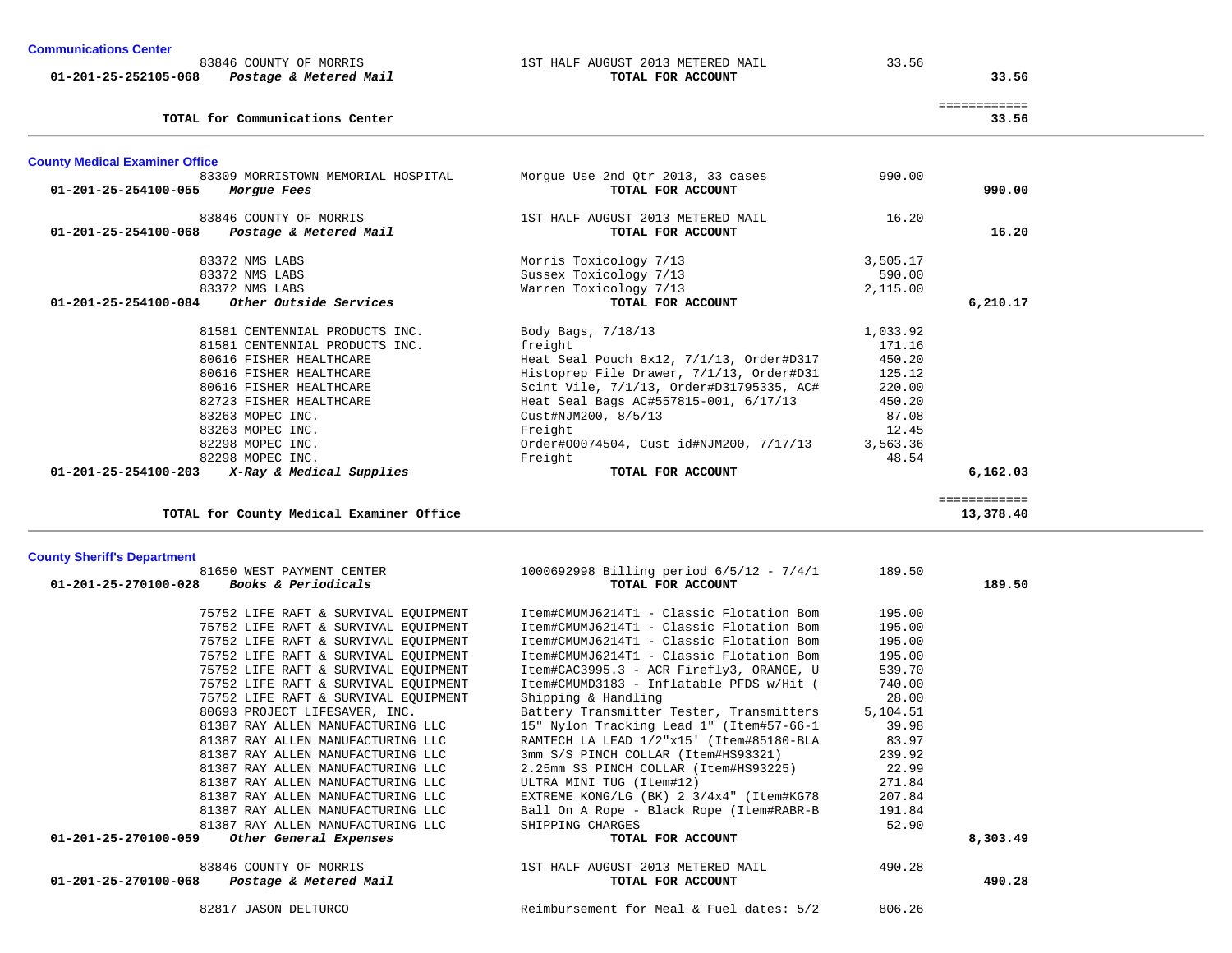| <b>Communications Center</b><br>01-201-25-252105-068 | 83846 COUNTY OF MORRIS<br>Postage & Metered Mail  | 1ST HALF AUGUST 2013 METERED MAIL<br>TOTAL FOR ACCOUNT | 33.56    | 33.56                 |
|------------------------------------------------------|---------------------------------------------------|--------------------------------------------------------|----------|-----------------------|
|                                                      | TOTAL for Communications Center                   |                                                        |          | ============<br>33.56 |
| <b>County Medical Examiner Office</b>                |                                                   |                                                        |          |                       |
| 01-201-25-254100-055                                 | 83309 MORRISTOWN MEMORIAL HOSPITAL<br>Morgue Fees | Morque Use 2nd Otr 2013, 33 cases<br>TOTAL FOR ACCOUNT | 990.00   | 990.00                |
| 01-201-25-254100-068                                 | 83846 COUNTY OF MORRIS<br>Postage & Metered Mail  | 1ST HALF AUGUST 2013 METERED MAIL<br>TOTAL FOR ACCOUNT | 16.20    | 16.20                 |
|                                                      |                                                   |                                                        |          |                       |
|                                                      | 83372 NMS LABS                                    | Morris Toxicology 7/13                                 | 3,505.17 |                       |
|                                                      | 83372 NMS LABS                                    | Sussex Toxicology 7/13                                 | 590.00   |                       |
|                                                      | 83372 NMS LABS                                    | Warren Toxicology 7/13                                 | 2,115.00 |                       |
| $01 - 201 - 25 - 254100 - 084$                       | Other Outside Services                            | TOTAL FOR ACCOUNT                                      |          | 6,210.17              |
|                                                      | 81581 CENTENNIAL PRODUCTS INC.                    | Body Bags, 7/18/13                                     | 1,033.92 |                       |
|                                                      | 81581 CENTENNIAL PRODUCTS INC.                    | freight                                                | 171.16   |                       |
|                                                      | 80616 FISHER HEALTHCARE                           | Heat Seal Pouch 8x12, 7/1/13, Order#D317               | 450.20   |                       |
|                                                      | 80616 FISHER HEALTHCARE                           | Histoprep File Drawer, 7/1/13, Order#D31               | 125.12   |                       |
|                                                      | 80616 FISHER HEALTHCARE                           | Scint Vile, 7/1/13, Order#D31795335, AC#               | 220.00   |                       |
|                                                      | 82723 FISHER HEALTHCARE                           | Heat Seal Bags AC#557815-001, 6/17/13                  | 450.20   |                       |
|                                                      | 83263 MOPEC INC.                                  | Cust#NJM200, 8/5/13                                    | 87.08    |                       |
|                                                      | 83263 MOPEC INC.                                  | Freight                                                | 12.45    |                       |
|                                                      | 82298 MOPEC INC.                                  | Order#00074504, Cust id#NJM200, 7/17/13                | 3,563.36 |                       |
|                                                      | 82298 MOPEC INC.                                  | Freight                                                | 48.54    |                       |
| $01 - 201 - 25 - 254100 - 203$                       | X-Ray & Medical Supplies                          | TOTAL FOR ACCOUNT                                      |          | 6,162.03              |

============

13,378.40

**TOTAL for County Medical Examiner Office 13,378.40**

# **County Sheriff's Department**

| 81650 WEST PAYMENT CENTER                              | $1000692998$ Billing period $6/5/12$ - $7/4/1$ | 189.50   |          |
|--------------------------------------------------------|------------------------------------------------|----------|----------|
| <i>Books &amp; Periodicals</i><br>01-201-25-270100-028 | TOTAL FOR ACCOUNT                              |          | 189.50   |
| 75752 LIFE RAFT & SURVIVAL EQUIPMENT                   | Item#CMUMJ6214T1 - Classic Flotation Bom       | 195.00   |          |
| 75752 LIFE RAFT & SURVIVAL EQUIPMENT                   | Item#CMUMJ6214T1 - Classic Flotation Bom       | 195.00   |          |
| 75752 LIFE RAFT & SURVIVAL EQUIPMENT                   | Item#CMUMJ6214T1 - Classic Flotation Bom       | 195.00   |          |
| 75752 LIFE RAFT & SURVIVAL EQUIPMENT                   | Item#CMUMJ6214T1 - Classic Flotation Bom       | 195.00   |          |
| 75752 LIFE RAFT & SURVIVAL EQUIPMENT                   | Item#CAC3995.3 - ACR Firefly3, ORANGE, U       | 539.70   |          |
| 75752 LIFE RAFT & SURVIVAL EOUIPMENT                   | Item#CMUMD3183 - Inflatable PFDS w/Hit (       | 740.00   |          |
| 75752 LIFE RAFT & SURVIVAL EOUIPMENT                   | Shipping & Handling                            | 28.00    |          |
| 80693 PROJECT LIFESAVER, INC.                          | Battery Transmitter Tester, Transmitters       | 5,104.51 |          |
| 81387 RAY ALLEN MANUFACTURING LLC                      | 15" Nylon Tracking Lead 1" (Item#57-66-1       | 39.98    |          |
| 81387 RAY ALLEN MANUFACTURING LLC                      | RAMTECH LA LEAD 1/2"x15' (Item#85180-BLA       | 83.97    |          |
| 81387 RAY ALLEN MANUFACTURING LLC                      | 3mm S/S PINCH COLLAR (Item#HS93321)            | 239.92   |          |
| 81387 RAY ALLEN MANUFACTURING LLC                      | 2.25mm SS PINCH COLLAR (Item#HS93225)          | 22.99    |          |
| 81387 RAY ALLEN MANUFACTURING LLC                      | ULTRA MINI TUG (Item#12)                       | 271.84   |          |
| 81387 RAY ALLEN MANUFACTURING LLC                      | EXTREME KONG/LG (BK) 2 3/4x4" (Item#KG78       | 207.84   |          |
| 81387 RAY ALLEN MANUFACTURING LLC                      | Ball On A Rope - Black Rope (Item#RABR-B       | 191.84   |          |
| 81387 RAY ALLEN MANUFACTURING LLC                      | SHIPPING CHARGES                               | 52.90    |          |
| 01-201-25-270100-059<br>Other General Expenses         | TOTAL FOR ACCOUNT                              |          | 8,303.49 |
| 83846 COUNTY OF MORRIS                                 | 1ST HALF AUGUST 2013 METERED MAIL              | 490.28   |          |
| $01 - 201 - 25 - 270100 - 068$ Postage & Metered Mail  | TOTAL FOR ACCOUNT                              |          | 490.28   |
| 82817 JASON DELTURCO                                   | Reimbursement for Meal & Fuel dates: 5/2       | 806.26   |          |
|                                                        |                                                |          |          |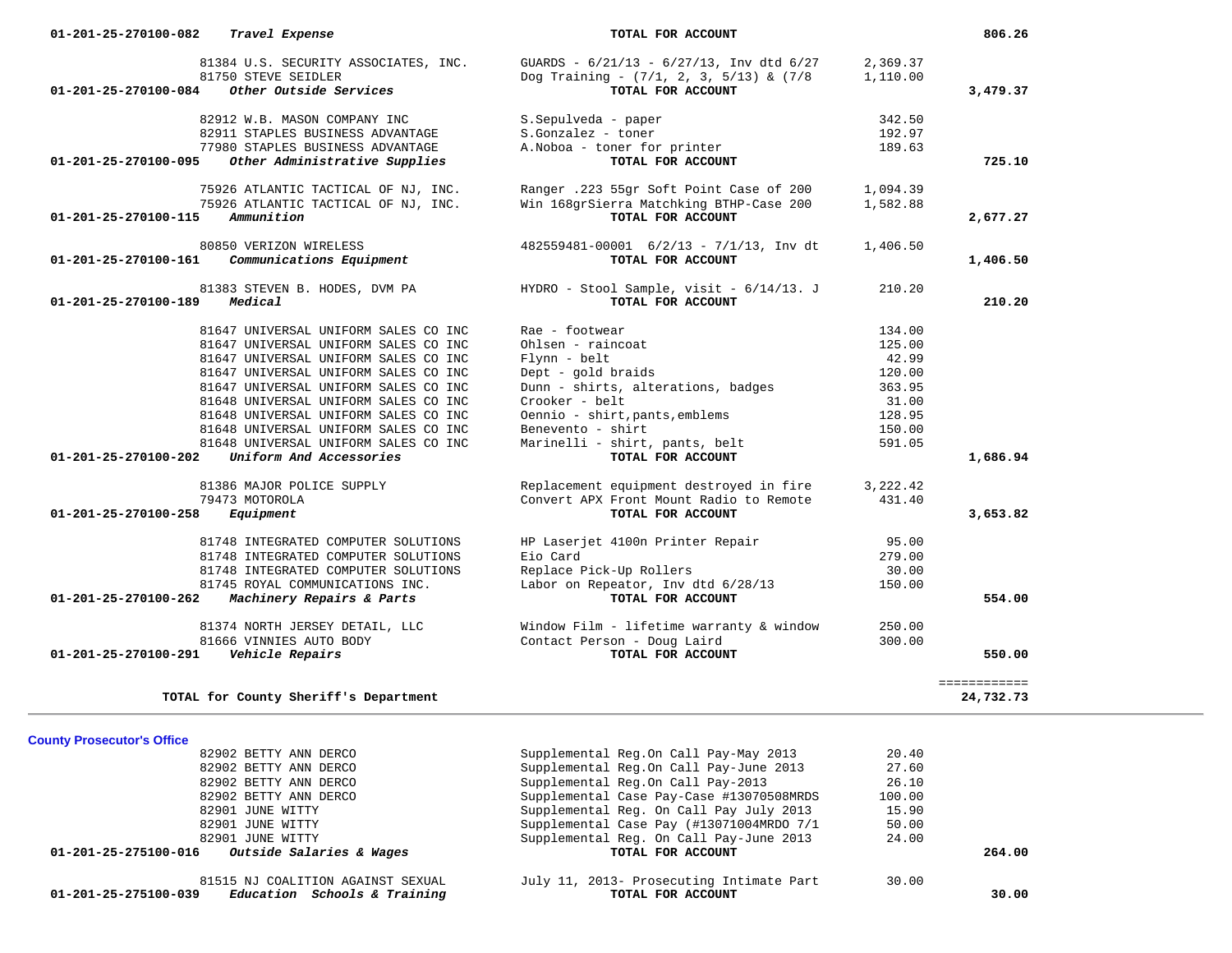| 01-201-25-270100-082           | Travel Expense                                              | TOTAL FOR ACCOUNT                                                                               |                      | 806.26       |
|--------------------------------|-------------------------------------------------------------|-------------------------------------------------------------------------------------------------|----------------------|--------------|
|                                | 81384 U.S. SECURITY ASSOCIATES, INC.<br>81750 STEVE SEIDLER | GUARDS - $6/21/13$ - $6/27/13$ , Inv dtd $6/27$<br>Dog Training - $(7/1, 2, 3, 5/13)$ & $(7/8)$ | 2,369.37<br>1,110.00 |              |
| 01-201-25-270100-084           | Other Outside Services                                      | TOTAL FOR ACCOUNT                                                                               |                      | 3,479.37     |
|                                | 82912 W.B. MASON COMPANY INC                                | S.Sepulveda - paper                                                                             | 342.50               |              |
|                                | 82911 STAPLES BUSINESS ADVANTAGE                            | S.Gonzalez - toner                                                                              | 192.97               |              |
|                                | 77980 STAPLES BUSINESS ADVANTAGE                            | A. Noboa - toner for printer                                                                    | 189.63               |              |
| 01-201-25-270100-095           | Other Administrative Supplies                               | TOTAL FOR ACCOUNT                                                                               |                      | 725.10       |
|                                | 75926 ATLANTIC TACTICAL OF NJ, INC.                         | Ranger .223 55gr Soft Point Case of 200                                                         | 1,094.39             |              |
|                                | 75926 ATLANTIC TACTICAL OF NJ, INC.                         | Win 168grSierra Matchking BTHP-Case 200                                                         | 1,582.88             |              |
| 01-201-25-270100-115           | Ammunition                                                  | TOTAL FOR ACCOUNT                                                                               |                      | 2,677.27     |
|                                | 80850 VERIZON WIRELESS                                      | 482559481-00001 6/2/13 - 7/1/13, Inv dt                                                         | 1,406.50             |              |
| 01-201-25-270100-161           | Communications Equipment                                    | TOTAL FOR ACCOUNT                                                                               |                      | 1,406.50     |
|                                | 81383 STEVEN B. HODES, DVM PA                               | HYDRO - Stool Sample, visit - 6/14/13. J                                                        | 210.20               |              |
| 01-201-25-270100-189           | Medical                                                     | TOTAL FOR ACCOUNT                                                                               |                      | 210.20       |
|                                | 81647 UNIVERSAL UNIFORM SALES CO INC                        | Rae - footwear                                                                                  | 134.00               |              |
|                                | 81647 UNIVERSAL UNIFORM SALES CO INC                        | Ohlsen - raincoat                                                                               | 125.00               |              |
|                                | 81647 UNIVERSAL UNIFORM SALES CO INC                        | Flynn - belt                                                                                    | 42.99                |              |
|                                | 81647 UNIVERSAL UNIFORM SALES CO INC                        | Dept - gold braids                                                                              | 120.00               |              |
|                                | 81647 UNIVERSAL UNIFORM SALES CO INC                        | Dunn - shirts, alterations, badges                                                              | 363.95               |              |
|                                | 81648 UNIVERSAL UNIFORM SALES CO INC                        | Crooker - belt                                                                                  | 31.00                |              |
|                                | 81648 UNIVERSAL UNIFORM SALES CO INC                        | Oennio - shirt, pants, emblems                                                                  | 128.95               |              |
|                                | 81648 UNIVERSAL UNIFORM SALES CO INC                        | Benevento - shirt                                                                               | 150.00               |              |
|                                | 81648 UNIVERSAL UNIFORM SALES CO INC                        | Marinelli - shirt, pants, belt                                                                  | 591.05               |              |
| 01-201-25-270100-202           | Uniform And Accessories                                     | TOTAL FOR ACCOUNT                                                                               |                      | 1,686.94     |
|                                | 81386 MAJOR POLICE SUPPLY                                   | Replacement equipment destroyed in fire                                                         | 3,222.42             |              |
|                                | 79473 MOTOROLA                                              | Convert APX Front Mount Radio to Remote                                                         | 431.40               |              |
| 01-201-25-270100-258           | Equipment                                                   | TOTAL FOR ACCOUNT                                                                               |                      | 3,653.82     |
|                                | 81748 INTEGRATED COMPUTER SOLUTIONS                         | HP Laserjet 4100n Printer Repair                                                                | 95.00                |              |
|                                | 81748 INTEGRATED COMPUTER SOLUTIONS                         | Eio Card                                                                                        | 279.00               |              |
|                                | 81748 INTEGRATED COMPUTER SOLUTIONS                         | Replace Pick-Up Rollers                                                                         | 30.00                |              |
|                                | 81745 ROYAL COMMUNICATIONS INC.                             | Labor on Repeator, Inv dtd 6/28/13                                                              | 150.00               |              |
| $01 - 201 - 25 - 270100 - 262$ | Machinery Repairs & Parts                                   | TOTAL FOR ACCOUNT                                                                               |                      | 554.00       |
|                                | 81374 NORTH JERSEY DETAIL, LLC                              | Window Film - lifetime warranty & window                                                        | 250.00               |              |
|                                | 81666 VINNIES AUTO BODY                                     | Contact Person - Doug Laird                                                                     | 300.00               |              |
| 01-201-25-270100-291           | Vehicle Repairs                                             | TOTAL FOR ACCOUNT                                                                               |                      | 550.00       |
|                                |                                                             |                                                                                                 |                      | ============ |
|                                | TOTAL for County Sheriff's Department                       |                                                                                                 |                      | 24,732.73    |

# **County Prosecutor's Office**

| 81515 NJ COALITION AGAINST SEXUAL<br>Education Schools & Training<br>01-201-25-275100-039 | July 11, 2013- Prosecuting Intimate Part<br>TOTAL FOR ACCOUNT | 30.00  | 30.00  |
|-------------------------------------------------------------------------------------------|---------------------------------------------------------------|--------|--------|
| Outside Salaries & Wages<br>01-201-25-275100-016                                          | TOTAL FOR ACCOUNT                                             |        | 264.00 |
| 82901 JUNE WITTY                                                                          | Supplemental Req. On Call Pay-June 2013                       | 24.00  |        |
| 82901 JUNE WITTY                                                                          | Supplemental Case Pay (#13071004MRDO 7/1                      | 50.00  |        |
| 82901 JUNE WITTY                                                                          | Supplemental Req. On Call Pay July 2013                       | 15.90  |        |
| 82902 BETTY ANN DERCO                                                                     | Supplemental Case Pay-Case #13070508MRDS                      | 100.00 |        |
| 82902 BETTY ANN DERCO                                                                     | Supplemental Reg.On Call Pay-2013                             | 26.10  |        |
| 82902 BETTY ANN DERCO                                                                     | Supplemental Req.On Call Pay-June 2013                        | 27.60  |        |
| 82902 BETTY ANN DERCO                                                                     | Supplemental Reg.On Call Pay-May 2013                         | 20.40  |        |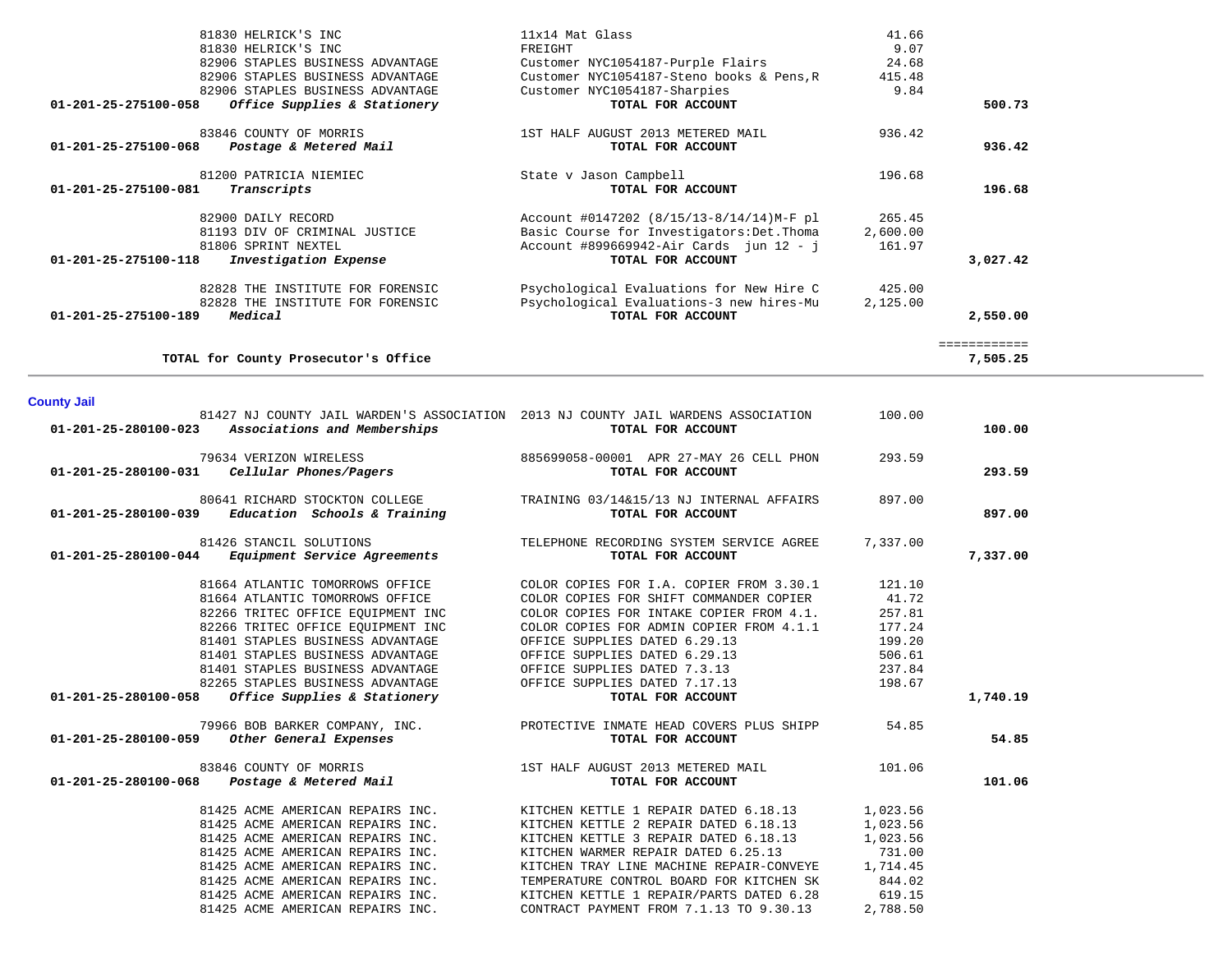|                      | 81830 HELRICK'S INC                              | FREIGHT                                                                           | 9.07     |              |  |
|----------------------|--------------------------------------------------|-----------------------------------------------------------------------------------|----------|--------------|--|
|                      | 82906 STAPLES BUSINESS ADVANTAGE                 | Customer NYC1054187-Purple Flairs                                                 | 24.68    |              |  |
|                      | 82906 STAPLES BUSINESS ADVANTAGE                 | Customer NYC1054187-Steno books & Pens, R                                         | 415.48   |              |  |
|                      | 82906 STAPLES BUSINESS ADVANTAGE                 | Customer NYC1054187-Sharpies                                                      | 9.84     |              |  |
| 01-201-25-275100-058 | Office Supplies & Stationery                     | TOTAL FOR ACCOUNT                                                                 |          | 500.73       |  |
|                      | 83846 COUNTY OF MORRIS                           | 1ST HALF AUGUST 2013 METERED MAIL                                                 | 936.42   |              |  |
| 01-201-25-275100-068 | Postage & Metered Mail                           | TOTAL FOR ACCOUNT                                                                 |          | 936.42       |  |
|                      |                                                  |                                                                                   |          |              |  |
|                      | 81200 PATRICIA NIEMIEC                           | State v Jason Campbell                                                            | 196.68   |              |  |
| 01-201-25-275100-081 | Transcripts                                      | TOTAL FOR ACCOUNT                                                                 |          | 196.68       |  |
|                      |                                                  |                                                                                   |          |              |  |
|                      | 82900 DAILY RECORD                               | Account #0147202 (8/15/13-8/14/14)M-F pl                                          | 265.45   |              |  |
|                      | 81193 DIV OF CRIMINAL JUSTICE                    | Basic Course for Investigators: Det. Thoma                                        | 2,600.00 |              |  |
|                      | 81806 SPRINT NEXTEL                              | Account #899669942-Air Cards jun $12 - j$<br>TOTAL FOR ACCOUNT                    | 161.97   |              |  |
| 01-201-25-275100-118 | Investigation Expense                            |                                                                                   |          | 3,027.42     |  |
|                      | 82828 THE INSTITUTE FOR FORENSIC                 | Psychological Evaluations for New Hire C                                          | 425.00   |              |  |
|                      | 82828 THE INSTITUTE FOR FORENSIC                 | Psychological Evaluations-3 new hires-Mu                                          | 2,125.00 |              |  |
| 01-201-25-275100-189 | Medical                                          | TOTAL FOR ACCOUNT                                                                 |          | 2,550.00     |  |
|                      |                                                  |                                                                                   |          |              |  |
|                      |                                                  |                                                                                   |          | ============ |  |
|                      | TOTAL for County Prosecutor's Office             |                                                                                   |          | 7,505.25     |  |
|                      |                                                  |                                                                                   |          |              |  |
| <b>County Jail</b>   |                                                  |                                                                                   |          |              |  |
|                      |                                                  | 81427 NJ COUNTY JAIL WARDEN'S ASSOCIATION 2013 NJ COUNTY JAIL WARDENS ASSOCIATION | 100.00   |              |  |
| 01-201-25-280100-023 | Associations and Memberships                     | TOTAL FOR ACCOUNT                                                                 |          | 100.00       |  |
|                      | 79634 VERIZON WIRELESS                           | 885699058-00001 APR 27-MAY 26 CELL PHON                                           | 293.59   |              |  |
| 01-201-25-280100-031 | Cellular Phones/Pagers                           | TOTAL FOR ACCOUNT                                                                 |          | 293.59       |  |
|                      |                                                  |                                                                                   |          |              |  |
|                      | 80641 RICHARD STOCKTON COLLEGE                   | TRAINING 03/14&15/13 NJ INTERNAL AFFAIRS                                          | 897.00   |              |  |
| 01-201-25-280100-039 | Education Schools & Training                     | TOTAL FOR ACCOUNT                                                                 |          | 897.00       |  |
|                      |                                                  |                                                                                   |          |              |  |
|                      | 81426 STANCIL SOLUTIONS                          | TELEPHONE RECORDING SYSTEM SERVICE AGREE                                          | 7,337.00 |              |  |
| 01-201-25-280100-044 | Equipment Service Agreements                     | TOTAL FOR ACCOUNT                                                                 |          | 7,337.00     |  |
|                      | 81664 ATLANTIC TOMORROWS OFFICE                  | COLOR COPIES FOR I.A. COPIER FROM 3.30.1                                          | 121.10   |              |  |
|                      | 81664 ATLANTIC TOMORROWS OFFICE                  | COLOR COPIES FOR SHIFT COMMANDER COPIER                                           | 41.72    |              |  |
|                      | 82266 TRITEC OFFICE EQUIPMENT INC                | COLOR COPIES FOR INTAKE COPIER FROM 4.1.                                          | 257.81   |              |  |
|                      | 82266 TRITEC OFFICE EQUIPMENT INC                | COLOR COPIES FOR ADMIN COPIER FROM 4.1.1                                          | 177.24   |              |  |
|                      | 81401 STAPLES BUSINESS ADVANTAGE                 | OFFICE SUPPLIES DATED 6.29.13                                                     | 199.20   |              |  |
|                      | 81401 STAPLES BUSINESS ADVANTAGE                 | OFFICE SUPPLIES DATED 6.29.13                                                     | 506.61   |              |  |
|                      | 81401 STAPLES BUSINESS ADVANTAGE                 | OFFICE SUPPLIES DATED 7.3.13                                                      | 237.84   |              |  |
|                      | 82265 STAPLES BUSINESS ADVANTAGE                 | OFFICE SUPPLIES DATED 7.17.13                                                     | 198.67   |              |  |
| 01-201-25-280100-058 | Office Supplies & Stationery                     | TOTAL FOR ACCOUNT                                                                 |          | 1,740.19     |  |
|                      |                                                  |                                                                                   |          |              |  |
|                      | 79966 BOB BARKER COMPANY, INC.                   | PROTECTIVE INMATE HEAD COVERS PLUS SHIPP                                          | 54.85    |              |  |
|                      | 01-201-25-280100-059 Other General Expenses      | TOTAL FOR ACCOUNT                                                                 |          | 54.85        |  |
|                      |                                                  |                                                                                   |          |              |  |
| 01-201-25-280100-068 | 83846 COUNTY OF MORRIS<br>Postage & Metered Mail | 1ST HALF AUGUST 2013 METERED MAIL<br>TOTAL FOR ACCOUNT                            | 101.06   | 101.06       |  |
|                      |                                                  |                                                                                   |          |              |  |
|                      | 81425 ACME AMERICAN REPAIRS INC.                 | KITCHEN KETTLE 1 REPAIR DATED 6.18.13                                             | 1,023.56 |              |  |
|                      | 81425 ACME AMERICAN REPAIRS INC.                 | KITCHEN KETTLE 2 REPAIR DATED 6.18.13                                             | 1,023.56 |              |  |
|                      | 81425 ACME AMERICAN REPAIRS INC.                 | KITCHEN KETTLE 3 REPAIR DATED 6.18.13                                             | 1,023.56 |              |  |
|                      | 81425 ACME AMERICAN REPAIRS INC.                 | KITCHEN WARMER REPAIR DATED 6.25.13                                               | 731.00   |              |  |
|                      | 81425 ACME AMERICAN REPAIRS INC.                 | KITCHEN TRAY LINE MACHINE REPAIR-CONVEYE                                          | 1,714.45 |              |  |
|                      | 81425 ACME AMERICAN REPAIRS INC.                 | TEMPERATURE CONTROL BOARD FOR KITCHEN SK                                          | 844.02   |              |  |
|                      | 81425 ACME AMERICAN REPAIRS INC.                 | KITCHEN KETTLE 1 REPAIR/PARTS DATED 6.28                                          | 619.15   |              |  |
|                      | 81425 ACME AMERICAN REPAIRS INC.                 | CONTRACT PAYMENT FROM 7.1.13 TO 9.30.13                                           | 2,788.50 |              |  |
|                      |                                                  |                                                                                   |          |              |  |

81830 HELRICK'S INC 11x14 Mat Glass 41.66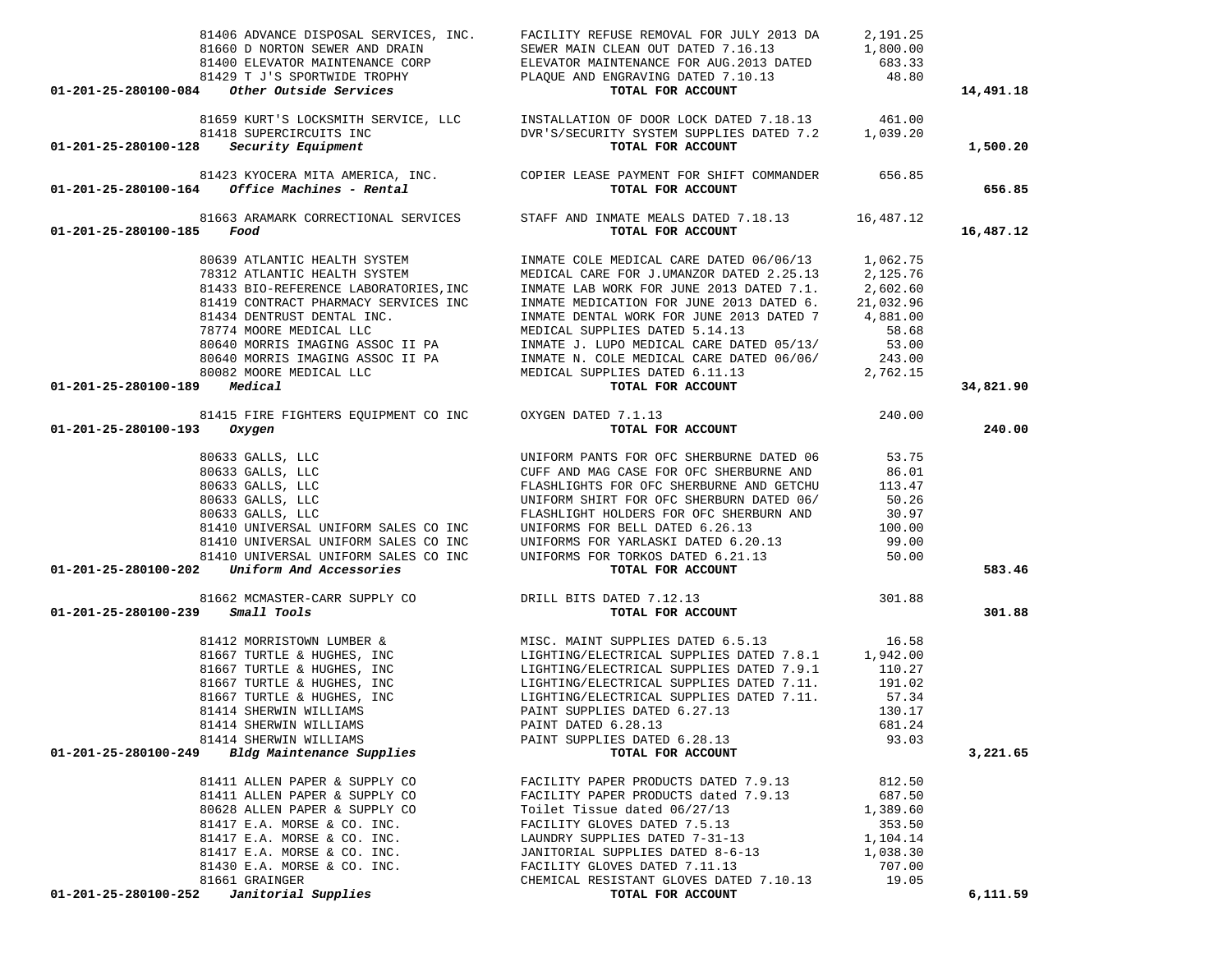|                                       |                                                                    | 81406 ADVANCE DISPOSAL SERVICES, INC. FACILITY REFUSE REMOVAL FOR JULY 2013 DA                                                                      | 2,191.25       |           |
|---------------------------------------|--------------------------------------------------------------------|-----------------------------------------------------------------------------------------------------------------------------------------------------|----------------|-----------|
|                                       |                                                                    |                                                                                                                                                     |                |           |
|                                       | $01-201-25-280100-084$ Other Outside Services                      |                                                                                                                                                     |                | 14,491.18 |
|                                       |                                                                    |                                                                                                                                                     |                |           |
|                                       |                                                                    | 81659 KURT'S LOCKSMITH SERVICE, LLC MSTALLATION OF DOOR LOCK DATED 7.18.13 461.00                                                                   |                |           |
|                                       | 81418 SUPERCIRCUITS INC<br>01-201-25-280100-128 Security Equipment | DVR'S/SECURITY SYSTEM SUPPLIES DATED 7.2 1,039.20<br>TOTAL FOR ACCOUNT                                                                              |                | 1,500.20  |
|                                       |                                                                    |                                                                                                                                                     |                |           |
|                                       |                                                                    | 81423 KYOCERA MITA AMERICA, INC. COPIER LEASE PAYMENT FOR SHIFT COMMANDER 656.85<br>01-201-25-280100-164 Office Machines - Rental TOTAL FOR ACCOUNT |                |           |
|                                       |                                                                    |                                                                                                                                                     |                | 656.85    |
|                                       |                                                                    | 81663 ARAMARK CORRECTIONAL SERVICES STAFF AND INMATE MEALS DATED 7.18.13 16,487.12                                                                  |                |           |
| $01 - 201 - 25 - 280100 - 185$ Food   |                                                                    | TOTAL FOR ACCOUNT                                                                                                                                   |                | 16,487.12 |
|                                       |                                                                    |                                                                                                                                                     |                |           |
|                                       |                                                                    |                                                                                                                                                     |                |           |
|                                       |                                                                    |                                                                                                                                                     |                |           |
|                                       |                                                                    |                                                                                                                                                     |                |           |
|                                       |                                                                    |                                                                                                                                                     |                |           |
|                                       |                                                                    |                                                                                                                                                     |                |           |
|                                       |                                                                    |                                                                                                                                                     |                |           |
|                                       |                                                                    |                                                                                                                                                     |                |           |
|                                       |                                                                    |                                                                                                                                                     |                |           |
| 01-201-25-280100-189 Medical          |                                                                    |                                                                                                                                                     |                | 34,821.90 |
|                                       |                                                                    |                                                                                                                                                     |                |           |
|                                       | 81415 FIRE FIGHTERS EQUIPMENT CO INC OXYGEN DATED 7.1.13           |                                                                                                                                                     | 240.00         |           |
| $01 - 201 - 25 - 280100 - 193$ Oxygen |                                                                    | TOTAL FOR ACCOUNT                                                                                                                                   |                | 240.00    |
|                                       |                                                                    |                                                                                                                                                     | 53.75          |           |
|                                       |                                                                    |                                                                                                                                                     | 86.01          |           |
|                                       |                                                                    |                                                                                                                                                     | 113.47         |           |
|                                       |                                                                    |                                                                                                                                                     | 50.26          |           |
|                                       |                                                                    | UNIFORM SHIRT FOR OFC SHERBURN AND 30.97<br>FLASHLIGHT HOLDERS FOR OFC SHERBURN AND 30.97                                                           |                |           |
|                                       |                                                                    |                                                                                                                                                     |                |           |
|                                       |                                                                    |                                                                                                                                                     | 99.00<br>50.00 |           |
|                                       |                                                                    |                                                                                                                                                     |                |           |
|                                       | $01-201-25-280100-202$ Uniform And Accessories                     | TOTAL FOR ACCOUNT                                                                                                                                   |                | 583.46    |
|                                       | 81662 MCMASTER-CARR SUPPLY CO DRILL BITS DATED 7.12.13             |                                                                                                                                                     | 301.88         |           |
| 01-201-25-280100-239                  | Small Tools                                                        | TOTAL FOR ACCOUNT                                                                                                                                   |                | 301.88    |
|                                       |                                                                    |                                                                                                                                                     |                |           |
|                                       |                                                                    |                                                                                                                                                     |                |           |
|                                       |                                                                    |                                                                                                                                                     |                |           |
|                                       |                                                                    |                                                                                                                                                     |                |           |
|                                       |                                                                    |                                                                                                                                                     |                |           |
|                                       |                                                                    |                                                                                                                                                     |                |           |
|                                       | 81414 SHERWIN WILLIAMS                                             | PAINT DATED 6.28.13                                                                                                                                 | 681.24         |           |
|                                       | 81414 SHERWIN WILLIAMS                                             | PAINT SUPPLIES DATED 6.28.13                                                                                                                        | 93.03          |           |
| 01-201-25-280100-249                  | Bldg Maintenance Supplies                                          | TOTAL FOR ACCOUNT                                                                                                                                   |                | 3,221.65  |
|                                       |                                                                    |                                                                                                                                                     |                |           |
|                                       | 81411 ALLEN PAPER & SUPPLY CO                                      | FACILITY PAPER PRODUCTS DATED 7.9.13                                                                                                                | 812.50         |           |
|                                       | 81411 ALLEN PAPER & SUPPLY CO                                      | FACILITY PAPER PRODUCTS dated 7.9.13                                                                                                                | 687.50         |           |
|                                       | 80628 ALLEN PAPER & SUPPLY CO                                      | Toilet Tissue dated 06/27/13                                                                                                                        | 1,389.60       |           |
|                                       | 81417 E.A. MORSE & CO. INC.                                        | FACILITY GLOVES DATED 7.5.13                                                                                                                        | 353.50         |           |
|                                       | 81417 E.A. MORSE & CO. INC.                                        | LAUNDRY SUPPLIES DATED 7-31-13                                                                                                                      | 1,104.14       |           |
|                                       | 81417 E.A. MORSE & CO. INC.                                        | JANITORIAL SUPPLIES DATED 8-6-13                                                                                                                    | 1,038.30       |           |
|                                       | 81430 E.A. MORSE & CO. INC.                                        | FACILITY GLOVES DATED 7.11.13                                                                                                                       | 707.00         |           |
|                                       | 81661 GRAINGER                                                     | CHEMICAL RESISTANT GLOVES DATED 7.10.13                                                                                                             | 19.05          |           |
| 01-201-25-280100-252                  | Janitorial Supplies                                                | TOTAL FOR ACCOUNT                                                                                                                                   |                | 6,111.59  |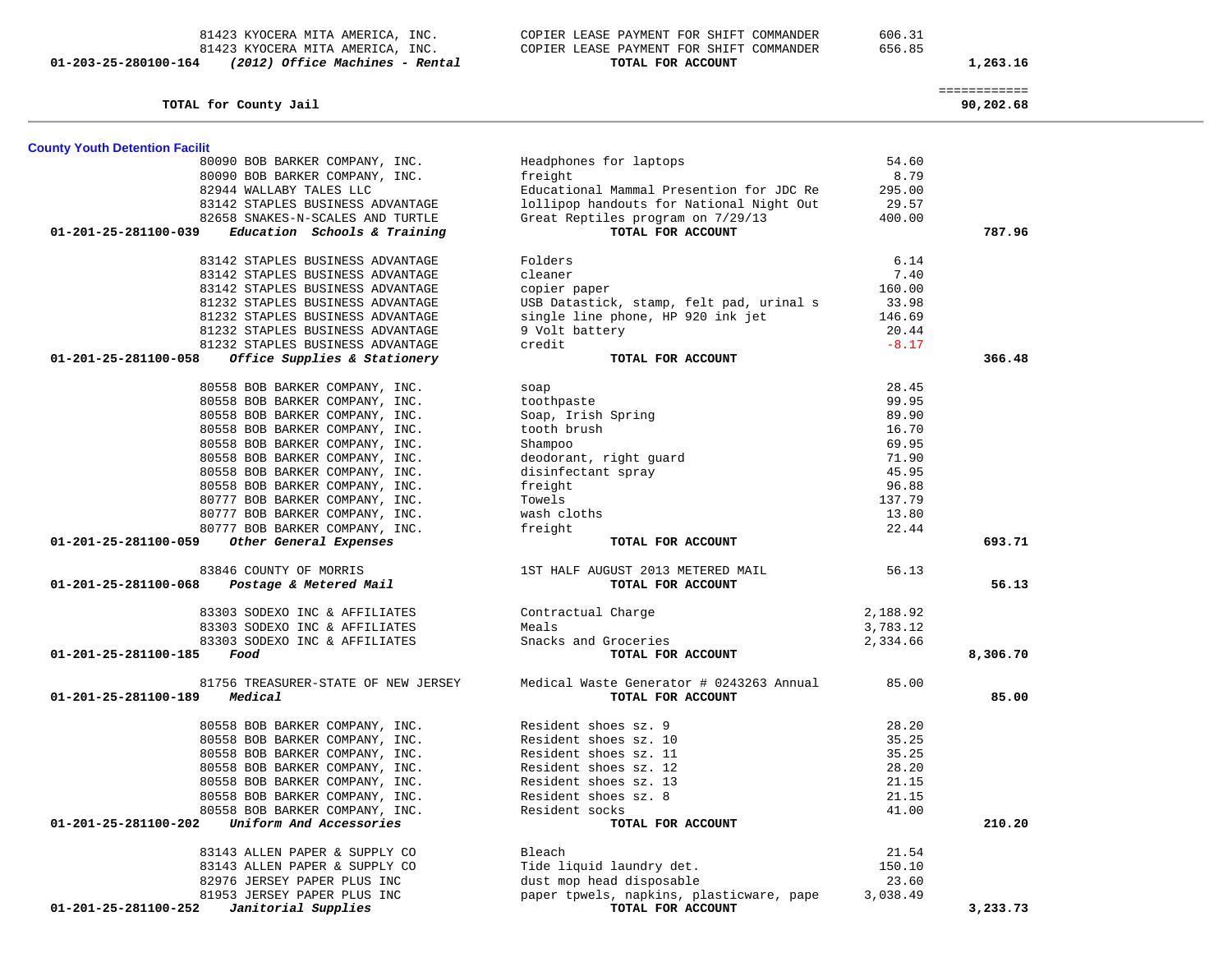81423 KYOCERA MITA AMERICA, INC. COPIER LEASE PAYMENT FOR SHIFT COMMANDER 606.31 81423 KYOCERA MITA AMERICA, INC. COPIER LEASE PAYMENT FOR SHIFT COMMANDER 656.85  **01-203-25-280100-164** *(2012) Office Machines - Rental* **TOTAL FOR ACCOUNT 1,263.16**

| TOTAL for County Jail                                                      |                                                               |          | 90,202.68 |  |
|----------------------------------------------------------------------------|---------------------------------------------------------------|----------|-----------|--|
|                                                                            |                                                               |          |           |  |
| <b>County Youth Detention Facilit</b>                                      |                                                               |          |           |  |
| 80090 BOB BARKER COMPANY, INC.                                             | Headphones for laptops                                        | 54.60    |           |  |
| 80090 BOB BARKER COMPANY, INC.                                             | freight                                                       | 8.79     |           |  |
| 82944 WALLABY TALES LLC                                                    | Educational Mammal Presention for JDC Re                      | 295.00   |           |  |
| 83142 STAPLES BUSINESS ADVANTAGE                                           | lollipop handouts for National Night Out                      | 29.57    |           |  |
| 82658 SNAKES-N-SCALES AND TURTLE                                           | Great Reptiles program on 7/29/13                             | 400.00   |           |  |
| Education Schools & Training<br>01-201-25-281100-039                       | TOTAL FOR ACCOUNT                                             |          | 787.96    |  |
| 83142 STAPLES BUSINESS ADVANTAGE                                           | Folders                                                       | 6.14     |           |  |
| 83142 STAPLES BUSINESS ADVANTAGE                                           | cleaner                                                       | 7.40     |           |  |
| 83142 STAPLES BUSINESS ADVANTAGE                                           | copier paper                                                  | 160.00   |           |  |
| 81232 STAPLES BUSINESS ADVANTAGE                                           | USB Datastick, stamp, felt pad, urinal s                      | 33.98    |           |  |
| 81232 STAPLES BUSINESS ADVANTAGE                                           | single line phone, HP 920 ink jet                             | 146.69   |           |  |
| 81232 STAPLES BUSINESS ADVANTAGE                                           | 9 Volt battery                                                | 20.44    |           |  |
| 81232 STAPLES BUSINESS ADVANTAGE                                           | credit                                                        | $-8.17$  |           |  |
| Office Supplies & Stationery<br>01-201-25-281100-058                       | TOTAL FOR ACCOUNT                                             |          | 366.48    |  |
| 80558 BOB BARKER COMPANY, INC.                                             | soap                                                          | 28.45    |           |  |
| 80558 BOB BARKER COMPANY, INC.                                             | toothpaste                                                    | 99.95    |           |  |
| 80558 BOB BARKER COMPANY, INC.                                             | Soap, Irish Spring                                            | 89.90    |           |  |
| 80558 BOB BARKER COMPANY, INC.                                             | tooth brush                                                   | 16.70    |           |  |
| 80558 BOB BARKER COMPANY, INC.                                             | Shampoo                                                       | 69.95    |           |  |
| 80558 BOB BARKER COMPANY, INC.                                             | deodorant, right guard                                        | 71.90    |           |  |
| 80558 BOB BARKER COMPANY, INC.                                             | disinfectant spray                                            | 45.95    |           |  |
|                                                                            |                                                               |          |           |  |
| 80558 BOB BARKER COMPANY, INC.                                             | freight                                                       | 96.88    |           |  |
| 80777 BOB BARKER COMPANY, INC.                                             | Towels                                                        | 137.79   |           |  |
| 80777 BOB BARKER COMPANY, INC.                                             | wash cloths                                                   | 13.80    |           |  |
| 80777 BOB BARKER COMPANY, INC.                                             | freight                                                       | 22.44    |           |  |
| Other General Expenses<br>01-201-25-281100-059                             | TOTAL FOR ACCOUNT                                             |          | 693.71    |  |
| 83846 COUNTY OF MORRIS                                                     | 1ST HALF AUGUST 2013 METERED MAIL                             | 56.13    |           |  |
| 01-201-25-281100-068<br>Postage & Metered Mail                             | TOTAL FOR ACCOUNT                                             |          | 56.13     |  |
| 83303 SODEXO INC & AFFILIATES                                              | Contractual Charge                                            | 2,188.92 |           |  |
| 83303 SODEXO INC & AFFILIATES                                              | Meals                                                         | 3,783.12 |           |  |
| 83303 SODEXO INC & AFFILIATES                                              | Snacks and Groceries                                          | 2,334.66 |           |  |
| 01-201-25-281100-185<br>Food                                               | TOTAL FOR ACCOUNT                                             |          | 8,306.70  |  |
| 81756 TREASURER-STATE OF NEW JERSEY                                        | Medical Waste Generator # 0243263 Annual                      | 85.00    |           |  |
| Medical<br>01-201-25-281100-189                                            | TOTAL FOR ACCOUNT                                             |          | 85.00     |  |
|                                                                            |                                                               |          |           |  |
| 80558 BOB BARKER COMPANY, INC.                                             | Resident shoes sz. 9                                          | 28.20    |           |  |
| 80558 BOB BARKER COMPANY, INC.                                             | Resident shoes sz. 10                                         | 35.25    |           |  |
| 80558 BOB BARKER COMPANY, INC.                                             | Resident shoes sz. 11                                         | 35.25    |           |  |
| 80558 BOB BARKER COMPANY, INC.                                             | Resident shoes sz. 12                                         | 28.20    |           |  |
| 80558 BOB BARKER COMPANY, INC.                                             | Resident shoes sz. 13                                         | 21.15    |           |  |
| 80558 BOB BARKER COMPANY, INC.                                             | Resident shoes sz. 8                                          | 21.15    |           |  |
| 80558 BOB BARKER COMPANY, INC.                                             | Resident socks                                                | 41.00    |           |  |
| Uniform And Accessories<br>01-201-25-281100-202                            | TOTAL FOR ACCOUNT                                             |          | 210.20    |  |
| 83143 ALLEN PAPER & SUPPLY CO                                              | Bleach                                                        | 21.54    |           |  |
| 83143 ALLEN PAPER & SUPPLY CO                                              | Tide liquid laundry det.                                      | 150.10   |           |  |
| 82976 JERSEY PAPER PLUS INC                                                |                                                               | 23.60    |           |  |
|                                                                            | dust mop head disposable                                      |          |           |  |
| 81953 JERSEY PAPER PLUS INC<br>01-201-25-281100-252<br>Janitorial Supplies | paper tpwels, napkins, plasticware, pape<br>TOTAL FOR ACCOUNT | 3,038.49 |           |  |
|                                                                            |                                                               |          | 3,233.73  |  |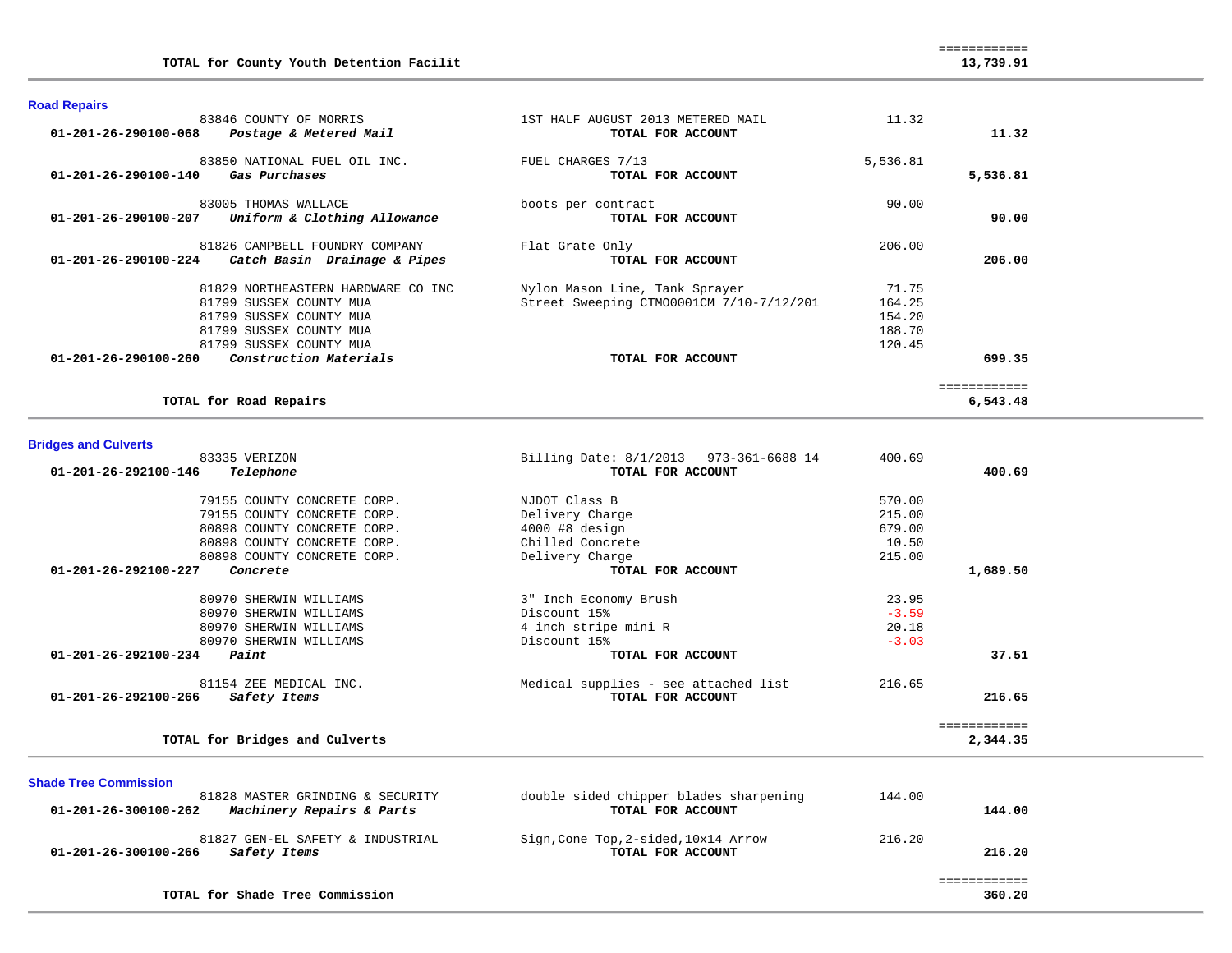|                     | TOTAL for County Youth Detention Facilit |                                   | 13,739.91 |
|---------------------|------------------------------------------|-----------------------------------|-----------|
| <b>Road Repairs</b> | 83846 COUNTY OF MORRIS                   | 1ST HALF AUGUST 2013 METERED MAIL |           |

| OJOIV COUNTI OF MUNKID<br>01-201-26-290100-068<br>Postage & Metered Mail | TAI HUT UNGUAI 2013 MBIBIND MUID<br>TOTAL FOR ACCOUNT | 11.J4    | 11.32    |
|--------------------------------------------------------------------------|-------------------------------------------------------|----------|----------|
| 83850 NATIONAL FUEL OIL INC.                                             | FUEL CHARGES 7/13                                     | 5,536.81 |          |
| 01-201-26-290100-140<br>Gas Purchases                                    | TOTAL FOR ACCOUNT                                     |          | 5,536.81 |
| 83005 THOMAS WALLACE                                                     | boots per contract                                    | 90.00    |          |
| 01-201-26-290100-207<br>Uniform & Clothing Allowance                     | TOTAL FOR ACCOUNT                                     |          | 90.00    |
| 81826 CAMPBELL FOUNDRY COMPANY                                           | Flat Grate Only                                       | 206.00   |          |
| 01-201-26-290100-224<br>Catch Basin Drainage & Pipes                     | TOTAL FOR ACCOUNT                                     |          | 206.00   |
| 81829 NORTHEASTERN HARDWARE CO INC                                       | Nylon Mason Line, Tank Sprayer                        | 71.75    |          |
| 81799 SUSSEX COUNTY MUA                                                  | Street Sweeping CTM00001CM 7/10-7/12/201              | 164.25   |          |
| 81799 SUSSEX COUNTY MUA                                                  |                                                       | 154.20   |          |
| 81799 SUSSEX COUNTY MUA                                                  |                                                       | 188.70   |          |
| 81799 SUSSEX COUNTY MUA                                                  |                                                       | 120.45   |          |
| Construction Materials<br>$01 - 201 - 26 - 290100 - 260$                 | TOTAL FOR ACCOUNT                                     |          | 699.35   |
|                                                                          |                                                       |          |          |
| TOTAL for Road Repairs                                                   |                                                       |          | 6,543.48 |

## **Bridges and Culverts**

| priugeo anu vurverto                                             |                                        |         |              |
|------------------------------------------------------------------|----------------------------------------|---------|--------------|
| 83335 VERIZON                                                    | Billing Date: 8/1/2013 973-361-6688 14 | 400.69  |              |
| 01-201-26-292100-146<br>Telephone                                | TOTAL FOR ACCOUNT                      |         | 400.69       |
| 79155 COUNTY CONCRETE CORP.                                      | NJDOT Class B                          | 570.00  |              |
| 79155 COUNTY CONCRETE CORP.                                      | Delivery Charge                        | 215.00  |              |
| 80898 COUNTY CONCRETE CORP.                                      | $4000$ #8 design                       | 679.00  |              |
| 80898 COUNTY CONCRETE CORP.                                      | Chilled Concrete                       | 10.50   |              |
| 80898 COUNTY CONCRETE CORP.                                      | Delivery Charge                        | 215.00  |              |
| $01 - 201 - 26 - 292100 - 227$<br>Concrete                       | TOTAL FOR ACCOUNT                      |         | 1,689.50     |
| 80970 SHERWIN WILLIAMS                                           | 3" Inch Economy Brush                  | 23.95   |              |
| 80970 SHERWIN WILLIAMS                                           | Discount 15%                           | $-3.59$ |              |
| 80970 SHERWIN WILLIAMS                                           | 4 inch stripe mini R                   | 20.18   |              |
| 80970 SHERWIN WILLIAMS                                           | Discount 15%                           | $-3.03$ |              |
| $01 - 201 - 26 - 292100 - 234$<br>Paint                          | TOTAL FOR ACCOUNT                      |         | 37.51        |
| 81154 ZEE MEDICAL INC.                                           | Medical supplies - see attached list   | 216.65  |              |
| $01 - 201 - 26 - 292100 - 266$<br>Safety Items                   | TOTAL FOR ACCOUNT                      |         | 216.65       |
|                                                                  |                                        |         | ============ |
| TOTAL for Bridges and Culverts                                   |                                        |         | 2,344.35     |
|                                                                  |                                        |         |              |
| <b>Shade Tree Commission</b><br>81828 MASTER GRINDING & SECURITY | double sided chipper blades sharpening | 144.00  |              |
|                                                                  |                                        |         |              |

| Machinery Repairs & Parts<br>01-201-26-300100-262                        | TOTAL FOR ACCOUNT                                         | 144.00           |  |
|--------------------------------------------------------------------------|-----------------------------------------------------------|------------------|--|
| 81827 GEN-EL SAFETY & INDUSTRIAL<br>01-201-26-300100-266<br>Safety Items | Sign, Cone Top, 2-sided, 10x14 Arrow<br>TOTAL FOR ACCOUNT | 216.20<br>216.20 |  |
| TOTAL for Shade Tree Commission                                          |                                                           | 360.20           |  |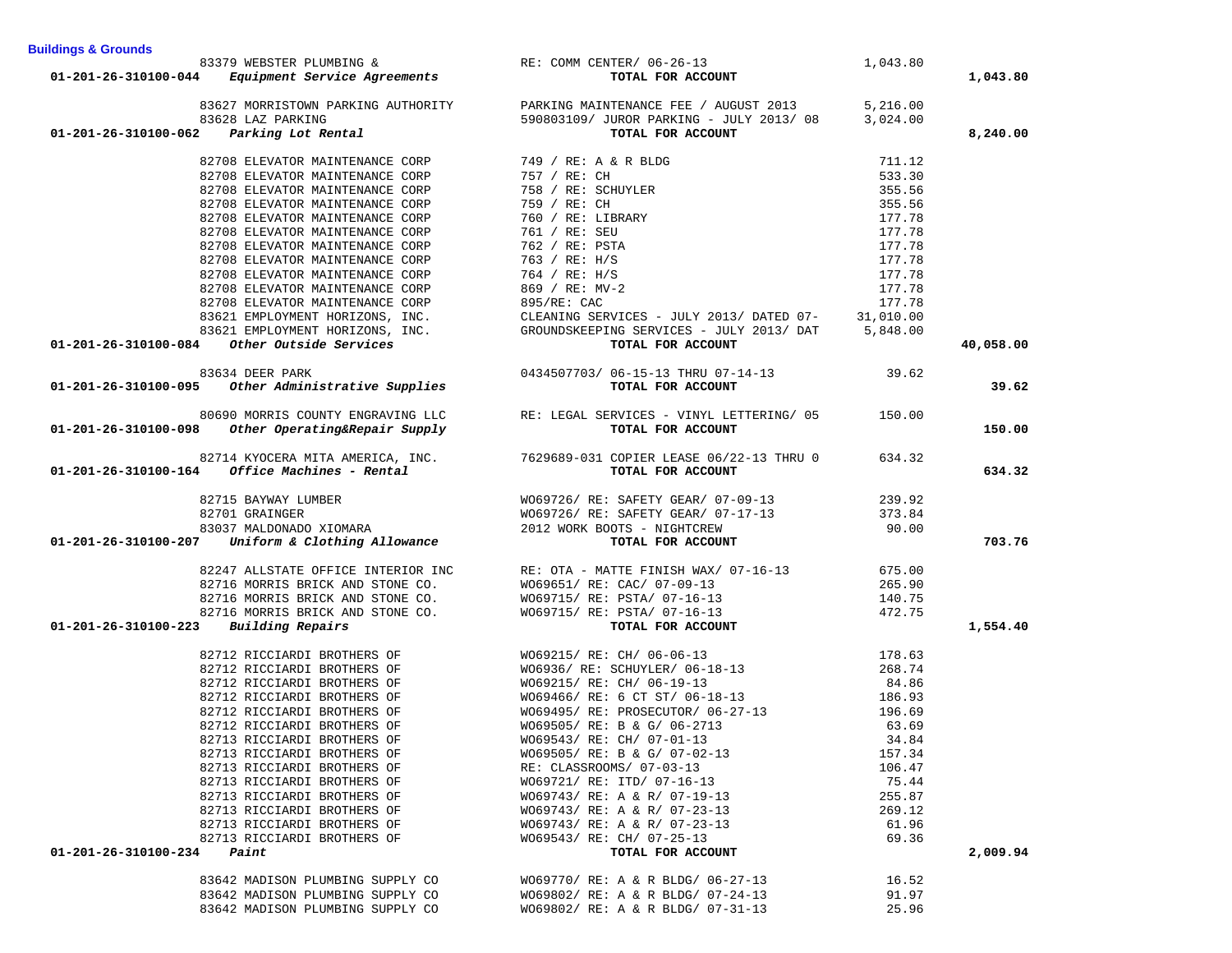|                      |                                                            |                                                                                                                                                                                                                                                                                                                                                                                                   | 1,043.80 |           |
|----------------------|------------------------------------------------------------|---------------------------------------------------------------------------------------------------------------------------------------------------------------------------------------------------------------------------------------------------------------------------------------------------------------------------------------------------------------------------------------------------|----------|-----------|
|                      |                                                            | 83379 WEBSTER PLUMBING & RE: COMM CENTER/ 06-26-13<br>01-201-26-310100-044 Equipment Service Agreements TOTAL FOR ACCOUNT                                                                                                                                                                                                                                                                         |          | 1,043.80  |
|                      |                                                            |                                                                                                                                                                                                                                                                                                                                                                                                   |          |           |
|                      |                                                            | $\begin{array}{lllllllllllllllll} 83627 & \text{MORRISTOWN} & \text{PARKING MUTHORITY} & \text{PARKING MAINTENANCE FEE} & \text{AUGUST 2013} & \text{5,216.00} \\ 83628 & \text{LAZ PARKING} & \text{3,024.00} & \text{590803109} & \text{JUROR PARKING} & - \text{JULY 2013} & 08 & 3,024.00 \\ \end{array}$                                                                                     |          |           |
|                      |                                                            |                                                                                                                                                                                                                                                                                                                                                                                                   |          |           |
| 01-201-26-310100-062 | Parking Lot Rental                                         | TOTAL FOR ACCOUNT                                                                                                                                                                                                                                                                                                                                                                                 |          | 8,240.00  |
|                      | 82708 ELEVATOR MAINTENANCE CORP                            | 749 / RE: A & R BLDG<br>757 / RE: CH<br>758 / RE: SCHUYLER<br>759 / RE: LIBRARY<br>760 / RE: LIBRARY<br>761 / RE: SEU<br>762 / RE: PSTA<br>763 / RE: H/S<br>764 / RE: H/S<br>869 / RE: H/S<br>869 / RE: MV-2<br>895/RE: CAC                                                                                                                                                                       | 711.12   |           |
|                      | 82708 ELEVATOR MAINTENANCE CORP                            |                                                                                                                                                                                                                                                                                                                                                                                                   | 533.30   |           |
|                      | 82708 ELEVATOR MAINTENANCE CORP                            |                                                                                                                                                                                                                                                                                                                                                                                                   | 355.56   |           |
|                      | 82708 ELEVATOR MAINTENANCE CORP                            |                                                                                                                                                                                                                                                                                                                                                                                                   | 355.56   |           |
|                      | 82708 ELEVATOR MAINTENANCE CORP                            |                                                                                                                                                                                                                                                                                                                                                                                                   | 177.78   |           |
|                      | 82708 ELEVATOR MAINTENANCE CORP                            |                                                                                                                                                                                                                                                                                                                                                                                                   | 177.78   |           |
|                      | 82708 ELEVATOR MAINTENANCE CORP                            |                                                                                                                                                                                                                                                                                                                                                                                                   | 177.78   |           |
|                      |                                                            |                                                                                                                                                                                                                                                                                                                                                                                                   | 177.78   |           |
|                      | 82708 ELEVATOR MAINTENANCE CORP                            |                                                                                                                                                                                                                                                                                                                                                                                                   |          |           |
|                      | 82708 ELEVATOR MAINTENANCE CORP                            |                                                                                                                                                                                                                                                                                                                                                                                                   | 177.78   |           |
|                      | 82708 ELEVATOR MAINTENANCE CORP                            |                                                                                                                                                                                                                                                                                                                                                                                                   | 177.78   |           |
|                      | 82708 ELEVATOR MAINTENANCE CORP                            |                                                                                                                                                                                                                                                                                                                                                                                                   |          |           |
|                      | 83621 EMPLOYMENT HORIZONS, INC.                            |                                                                                                                                                                                                                                                                                                                                                                                                   |          |           |
|                      |                                                            | 83621 EMPLOYMENT HORIZONS, INC. GROUNDSKEEPING SERVICES - JULY 2013/ DAT 5,848.00<br>4 Other Outside Services TOTAL FOR ACCOUNT                                                                                                                                                                                                                                                                   |          |           |
|                      |                                                            |                                                                                                                                                                                                                                                                                                                                                                                                   |          | 40,058.00 |
|                      |                                                            |                                                                                                                                                                                                                                                                                                                                                                                                   |          |           |
|                      |                                                            | 83634 DEER PARK<br>19.62 01-201-26-310100-095 <i>Other Administrative Supplies</i> 0434507703/06-15-13 THRU 07-14-13<br>TOTAL FOR ACCOUNT                                                                                                                                                                                                                                                         |          | 39.62     |
|                      |                                                            |                                                                                                                                                                                                                                                                                                                                                                                                   |          |           |
|                      |                                                            | 80690 MORRIS COUNTY ENGRAVING LLC<br>RE: LEGAL SERVICES - VINYL LETTERING/05 150.00<br>TOTAL FOR ACCOUNT                                                                                                                                                                                                                                                                                          |          | 150.00    |
|                      | 01-201-26-310100-098 Other Operating&Repair Supply         |                                                                                                                                                                                                                                                                                                                                                                                                   |          |           |
|                      |                                                            | 82714 KYOCERA MITA AMERICA, INC. 7629689-031 COPIER LEASE 06/22-13 THRU 0 634.32<br>01-201-26-310100-164 <i>Office Machines</i> - Rental TOTAL FOR ACCOUNT                                                                                                                                                                                                                                        |          |           |
|                      |                                                            |                                                                                                                                                                                                                                                                                                                                                                                                   |          | 634.32    |
|                      |                                                            |                                                                                                                                                                                                                                                                                                                                                                                                   |          |           |
|                      |                                                            |                                                                                                                                                                                                                                                                                                                                                                                                   |          |           |
|                      |                                                            |                                                                                                                                                                                                                                                                                                                                                                                                   |          |           |
|                      |                                                            |                                                                                                                                                                                                                                                                                                                                                                                                   |          |           |
|                      |                                                            | $\begin{array}{cccc} & 82715 & BAYWAY & LUMBER \\ & 82701 &  GRAINGER & 83037 &  MALDOMADONADO & X1OMARA \\ & 83037 &  MALDONADO & X1OMARA & 2012 & 8005 & 9212 & 8272 & 9000 \\ & 83037 &  MALDONADO & X1OMARA & 2012 & 8007 & -& 17-13 & 373.84 \\ & 83037 &  WMLDOMADONADO & X1OMARA & 2012 & 8007 & -& 17-12 & 373.84 \\ & 83037 &  WMLDOMADONADO$                                            |          | 703.76    |
|                      |                                                            |                                                                                                                                                                                                                                                                                                                                                                                                   |          |           |
|                      |                                                            |                                                                                                                                                                                                                                                                                                                                                                                                   |          |           |
|                      |                                                            |                                                                                                                                                                                                                                                                                                                                                                                                   |          |           |
|                      |                                                            |                                                                                                                                                                                                                                                                                                                                                                                                   |          |           |
|                      |                                                            |                                                                                                                                                                                                                                                                                                                                                                                                   |          |           |
| 01-201-26-310100-223 |                                                            | $\begin{array}{lllllllllllllllllllll} 82247 & \text{ALISTATE OF FICE INTERIOR INCE} & \text{INTE RIE: OTA - MATTE FINISH MAX} & \text{07--16--13} & \text{675.00} \\ 82716 & \text{MORRIS BRICK AND STONE CO.} & \text{W069651/ RE: CAC/ 07--09--13} & \text{265.90} \\ 82716 & \text{MORRIS BRICK AND STONE CO.} & \text{W069715/ RE: PSTA/ 07--16--13} & \text{140.75} \\ 82716 & \text{MORRIS$ |          | 1,554.40  |
|                      |                                                            |                                                                                                                                                                                                                                                                                                                                                                                                   |          |           |
|                      | 82712 RICCIARDI BROTHERS OF<br>82712 RICCIARDI BROTHERS OF | WO69215/RE: CH/ 06-06-13 178.63<br>WO6936/RE: SCHUYLER/ 06-18-13 268.74<br>WO69215/RE: CH/ 06-19-13 34.86                                                                                                                                                                                                                                                                                         |          |           |
|                      |                                                            |                                                                                                                                                                                                                                                                                                                                                                                                   |          |           |
|                      |                                                            | WO69215/RE: CH/ 06-19-13 64.86<br>WO69466/RE: 6 CT ST/ 06-18-13 186.93                                                                                                                                                                                                                                                                                                                            |          |           |
|                      |                                                            | 22712 RICCIARDI BROTHERS OF<br>82712 RICCIARDI BROTHERS OF WO69215/ RE: 6 CT ST/06-18-13<br>82712 RICCIARDI BROTHERS OF WO69466/ RE: 6 CT ST/06-18-13<br>82712 RICCIARDI BROTHERS OF WO69495/ RE: PROSECUTOR/06-27-13<br>-------------                                                                                                                                                            |          |           |
|                      |                                                            |                                                                                                                                                                                                                                                                                                                                                                                                   | 196.69   |           |
|                      |                                                            |                                                                                                                                                                                                                                                                                                                                                                                                   | 63.69    |           |
|                      |                                                            |                                                                                                                                                                                                                                                                                                                                                                                                   | 34.84    |           |
|                      | 82713 RICCIARDI BROTHERS OF                                | WO69505/ RE: B & G/ 07-02-13 157.34                                                                                                                                                                                                                                                                                                                                                               |          |           |
|                      | 82713 RICCIARDI BROTHERS OF                                | RE: CLASSROOMS/ 07-03-13                                                                                                                                                                                                                                                                                                                                                                          | 106.47   |           |
|                      | 82713 RICCIARDI BROTHERS OF                                | W069721/ RE: ITD/ 07-16-13                                                                                                                                                                                                                                                                                                                                                                        | 75.44    |           |
|                      | 82713 RICCIARDI BROTHERS OF                                | WO69743/ RE: A & R/ 07-19-13                                                                                                                                                                                                                                                                                                                                                                      | 255.87   |           |
|                      | 82713 RICCIARDI BROTHERS OF                                | WO69743/ RE: A & R/ 07-23-13                                                                                                                                                                                                                                                                                                                                                                      | 269.12   |           |
|                      | 82713 RICCIARDI BROTHERS OF                                | WO69743/ RE: A & R/ 07-23-13                                                                                                                                                                                                                                                                                                                                                                      | 61.96    |           |
|                      | 82713 RICCIARDI BROTHERS OF                                | W069543/ RE: CH/ 07-25-13                                                                                                                                                                                                                                                                                                                                                                         | 69.36    |           |
| 01-201-26-310100-234 | Paint                                                      | TOTAL FOR ACCOUNT                                                                                                                                                                                                                                                                                                                                                                                 |          | 2,009.94  |
|                      | 83642 MADISON PLUMBING SUPPLY CO                           | WO69770/ RE: A & R BLDG/ 06-27-13                                                                                                                                                                                                                                                                                                                                                                 | 16.52    |           |
|                      | 83642 MADISON PLUMBING SUPPLY CO                           | WO69802/ RE: A & R BLDG/ 07-24-13                                                                                                                                                                                                                                                                                                                                                                 | 91.97    |           |
|                      | 83642 MADISON PLUMBING SUPPLY CO                           | WO69802/ RE: A & R BLDG/ 07-31-13                                                                                                                                                                                                                                                                                                                                                                 | 25.96    |           |
|                      |                                                            |                                                                                                                                                                                                                                                                                                                                                                                                   |          |           |

**Buildings & Grounds**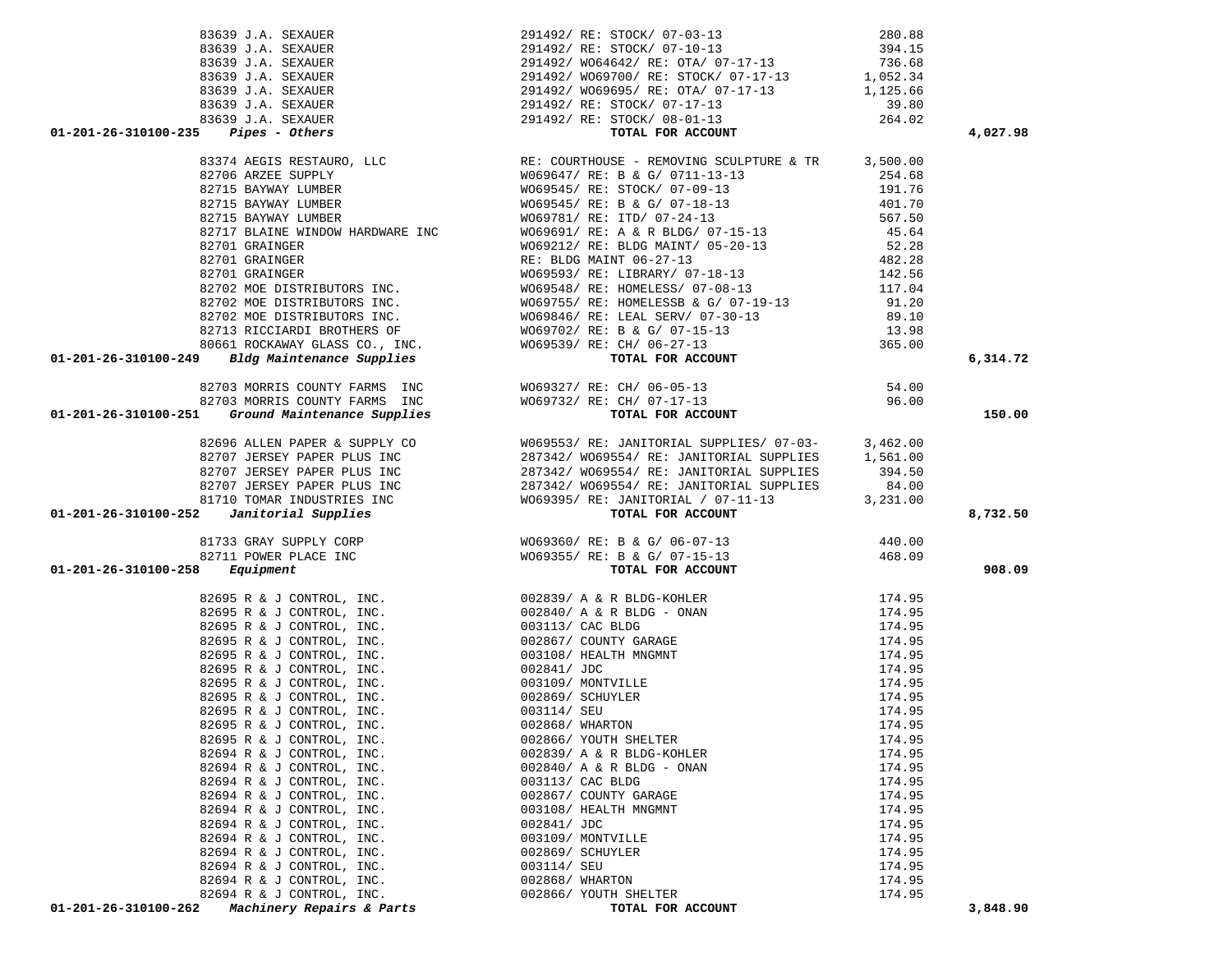|                           |                                                                                                                                                                                                                                                                                                                                                                   |        | 4,027.98 |
|---------------------------|-------------------------------------------------------------------------------------------------------------------------------------------------------------------------------------------------------------------------------------------------------------------------------------------------------------------------------------------------------------------|--------|----------|
|                           | $\begin{array}{cccccc} 83639& \text{ J.A.} & \text{SEXAUER} & & & & & & 291492 \text{/ RE: } \text{STOCK/ } 07-03-13 & & & & 280.88 \\ 83639& \text{ J.A.} & \text{SEXAUER} & & & & & 291492 \text{/ RE: } \text{STOCK/ } 07-10-13 & & & 394.15 \\ 83639& \text{ J.A.} & \text{SEXAUER} & & & & 291492 \text{/ W664642 / RE: } \text{OTA/ } 07-17-13 & & & 7$     |        |          |
|                           |                                                                                                                                                                                                                                                                                                                                                                   |        |          |
|                           |                                                                                                                                                                                                                                                                                                                                                                   |        |          |
|                           |                                                                                                                                                                                                                                                                                                                                                                   |        |          |
|                           |                                                                                                                                                                                                                                                                                                                                                                   |        |          |
|                           |                                                                                                                                                                                                                                                                                                                                                                   |        |          |
|                           |                                                                                                                                                                                                                                                                                                                                                                   |        |          |
|                           |                                                                                                                                                                                                                                                                                                                                                                   |        |          |
|                           |                                                                                                                                                                                                                                                                                                                                                                   |        |          |
|                           |                                                                                                                                                                                                                                                                                                                                                                   |        |          |
|                           |                                                                                                                                                                                                                                                                                                                                                                   |        |          |
|                           |                                                                                                                                                                                                                                                                                                                                                                   |        |          |
|                           |                                                                                                                                                                                                                                                                                                                                                                   |        |          |
|                           |                                                                                                                                                                                                                                                                                                                                                                   |        |          |
|                           |                                                                                                                                                                                                                                                                                                                                                                   |        |          |
|                           |                                                                                                                                                                                                                                                                                                                                                                   |        |          |
|                           |                                                                                                                                                                                                                                                                                                                                                                   |        | 6,314.72 |
|                           | 82703 MORRIS COUNTY FARMS INC<br>82703 MORRIS COUNTY FARMS INC 82703 WORRIS COUNTY FARMS INC 82703 MORRIS COUNTY FARMS INC<br><b>01-201-26-310100-251</b> <i>Ground Maintenance Supplies</i> room for a round for account                                                                                                                                         |        |          |
|                           |                                                                                                                                                                                                                                                                                                                                                                   |        |          |
|                           |                                                                                                                                                                                                                                                                                                                                                                   |        | 150.00   |
|                           |                                                                                                                                                                                                                                                                                                                                                                   |        |          |
|                           |                                                                                                                                                                                                                                                                                                                                                                   |        |          |
|                           |                                                                                                                                                                                                                                                                                                                                                                   |        |          |
|                           |                                                                                                                                                                                                                                                                                                                                                                   |        |          |
|                           |                                                                                                                                                                                                                                                                                                                                                                   |        |          |
|                           |                                                                                                                                                                                                                                                                                                                                                                   |        |          |
|                           |                                                                                                                                                                                                                                                                                                                                                                   |        |          |
|                           |                                                                                                                                                                                                                                                                                                                                                                   |        |          |
|                           |                                                                                                                                                                                                                                                                                                                                                                   |        | 8,732.50 |
|                           |                                                                                                                                                                                                                                                                                                                                                                   |        |          |
|                           |                                                                                                                                                                                                                                                                                                                                                                   |        |          |
|                           |                                                                                                                                                                                                                                                                                                                                                                   |        | 908.09   |
|                           |                                                                                                                                                                                                                                                                                                                                                                   |        |          |
|                           |                                                                                                                                                                                                                                                                                                                                                                   |        |          |
|                           |                                                                                                                                                                                                                                                                                                                                                                   |        |          |
|                           |                                                                                                                                                                                                                                                                                                                                                                   |        |          |
|                           |                                                                                                                                                                                                                                                                                                                                                                   |        |          |
|                           |                                                                                                                                                                                                                                                                                                                                                                   |        |          |
|                           |                                                                                                                                                                                                                                                                                                                                                                   |        |          |
|                           |                                                                                                                                                                                                                                                                                                                                                                   |        |          |
|                           |                                                                                                                                                                                                                                                                                                                                                                   |        |          |
|                           |                                                                                                                                                                                                                                                                                                                                                                   |        |          |
| 82695 R & J CONTROL, INC. | 002868/ WHARTON                                                                                                                                                                                                                                                                                                                                                   | 174.95 |          |
| 82695 R & J CONTROL, INC. | 01-201-26-310100-23<br>$\frac{2695 \text{ K L L EM}}{174.95}$<br>$\frac{22695 \text{ K L L EM}}{174.95}$<br>$\frac{22695 \text{ K L L EM}}{174.95}$<br>$\frac{22695 \text{ K L EM}}{174.95}$<br>$\frac{22695 \text{ K L EM}}{174.95}$<br>$\frac{22695 \text{ K L EM}}{174.95}$<br>$\frac{22695 \text{ K L EM}}{174.95}$<br>$\frac{22695$<br>002866/ YOUTH SHELTER | 174.95 |          |
|                           |                                                                                                                                                                                                                                                                                                                                                                   |        |          |
| 82694 R & J CONTROL, INC. | 002839/ A & R BLDG-KOHLER                                                                                                                                                                                                                                                                                                                                         | 174.95 |          |
| 82694 R & J CONTROL, INC. | 002840/ A & R BLDG - ONAN                                                                                                                                                                                                                                                                                                                                         | 174.95 |          |
| 82694 R & J CONTROL, INC. | 003113/ CAC BLDG                                                                                                                                                                                                                                                                                                                                                  | 174.95 |          |
| 82694 R & J CONTROL, INC. | 002867/ COUNTY GARAGE                                                                                                                                                                                                                                                                                                                                             | 174.95 |          |
| 82694 R & J CONTROL, INC. | 003108/ HEALTH MNGMNT                                                                                                                                                                                                                                                                                                                                             | 174.95 |          |
| 82694 R & J CONTROL, INC. | 002841/ JDC                                                                                                                                                                                                                                                                                                                                                       | 174.95 |          |
| 82694 R & J CONTROL, INC. | 003109/ MONTVILLE                                                                                                                                                                                                                                                                                                                                                 | 174.95 |          |
| 82694 R & J CONTROL, INC. | 002869/ SCHUYLER                                                                                                                                                                                                                                                                                                                                                  | 174.95 |          |
| 82694 R & J CONTROL, INC. | 003114/ SEU                                                                                                                                                                                                                                                                                                                                                       | 174.95 |          |
| 82694 R & J CONTROL, INC. | 002868/ WHARTON                                                                                                                                                                                                                                                                                                                                                   | 174.95 |          |
| 82694 R & J CONTROL, INC. | 002866/ YOUTH SHELTER                                                                                                                                                                                                                                                                                                                                             | 174.95 |          |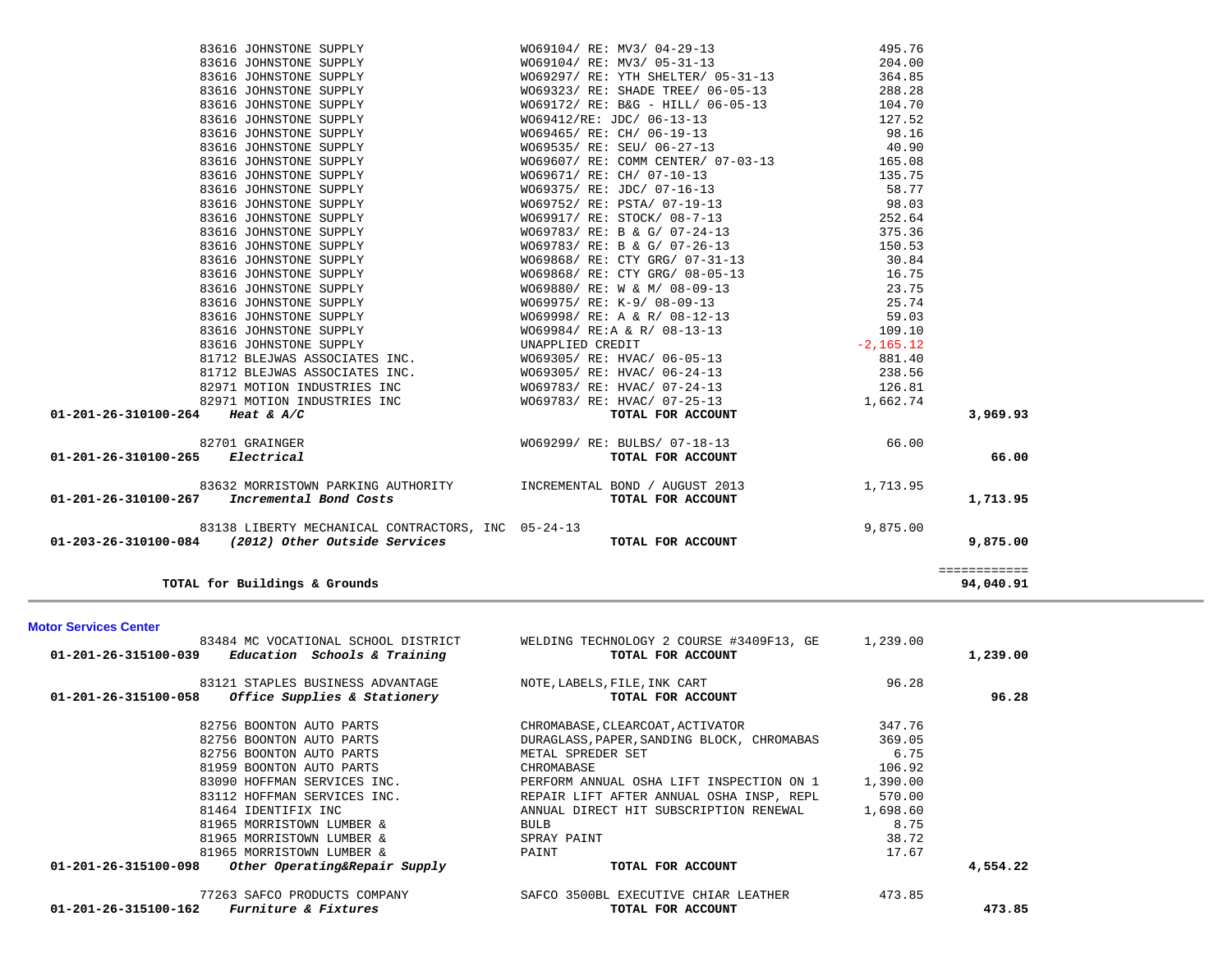|                                 | TOTAL for Buildings & Grounds                                                                            |                                                           |                 | ============<br>94,040.91 |
|---------------------------------|----------------------------------------------------------------------------------------------------------|-----------------------------------------------------------|-----------------|---------------------------|
|                                 | 83138 LIBERTY MECHANICAL CONTRACTORS, INC 05-24-13<br>01-203-26-310100-084 (2012) Other Outside Services | TOTAL FOR ACCOUNT                                         | 9,875.00        | 9,875.00                  |
| 01-201-26-310100-267            | 83632 MORRISTOWN PARKING AUTHORITY MORREMENTAL BOND / AUGUST 2013<br>Incremental Bond Costs              | TOTAL FOR ACCOUNT                                         | 1,713.95        | 1,713.95                  |
| 01-201-26-310100-265 Electrical | 82701 GRAINGER                                                                                           | W069299/ RE: BULBS/ 07-18-13<br>TOTAL FOR ACCOUNT         | 66.00           | 66.00                     |
| 01-201-26-310100-264 Heat & A/C |                                                                                                          | TOTAL FOR ACCOUNT                                         |                 | 3,969.93                  |
|                                 | 82971 MOTION INDUSTRIES INC                                                                              | W069783/ RE: HVAC/ 07-25-13                               | 1,662.74        |                           |
|                                 | 82971 MOTION INDUSTRIES INC                                                                              | WO69783/ RE: HVAC/ 07-24-13                               | 126.81          |                           |
|                                 | 81712 BLEJWAS ASSOCIATES INC.                                                                            | WO69305/ RE: HVAC/ 06-24-13                               | 238.56          |                           |
|                                 | 81712 BLEJWAS ASSOCIATES INC.                                                                            | WO69305/ RE: HVAC/ 06-05-13                               | 881.40          |                           |
|                                 | 83616 JOHNSTONE SUPPLY                                                                                   | UNAPPLIED CREDIT                                          | $-2,165.12$     |                           |
|                                 | 83616 JOHNSTONE SUPPLY                                                                                   | WO69984/ RE:A & R/ 08-13-13                               | 109.10          |                           |
|                                 | 83616 JOHNSTONE SUPPLY                                                                                   | WO69998/ RE: A & R/ 08-12-13                              | 59.03           |                           |
|                                 | 83616 JOHNSTONE SUPPLY                                                                                   | W069975/ RE: K-9/ 08-09-13                                | 25.74           |                           |
|                                 | 83616 JOHNSTONE SUPPLY                                                                                   | WO69880/ RE: W & M/ 08-09-13                              | 23.75           |                           |
|                                 | 83616 JOHNSTONE SUPPLY                                                                                   | WO69868/ RE: CTY GRG/ 08-05-13                            | 16.75           |                           |
|                                 | 83616 JOHNSTONE SUPPLY                                                                                   | WO69868/ RE: CTY GRG/ 07-31-13                            | 30.84           |                           |
|                                 | 83616 JOHNSTONE SUPPLY                                                                                   | WO69783/ RE: B & G/ 07-26-13                              | 150.53          |                           |
|                                 | 83616 JOHNSTONE SUPPLY                                                                                   | WO69783/ RE: B & G/ 07-24-13                              | 375.36          |                           |
|                                 | 83616 JOHNSTONE SUPPLY                                                                                   | W069917/ RE: STOCK/ 08-7-13                               | 252.64          |                           |
|                                 | 83616 JOHNSTONE SUPPLY<br>83616 JOHNSTONE SUPPLY                                                         | W069375/ RE: JDC/ 07-16-13<br>W069752/ RE: PSTA/ 07-19-13 | 98.03           |                           |
|                                 | 83616 JOHNSTONE SUPPLY                                                                                   | W069671/ RE: CH/ 07-10-13                                 | 135.75<br>58.77 |                           |
|                                 | 83616 JOHNSTONE SUPPLY                                                                                   | W069607/ RE: COMM CENTER/ 07-03-13                        | 165.08          |                           |
|                                 | 83616 JOHNSTONE SUPPLY                                                                                   |                                                           | 40.90           |                           |
|                                 | 83616 JOHNSTONE SUPPLY                                                                                   | W069465/ RE: CH/ 06-19-13<br>W069535/ RE: SEU/ 06-27-13   | 98.16           |                           |
|                                 | 83616 JOHNSTONE SUPPLY                                                                                   | W069412/RE: JDC/ 06-13-13                                 | 127.52          |                           |
|                                 | 83616 JOHNSTONE SUPPLY                                                                                   | WO69172/ RE: B&G - HILL/ 06-05-13 104.70                  |                 |                           |
|                                 | 83616 JOHNSTONE SUPPLY                                                                                   | WO69323/ RE: SHADE TREE/ 06-05-13 288.28                  |                 |                           |
|                                 | 83616 JOHNSTONE SUPPLY                                                                                   | W069297/ RE: YTH SHELTER/ 05-31-13                        | 364.85          |                           |
|                                 | 83616 JOHNSTONE SUPPLY                                                                                   | WO69104/ RE: MV3/ 05-31-13                                | 204.00          |                           |

83616 JOHNSTONE SUPPLY WO69104/ RE: MV3/ 04-29-13 495.76

| 83484 MC VOCATIONAL SCHOOL DISTRICT<br>Education Schools & Training<br>01-201-26-315100-039 | WELDING TECHNOLOGY 2 COURSE #3409F13, GE<br>TOTAL FOR ACCOUNT | 1,239.00 | 1,239.00 |
|---------------------------------------------------------------------------------------------|---------------------------------------------------------------|----------|----------|
| 83121 STAPLES BUSINESS ADVANTAGE                                                            | NOTE, LABELS, FILE, INK CART                                  | 96.28    |          |
| Office Supplies & Stationery<br>01-201-26-315100-058                                        | TOTAL FOR ACCOUNT                                             |          | 96.28    |
| 82756 BOONTON AUTO PARTS                                                                    | CHROMABASE, CLEARCOAT, ACTIVATOR                              | 347.76   |          |
| 82756 BOONTON AUTO PARTS                                                                    | DURAGLASS, PAPER, SANDING BLOCK, CHROMABAS                    | 369.05   |          |
| 82756 BOONTON AUTO PARTS                                                                    | METAL SPREDER SET                                             | 6.75     |          |
| 81959 BOONTON AUTO PARTS                                                                    | CHROMABASE                                                    | 106.92   |          |
| 83090 HOFFMAN SERVICES INC.                                                                 | PERFORM ANNUAL OSHA LIFT INSPECTION ON 1                      | 1,390.00 |          |
| 83112 HOFFMAN SERVICES INC.                                                                 | REPAIR LIFT AFTER ANNUAL OSHA INSP, REPL                      | 570.00   |          |
| 81464 IDENTIFIX INC                                                                         | ANNUAL DIRECT HIT SUBSCRIPTION RENEWAL                        | 1,698.60 |          |
| 81965 MORRISTOWN LUMBER &                                                                   | BULB                                                          | 8.75     |          |
| 81965 MORRISTOWN LUMBER &                                                                   | SPRAY PAINT                                                   | 38.72    |          |
| 81965 MORRISTOWN LUMBER &                                                                   | PAINT                                                         | 17.67    |          |
| 01-201-26-315100-098<br>Other Operating&Repair Supply                                       | TOTAL FOR ACCOUNT                                             |          | 4,554.22 |
| 77263 SAFCO PRODUCTS COMPANY                                                                | SAFCO 3500BL EXECUTIVE CHIAR LEATHER                          | 473.85   |          |
| <i>Furniture &amp; Fixtures</i><br>01-201-26-315100-162                                     | TOTAL FOR ACCOUNT                                             |          | 473.85   |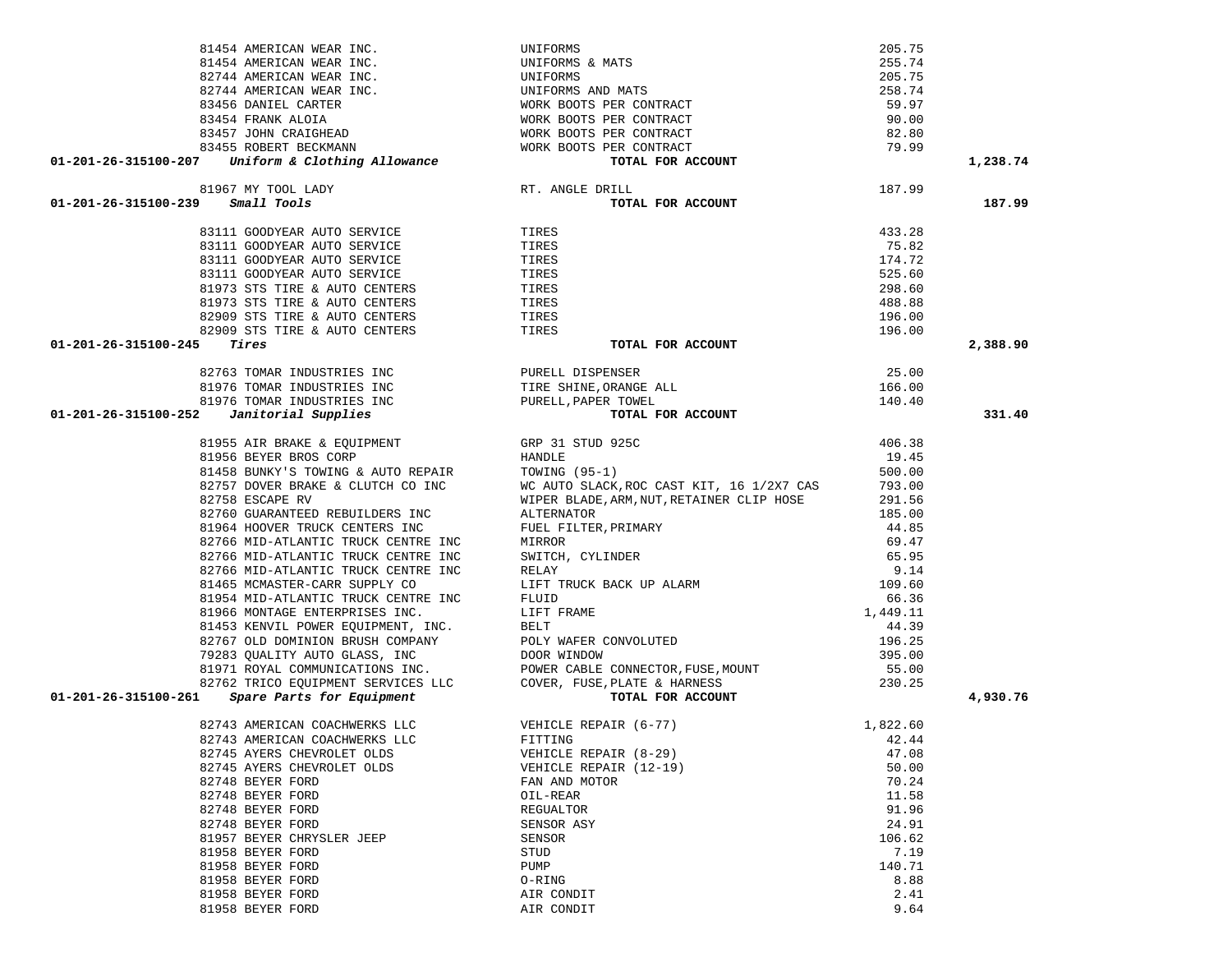|                                                                                                                                                                                                                                                |                        |                  | 1,238.74 |
|------------------------------------------------------------------------------------------------------------------------------------------------------------------------------------------------------------------------------------------------|------------------------|------------------|----------|
| 81967 MY TOOL LADY RT. ANGLE DRILL<br><b>9</b> Small Tools<br>83111 GOODYEAR AUTO SERVICE TIRES<br>83111 GOODYEAR AUTO SERVICE TIRES<br>83111 GOODYEAR AUTO SERVICE TIRES<br>8111 GOODYEAR AUTO SERVICE TIRES<br>81973 STS TIRE & AUTO CENTERS |                        |                  |          |
|                                                                                                                                                                                                                                                |                        | 187.99           |          |
| 01-201-26-315100-239 Small Tools                                                                                                                                                                                                               | TOTAL FOR ACCOUNT      |                  | 187.99   |
|                                                                                                                                                                                                                                                |                        |                  |          |
|                                                                                                                                                                                                                                                |                        | 433.28           |          |
|                                                                                                                                                                                                                                                |                        | 75.82<br>174.72  |          |
|                                                                                                                                                                                                                                                |                        | 525.60           |          |
|                                                                                                                                                                                                                                                |                        | 298.60           |          |
|                                                                                                                                                                                                                                                |                        | 488.88           |          |
|                                                                                                                                                                                                                                                |                        |                  |          |
|                                                                                                                                                                                                                                                |                        | 196.00<br>196.00 |          |
| Tires<br>01-201-26-315100-245                                                                                                                                                                                                                  | TOTAL FOR ACCOUNT      |                  | 2,388.90 |
|                                                                                                                                                                                                                                                |                        |                  |          |
|                                                                                                                                                                                                                                                |                        | 25.00            |          |
|                                                                                                                                                                                                                                                |                        | 166.00           |          |
|                                                                                                                                                                                                                                                |                        | 140.40           |          |
| 82763 TOMAR INDUSTRIES INC<br>81976 TOMAR INDUSTRIES INC<br>81976 TOMAR INDUSTRIES INC<br>81976 TOMAR INDUSTRIES INC<br>91-201-26-315100-252 Janitorial Supplies<br>TOTAL FOR ACCOUNT                                                          |                        |                  | 331.40   |
|                                                                                                                                                                                                                                                |                        |                  |          |
|                                                                                                                                                                                                                                                |                        |                  |          |
|                                                                                                                                                                                                                                                |                        |                  |          |
|                                                                                                                                                                                                                                                |                        |                  |          |
|                                                                                                                                                                                                                                                |                        |                  |          |
|                                                                                                                                                                                                                                                |                        |                  |          |
|                                                                                                                                                                                                                                                |                        |                  |          |
|                                                                                                                                                                                                                                                |                        |                  |          |
|                                                                                                                                                                                                                                                |                        |                  |          |
|                                                                                                                                                                                                                                                |                        |                  |          |
|                                                                                                                                                                                                                                                |                        |                  |          |
|                                                                                                                                                                                                                                                |                        |                  |          |
|                                                                                                                                                                                                                                                |                        |                  |          |
|                                                                                                                                                                                                                                                |                        |                  |          |
|                                                                                                                                                                                                                                                |                        |                  |          |
|                                                                                                                                                                                                                                                |                        |                  |          |
|                                                                                                                                                                                                                                                |                        |                  |          |
|                                                                                                                                                                                                                                                |                        |                  |          |
|                                                                                                                                                                                                                                                |                        |                  |          |
| 01 EVALUATION ENGINEES AIR BAKE & EUITPINET (95 1) STEV 325<br>81955 AIR BAKE & EUITPINET (95 -1) 19.45<br>81458 BEVER BROS CORP HENDLE (95 -1) 19.45<br>81458 BEVER BROS CORP AUTO REPAIR TOWING (95 -1) 19.45<br>82755 DOVER SRAKE           |                        |                  | 4,930.76 |
| 82743 AMERICAN COACHWERKS LLC VEHICLE REPAIR (6-77)                                                                                                                                                                                            |                        | 1,822.60         |          |
| 82743 AMERICAN COACHWERKS LLC                                                                                                                                                                                                                  | FITTING                | 42.44            |          |
| 82745 AYERS CHEVROLET OLDS                                                                                                                                                                                                                     | VEHICLE REPAIR (8-29)  | 47.08            |          |
| 82745 AYERS CHEVROLET OLDS                                                                                                                                                                                                                     | VEHICLE REPAIR (12-19) | 50.00            |          |
| 82748 BEYER FORD                                                                                                                                                                                                                               | FAN AND MOTOR          | 70.24            |          |
| 82748 BEYER FORD                                                                                                                                                                                                                               | OIL-REAR               | 11.58            |          |
| 82748 BEYER FORD                                                                                                                                                                                                                               | REGUALTOR              | 91.96            |          |
| 82748 BEYER FORD                                                                                                                                                                                                                               | SENSOR ASY             | 24.91            |          |
| 81957 BEYER CHRYSLER JEEP                                                                                                                                                                                                                      | SENSOR                 | 106.62           |          |
| 81958 BEYER FORD                                                                                                                                                                                                                               | STUD                   | 7.19             |          |
| 81958 BEYER FORD                                                                                                                                                                                                                               | PUMP                   | 140.71           |          |
| 81958 BEYER FORD                                                                                                                                                                                                                               | O-RING                 | 8.88             |          |
| 81958 BEYER FORD                                                                                                                                                                                                                               | AIR CONDIT             | 2.41             |          |
| 81958 BEYER FORD                                                                                                                                                                                                                               | AIR CONDIT             | 9.64             |          |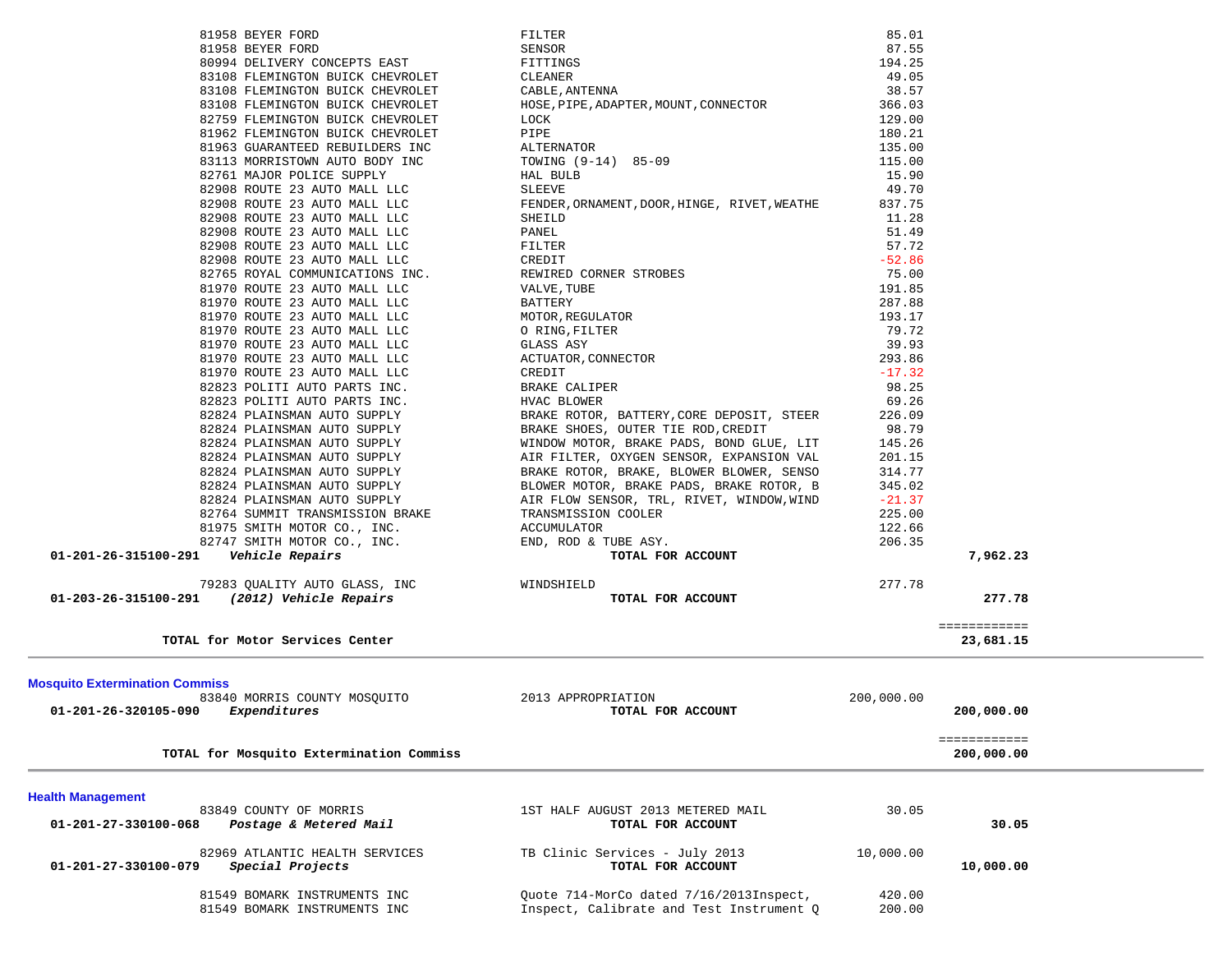| 81549 BOMARK INSTRUMENTS INC<br>81549 BOMARK INSTRUMENTS INC                                                  | Quote 714-MorCo dated 7/16/2013Inspect,<br>Inspect, Calibrate and Test Instrument Q  | 420.00<br>200.00   |                            |  |
|---------------------------------------------------------------------------------------------------------------|--------------------------------------------------------------------------------------|--------------------|----------------------------|--|
| 82969 ATLANTIC HEALTH SERVICES<br>Special Projects<br>01-201-27-330100-079                                    | TB Clinic Services - July 2013<br>TOTAL FOR ACCOUNT                                  | 10,000.00          | 10,000.00                  |  |
| <b>Health Management</b><br>83849 COUNTY OF MORRIS<br>Postage & Metered Mail<br>01-201-27-330100-068          | 1ST HALF AUGUST 2013 METERED MAIL<br>TOTAL FOR ACCOUNT                               | 30.05              | 30.05                      |  |
| TOTAL for Mosquito Extermination Commiss                                                                      |                                                                                      |                    | 200,000.00                 |  |
| <b>Mosquito Extermination Commiss</b><br>83840 MORRIS COUNTY MOSOUITO<br>Expenditures<br>01-201-26-320105-090 | 2013 APPROPRIATION<br>TOTAL FOR ACCOUNT                                              | 200,000.00         | 200,000.00<br>============ |  |
| TOTAL for Motor Services Center                                                                               |                                                                                      |                    | ============<br>23,681.15  |  |
| 79283 QUALITY AUTO GLASS, INC<br>01-203-26-315100-291 (2012) Vehicle Repairs                                  | WINDSHIELD<br>TOTAL FOR ACCOUNT                                                      | 277.78             | 277.78                     |  |
| 82747 SMITH MOTOR CO., INC.<br>01-201-26-315100-291    Vehicle Repairs                                        | END, ROD & TUBE ASY.<br>TOTAL FOR ACCOUNT                                            | 206.35             | 7,962.23                   |  |
| 82764 SUMMIT TRANSMISSION BRAKE<br>81975 SMITH MOTOR CO., INC.                                                | TRANSMISSION COOLER<br>ACCUMULATOR                                                   | 122.66             |                            |  |
| 82824 PLAINSMAN AUTO SUPPLY                                                                                   | AIR FLOW SENSOR, TRL, RIVET, WINDOW, WIND                                            | $-21.37$<br>225.00 |                            |  |
| 82824 PLAINSMAN AUTO SUPPLY<br>82824 PLAINSMAN AUTO SUPPLY                                                    | BRAKE ROTOR, BRAKE, BLOWER BLOWER, SENSO<br>BLOWER MOTOR, BRAKE PADS, BRAKE ROTOR, B | 345.02             |                            |  |
| 82824 PLAINSMAN AUTO SUPPLY                                                                                   | AIR FILTER, OXYGEN SENSOR, EXPANSION VAL                                             | 201.15<br>314.77   |                            |  |
| 82824 PLAINSMAN AUTO SUPPLY                                                                                   | WINDOW MOTOR, BRAKE PADS, BOND GLUE, LIT                                             | 145.26             |                            |  |
| 82824 PLAINSMAN AUTO SUPPLY<br>82824 PLAINSMAN AUTO SUPPLY                                                    | BRAKE ROTOR, BATTERY, CORE DEPOSIT, STEER<br>BRAKE SHOES, OUTER TIE ROD, CREDIT      | 226.09<br>98.79    |                            |  |
| 82823 POLITI AUTO PARTS INC.                                                                                  | HVAC BLOWER                                                                          | 69.26              |                            |  |
| 81970 ROUTE 23 AUTO MALL LLC<br>82823 POLITI AUTO PARTS INC.                                                  | CREDIT<br>BRAKE CALIPER                                                              | $-17.32$<br>98.25  |                            |  |
| 81970 ROUTE 23 AUTO MALL LLC                                                                                  | ACTUATOR, CONNECTOR                                                                  | 293.86             |                            |  |
| 81970 ROUTE 23 AUTO MALL LLC                                                                                  | GLASS ASY                                                                            | 39.93              |                            |  |
| 81970 ROUTE 23 AUTO MALL LLC<br>81970 ROUTE 23 AUTO MALL LLC                                                  | MOTOR, REGULATOR<br>O RING, FILTER                                                   | 193.17<br>79.72    |                            |  |
| 81970 ROUTE 23 AUTO MALL LLC                                                                                  | BATTERY                                                                              | 287.88             |                            |  |
| 82765 ROYAL COMMUNICATIONS INC.<br>81970 ROUTE 23 AUTO MALL LLC                                               | REWIRED CORNER STROBES<br>VALVE, TUBE                                                | 75.00<br>191.85    |                            |  |
| 82908 ROUTE 23 AUTO MALL LLC                                                                                  | CREDIT                                                                               | $-52.86$           |                            |  |
| 82908 ROUTE 23 AUTO MALL LLC                                                                                  | FILTER                                                                               | 57.72              |                            |  |
| 82908 ROUTE 23 AUTO MALL LLC<br>82908 ROUTE 23 AUTO MALL LLC                                                  | SHEILD<br>PANEL                                                                      | 11.28<br>51.49     |                            |  |
| 82908 ROUTE 23 AUTO MALL LLC                                                                                  | FENDER, ORNAMENT, DOOR, HINGE, RIVET, WEATHE                                         | 837.75             |                            |  |
| 82908 ROUTE 23 AUTO MALL LLC                                                                                  | SLEEVE                                                                               | 49.70              |                            |  |
| 83113 MORRISTOWN AUTO BODY INC<br>82761 MAJOR POLICE SUPPLY                                                   | TOWING (9-14) 85-09<br>HAL BULB                                                      | 115.00<br>15.90    |                            |  |
| 81963 GUARANTEED REBUILDERS INC                                                                               | ALTERNATOR                                                                           | 135.00             |                            |  |
| 81962 FLEMINGTON BUICK CHEVROLET                                                                              | PIPE                                                                                 | 180.21             |                            |  |
| 83108 FLEMINGTON BUICK CHEVROLET<br>82759 FLEMINGTON BUICK CHEVROLET                                          | HOSE, PIPE, ADAPTER, MOUNT, CONNECTOR<br>LOCK                                        | 366.03<br>129.00   |                            |  |
| 83108 FLEMINGTON BUICK CHEVROLET                                                                              | CABLE, ANTENNA                                                                       | 38.57              |                            |  |
| 83108 FLEMINGTON BUICK CHEVROLET                                                                              | CLEANER                                                                              | 49.05              |                            |  |
| 81958 BEYER FORD<br>80994 DELIVERY CONCEPTS EAST                                                              | SENSOR<br>FITTINGS                                                                   | 87.55<br>194.25    |                            |  |
| 81958 BEYER FORD                                                                                              | FILTER                                                                               | 85.01              |                            |  |
|                                                                                                               |                                                                                      |                    |                            |  |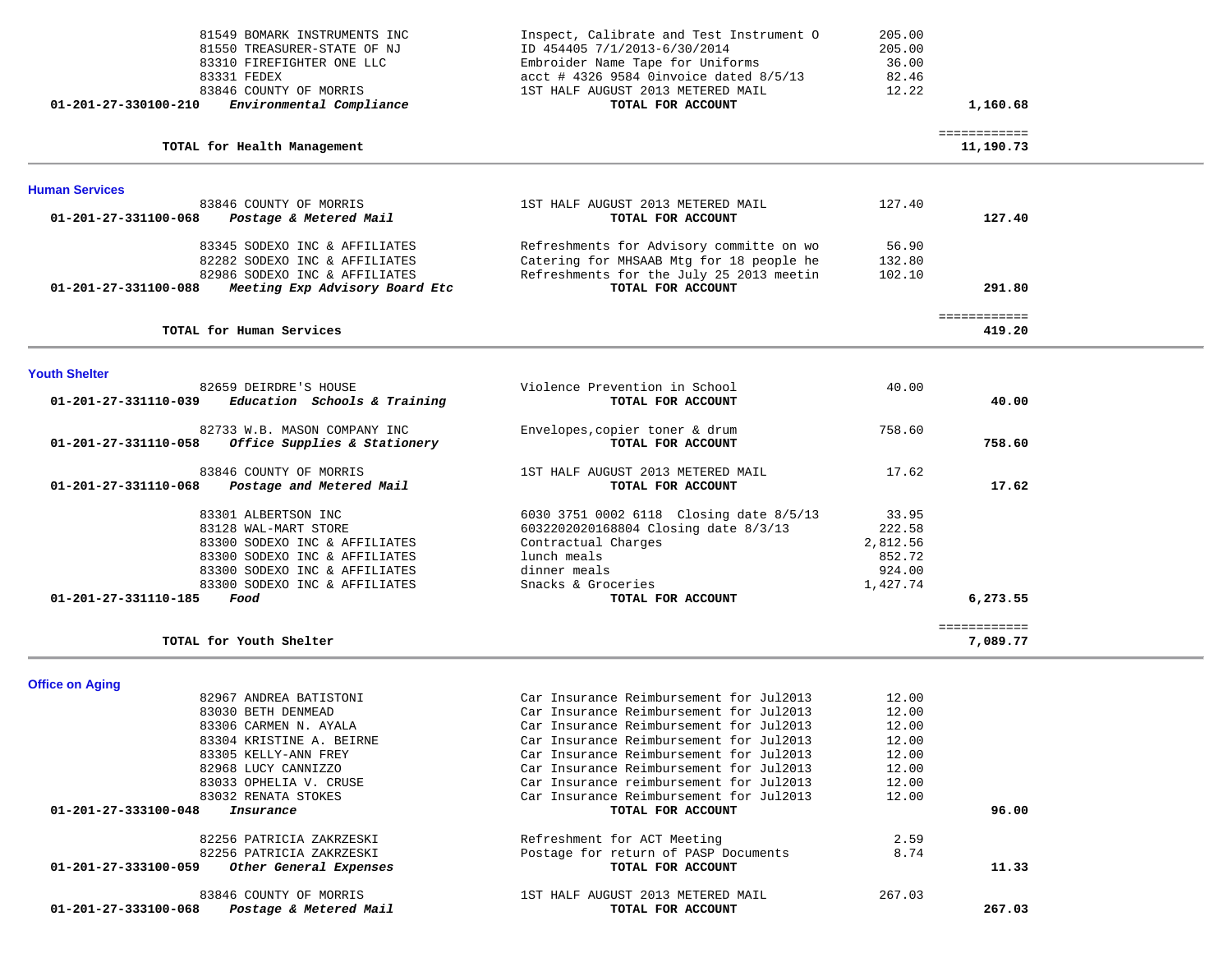| 01-201-27-330100-210                                                   | 81549 BOMARK INSTRUMENTS INC<br>81550 TREASURER-STATE OF NJ<br>83310 FIREFIGHTER ONE LLC<br>83331 FEDEX<br>83846 COUNTY OF MORRIS<br>Environmental Compliance                                                                                                                                    | Inspect, Calibrate and Test Instrument O<br>ID 454405 7/1/2013-6/30/2014<br>Embroider Name Tape for Uniforms<br>$\text{acct}$ # 4326 9584 0invoice dated 8/5/13<br>1ST HALF AUGUST 2013 METERED MAIL<br>TOTAL FOR ACCOUNT                                                                                                                                                                                                                                             | 205.00<br>205.00<br>36.00<br>82.46<br>12.22                                          | 1,160.68                  |  |
|------------------------------------------------------------------------|--------------------------------------------------------------------------------------------------------------------------------------------------------------------------------------------------------------------------------------------------------------------------------------------------|-----------------------------------------------------------------------------------------------------------------------------------------------------------------------------------------------------------------------------------------------------------------------------------------------------------------------------------------------------------------------------------------------------------------------------------------------------------------------|--------------------------------------------------------------------------------------|---------------------------|--|
|                                                                        | TOTAL for Health Management                                                                                                                                                                                                                                                                      |                                                                                                                                                                                                                                                                                                                                                                                                                                                                       |                                                                                      | ============<br>11,190.73 |  |
| <b>Human Services</b>                                                  |                                                                                                                                                                                                                                                                                                  |                                                                                                                                                                                                                                                                                                                                                                                                                                                                       |                                                                                      |                           |  |
| 01-201-27-331100-068                                                   | 83846 COUNTY OF MORRIS<br>Postage & Metered Mail                                                                                                                                                                                                                                                 | 1ST HALF AUGUST 2013 METERED MAIL<br>TOTAL FOR ACCOUNT                                                                                                                                                                                                                                                                                                                                                                                                                | 127.40                                                                               | 127.40                    |  |
| 01-201-27-331100-088                                                   | 83345 SODEXO INC & AFFILIATES<br>82282 SODEXO INC & AFFILIATES<br>82986 SODEXO INC & AFFILIATES<br>Meeting Exp Advisory Board Etc                                                                                                                                                                | Refreshments for Advisory committe on wo<br>Catering for MHSAAB Mtg for 18 people he<br>Refreshments for the July 25 2013 meetin<br>TOTAL FOR ACCOUNT                                                                                                                                                                                                                                                                                                                 | 56.90<br>132.80<br>102.10                                                            | 291.80                    |  |
|                                                                        | TOTAL for Human Services                                                                                                                                                                                                                                                                         |                                                                                                                                                                                                                                                                                                                                                                                                                                                                       |                                                                                      | ============<br>419.20    |  |
| <b>Youth Shelter</b>                                                   |                                                                                                                                                                                                                                                                                                  |                                                                                                                                                                                                                                                                                                                                                                                                                                                                       |                                                                                      |                           |  |
| 01-201-27-331110-039                                                   | 82659 DEIRDRE'S HOUSE<br>Education Schools & Training                                                                                                                                                                                                                                            | Violence Prevention in School<br>TOTAL FOR ACCOUNT                                                                                                                                                                                                                                                                                                                                                                                                                    | 40.00                                                                                | 40.00                     |  |
| $01 - 201 - 27 - 331110 - 058$                                         | 82733 W.B. MASON COMPANY INC<br>Office Supplies & Stationery                                                                                                                                                                                                                                     | Envelopes, copier toner & drum<br>TOTAL FOR ACCOUNT                                                                                                                                                                                                                                                                                                                                                                                                                   | 758.60                                                                               | 758.60                    |  |
| 01-201-27-331110-068                                                   | 83846 COUNTY OF MORRIS<br>Postage and Metered Mail                                                                                                                                                                                                                                               | 1ST HALF AUGUST 2013 METERED MAIL<br>TOTAL FOR ACCOUNT                                                                                                                                                                                                                                                                                                                                                                                                                | 17.62                                                                                | 17.62                     |  |
| 01-201-27-331110-185                                                   | 83301 ALBERTSON INC<br>83128 WAL-MART STORE<br>83300 SODEXO INC & AFFILIATES<br>83300 SODEXO INC & AFFILIATES<br>83300 SODEXO INC & AFFILIATES<br>83300 SODEXO INC & AFFILIATES<br>Food                                                                                                          | 6030 3751 0002 6118 Closing date 8/5/13<br>6032202020168804 Closing date 8/3/13<br>Contractual Charges<br>lunch meals<br>dinner meals<br>Snacks & Groceries<br>TOTAL FOR ACCOUNT                                                                                                                                                                                                                                                                                      | 33.95<br>222.58<br>2,812.56<br>852.72<br>924.00<br>1,427.74                          | 6,273.55                  |  |
|                                                                        | TOTAL for Youth Shelter                                                                                                                                                                                                                                                                          |                                                                                                                                                                                                                                                                                                                                                                                                                                                                       |                                                                                      | ============<br>7,089.77  |  |
| <b>Office on Aging</b><br>01-201-27-333100-048<br>01-201-27-333100-059 | 82967 ANDREA BATISTONI<br>83030 BETH DENMEAD<br>83306 CARMEN N. AYALA<br>83304 KRISTINE A. BEIRNE<br>83305 KELLY-ANN FREY<br>82968 LUCY CANNIZZO<br>83033 OPHELIA V. CRUSE<br>83032 RENATA STOKES<br>Insurance<br>82256 PATRICIA ZAKRZESKI<br>82256 PATRICIA ZAKRZESKI<br>Other General Expenses | Car Insurance Reimbursement for Jul2013<br>Car Insurance Reimbursement for Jul2013<br>Car Insurance Reimbursement for Jul2013<br>Car Insurance Reimbursement for Jul2013<br>Car Insurance Reimbursement for Jul2013<br>Car Insurance Reimbursement for Jul2013<br>Car Insurance reimbursement for Jul2013<br>Car Insurance Reimbursement for Jul2013<br>TOTAL FOR ACCOUNT<br>Refreshment for ACT Meeting<br>Postage for return of PASP Documents<br>TOTAL FOR ACCOUNT | 12.00<br>12.00<br>12.00<br>12.00<br>12.00<br>12.00<br>12.00<br>12.00<br>2.59<br>8.74 | 96.00<br>11.33            |  |
| 01-201-27-333100-068                                                   | 83846 COUNTY OF MORRIS<br>Postage & Metered Mail                                                                                                                                                                                                                                                 | 1ST HALF AUGUST 2013 METERED MAIL<br>TOTAL FOR ACCOUNT                                                                                                                                                                                                                                                                                                                                                                                                                | 267.03                                                                               | 267.03                    |  |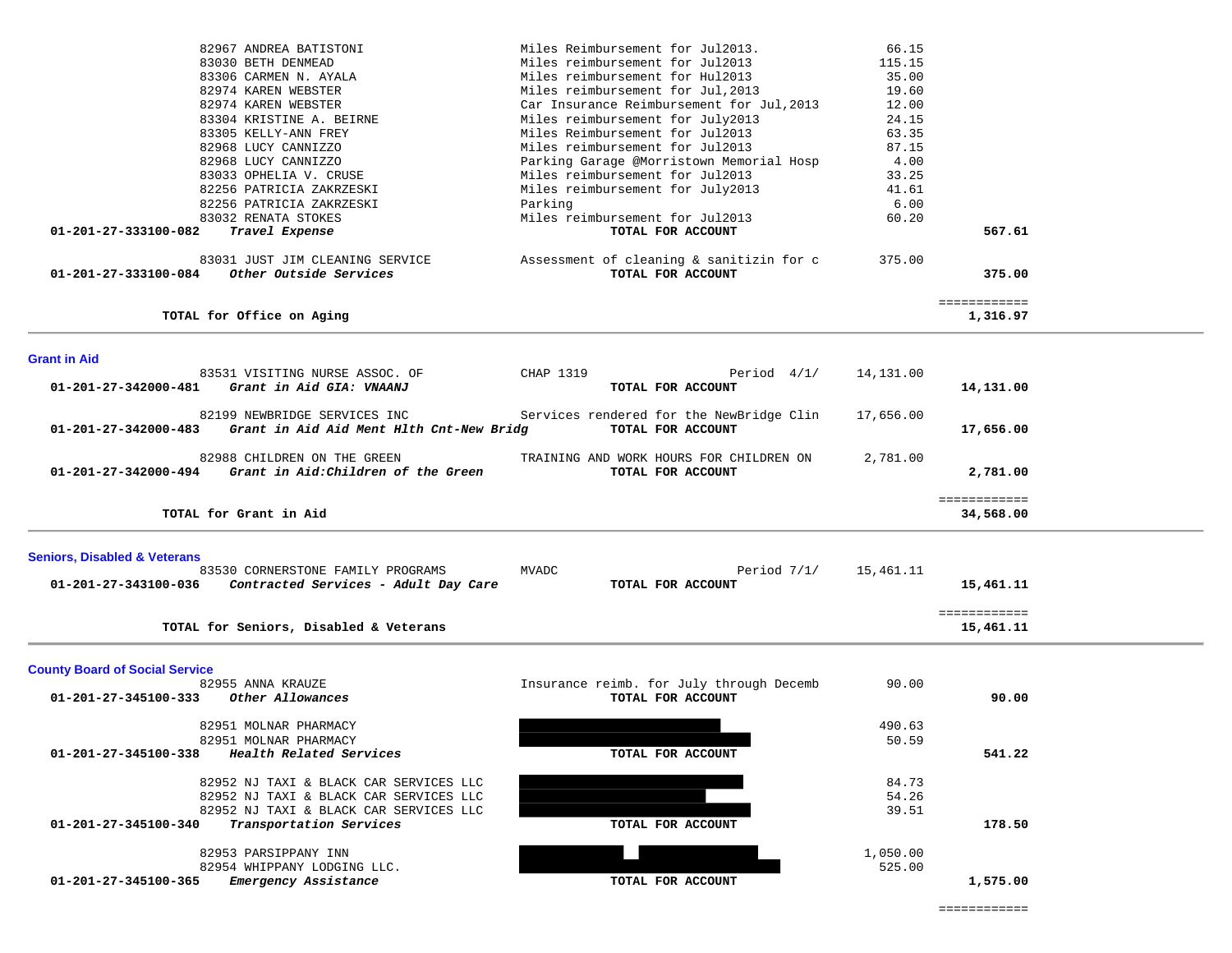| 82967 ANDREA BATISTONI                                                                           | Miles Reimbursement for Jul2013.                              | 66.15     |                           |  |
|--------------------------------------------------------------------------------------------------|---------------------------------------------------------------|-----------|---------------------------|--|
| 83030 BETH DENMEAD                                                                               | Miles reimbursement for Jul2013                               | 115.15    |                           |  |
| 83306 CARMEN N. AYALA                                                                            | Miles reimbursement for Hul2013                               | 35.00     |                           |  |
| 82974 KAREN WEBSTER                                                                              | Miles reimbursement for Jul, 2013                             | 19.60     |                           |  |
| 82974 KAREN WEBSTER                                                                              | Car Insurance Reimbursement for Jul, 2013                     | 12.00     |                           |  |
| 83304 KRISTINE A. BEIRNE                                                                         | Miles reimbursement for July2013                              | 24.15     |                           |  |
| 83305 KELLY-ANN FREY                                                                             | Miles Reimbursement for Jul2013                               | 63.35     |                           |  |
| 82968 LUCY CANNIZZO                                                                              | Miles reimbursement for Jul2013                               | 87.15     |                           |  |
| 82968 LUCY CANNIZZO                                                                              | Parking Garage @Morristown Memorial Hosp                      | 4.00      |                           |  |
| 83033 OPHELIA V. CRUSE                                                                           | Miles reimbursement for Jul2013                               | 33.25     |                           |  |
| 82256 PATRICIA ZAKRZESKI                                                                         | Miles reimbursement for July2013                              | 41.61     |                           |  |
| 82256 PATRICIA ZAKRZESKI                                                                         | Parking                                                       | 6.00      |                           |  |
| 83032 RENATA STOKES                                                                              | Miles reimbursement for Jul2013                               | 60.20     |                           |  |
| 01-201-27-333100-082<br>Travel Expense                                                           | TOTAL FOR ACCOUNT                                             |           | 567.61                    |  |
| 83031 JUST JIM CLEANING SERVICE<br>Other Outside Services<br>01-201-27-333100-084                | Assessment of cleaning & sanitizin for c<br>TOTAL FOR ACCOUNT | 375.00    | 375.00                    |  |
|                                                                                                  |                                                               |           | ============              |  |
| TOTAL for Office on Aging                                                                        |                                                               |           | 1,316.97                  |  |
| <b>Grant in Aid</b>                                                                              |                                                               |           |                           |  |
| 83531 VISITING NURSE ASSOC. OF                                                                   | CHAP 1319<br>Period $4/1/$                                    | 14,131.00 |                           |  |
| Grant in Aid GIA: VNAANJ<br>01-201-27-342000-481                                                 | TOTAL FOR ACCOUNT                                             |           | 14,131.00                 |  |
|                                                                                                  |                                                               |           |                           |  |
| 82199 NEWBRIDGE SERVICES INC<br>01-201-27-342000-483<br>Grant in Aid Aid Ment Hlth Cnt-New Bridg | Services rendered for the NewBridge Clin<br>TOTAL FOR ACCOUNT | 17,656.00 | 17,656.00                 |  |
| 82988 CHILDREN ON THE GREEN<br>Grant in Aid: Children of the Green<br>01-201-27-342000-494       | TRAINING AND WORK HOURS FOR CHILDREN ON<br>TOTAL FOR ACCOUNT  | 2,781.00  | 2,781.00                  |  |
| TOTAL for Grant in Aid                                                                           |                                                               |           | ============<br>34,568.00 |  |
|                                                                                                  |                                                               |           |                           |  |
| <b>Seniors, Disabled &amp; Veterans</b>                                                          |                                                               |           |                           |  |
| 83530 CORNERSTONE FAMILY PROGRAMS                                                                | <b>MVADC</b><br>Period $7/1/$                                 | 15,461.11 |                           |  |
| 01-201-27-343100-036<br>Contracted Services - Adult Day Care                                     | TOTAL FOR ACCOUNT                                             |           | 15,461.11                 |  |
|                                                                                                  |                                                               |           |                           |  |
| TOTAL for Seniors, Disabled & Veterans                                                           |                                                               |           | ============<br>15,461.11 |  |
|                                                                                                  |                                                               |           |                           |  |
| <b>County Board of Social Service</b><br>82955 ANNA KRAUZE                                       | Insurance reimb. for July through Decemb                      | 90.00     |                           |  |
| Other Allowances<br>01-201-27-345100-333                                                         | TOTAL FOR ACCOUNT                                             |           | 90.00                     |  |
|                                                                                                  |                                                               |           |                           |  |
| 82951 MOLNAR PHARMACY                                                                            |                                                               | 490.63    |                           |  |
| 82951 MOLNAR PHARMACY                                                                            |                                                               | 50.59     |                           |  |
| Health Related Services<br>01-201-27-345100-338                                                  | TOTAL FOR ACCOUNT                                             |           | 541.22                    |  |
|                                                                                                  |                                                               |           |                           |  |
| 82952 NJ TAXI & BLACK CAR SERVICES LLC                                                           |                                                               | 84.73     |                           |  |
| 82952 NJ TAXI & BLACK CAR SERVICES LLC                                                           |                                                               | 54.26     |                           |  |
| 82952 NJ TAXI & BLACK CAR SERVICES LLC                                                           |                                                               | 39.51     |                           |  |
| Transportation Services<br>01-201-27-345100-340                                                  | TOTAL FOR ACCOUNT                                             |           | 178.50                    |  |
|                                                                                                  |                                                               |           |                           |  |
| 82953 PARSIPPANY INN                                                                             |                                                               | 1,050.00  |                           |  |
| 82954 WHIPPANY LODGING LLC.                                                                      |                                                               | 525.00    |                           |  |
| 01-201-27-345100-365<br>Emergency Assistance                                                     | TOTAL FOR ACCOUNT                                             |           | 1,575.00                  |  |
|                                                                                                  |                                                               |           |                           |  |
|                                                                                                  |                                                               |           |                           |  |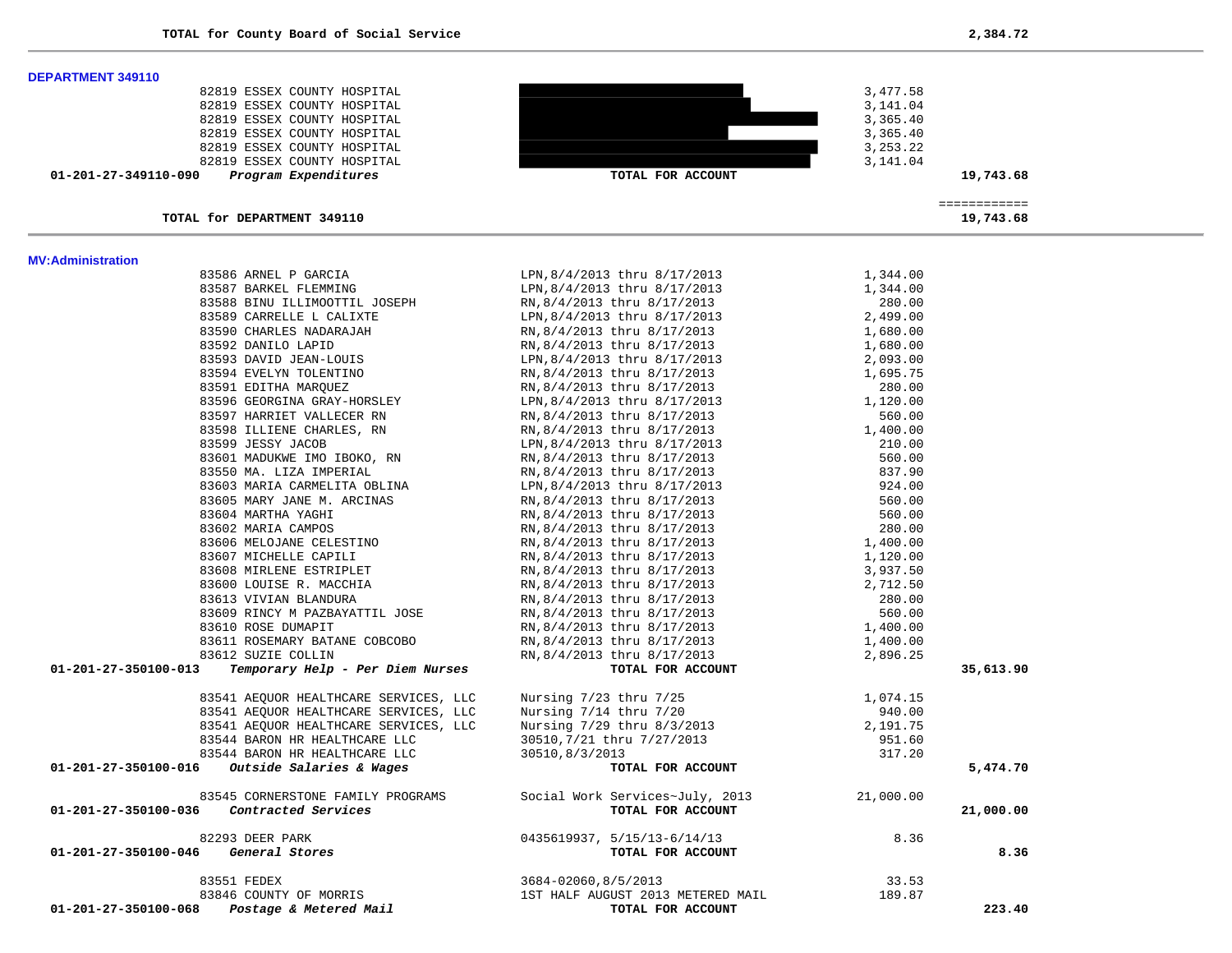**DEPARTMENT 349110** 

| 82819 ESSEX COUNTY HOSPITAL                              |                                 | 3,477.58   |                           |
|----------------------------------------------------------|---------------------------------|------------|---------------------------|
| 82819 ESSEX COUNTY HOSPITAL                              |                                 | 3,141.04   |                           |
| 82819 ESSEX COUNTY HOSPITAL                              |                                 | 3,365.40   |                           |
| 82819 ESSEX COUNTY HOSPITAL                              |                                 | 3,365.40   |                           |
| 82819 ESSEX COUNTY HOSPITAL                              |                                 | 3, 253. 22 |                           |
| 82819 ESSEX COUNTY HOSPITAL                              |                                 | 3,141.04   |                           |
| 01-201-27-349110-090<br>Program Expenditures             | TOTAL FOR ACCOUNT               |            | 19,743.68                 |
| TOTAL for DEPARTMENT 349110                              |                                 |            | ============<br>19,743.68 |
|                                                          |                                 |            |                           |
| <b>MV:Administration</b><br>83586 ARNEL P GARCIA         | LPN, 8/4/2013 thru 8/17/2013    | 1,344.00   |                           |
| 83587 BARKEL FLEMMING                                    | LPN, 8/4/2013 thru 8/17/2013    | 1,344.00   |                           |
| 83588 BINU ILLIMOOTTIL JOSEPH                            | RN, 8/4/2013 thru 8/17/2013     | 280.00     |                           |
| 83589 CARRELLE L CALIXTE                                 | LPN, 8/4/2013 thru 8/17/2013    | 2,499.00   |                           |
| 83590 CHARLES NADARAJAH                                  | RN, 8/4/2013 thru 8/17/2013     | 1,680.00   |                           |
| 83592 DANILO LAPID                                       | RN, 8/4/2013 thru 8/17/2013     | 1,680.00   |                           |
| 83593 DAVID JEAN-LOUIS                                   | LPN, 8/4/2013 thru 8/17/2013    | 2,093.00   |                           |
| 83594 EVELYN TOLENTINO                                   | RN, 8/4/2013 thru 8/17/2013     | 1,695.75   |                           |
| 83591 EDITHA MARQUEZ                                     | RN, 8/4/2013 thru 8/17/2013     | 280.00     |                           |
| 83596 GEORGINA GRAY-HORSLEY                              | LPN, 8/4/2013 thru 8/17/2013    | 1,120.00   |                           |
| 83597 HARRIET VALLECER RN                                | RN, 8/4/2013 thru 8/17/2013     | 560.00     |                           |
| 83598 ILLIENE CHARLES, RN                                | RN, 8/4/2013 thru 8/17/2013     | 1,400.00   |                           |
| 83599 JESSY JACOB                                        | LPN, 8/4/2013 thru 8/17/2013    | 210.00     |                           |
| 83601 MADUKWE IMO IBOKO, RN                              | RN, 8/4/2013 thru 8/17/2013     | 560.00     |                           |
| 83550 MA. LIZA IMPERIAL                                  | RN, 8/4/2013 thru 8/17/2013     | 837.90     |                           |
| 83603 MARIA CARMELITA OBLINA                             | LPN, 8/4/2013 thru 8/17/2013    | 924.00     |                           |
| 83605 MARY JANE M. ARCINAS                               | RN, 8/4/2013 thru 8/17/2013     | 560.00     |                           |
| 83604 MARTHA YAGHI                                       | RN, 8/4/2013 thru 8/17/2013     | 560.00     |                           |
| 83602 MARIA CAMPOS                                       | RN, 8/4/2013 thru 8/17/2013     | 280.00     |                           |
| 83606 MELOJANE CELESTINO                                 | RN, 8/4/2013 thru 8/17/2013     | 1,400.00   |                           |
| 83607 MICHELLE CAPILI                                    | RN, 8/4/2013 thru 8/17/2013     | 1,120.00   |                           |
| 83608 MIRLENE ESTRIPLET                                  | RN, 8/4/2013 thru 8/17/2013     | 3,937.50   |                           |
| 83600 LOUISE R. MACCHIA                                  | RN, 8/4/2013 thru 8/17/2013     | 2,712.50   |                           |
| 83613 VIVIAN BLANDURA                                    | RN, 8/4/2013 thru 8/17/2013     | 280.00     |                           |
| 83609 RINCY M PAZBAYATTIL JOSE                           | RN, 8/4/2013 thru 8/17/2013     | 560.00     |                           |
| 83610 ROSE DUMAPIT                                       | RN, 8/4/2013 thru 8/17/2013     | 1,400.00   |                           |
| 83611 ROSEMARY BATANE COBCOBO                            | RN, 8/4/2013 thru 8/17/2013     | 1,400.00   |                           |
| 83612 SUZIE COLLIN                                       | RN, 8/4/2013 thru 8/17/2013     | 2,896.25   |                           |
| 01-201-27-350100-013<br>Temporary Help - Per Diem Nurses | TOTAL FOR ACCOUNT               |            | 35,613.90                 |
| 83541 AEQUOR HEALTHCARE SERVICES, LLC                    | Nursing 7/23 thru 7/25          | 1,074.15   |                           |
| 83541 AEQUOR HEALTHCARE SERVICES, LLC                    | Nursing 7/14 thru 7/20          | 940.00     |                           |
| 83541 AEQUOR HEALTHCARE SERVICES, LLC                    | Nursing 7/29 thru 8/3/2013      | 2,191.75   |                           |
| 83544 BARON HR HEALTHCARE LLC                            | 30510, 7/21 thru 7/27/2013      | 951.60     |                           |
| 83544 BARON HR HEALTHCARE LLC                            | 30510,8/3/2013                  | 317.20     |                           |
| Outside Salaries & Wages<br>01-201-27-350100-016         | TOTAL FOR ACCOUNT               |            | 5,474.70                  |
| 83545 CORNERSTONE FAMILY PROGRAMS                        | Social Work Services~July, 2013 | 21,000.00  |                           |
| Contracted Services<br>01-201-27-350100-036              | TOTAL FOR ACCOUNT               |            | 21,000.00                 |
| 82293 DEER PARK                                          | 0435619937, 5/15/13-6/14/13     | 8.36       |                           |
| 01-201-27-350100-046<br>General Stores                   | TOTAL FOR ACCOUNT               |            | 8.36                      |

 83551 FEDEX 3684-02060,8/5/2013 33.53 83846 COUNTY OF MORRIS 1ST HALF AUGUST 2013 METERED MAIL  **01-201-27-350100-068** *Postage & Metered Mail* **TOTAL FOR ACCOUNT 223.40**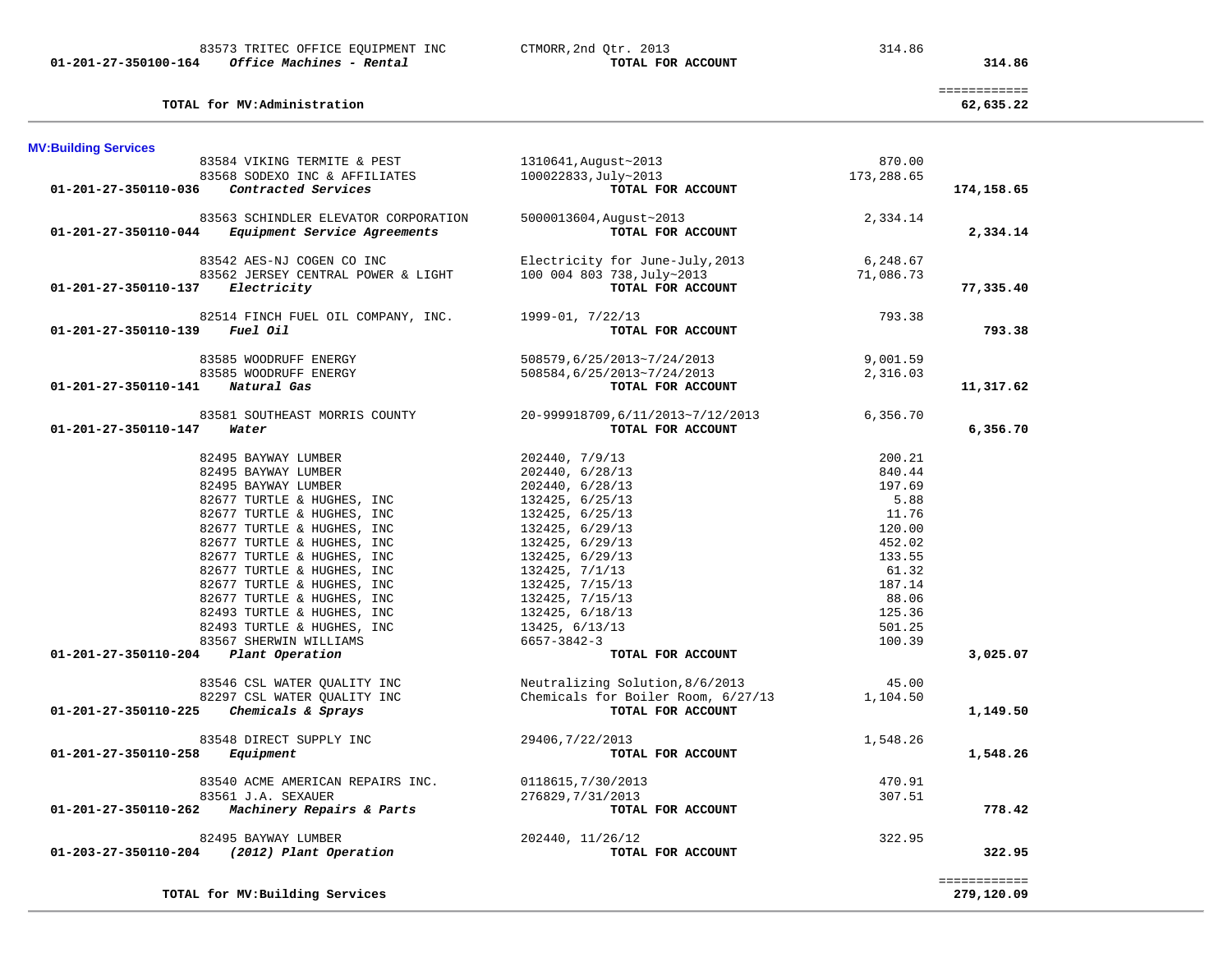**TOTAL for MV:Administration 62,635.22**

**MV:Building Services**  83584 VIKING TERMITE & PEST 1310641,August~2013 870.00 83568 SODEXO INC & AFFILIATES 100022833,July~2013 173,288.65  **01-201-27-350110-036** *Contracted Services* **TOTAL FOR ACCOUNT 174,158.65** 83563 SCHINDLER ELEVATOR CORPORATION 5000013604, August~2013 2,334.14<br>Baulinment Service Agreements  **01-201-27-350110-044** *Equipment Service Agreements* **TOTAL FOR ACCOUNT 2,334.14** 83542 AES-NJ COGEN CO INC Electricity for June-July,2013 6,248.67 83562 JERSEY CENTRAL POWER & LIGHT 100 004 803 738,July~2013 71,086.73  **01-201-27-350110-137** *Electricity* **TOTAL FOR ACCOUNT 77,335.40** 82514 FINCH FUEL OIL COMPANY, INC. 1999-01, 7/22/13 793.38  **01-201-27-350110-139** *Fuel Oil* **TOTAL FOR ACCOUNT 793.38** 83585 WOODRUFF ENERGY 508579,6/25/2013~7/24/2013 9,001.59 83585 WOODRUFF ENERGY 508584,6/25/2013~7/24/2013 2,316.03  **01-201-27-350110-141** *Natural Gas* **TOTAL FOR ACCOUNT 11,317.62** 83581 SOUTHEAST MORRIS COUNTY 20-999918709,6/11/2013~7/12/2013 6,356.70  **01-201-27-350110-147** *Water* **TOTAL FOR ACCOUNT 6,356.70** 82495 BAYWAY LUMBER 202440, 7/9/13 200.21 82495 BAYWAY LUMBER 202440, 6/28/13 840.44 82495 BAYWAY LUMBER 202440, 6/28/13 197.69 82677 TURTLE & HUGHES, INC  $132425$ ,  $6/25/13$   $5.88$  82677 TURTLE & HUGHES, INC 132425, 6/25/13 11.76 82677 TURTLE & HUGHES, INC 132425, 6/29/13 120.00 82677 TURTLE & HUGHES, INC 132425, 6/29/13 452.02 82677 TURTLE & HUGHES, INC 132425, 6/29/13 133.55 82677 TURTLE & HUGHES, INC  $132425, 7/1/13$  61.32 82677 TURTLE & HUGHES, INC 132425, 7/15/13 187.14 82677 TURTLE & HUGHES, INC 132425, 7/15/13 88.06 82493 TURTLE & HUGHES, INC 132425, 6/18/13 125.36 82493 TURTLE & HUGHES, INC 13425, 6/13/13 501.25 83567 SHERWIN WILLIAMS 6657-3842-3 100.39  **01-201-27-350110-204** *Plant Operation* **TOTAL FOR ACCOUNT 3,025.07** 83546 CSL WATER QUALITY INC Neutralizing Solution,8/6/2013 45.00 82297 CSL WATER QUALITY INC Chemicals for Boiler Room, 6/27/13 1,104.50  **01-201-27-350110-225** *Chemicals & Sprays* **TOTAL FOR ACCOUNT 1,149.50** 83548 DIRECT SUPPLY INC 29406,7/22/2013 1,548.26  **01-201-27-350110-258** *Equipment* **TOTAL FOR ACCOUNT 1,548.26** 83540 ACME AMERICAN REPAIRS INC. 0118615,7/30/2013 470.91 83561 J.A. SEXAUER 276829,7/31/2013 307.51  **01-201-27-350110-262** *Machinery Repairs & Parts* **TOTAL FOR ACCOUNT 778.42** 82495 BAYWAY LUMBER 202440, 11/26/12 322.95  **01-203-27-350110-204** *(2012) Plant Operation* **TOTAL FOR ACCOUNT 322.95** ============

============

**TOTAL for MV:Building Services 279,120.09**

```
279,120.09
```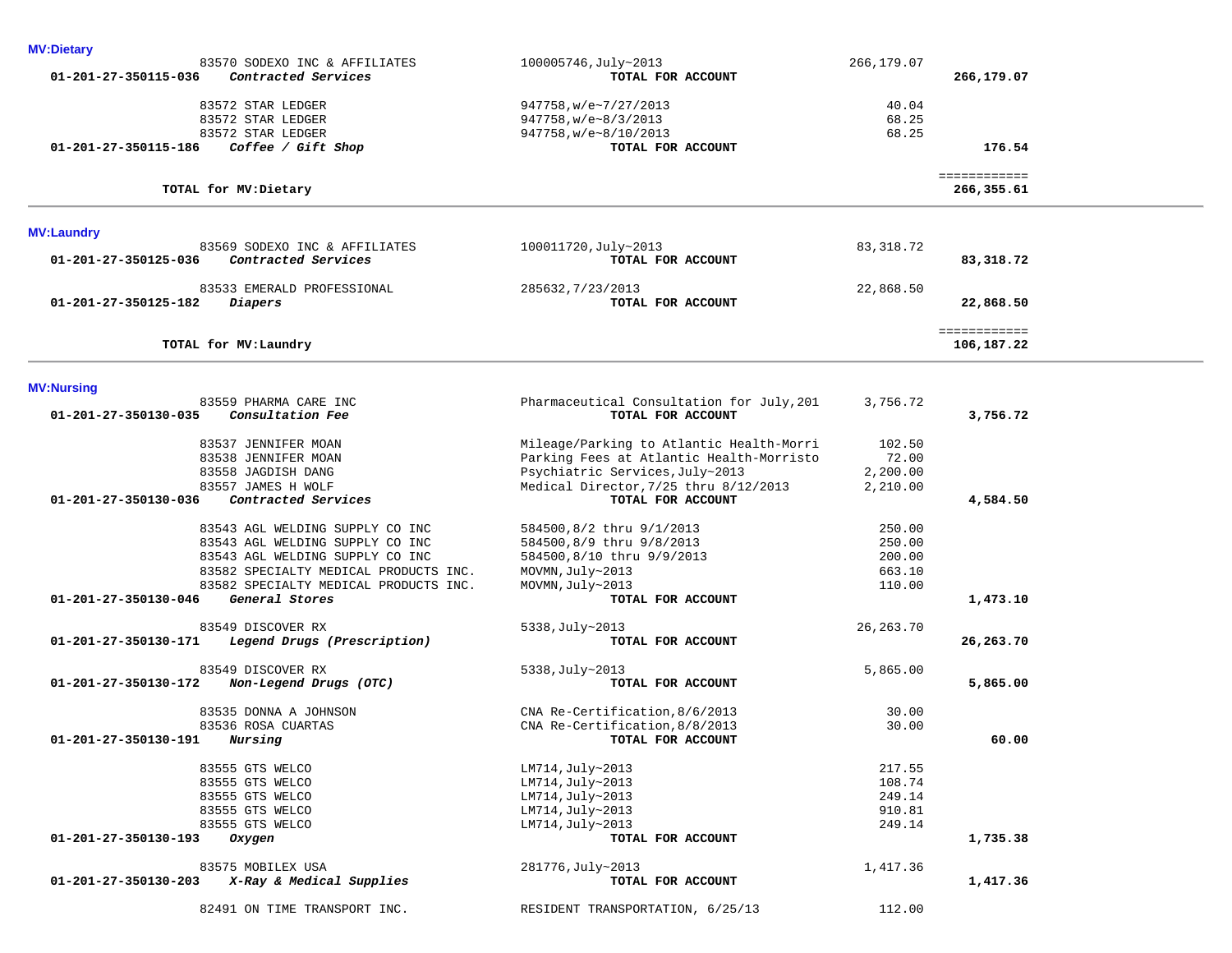| <b>MV:Dietary</b>                                   |                                           |             |                            |  |
|-----------------------------------------------------|-------------------------------------------|-------------|----------------------------|--|
| 83570 SODEXO INC & AFFILIATES                       | 100005746, July~2013                      | 266,179.07  |                            |  |
| Contracted Services<br>01-201-27-350115-036         | TOTAL FOR ACCOUNT                         |             | 266,179.07                 |  |
|                                                     |                                           | 40.04       |                            |  |
| 83572 STAR LEDGER                                   | 947758, w/e~7/27/2013                     |             |                            |  |
| 83572 STAR LEDGER                                   | $947758$ , w/e~8/3/2013                   | 68.25       |                            |  |
| 83572 STAR LEDGER                                   | 947758, w/e~8/10/2013                     | 68.25       |                            |  |
| 01-201-27-350115-186<br>Coffee / Gift Shop          | TOTAL FOR ACCOUNT                         |             | 176.54                     |  |
| TOTAL for MV: Dietary                               |                                           |             | ============<br>266,355.61 |  |
|                                                     |                                           |             |                            |  |
| <b>MV:Laundry</b>                                   |                                           |             |                            |  |
| 83569 SODEXO INC & AFFILIATES                       | 100011720, July~2013                      | 83,318.72   |                            |  |
| Contracted Services<br>01-201-27-350125-036         | TOTAL FOR ACCOUNT                         |             | 83,318.72                  |  |
| 83533 EMERALD PROFESSIONAL                          | 285632, 7/23/2013                         | 22,868.50   |                            |  |
| 01-201-27-350125-182<br>Diapers                     | TOTAL FOR ACCOUNT                         |             | 22,868.50                  |  |
|                                                     |                                           |             | ============               |  |
| TOTAL for MV: Laundry                               |                                           |             | 106,187.22                 |  |
|                                                     |                                           |             |                            |  |
| <b>MV:Nursing</b>                                   |                                           |             |                            |  |
| 83559 PHARMA CARE INC                               | Pharmaceutical Consultation for July, 201 | 3,756.72    |                            |  |
| Consultation Fee<br>01-201-27-350130-035            | TOTAL FOR ACCOUNT                         |             | 3,756.72                   |  |
| 83537 JENNIFER MOAN                                 | Mileage/Parking to Atlantic Health-Morri  | 102.50      |                            |  |
| 83538 JENNIFER MOAN                                 | Parking Fees at Atlantic Health-Morristo  | 72.00       |                            |  |
| 83558 JAGDISH DANG                                  | Psychiatric Services, July~2013           | 2,200.00    |                            |  |
| 83557 JAMES H WOLF                                  | Medical Director, 7/25 thru 8/12/2013     | 2,210.00    |                            |  |
| 01-201-27-350130-036<br>Contracted Services         | TOTAL FOR ACCOUNT                         |             | 4,584.50                   |  |
|                                                     |                                           |             |                            |  |
| 83543 AGL WELDING SUPPLY CO INC                     | 584500,8/2 thru 9/1/2013                  | 250.00      |                            |  |
| 83543 AGL WELDING SUPPLY CO INC                     | 584500,8/9 thru 9/8/2013                  | 250.00      |                            |  |
| 83543 AGL WELDING SUPPLY CO INC                     | 584500,8/10 thru 9/9/2013                 | 200.00      |                            |  |
| 83582 SPECIALTY MEDICAL PRODUCTS INC.               | MOVMN, July~2013                          | 663.10      |                            |  |
| 83582 SPECIALTY MEDICAL PRODUCTS INC.               | MOVMN, July~2013                          | 110.00      |                            |  |
| 01-201-27-350130-046<br>General Stores              | TOTAL FOR ACCOUNT                         |             | 1,473.10                   |  |
| 83549 DISCOVER RX                                   | 5338, July~2013                           | 26, 263. 70 |                            |  |
| Legend Drugs (Prescription)<br>01-201-27-350130-171 | TOTAL FOR ACCOUNT                         |             | 26,263.70                  |  |
|                                                     |                                           |             |                            |  |
| 83549 DISCOVER RX                                   | 5338, July~2013                           | 5,865.00    |                            |  |
| Non-Legend Drugs (OTC)<br>01-201-27-350130-172      | TOTAL FOR ACCOUNT                         |             | 5,865.00                   |  |
| 83535 DONNA A JOHNSON                               | CNA Re-Certification, 8/6/2013            | 30.00       |                            |  |
| 83536 ROSA CUARTAS                                  | CNA Re-Certification, 8/8/2013            | 30.00       |                            |  |
| 01-201-27-350130-191<br>Nursing                     | TOTAL FOR ACCOUNT                         |             | 60.00                      |  |
|                                                     |                                           |             |                            |  |
| 83555 GTS WELCO                                     | LM714, July~2013                          | 217.55      |                            |  |
| 83555 GTS WELCO                                     | LM714, July~2013                          | 108.74      |                            |  |
| 83555 GTS WELCO                                     | LM714, July~2013                          | 249.14      |                            |  |
| 83555 GTS WELCO                                     | LM714, July~2013                          | 910.81      |                            |  |
| 83555 GTS WELCO                                     | LM714, July~2013                          | 249.14      |                            |  |
| 01-201-27-350130-193<br>Oxygen                      | TOTAL FOR ACCOUNT                         |             | 1,735.38                   |  |
|                                                     |                                           |             |                            |  |
| 83575 MOBILEX USA                                   | 281776, July~2013                         | 1,417.36    |                            |  |
| X-Ray & Medical Supplies<br>01-201-27-350130-203    | TOTAL FOR ACCOUNT                         |             | 1,417.36                   |  |
| 82491 ON TIME TRANSPORT INC.                        | RESIDENT TRANSPORTATION, 6/25/13          | 112.00      |                            |  |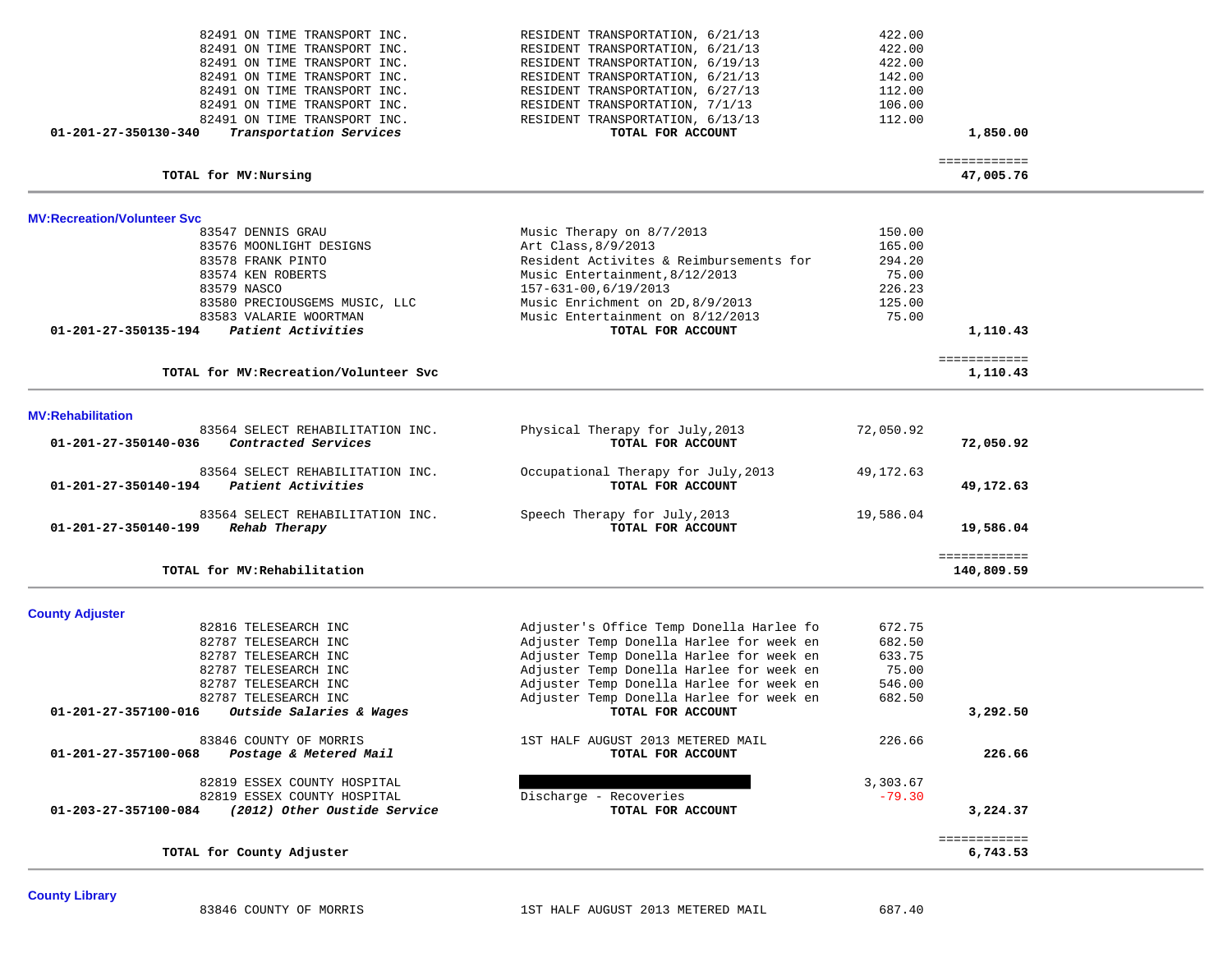| 82491 ON TIME TRANSPORT INC.                                              | RESIDENT TRANSPORTATION, 6/21/13                                                     | 422.00          |                            |  |
|---------------------------------------------------------------------------|--------------------------------------------------------------------------------------|-----------------|----------------------------|--|
| 82491 ON TIME TRANSPORT INC.                                              | RESIDENT TRANSPORTATION, 6/21/13                                                     | 422.00          |                            |  |
| 82491 ON TIME TRANSPORT INC.                                              | RESIDENT TRANSPORTATION, 6/19/13                                                     | 422.00          |                            |  |
| 82491 ON TIME TRANSPORT INC.                                              | RESIDENT TRANSPORTATION, 6/21/13                                                     | 142.00          |                            |  |
| 82491 ON TIME TRANSPORT INC.                                              | RESIDENT TRANSPORTATION, 6/27/13                                                     | 112.00          |                            |  |
| 82491 ON TIME TRANSPORT INC.                                              | RESIDENT TRANSPORTATION, 7/1/13                                                      | 106.00          |                            |  |
| 82491 ON TIME TRANSPORT INC.                                              | RESIDENT TRANSPORTATION, 6/13/13                                                     | 112.00          |                            |  |
| 01-201-27-350130-340<br>Transportation Services                           | TOTAL FOR ACCOUNT                                                                    |                 | 1,850.00                   |  |
| TOTAL for MV: Nursing                                                     |                                                                                      |                 | ============<br>47,005.76  |  |
| <b>MV:Recreation/Volunteer Svc</b>                                        |                                                                                      |                 |                            |  |
| 83547 DENNIS GRAU                                                         | Music Therapy on 8/7/2013                                                            | 150.00          |                            |  |
| 83576 MOONLIGHT DESIGNS                                                   | Art Class, 8/9/2013                                                                  | 165.00          |                            |  |
| 83578 FRANK PINTO                                                         | Resident Activites & Reimbursements for                                              | 294.20          |                            |  |
| 83574 KEN ROBERTS                                                         | Music Entertainment, 8/12/2013                                                       | 75.00           |                            |  |
| 83579 NASCO                                                               | 157-631-00,6/19/2013                                                                 | 226.23          |                            |  |
| 83580 PRECIOUSGEMS MUSIC, LLC                                             | Music Enrichment on 2D, 8/9/2013                                                     | 125.00          |                            |  |
| 83583 VALARIE WOORTMAN                                                    | Music Entertainment on 8/12/2013                                                     | 75.00           |                            |  |
| Patient Activities<br>01-201-27-350135-194                                | TOTAL FOR ACCOUNT                                                                    |                 | 1,110.43                   |  |
|                                                                           |                                                                                      |                 | ============               |  |
| TOTAL for MV: Recreation/Volunteer Svc                                    |                                                                                      |                 | 1,110.43                   |  |
| <b>MV:Rehabilitation</b>                                                  |                                                                                      |                 |                            |  |
| 83564 SELECT REHABILITATION INC.                                          | Physical Therapy for July, 2013                                                      | 72,050.92       |                            |  |
| Contracted Services<br>01-201-27-350140-036                               | TOTAL FOR ACCOUNT                                                                    |                 | 72,050.92                  |  |
| 83564 SELECT REHABILITATION INC.                                          | Occupational Therapy for July, 2013                                                  | 49,172.63       |                            |  |
| Patient Activities<br>01-201-27-350140-194                                | TOTAL FOR ACCOUNT                                                                    |                 | 49,172.63                  |  |
| 83564 SELECT REHABILITATION INC.<br>01-201-27-350140-199<br>Rehab Therapy | Speech Therapy for July, 2013<br>TOTAL FOR ACCOUNT                                   | 19,586.04       | 19,586.04                  |  |
|                                                                           |                                                                                      |                 |                            |  |
| TOTAL for MV: Rehabilitation                                              |                                                                                      |                 | ============<br>140,809.59 |  |
|                                                                           |                                                                                      |                 |                            |  |
| <b>County Adjuster</b>                                                    |                                                                                      |                 |                            |  |
| 82816 TELESEARCH INC                                                      | Adjuster's Office Temp Donella Harlee fo                                             | 672.75          |                            |  |
| 82787 TELESEARCH INC                                                      | Adjuster Temp Donella Harlee for week en<br>Adjuster Temp Donella Harlee for week en | 682.50          |                            |  |
| 82787 TELESEARCH INC<br>82787 TELESEARCH INC                              | Adjuster Temp Donella Harlee for week en                                             | 633.75<br>75.00 |                            |  |
| 82787 TELESEARCH INC                                                      | Adjuster Temp Donella Harlee for week en                                             | 546.00          |                            |  |
| 82787 TELESEARCH INC                                                      | Adjuster Temp Donella Harlee for week en                                             | 682.50          |                            |  |
| 01-201-27-357100-016<br>Outside Salaries & Wages                          | TOTAL FOR ACCOUNT                                                                    |                 | 3,292.50                   |  |
|                                                                           |                                                                                      |                 |                            |  |
| 83846 COUNTY OF MORRIS<br>01-201-27-357100-068<br>Postage & Metered Mail  | 1ST HALF AUGUST 2013 METERED MAIL<br>TOTAL FOR ACCOUNT                               | 226.66          | 226.66                     |  |
|                                                                           |                                                                                      |                 |                            |  |
| 82819 ESSEX COUNTY HOSPITAL                                               |                                                                                      | 3,303.67        |                            |  |
| 82819 ESSEX COUNTY HOSPITAL                                               | Discharge - Recoveries                                                               | $-79.30$        |                            |  |
| (2012) Other Oustide Service<br>01-203-27-357100-084                      | TOTAL FOR ACCOUNT                                                                    |                 | 3,224.37                   |  |
|                                                                           |                                                                                      |                 | ============               |  |
| TOTAL for County Adjuster                                                 |                                                                                      |                 | 6,743.53                   |  |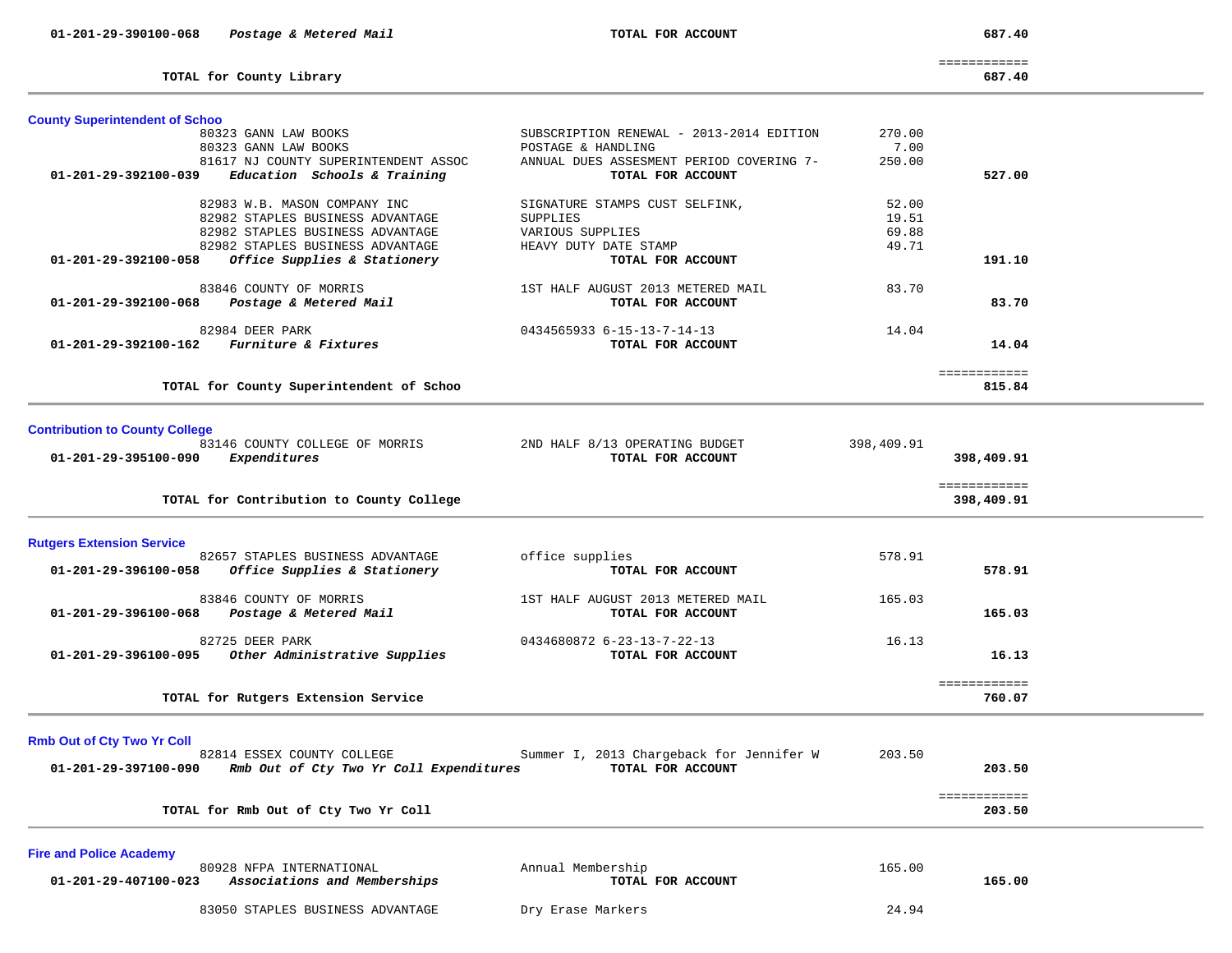**TOTAL for County Library 687.40**

============

687.40

| <b>County Superintendent of Schoo</b>                                    |                                                                |                |                        |  |
|--------------------------------------------------------------------------|----------------------------------------------------------------|----------------|------------------------|--|
| 80323 GANN LAW BOOKS                                                     | SUBSCRIPTION RENEWAL - 2013-2014 EDITION                       | 270.00         |                        |  |
| 80323 GANN LAW BOOKS<br>81617 NJ COUNTY SUPERINTENDENT ASSOC             | POSTAGE & HANDLING<br>ANNUAL DUES ASSESMENT PERIOD COVERING 7- | 7.00<br>250.00 |                        |  |
| 01-201-29-392100-039<br>Education Schools & Training                     | TOTAL FOR ACCOUNT                                              |                | 527.00                 |  |
|                                                                          |                                                                |                |                        |  |
| 82983 W.B. MASON COMPANY INC                                             | SIGNATURE STAMPS CUST SELFINK,                                 | 52.00          |                        |  |
| 82982 STAPLES BUSINESS ADVANTAGE                                         | SUPPLIES                                                       | 19.51          |                        |  |
| 82982 STAPLES BUSINESS ADVANTAGE                                         | VARIOUS SUPPLIES                                               | 69.88          |                        |  |
| 82982 STAPLES BUSINESS ADVANTAGE                                         | HEAVY DUTY DATE STAMP                                          | 49.71          |                        |  |
| Office Supplies & Stationery<br>01-201-29-392100-058                     | TOTAL FOR ACCOUNT                                              |                | 191.10                 |  |
| 83846 COUNTY OF MORRIS                                                   | 1ST HALF AUGUST 2013 METERED MAIL                              | 83.70          |                        |  |
| Postage & Metered Mail<br>01-201-29-392100-068                           | TOTAL FOR ACCOUNT                                              |                | 83.70                  |  |
| 82984 DEER PARK                                                          | 0434565933 6-15-13-7-14-13                                     | 14.04          |                        |  |
| Furniture & Fixtures<br>01-201-29-392100-162                             | TOTAL FOR ACCOUNT                                              |                | 14.04                  |  |
|                                                                          |                                                                |                |                        |  |
|                                                                          |                                                                |                | ============           |  |
| TOTAL for County Superintendent of Schoo                                 |                                                                |                | 815.84                 |  |
|                                                                          |                                                                |                |                        |  |
| <b>Contribution to County College</b>                                    |                                                                |                |                        |  |
| 83146 COUNTY COLLEGE OF MORRIS                                           | 2ND HALF 8/13 OPERATING BUDGET                                 | 398,409.91     |                        |  |
| 01-201-29-395100-090<br>Expenditures                                     | TOTAL FOR ACCOUNT                                              |                | 398,409.91             |  |
|                                                                          |                                                                |                | ============           |  |
| TOTAL for Contribution to County College                                 |                                                                |                | 398,409.91             |  |
| <b>Rutgers Extension Service</b>                                         |                                                                |                |                        |  |
| 82657 STAPLES BUSINESS ADVANTAGE                                         | office supplies                                                | 578.91         |                        |  |
| Office Supplies & Stationery<br>01-201-29-396100-058                     | TOTAL FOR ACCOUNT                                              |                | 578.91                 |  |
|                                                                          |                                                                |                |                        |  |
| 83846 COUNTY OF MORRIS<br>Postage & Metered Mail<br>01-201-29-396100-068 | 1ST HALF AUGUST 2013 METERED MAIL<br>TOTAL FOR ACCOUNT         | 165.03         | 165.03                 |  |
|                                                                          |                                                                |                |                        |  |
| 82725 DEER PARK                                                          | 0434680872 6-23-13-7-22-13                                     | 16.13          |                        |  |
| Other Administrative Supplies<br>01-201-29-396100-095                    | TOTAL FOR ACCOUNT                                              |                | 16.13                  |  |
|                                                                          |                                                                |                |                        |  |
| TOTAL for Rutgers Extension Service                                      |                                                                |                | ============<br>760.07 |  |
|                                                                          |                                                                |                |                        |  |
|                                                                          |                                                                |                |                        |  |
| <b>Rmb Out of Cty Two Yr Coll</b><br>82814 ESSEX COUNTY COLLEGE          | Summer I, 2013 Chargeback for Jennifer W                       | 203.50         |                        |  |
| 01-201-29-397100-090<br>Rmb Out of Cty Two Yr Coll Expenditures          | TOTAL FOR ACCOUNT                                              |                | 203.50                 |  |
|                                                                          |                                                                |                |                        |  |
|                                                                          |                                                                |                | ============<br>203.50 |  |
| TOTAL for Rmb Out of Cty Two Yr Coll                                     |                                                                |                |                        |  |
|                                                                          |                                                                |                |                        |  |
|                                                                          |                                                                |                |                        |  |
| <b>Fire and Police Academy</b><br>80928 NFPA INTERNATIONAL               | Annual Membership                                              | 165.00         |                        |  |

83050 STAPLES BUSINESS ADVANTAGE Dry Erase Markers 24.94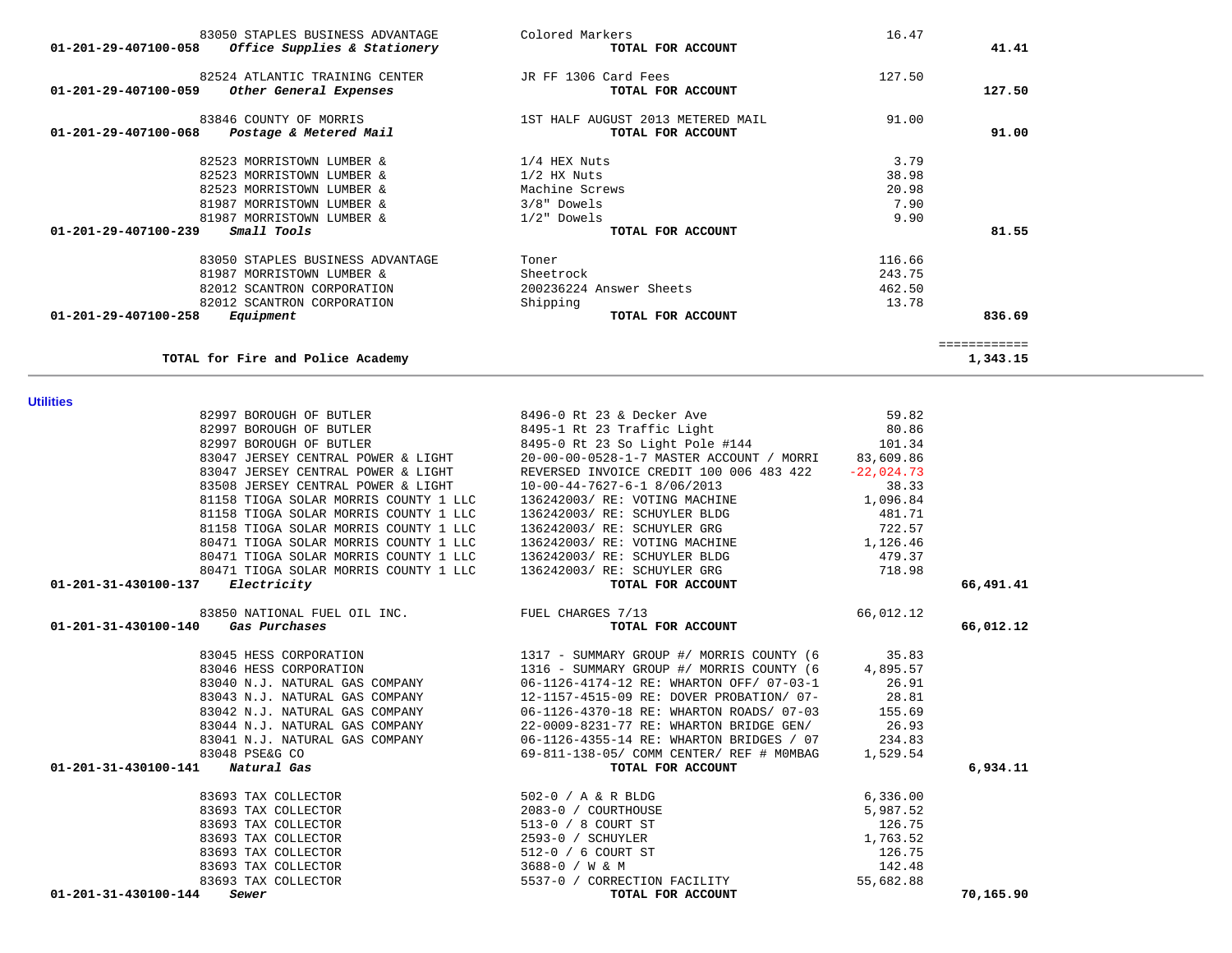|                                                   |                                                                                                                                                                                                                                                                                                                                                                                                                                            | ============                                                                                       |
|---------------------------------------------------|--------------------------------------------------------------------------------------------------------------------------------------------------------------------------------------------------------------------------------------------------------------------------------------------------------------------------------------------------------------------------------------------------------------------------------------------|----------------------------------------------------------------------------------------------------|
|                                                   |                                                                                                                                                                                                                                                                                                                                                                                                                                            | 1,343.15                                                                                           |
|                                                   |                                                                                                                                                                                                                                                                                                                                                                                                                                            |                                                                                                    |
|                                                   | 59.82                                                                                                                                                                                                                                                                                                                                                                                                                                      |                                                                                                    |
|                                                   |                                                                                                                                                                                                                                                                                                                                                                                                                                            |                                                                                                    |
| 8495-0 Rt 23 So Light Pole #144                   | 101.34                                                                                                                                                                                                                                                                                                                                                                                                                                     |                                                                                                    |
| 20-00-00-0528-1-7 MASTER ACCOUNT / MORRI          | 83,609.86                                                                                                                                                                                                                                                                                                                                                                                                                                  |                                                                                                    |
| REVERSED INVOICE CREDIT 100 006 483 422           | $-22,024.73$                                                                                                                                                                                                                                                                                                                                                                                                                               |                                                                                                    |
| 10-00-44-7627-6-1 8/06/2013                       | 38.33                                                                                                                                                                                                                                                                                                                                                                                                                                      |                                                                                                    |
| 136242003/ RE: VOTING MACHINE                     | 1,096.84                                                                                                                                                                                                                                                                                                                                                                                                                                   |                                                                                                    |
| 136242003/ RE: SCHUYLER BLDG                      | 481.71                                                                                                                                                                                                                                                                                                                                                                                                                                     |                                                                                                    |
| 136242003/ RE: SCHUYLER GRG                       | 722.57                                                                                                                                                                                                                                                                                                                                                                                                                                     |                                                                                                    |
| 136242003/ RE: VOTING MACHINE                     | 1,126.46                                                                                                                                                                                                                                                                                                                                                                                                                                   |                                                                                                    |
| 136242003/ RE: SCHUYLER BLDG                      | 479.37                                                                                                                                                                                                                                                                                                                                                                                                                                     |                                                                                                    |
| 136242003/ RE: SCHUYLER GRG                       |                                                                                                                                                                                                                                                                                                                                                                                                                                            |                                                                                                    |
|                                                   |                                                                                                                                                                                                                                                                                                                                                                                                                                            | 66,491.41                                                                                          |
| 83850 NATIONAL FUEL OIL INC.<br>FUEL CHARGES 7/13 | 66,012.12                                                                                                                                                                                                                                                                                                                                                                                                                                  |                                                                                                    |
| TOTAL FOR ACCOUNT                                 |                                                                                                                                                                                                                                                                                                                                                                                                                                            | 66,012.12                                                                                          |
| 1317 - SUMMARY GROUP #/ MORRIS COUNTY (6          | 35.83                                                                                                                                                                                                                                                                                                                                                                                                                                      |                                                                                                    |
|                                                   |                                                                                                                                                                                                                                                                                                                                                                                                                                            |                                                                                                    |
|                                                   |                                                                                                                                                                                                                                                                                                                                                                                                                                            |                                                                                                    |
|                                                   |                                                                                                                                                                                                                                                                                                                                                                                                                                            |                                                                                                    |
|                                                   |                                                                                                                                                                                                                                                                                                                                                                                                                                            |                                                                                                    |
|                                                   |                                                                                                                                                                                                                                                                                                                                                                                                                                            |                                                                                                    |
|                                                   |                                                                                                                                                                                                                                                                                                                                                                                                                                            |                                                                                                    |
|                                                   |                                                                                                                                                                                                                                                                                                                                                                                                                                            |                                                                                                    |
|                                                   |                                                                                                                                                                                                                                                                                                                                                                                                                                            | 6,934.11                                                                                           |
|                                                   |                                                                                                                                                                                                                                                                                                                                                                                                                                            |                                                                                                    |
| 2083-0 / COURTHOUSE                               | 5,987.52                                                                                                                                                                                                                                                                                                                                                                                                                                   |                                                                                                    |
| 513-0 / 8 COURT ST                                | 126.75                                                                                                                                                                                                                                                                                                                                                                                                                                     |                                                                                                    |
| 2593-0 / SCHUYLER                                 | 1,763.52                                                                                                                                                                                                                                                                                                                                                                                                                                   |                                                                                                    |
| 512-0 / 6 COURT ST                                | 126.75                                                                                                                                                                                                                                                                                                                                                                                                                                     |                                                                                                    |
| 3688-0 / W & M                                    | 142.48                                                                                                                                                                                                                                                                                                                                                                                                                                     |                                                                                                    |
| 5537-0 / CORRECTION FACILITY                      | 55,682.88                                                                                                                                                                                                                                                                                                                                                                                                                                  |                                                                                                    |
| TOTAL FOR ACCOUNT                                 |                                                                                                                                                                                                                                                                                                                                                                                                                                            | 70,165.90                                                                                          |
|                                                   | 8496-0 Rt 23 & Decker Ave<br>8495-1 Rt 23 Traffic Light<br>TOTAL FOR ACCOUNT<br>1316 - SUMMARY GROUP #/ MORRIS COUNTY (6<br>06-1126-4174-12 RE: WHARTON OFF/ 07-03-1<br>12-1157-4515-09 RE: DOVER PROBATION/ 07-<br>06-1126-4370-18 RE: WHARTON ROADS/ 07-03<br>22-0009-8231-77 RE: WHARTON BRIDGE GEN/<br>06-1126-4355-14 RE: WHARTON BRIDGES / 07<br>69-811-138-05/ COMM CENTER/ REF # MOMBAG<br>TOTAL FOR ACCOUNT<br>502-0 / A & R BLDG | 80.86<br>718.98<br>4,895.57<br>26.91<br>28.81<br>155.69<br>26.93<br>234.83<br>1,529.54<br>6,336.00 |

**Utilities** 

| Colored Markers<br>TOTAL FOR ACCOUNT                   | 16.47  | 41.41                    |
|--------------------------------------------------------|--------|--------------------------|
| JR FF 1306 Card Fees<br>TOTAL FOR ACCOUNT              | 127.50 | 127.50                   |
| 1ST HALF AUGUST 2013 METERED MAIL<br>TOTAL FOR ACCOUNT | 91.00  | 91.00                    |
| 1/4 HEX Nuts                                           | 3.79   |                          |
| $1/2$ HX Nuts                                          | 38.98  |                          |
| Machine Screws                                         | 20.98  |                          |
| $3/8"$ Dowels                                          | 7.90   |                          |
| $1/2$ " Dowels                                         | 9.90   |                          |
| TOTAL FOR ACCOUNT                                      |        | 81.55                    |
| Toner                                                  | 116.66 |                          |
| Sheetrock                                              | 243.75 |                          |
| 200236224 Answer Sheets                                | 462.50 |                          |
| Shipping                                               | 13.78  |                          |
| TOTAL FOR ACCOUNT                                      |        | 836.69                   |
|                                                        |        | ============<br>1,343.15 |
|                                                        |        |                          |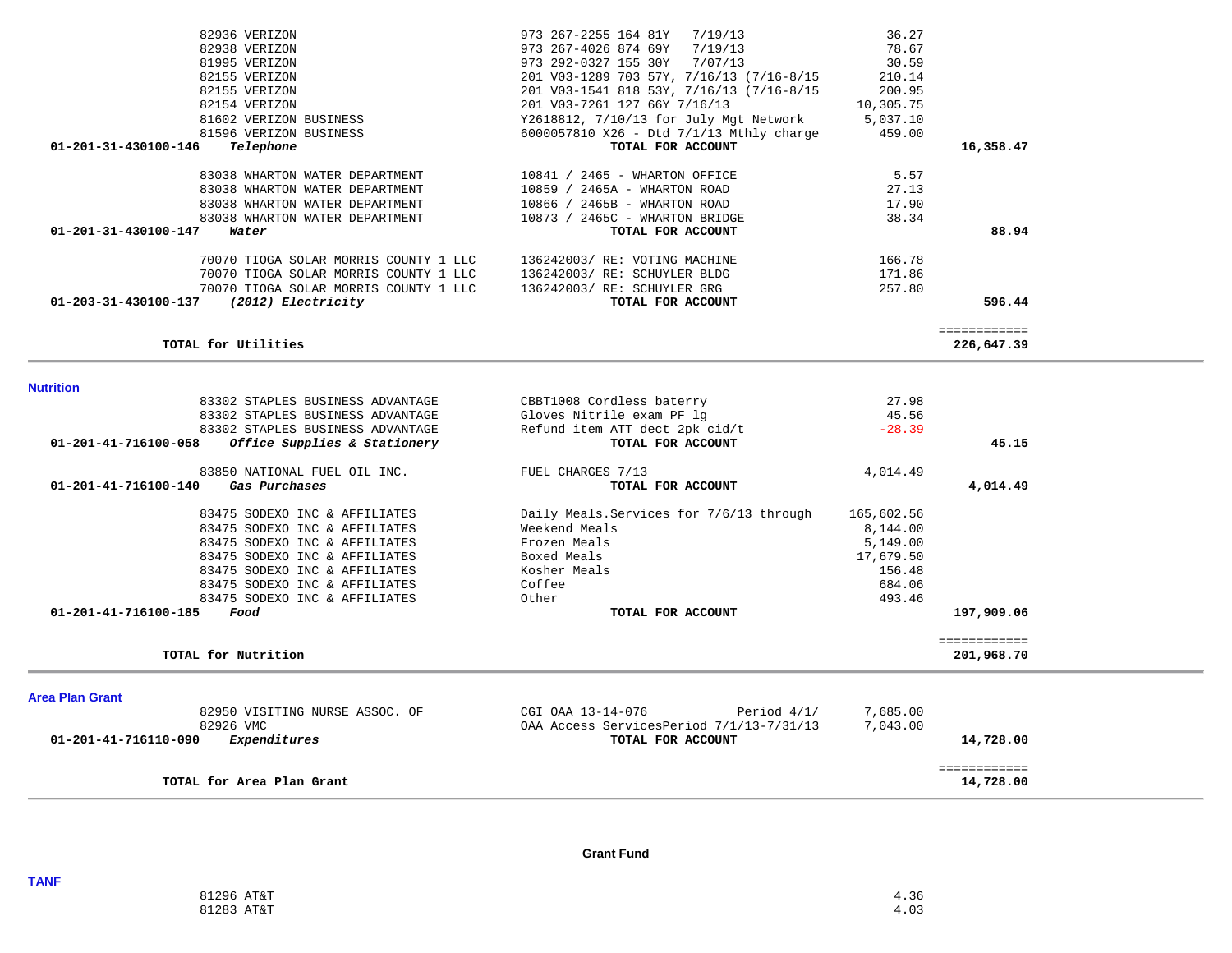| 82938 VERIZON                                                         | 973 267-4026 874 69Y<br>7/19/13                        | 78.67      |                            |  |
|-----------------------------------------------------------------------|--------------------------------------------------------|------------|----------------------------|--|
| 81995 VERIZON                                                         | 973 292-0327 155 30Y<br>7/07/13                        | 30.59      |                            |  |
| 82155 VERIZON                                                         | 201 V03-1289 703 57Y, 7/16/13 (7/16-8/15               | 210.14     |                            |  |
| 82155 VERIZON                                                         | 201 V03-1541 818 53Y, 7/16/13 (7/16-8/15               | 200.95     |                            |  |
| 82154 VERIZON                                                         | 201 V03-7261 127 66Y 7/16/13                           | 10,305.75  |                            |  |
| 81602 VERIZON BUSINESS                                                | Y2618812, 7/10/13 for July Mgt Network                 | 5,037.10   |                            |  |
| 81596 VERIZON BUSINESS                                                | 6000057810 X26 - Dtd 7/1/13 Mthly charge               | 459.00     |                            |  |
| 01-201-31-430100-146<br>Telephone                                     | TOTAL FOR ACCOUNT                                      |            | 16,358.47                  |  |
| 83038 WHARTON WATER DEPARTMENT                                        | 10841 / 2465 - WHARTON OFFICE                          | 5.57       |                            |  |
| 83038 WHARTON WATER DEPARTMENT                                        | 10859 / 2465A - WHARTON ROAD                           | 27.13      |                            |  |
| 83038 WHARTON WATER DEPARTMENT                                        | 10866 / 2465B - WHARTON ROAD                           | 17.90      |                            |  |
| 83038 WHARTON WATER DEPARTMENT                                        | 10873 / 2465C - WHARTON BRIDGE                         | 38.34      |                            |  |
| 01-201-31-430100-147<br>Water                                         | TOTAL FOR ACCOUNT                                      |            | 88.94                      |  |
| 70070 TIOGA SOLAR MORRIS COUNTY 1 LLC                                 | 136242003/ RE: VOTING MACHINE                          | 166.78     |                            |  |
| 70070 TIOGA SOLAR MORRIS COUNTY 1 LLC                                 | 136242003/ RE: SCHUYLER BLDG                           | 171.86     |                            |  |
| 70070 TIOGA SOLAR MORRIS COUNTY 1 LLC                                 | 136242003/ RE: SCHUYLER GRG                            | 257.80     |                            |  |
| (2012) Electricity<br>01-203-31-430100-137                            | TOTAL FOR ACCOUNT                                      |            | 596.44                     |  |
|                                                                       |                                                        |            | ============               |  |
| TOTAL for Utilities                                                   |                                                        |            | 226,647.39                 |  |
|                                                                       |                                                        |            |                            |  |
| <b>Nutrition</b>                                                      |                                                        | 27.98      |                            |  |
| 83302 STAPLES BUSINESS ADVANTAGE<br>83302 STAPLES BUSINESS ADVANTAGE  | CBBT1008 Cordless baterry<br>Gloves Nitrile exam PF lg | 45.56      |                            |  |
| 83302 STAPLES BUSINESS ADVANTAGE                                      | Refund item ATT dect 2pk cid/t                         | $-28.39$   |                            |  |
| Office Supplies & Stationery<br>01-201-41-716100-058                  | TOTAL FOR ACCOUNT                                      |            | 45.15                      |  |
|                                                                       |                                                        |            |                            |  |
| 83850 NATIONAL FUEL OIL INC.<br>01-201-41-716100-140<br>Gas Purchases | FUEL CHARGES 7/13<br>TOTAL FOR ACCOUNT                 | 4,014.49   | 4,014.49                   |  |
|                                                                       |                                                        |            |                            |  |
| 83475 SODEXO INC & AFFILIATES                                         | Daily Meals. Services for 7/6/13 through               | 165,602.56 |                            |  |
| 83475 SODEXO INC & AFFILIATES                                         | Weekend Meals                                          | 8,144.00   |                            |  |
| 83475 SODEXO INC & AFFILIATES                                         | Frozen Meals                                           | 5,149.00   |                            |  |
| 83475 SODEXO INC & AFFILIATES                                         | Boxed Meals                                            | 17,679.50  |                            |  |
| 83475 SODEXO INC & AFFILIATES                                         | Kosher Meals                                           | 156.48     |                            |  |
| 83475 SODEXO INC & AFFILIATES                                         | Coffee                                                 | 684.06     |                            |  |
| 83475 SODEXO INC & AFFILIATES                                         | Other                                                  | 493.46     |                            |  |
| 01-201-41-716100-185<br>Food                                          | TOTAL FOR ACCOUNT                                      |            | 197,909.06                 |  |
| TOTAL for Nutrition                                                   |                                                        |            | ============<br>201,968.70 |  |
|                                                                       |                                                        |            |                            |  |
| <b>Area Plan Grant</b>                                                |                                                        |            |                            |  |
| 82950 VISITING NURSE ASSOC. OF                                        | CGI OAA 13-14-076<br>Period $4/1/$                     | 7,685.00   |                            |  |
| 82926 VMC                                                             | OAA Access ServicesPeriod 7/1/13-7/31/13               | 7,043.00   |                            |  |
| 01-201-41-716110-090<br>Expenditures                                  | TOTAL FOR ACCOUNT                                      |            | 14,728.00                  |  |
| TOTAL for Area Plan Grant                                             |                                                        |            | ============<br>14,728.00  |  |
|                                                                       |                                                        |            |                            |  |

82936 VERIZON 973 267-2255 164 81Y 7/19/13 36.27

**Grant Fund**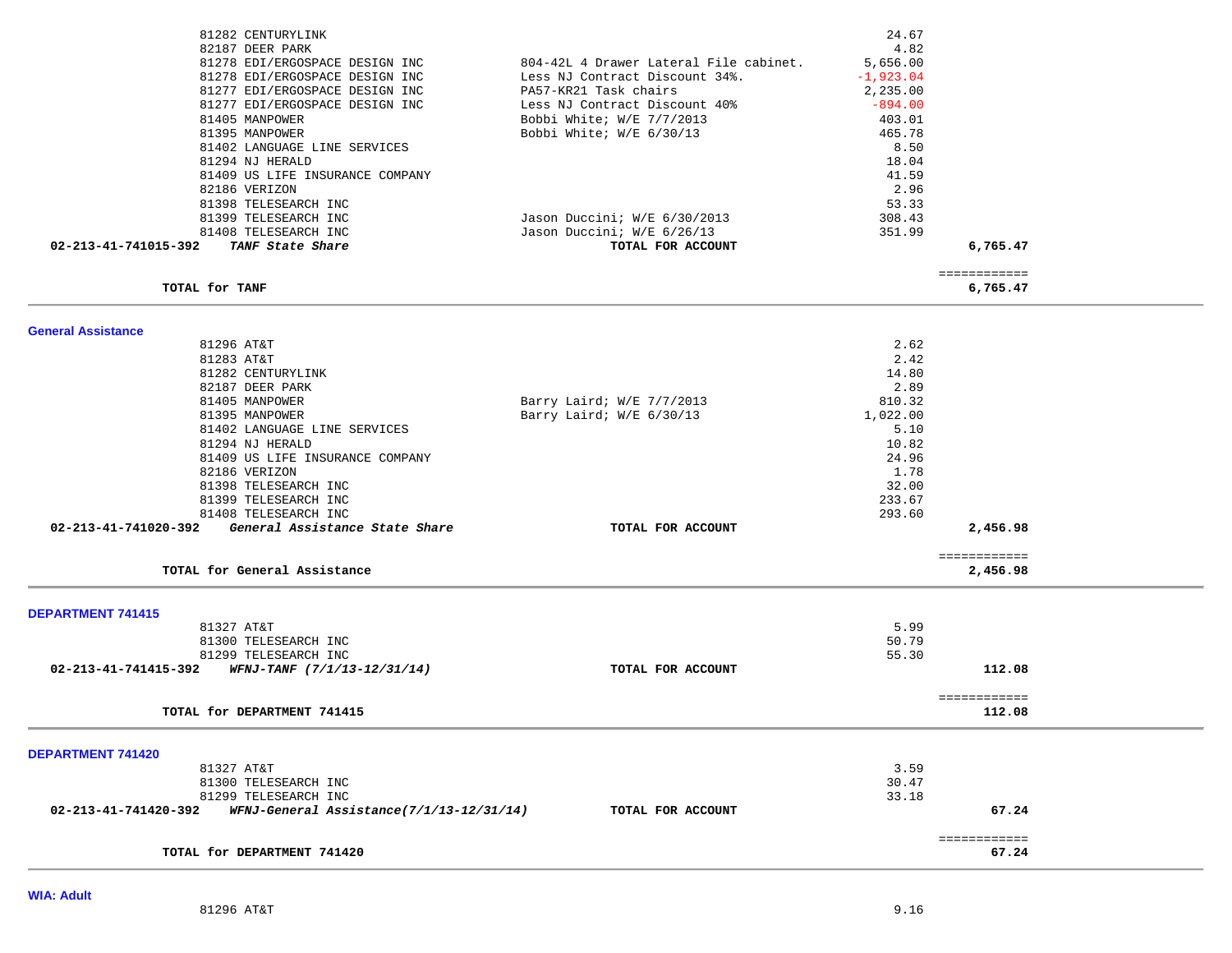| 82187 DEER PARK                                                   |                                        | 4.82        |                       |  |
|-------------------------------------------------------------------|----------------------------------------|-------------|-----------------------|--|
| 81278 EDI/ERGOSPACE DESIGN INC                                    | 804-42L 4 Drawer Lateral File cabinet. | 5,656.00    |                       |  |
| 81278 EDI/ERGOSPACE DESIGN INC                                    | Less NJ Contract Discount 34%.         | $-1,923.04$ |                       |  |
| 81277 EDI/ERGOSPACE DESIGN INC                                    | PA57-KR21 Task chairs                  | 2,235.00    |                       |  |
| 81277 EDI/ERGOSPACE DESIGN INC                                    | Less NJ Contract Discount 40%          | $-894.00$   |                       |  |
| 81405 MANPOWER                                                    | Bobbi White; W/E 7/7/2013              | 403.01      |                       |  |
| 81395 MANPOWER                                                    | Bobbi White; W/E 6/30/13               | 465.78      |                       |  |
| 81402 LANGUAGE LINE SERVICES                                      |                                        | 8.50        |                       |  |
| 81294 NJ HERALD                                                   |                                        | 18.04       |                       |  |
| 81409 US LIFE INSURANCE COMPANY                                   |                                        | 41.59       |                       |  |
| 82186 VERIZON                                                     |                                        | 2.96        |                       |  |
| 81398 TELESEARCH INC                                              |                                        | 53.33       |                       |  |
| 81399 TELESEARCH INC                                              | Jason Duccini; W/E 6/30/2013           | 308.43      |                       |  |
| 81408 TELESEARCH INC                                              | Jason Duccini; W/E 6/26/13             | 351.99      |                       |  |
| 02-213-41-741015-392 TANF State Share                             | TOTAL FOR ACCOUNT                      |             | 6,765.47              |  |
|                                                                   |                                        |             | ============          |  |
| TOTAL for TANF                                                    |                                        |             | 6,765.47              |  |
|                                                                   |                                        |             |                       |  |
| <b>General Assistance</b><br>81296 AT&T                           |                                        | 2.62        |                       |  |
| 81283 AT&T                                                        |                                        | 2.42        |                       |  |
| 81282 CENTURYLINK                                                 |                                        | 14.80       |                       |  |
| 82187 DEER PARK                                                   |                                        | 2.89        |                       |  |
| 81405 MANPOWER                                                    | Barry Laird; W/E 7/7/2013              | 810.32      |                       |  |
| 81395 MANPOWER                                                    | Barry Laird; W/E 6/30/13               | 1,022.00    |                       |  |
| 81402 LANGUAGE LINE SERVICES                                      |                                        | 5.10        |                       |  |
| 81294 NJ HERALD                                                   |                                        | 10.82       |                       |  |
| 81409 US LIFE INSURANCE COMPANY                                   |                                        | 24.96       |                       |  |
| 82186 VERIZON                                                     |                                        | 1.78        |                       |  |
| 81398 TELESEARCH INC                                              |                                        | 32.00       |                       |  |
| 81399 TELESEARCH INC                                              |                                        | 233.67      |                       |  |
| 81408 TELESEARCH INC                                              |                                        | 293.60      |                       |  |
| 02-213-41-741020-392<br>General Assistance State Share            | TOTAL FOR ACCOUNT                      |             | 2,456.98              |  |
|                                                                   |                                        |             | ============          |  |
| TOTAL for General Assistance                                      |                                        |             | 2,456.98              |  |
| <b>DEPARTMENT 741415</b>                                          |                                        |             |                       |  |
| 81327 AT&T                                                        |                                        | 5.99        |                       |  |
| 81300 TELESEARCH INC                                              |                                        | 50.79       |                       |  |
| 81299 TELESEARCH INC                                              |                                        | 55.30       |                       |  |
| $02 - 213 - 41 - 741415 - 392$ WFNJ-TANF $(7/1/13 - 12/31/14)$    | TOTAL FOR ACCOUNT                      |             | 112.08                |  |
|                                                                   |                                        |             | ============          |  |
| TOTAL for DEPARTMENT 741415                                       |                                        |             | 112.08                |  |
|                                                                   |                                        |             |                       |  |
| DEPARTMENT 741420<br>81327 AT&T                                   |                                        | 3.59        |                       |  |
| 81300 TELESEARCH INC                                              |                                        | 30.47       |                       |  |
| 81299 TELESEARCH INC                                              |                                        | 33.18       |                       |  |
| 02-213-41-741420-392     WFNJ-General Assistance(7/1/13-12/31/14) | TOTAL FOR ACCOUNT                      |             | 67.24                 |  |
|                                                                   |                                        |             |                       |  |
| TOTAL for DEPARTMENT 741420                                       |                                        |             | ============<br>67.24 |  |
|                                                                   |                                        |             |                       |  |

81282 CENTURYLINK 24.67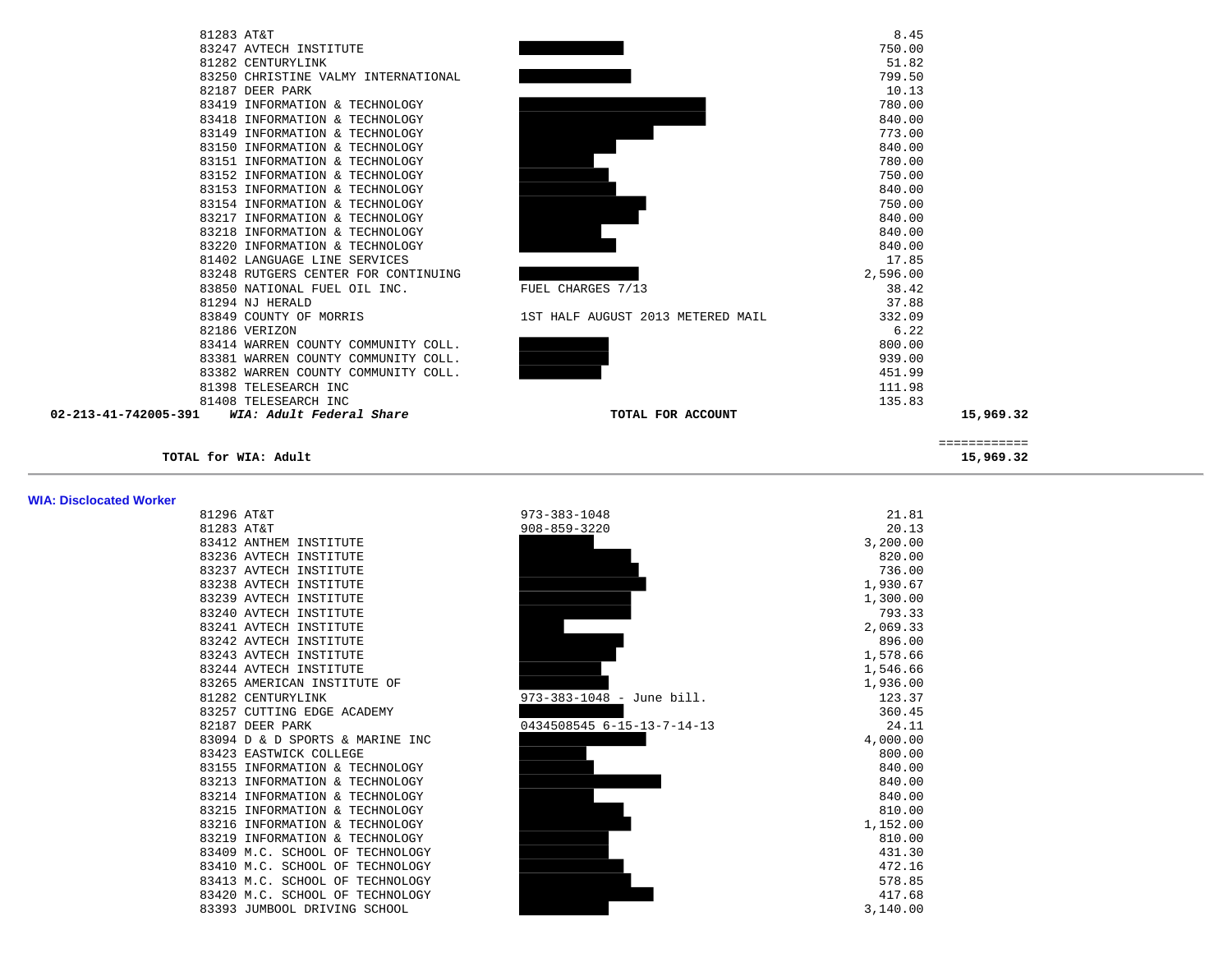| 81283 AT&T                                       |                                   | 8.45      |  |
|--------------------------------------------------|-----------------------------------|-----------|--|
| 83247 AVTECH INSTITUTE                           |                                   | 750.00    |  |
| 81282 CENTURYLINK                                |                                   | 51.82     |  |
| 83250 CHRISTINE VALMY INTERNATIONAL              |                                   | 799.50    |  |
| 82187 DEER PARK                                  |                                   | 10.13     |  |
| 83419 INFORMATION & TECHNOLOGY                   |                                   | 780.00    |  |
| 83418 INFORMATION & TECHNOLOGY                   |                                   | 840.00    |  |
| 83149 INFORMATION & TECHNOLOGY                   |                                   | 773.00    |  |
| 83150 INFORMATION & TECHNOLOGY                   |                                   | 840.00    |  |
| 83151 INFORMATION & TECHNOLOGY                   |                                   | 780.00    |  |
| 83152 INFORMATION & TECHNOLOGY                   |                                   | 750.00    |  |
| 83153 INFORMATION & TECHNOLOGY                   |                                   | 840.00    |  |
| 83154 INFORMATION & TECHNOLOGY                   |                                   | 750.00    |  |
| 83217 INFORMATION & TECHNOLOGY                   |                                   | 840.00    |  |
| 83218 INFORMATION & TECHNOLOGY                   |                                   | 840.00    |  |
| 83220 INFORMATION & TECHNOLOGY                   |                                   | 840.00    |  |
| 81402 LANGUAGE LINE SERVICES                     |                                   | 17.85     |  |
| 83248 RUTGERS CENTER FOR CONTINUING              |                                   | 2,596.00  |  |
| 83850 NATIONAL FUEL OIL INC.                     | FUEL CHARGES 7/13                 | 38.42     |  |
| 81294 NJ HERALD                                  |                                   | 37.88     |  |
| 83849 COUNTY OF MORRIS                           | 1ST HALF AUGUST 2013 METERED MAIL | 332.09    |  |
| 82186 VERIZON                                    |                                   | 6.22      |  |
| 83414 WARREN COUNTY COMMUNITY COLL.              |                                   | 800.00    |  |
| 83381 WARREN COUNTY COMMUNITY COLL.              |                                   | 939.00    |  |
| 83382 WARREN COUNTY COMMUNITY COLL.              |                                   | 451.99    |  |
| 81398 TELESEARCH INC                             |                                   | 111.98    |  |
| 81408 TELESEARCH INC                             |                                   | 135.83    |  |
| 02-213-41-742005-391<br>WIA: Adult Federal Share | TOTAL FOR ACCOUNT                 | 15,969.32 |  |
|                                                  |                                   |           |  |

### **TOTAL for WIA: Adult 15,969.32**

**WIA: Disclocated Worker** 

| ____________<br>_____________ |                         |
|-------------------------------|-------------------------|
| 15 969 32<br>,,,,,            | Adult<br>TOTAL for WIA: |

| OTAJO HIQI |                                  |
|------------|----------------------------------|
| 81283 AT&T |                                  |
|            | 83412 ANTHEM INSTITUTE           |
|            | 83236 AVTECH INSTITUTE           |
|            | 83237 AVTECH INSTITUTE           |
|            | 83238 AVTECH INSTITUTE           |
|            | 83239 AVTECH INSTITUTE           |
|            | 83240 AVTECH INSTITUTE           |
|            | 83241 AVTECH INSTITUTE           |
|            | 83242 AVTECH INSTITUTE           |
|            | 83243 AVTECH INSTITUTE           |
|            | 83244 AVTECH INSTITUTE           |
|            | 83265 AMERICAN INSTITUTE OF      |
|            | 81282 CENTURYLINK                |
|            | 83257 CUTTING EDGE ACADEMY       |
|            | 82187 DEER PARK                  |
|            | 83094 D & D SPORTS & MARINE I    |
|            | 83423 EASTWICK COLLEGE           |
|            | 83155 INFORMATION & TECHNOLOG    |
|            | 83213 INFORMATION & TECHNOLOG    |
|            | 83214 INFORMATION & TECHNOLOG    |
|            | 83215 INFORMATION & TECHNOLOG    |
|            | & TECHNOLOG<br>83216 INFORMATION |
|            | 83219 INFORMATION & TECHNOLOG    |
|            | 83409 M.C. SCHOOL OF TECHNOLO    |
| 83410      | M.C. SCHOOL OF TECHNOL(          |
|            | 83413 M.C. SCHOOL OF TECHNOLO    |
|            | 83420 M.C. SCHOOL OF TECHNOLO    |
|            | 83393 JUMBOOL DRIVING SCHOOL     |
|            |                                  |

| WIA: Disclocated Worker |                                 |                            |          |
|-------------------------|---------------------------------|----------------------------|----------|
|                         | 81296 AT&T                      | 973-383-1048               | 21.81    |
|                         | 81283 AT&T                      | $908 - 859 - 3220$         | 20.13    |
|                         | 83412 ANTHEM INSTITUTE          |                            | 3,200.00 |
|                         | 83236 AVTECH INSTITUTE          |                            | 820.00   |
|                         | 83237 AVTECH INSTITUTE          |                            | 736.00   |
|                         | 83238 AVTECH INSTITUTE          |                            | 1,930.67 |
|                         | 83239 AVTECH INSTITUTE          |                            | 1,300.00 |
|                         | 83240 AVTECH INSTITUTE          |                            | 793.33   |
|                         | 83241 AVTECH INSTITUTE          |                            | 2,069.33 |
|                         | 83242 AVTECH INSTITUTE          |                            | 896.00   |
|                         | 83243 AVTECH INSTITUTE          |                            | 1,578.66 |
|                         | 83244 AVTECH INSTITUTE          |                            | 1,546.66 |
|                         | 83265 AMERICAN INSTITUTE OF     |                            | 1,936.00 |
|                         | 81282 CENTURYLINK               | 973-383-1048 - June bill.  | 123.37   |
|                         | 83257 CUTTING EDGE ACADEMY      |                            | 360.45   |
|                         | 82187 DEER PARK                 | 0434508545 6-15-13-7-14-13 | 24.11    |
|                         | 83094 D & D SPORTS & MARINE INC |                            | 4,000.00 |
|                         | 83423 EASTWICK COLLEGE          |                            | 800.00   |
|                         | 83155 INFORMATION & TECHNOLOGY  |                            | 840.00   |
|                         | 83213 INFORMATION & TECHNOLOGY  |                            | 840.00   |
|                         | 83214 INFORMATION & TECHNOLOGY  |                            | 840.00   |
|                         | 83215 INFORMATION & TECHNOLOGY  |                            | 810.00   |
|                         | 83216 INFORMATION & TECHNOLOGY  |                            | 1,152.00 |
|                         | 83219 INFORMATION & TECHNOLOGY  |                            | 810.00   |
|                         | 83409 M.C. SCHOOL OF TECHNOLOGY |                            | 431.30   |
|                         | 83410 M.C. SCHOOL OF TECHNOLOGY |                            | 472.16   |
|                         | 83413 M.C. SCHOOL OF TECHNOLOGY |                            | 578.85   |
|                         | 83420 M.C. SCHOOL OF TECHNOLOGY |                            | 417.68   |
|                         | 83393 JUMBOOL DRIVING SCHOOL    |                            | 3,140.00 |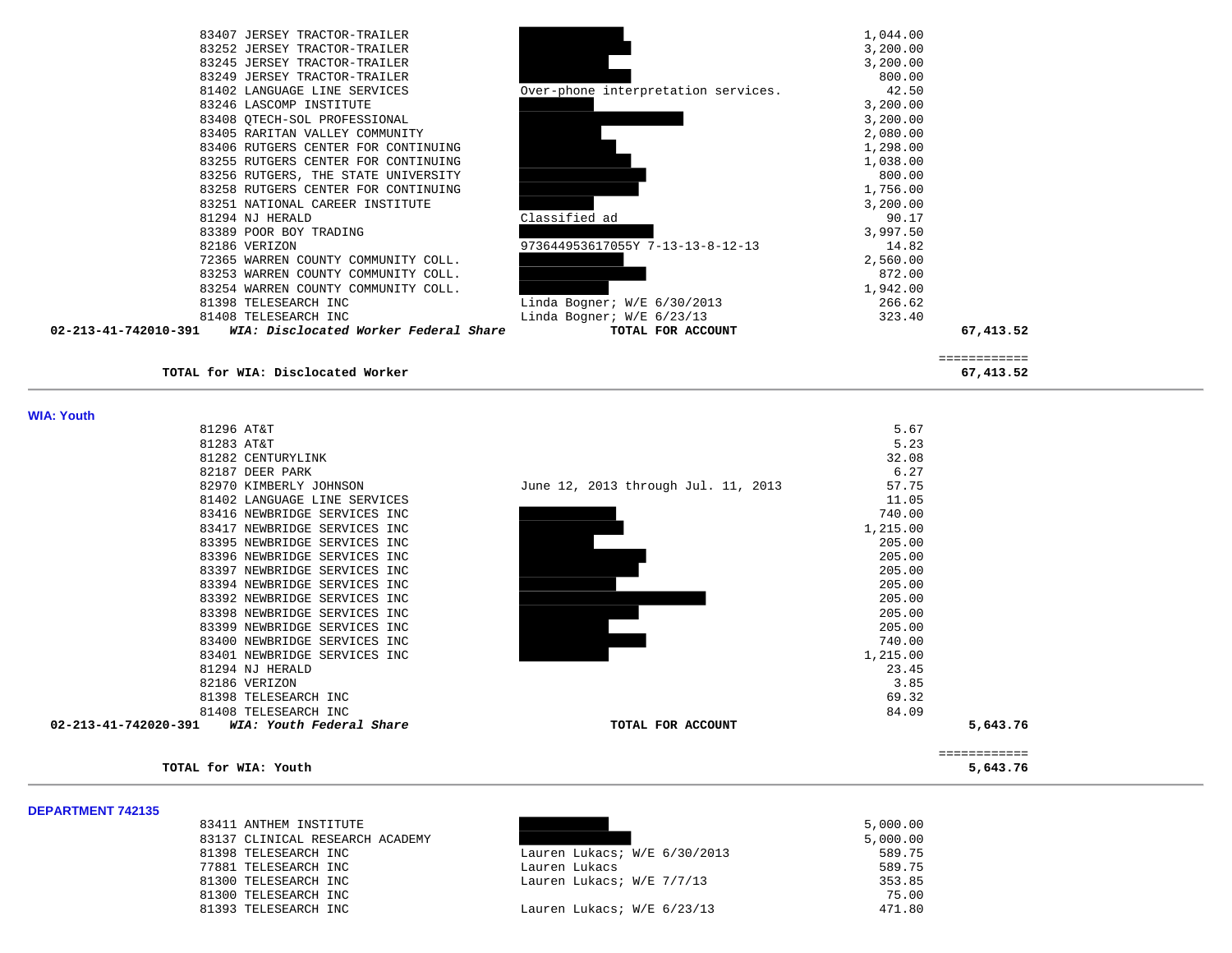| 82186 VERIZON<br>72365 WARREN COUNTY COMMUNITY COLL.    | 973644953617055Y 7-13-13-8-12-13    | 14.82             |  |
|---------------------------------------------------------|-------------------------------------|-------------------|--|
| 83389 POOR BOY TRADING                                  |                                     | 3,997.50          |  |
| 83251 NATIONAL CAREER INSTITUTE<br>81294 NJ HERALD      | Classified ad                       | 3,200.00<br>90.17 |  |
| 83258 RUTGERS CENTER FOR CONTINUING                     |                                     | 1,756.00          |  |
| 83256 RUTGERS, THE STATE UNIVERSITY                     |                                     | 800.00            |  |
| 83255 RUTGERS CENTER FOR CONTINUING                     |                                     | 1,038.00          |  |
| 83406 RUTGERS CENTER FOR CONTINUING                     |                                     | 1,298.00          |  |
| 83405 RARITAN VALLEY COMMUNITY                          |                                     | 2,080.00          |  |
| 83408 QTECH-SOL PROFESSIONAL                            |                                     | 3,200.00          |  |
| 81402 LANGUAGE LINE SERVICES<br>83246 LASCOMP INSTITUTE | Over-phone interpretation services. | 42.50<br>3,200.00 |  |
| 83249 JERSEY TRACTOR-TRAILER                            |                                     | 800.00            |  |
| 83245 JERSEY TRACTOR-TRAILER                            |                                     | 3,200.00          |  |
| 83252 JERSEY TRACTOR-TRAILER                            |                                     | 3,200.00          |  |

**TOTAL for WIA: Disclocated Worker 67,413.52**

 ============ 

75.00<br>471.80

#### **WIA: Youth**

| 81296 AT&T                                       |                                     | 5.67     |
|--------------------------------------------------|-------------------------------------|----------|
| 81283 AT&T                                       |                                     | 5.23     |
| 81282 CENTURYLINK                                |                                     | 32.08    |
| 82187 DEER PARK                                  |                                     | 6.27     |
| 82970 KIMBERLY JOHNSON                           | June 12, 2013 through Jul. 11, 2013 | 57.75    |
| 81402 LANGUAGE LINE SERVICES                     |                                     | 11.05    |
| 83416 NEWBRIDGE SERVICES INC                     |                                     | 740.00   |
| 83417 NEWBRIDGE SERVICES INC                     |                                     | 1,215.00 |
| 83395 NEWBRIDGE SERVICES INC                     |                                     | 205.00   |
| 83396 NEWBRIDGE SERVICES INC                     |                                     | 205.00   |
| 83397 NEWBRIDGE SERVICES INC                     |                                     | 205.00   |
| 83394 NEWBRIDGE SERVICES INC                     |                                     | 205.00   |
| 83392 NEWBRIDGE SERVICES INC                     |                                     | 205.00   |
| 83398 NEWBRIDGE SERVICES INC                     |                                     | 205.00   |
| 83399 NEWBRIDGE SERVICES INC                     |                                     | 205.00   |
| 83400 NEWBRIDGE SERVICES INC                     |                                     | 740.00   |
| 83401 NEWBRIDGE SERVICES INC                     |                                     | 1,215.00 |
| 81294 NJ HERALD                                  |                                     | 23.45    |
| 82186 VERIZON                                    |                                     | 3.85     |
| 81398 TELESEARCH INC                             |                                     | 69.32    |
| 81408 TELESEARCH INC                             |                                     | 84.09    |
| 02-213-41-742020-391<br>WIA: Youth Federal Share | TOTAL FOR ACCOUNT                   |          |

| TOTAL for WIA: Youth |                                                  |                                     |          | ============<br>5,643.76 |
|----------------------|--------------------------------------------------|-------------------------------------|----------|--------------------------|
|                      |                                                  |                                     |          |                          |
| 02-213-41-742020-391 | 81408 TELESEARCH INC<br>WIA: Youth Federal Share | TOTAL FOR ACCOUNT                   | 84.09    | 5,643.76                 |
|                      | 81398 TELESEARCH INC                             |                                     | 69.32    |                          |
|                      | 82186 VERIZON                                    |                                     | 3.85     |                          |
|                      | 81294 NJ HERALD                                  |                                     | 23.45    |                          |
|                      | 83401 NEWBRIDGE SERVICES INC                     |                                     | 1,215.00 |                          |
|                      | 83400 NEWBRIDGE SERVICES INC                     |                                     | 740.00   |                          |
|                      | 83399 NEWBRIDGE SERVICES INC                     |                                     | 205.00   |                          |
|                      | 83398 NEWBRIDGE SERVICES INC                     |                                     | 205.00   |                          |
|                      | 83392 NEWBRIDGE SERVICES INC                     |                                     | 205.00   |                          |
|                      | 83394 NEWBRIDGE SERVICES INC                     |                                     | 205.00   |                          |
|                      | 83397 NEWBRIDGE SERVICES INC                     |                                     | 205.00   |                          |
|                      | 83396 NEWBRIDGE SERVICES INC                     |                                     | 205.00   |                          |
|                      | 83395 NEWBRIDGE SERVICES INC                     |                                     | 205.00   |                          |
|                      | 83417 NEWBRIDGE SERVICES INC                     |                                     | 1,215.00 |                          |
|                      | 83416 NEWBRIDGE SERVICES INC                     |                                     | 740.00   |                          |
|                      |                                                  |                                     |          |                          |
|                      | 81402 LANGUAGE LINE SERVICES                     |                                     | 11.05    |                          |
|                      | 82970 KIMBERLY JOHNSON                           | June 12, 2013 through Jul. 11, 2013 | 57.75    |                          |
|                      | 82187 DEER PARK                                  |                                     | 6.27     |                          |
|                      | 81282 CENTURYLINK                                |                                     | 32.08    |                          |
| 81283 AT&T           |                                                  |                                     | 5.23     |                          |

#### **DEPARTMENT 742135**

| 83411 ANTHEM INSTITUTE          |  |  |                           |                             |
|---------------------------------|--|--|---------------------------|-----------------------------|
| 83137 CLINICAL RESEARCH ACADEMY |  |  |                           |                             |
| 81398 TELESEARCH INC            |  |  |                           | Lauren Lukacs; W/E 6/30/201 |
| 77881 TELESEARCH INC            |  |  | Lauren Lukacs             |                             |
| 81300 TELESEARCH INC            |  |  | Lauren Lukacs; W/E 7/7/13 |                             |
| 81300 TELESEARCH INC            |  |  |                           |                             |
| 81393 TELESEARCH INC            |  |  |                           | Lauren Lukacs; W/E 6/23/13  |

| PEL ARTIVIERT 174199 |                                 |                                |          |
|----------------------|---------------------------------|--------------------------------|----------|
|                      | 83411 ANTHEM INSTITUTE          |                                | 5,000.00 |
|                      | 83137 CLINICAL RESEARCH ACADEMY |                                | 5,000.00 |
|                      | 81398 TELESEARCH INC            | Lauren Lukacs; $W/E$ 6/30/2013 | 589.75   |
|                      | 77881 TELESEARCH INC            | Lauren Lukacs                  | 589.75   |
|                      | 81300 TELESEARCH INC            | Lauren Lukacs; W/E 7/7/13      | 353.85   |
|                      | 81300 TELESEARCH INC            |                                | 75.00    |
|                      | R1202 TELECEADOU INC            | $[supp T_1]$ $\sim$ $[1]$      | 471 80   |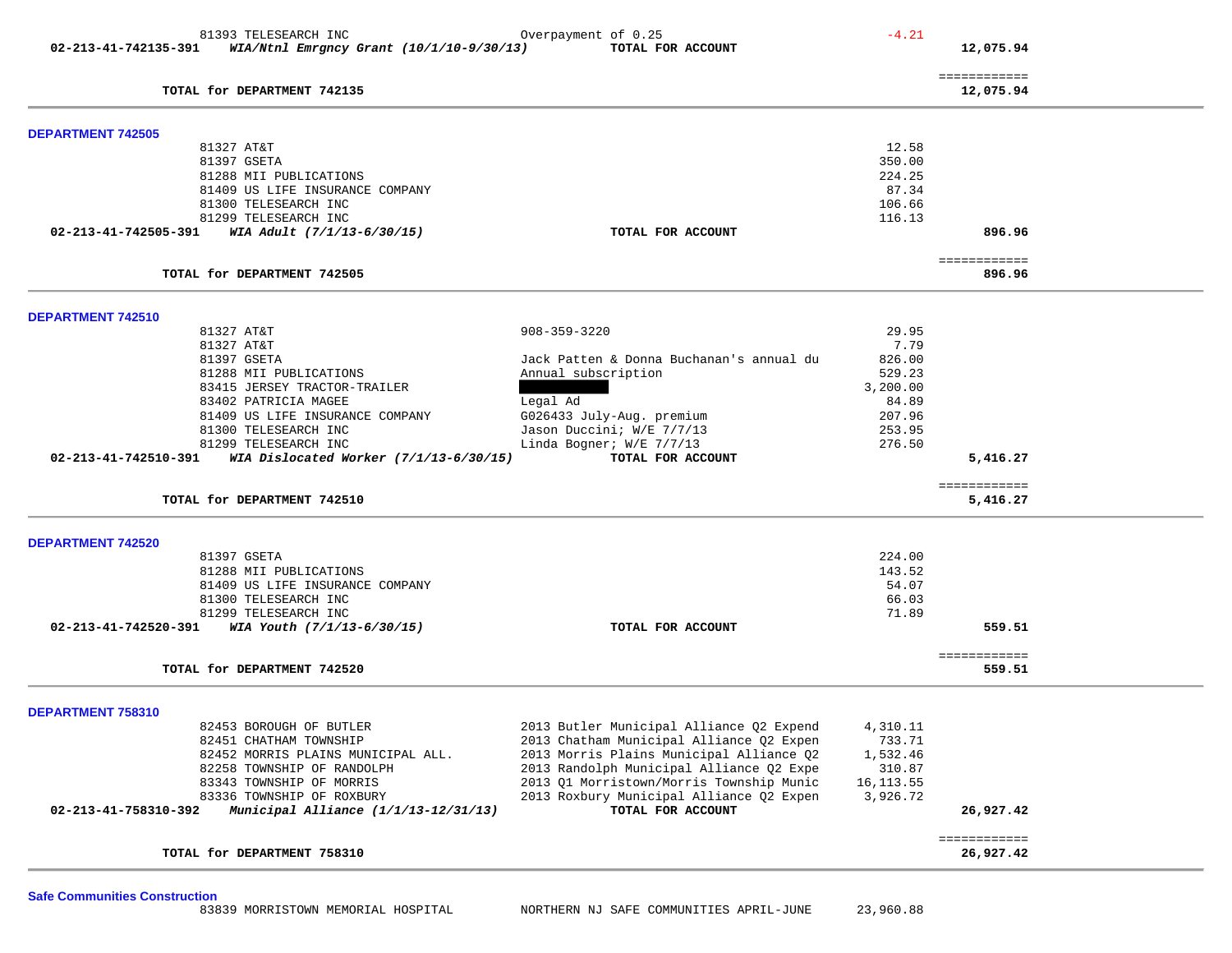| 81393 TELESEARCH INC                                                                | Overpayment of 0.25                      | $-4.21$    |                           |
|-------------------------------------------------------------------------------------|------------------------------------------|------------|---------------------------|
| 02-213-41-742135-391 WIA/Ntnl Emrgncy Grant (10/1/10-9/30/13)                       | TOTAL FOR ACCOUNT                        |            | 12,075.94                 |
|                                                                                     |                                          |            |                           |
|                                                                                     |                                          |            | ============              |
| TOTAL for DEPARTMENT 742135                                                         |                                          |            | 12,075.94                 |
|                                                                                     |                                          |            |                           |
| <b>DEPARTMENT 742505</b>                                                            |                                          |            |                           |
| 81327 AT&T                                                                          |                                          | 12.58      |                           |
| 81397 GSETA                                                                         |                                          | 350.00     |                           |
| 81288 MII PUBLICATIONS                                                              |                                          | 224.25     |                           |
| 81409 US LIFE INSURANCE COMPANY                                                     |                                          | 87.34      |                           |
| 81300 TELESEARCH INC                                                                |                                          | 106.66     |                           |
| 81299 TELESEARCH INC                                                                |                                          | 116.13     |                           |
| WIA Adult (7/1/13-6/30/15)<br>02-213-41-742505-391                                  | TOTAL FOR ACCOUNT                        |            | 896.96                    |
|                                                                                     |                                          |            | ============              |
| TOTAL for DEPARTMENT 742505                                                         |                                          |            | 896.96                    |
|                                                                                     |                                          |            |                           |
| <b>DEPARTMENT 742510</b><br>81327 AT&T                                              | $908 - 359 - 3220$                       | 29.95      |                           |
| 81327 AT&T                                                                          |                                          | 7.79       |                           |
| 81397 GSETA                                                                         | Jack Patten & Donna Buchanan's annual du | 826.00     |                           |
| 81288 MII PUBLICATIONS                                                              | Annual subscription                      | 529.23     |                           |
| 83415 JERSEY TRACTOR-TRAILER                                                        |                                          | 3,200.00   |                           |
|                                                                                     |                                          |            |                           |
| 83402 PATRICIA MAGEE                                                                | Legal Ad                                 | 84.89      |                           |
| 81409 US LIFE INSURANCE COMPANY                                                     | G026433 July-Aug. premium                | 207.96     |                           |
| 81300 TELESEARCH INC                                                                | Jason Duccini; W/E 7/7/13                | 253.95     |                           |
| 81299 TELESEARCH INC                                                                | Linda Bogner; W/E 7/7/13                 | 276.50     |                           |
| WIA Dislocated Worker (7/1/13-6/30/15)<br>02-213-41-742510-391                      | TOTAL FOR ACCOUNT                        |            | 5,416.27                  |
| TOTAL for DEPARTMENT 742510                                                         |                                          |            | ============<br>5,416.27  |
|                                                                                     |                                          |            |                           |
|                                                                                     |                                          |            |                           |
|                                                                                     |                                          |            |                           |
|                                                                                     |                                          |            |                           |
| 81397 GSETA                                                                         |                                          | 224.00     |                           |
| 81288 MII PUBLICATIONS                                                              |                                          | 143.52     |                           |
| 81409 US LIFE INSURANCE COMPANY                                                     |                                          | 54.07      |                           |
| 81300 TELESEARCH INC                                                                |                                          | 66.03      |                           |
| 81299 TELESEARCH INC                                                                |                                          | 71.89      |                           |
| 02-213-41-742520-391 WIA Youth $(7/1/13-6/30/15)$                                   | TOTAL FOR ACCOUNT                        |            | 559.51                    |
|                                                                                     |                                          |            | ============              |
| TOTAL for DEPARTMENT 742520                                                         |                                          |            | 559.51                    |
|                                                                                     |                                          |            |                           |
|                                                                                     |                                          |            |                           |
| 82453 BOROUGH OF BUTLER                                                             | 2013 Butler Municipal Alliance Q2 Expend | 4,310.11   |                           |
| 82451 CHATHAM TOWNSHIP                                                              | 2013 Chatham Municipal Alliance Q2 Expen | 733.71     |                           |
| 82452 MORRIS PLAINS MUNICIPAL ALL.                                                  | 2013 Morris Plains Municipal Alliance Q2 | 1,532.46   |                           |
| 82258 TOWNSHIP OF RANDOLPH                                                          | 2013 Randolph Municipal Alliance Q2 Expe | 310.87     |                           |
| 83343 TOWNSHIP OF MORRIS                                                            | 2013 Q1 Morristown/Morris Township Munic | 16, 113.55 |                           |
| 83336 TOWNSHIP OF ROXBURY                                                           | 2013 Roxbury Municipal Alliance Q2 Expen | 3,926.72   |                           |
| Municipal Alliance (1/1/13-12/31/13)<br>02-213-41-758310-392                        | TOTAL FOR ACCOUNT                        |            | 26,927.42                 |
| <b>DEPARTMENT 742520</b><br><b>DEPARTMENT 758310</b><br>TOTAL for DEPARTMENT 758310 |                                          |            | ============<br>26,927.42 |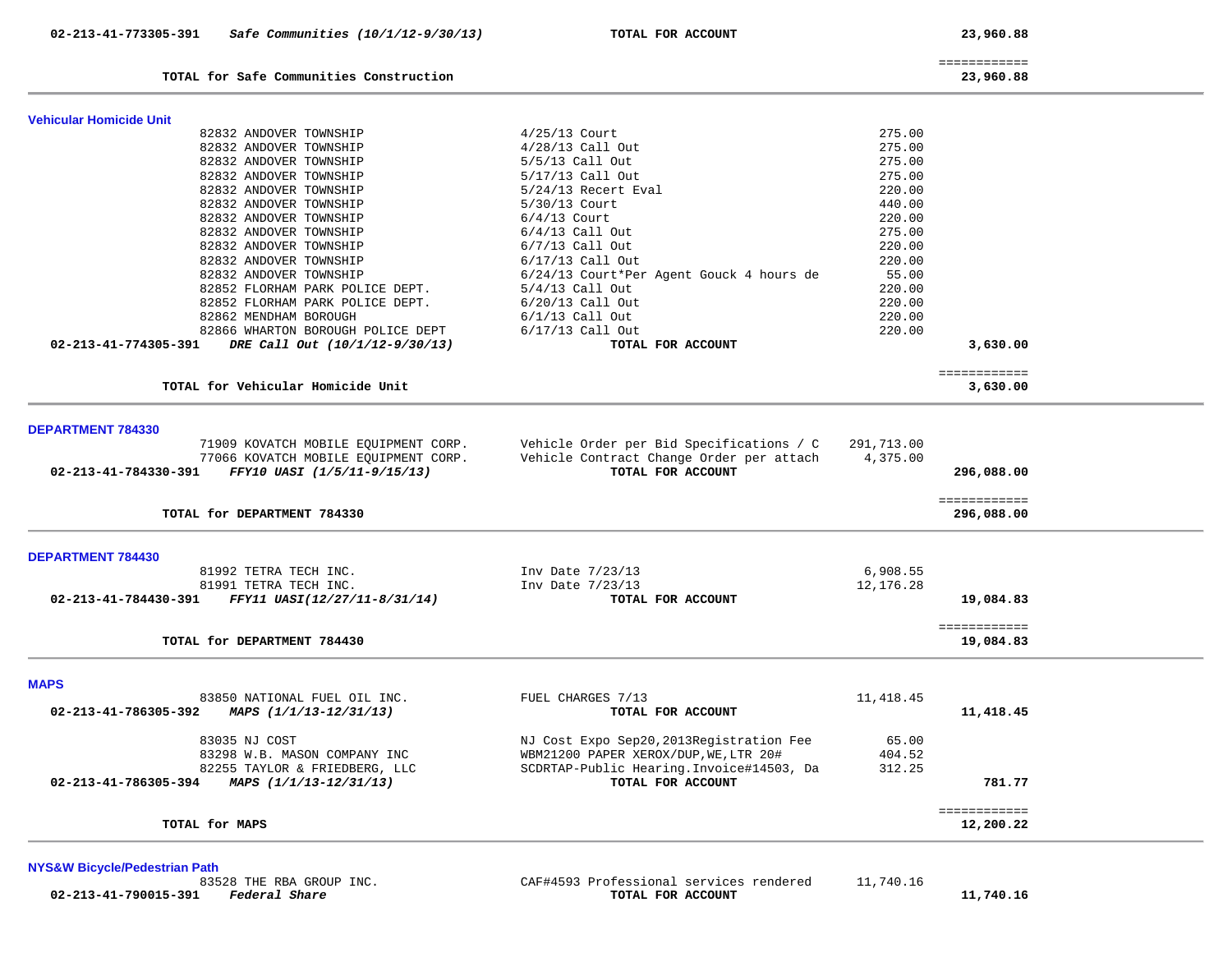| TOTAL for Safe Communities Construction                |                                          |            | 23,960.88                  |
|--------------------------------------------------------|------------------------------------------|------------|----------------------------|
| <b>Vehicular Homicide Unit</b>                         |                                          |            |                            |
| 82832 ANDOVER TOWNSHIP                                 | $4/25/13$ Court                          | 275.00     |                            |
| 82832 ANDOVER TOWNSHIP                                 | 4/28/13 Call Out                         | 275.00     |                            |
| 82832 ANDOVER TOWNSHIP                                 | 5/5/13 Call Out                          | 275.00     |                            |
| 82832 ANDOVER TOWNSHIP                                 | 5/17/13 Call Out                         | 275.00     |                            |
| 82832 ANDOVER TOWNSHIP                                 | 5/24/13 Recert Eval                      | 220.00     |                            |
| 82832 ANDOVER TOWNSHIP                                 | 5/30/13 Court                            | 440.00     |                            |
| 82832 ANDOVER TOWNSHIP                                 | $6/4/13$ Court                           | 220.00     |                            |
| 82832 ANDOVER TOWNSHIP                                 | $6/4/13$ Call Out                        | 275.00     |                            |
| 82832 ANDOVER TOWNSHIP                                 | $6/7/13$ Call Out                        | 220.00     |                            |
| 82832 ANDOVER TOWNSHIP                                 | $6/17/13$ Call Out                       | 220.00     |                            |
| 82832 ANDOVER TOWNSHIP                                 | 6/24/13 Court*Per Agent Gouck 4 hours de | 55.00      |                            |
| 82852 FLORHAM PARK POLICE DEPT.                        | $5/4/13$ Call Out                        | 220.00     |                            |
| 82852 FLORHAM PARK POLICE DEPT.                        | $6/20/13$ Call Out                       | 220.00     |                            |
| 82862 MENDHAM BOROUGH                                  | $6/1/13$ Call Out                        | 220.00     |                            |
| 82866 WHARTON BOROUGH POLICE DEPT                      | 6/17/13 Call Out                         | 220.00     |                            |
| 02-213-41-774305-391<br>DRE Call Out (10/1/12-9/30/13) | TOTAL FOR ACCOUNT                        |            | 3,630.00                   |
| TOTAL for Vehicular Homicide Unit                      |                                          |            | ============<br>3,630.00   |
| <b>DEPARTMENT 784330</b>                               |                                          |            |                            |
| 71909 KOVATCH MOBILE EQUIPMENT CORP.                   | Vehicle Order per Bid Specifications / C | 291,713.00 |                            |
| 77066 KOVATCH MOBILE EQUIPMENT CORP.                   | Vehicle Contract Change Order per attach | 4,375.00   |                            |
| 02-213-41-784330-391<br>FFY10 UASI (1/5/11-9/15/13)    | TOTAL FOR ACCOUNT                        |            | 296,088.00                 |
| TOTAL for DEPARTMENT 784330                            |                                          |            | ============<br>296,088.00 |
|                                                        |                                          |            |                            |
| <b>DEPARTMENT 784430</b>                               |                                          |            |                            |
| 81992 TETRA TECH INC.                                  | Inv Date 7/23/13                         | 6,908.55   |                            |
| 81991 TETRA TECH INC.                                  | Inv Date 7/23/13                         | 12,176.28  |                            |
| FFY11 UASI(12/27/11-8/31/14)<br>02-213-41-784430-391   | TOTAL FOR ACCOUNT                        |            | 19,084.83                  |
| TOTAL for DEPARTMENT 784430                            |                                          |            | ============<br>19,084.83  |
| <b>MAPS</b>                                            |                                          |            |                            |
| 83850 NATIONAL FUEL OIL INC.                           | FUEL CHARGES 7/13                        | 11,418.45  |                            |
| 02-213-41-786305-392<br>MAPS (1/1/13-12/31/13)         | TOTAL FOR ACCOUNT                        |            | 11,418.45                  |

============

 83035 NJ COST NJ Cost Expo Sep20,2013Registration Fee 65.00 83298 W.B. MASON COMPANY INC WBM21200 PAPER XEROX/DUP, WE, LTR 20# 404.52 82255 TAYLOR & FRIEDBERG, LLC SCDRTAP-Public Hearing.Invoice#14503, Da 312.25  **02-213-41-786305-394** *MAPS (1/1/13-12/31/13)* **TOTAL FOR ACCOUNT 781.77**

#### TOTAL for MAPS

**NYS&W Bicycle/Pedestrian Path**

CAF#4593 Professional services rendered 11,740.16  **02-213-41-790015-391** *Federal Share* **TOTAL FOR ACCOUNT 11,740.16**

12,200.22

============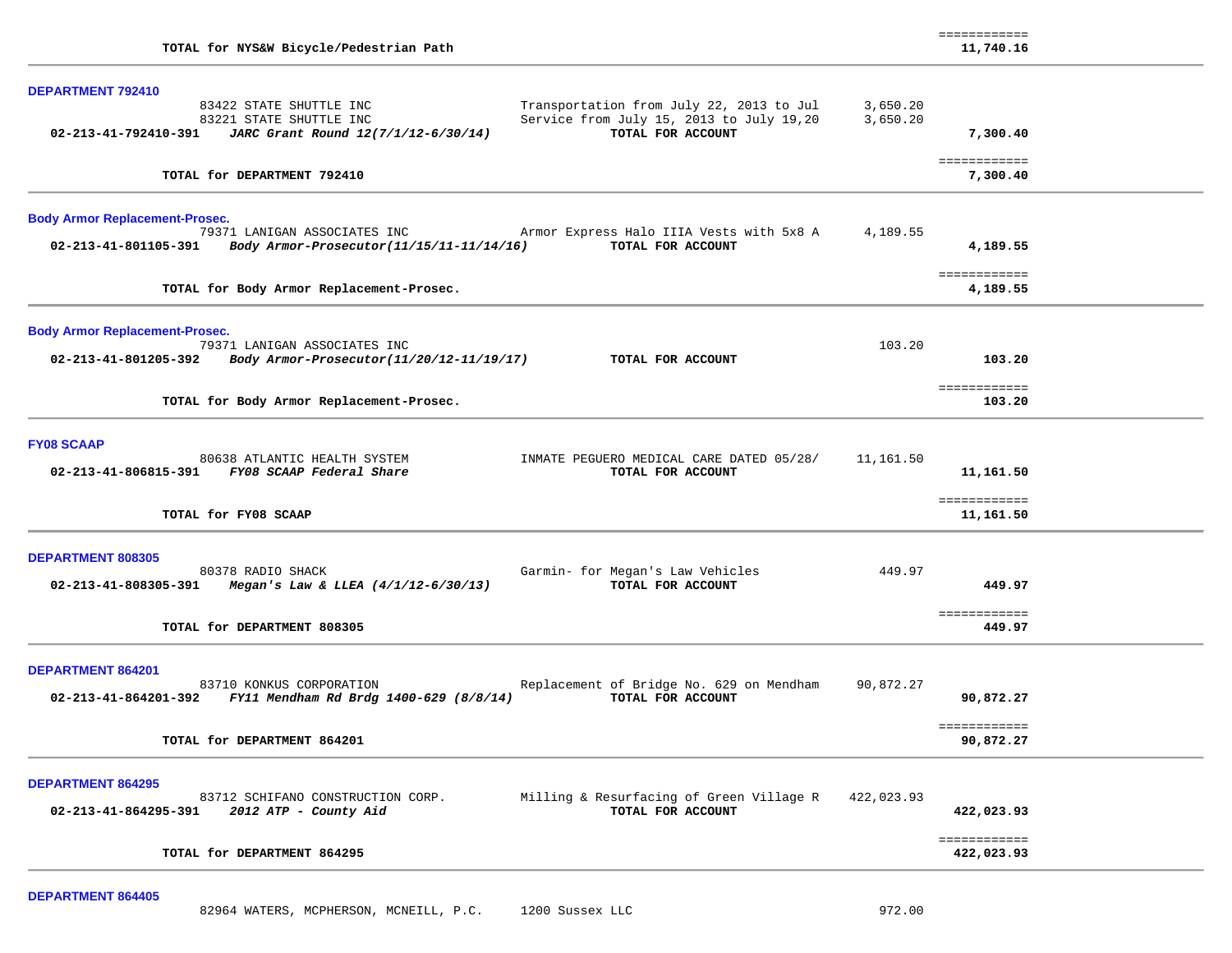| TOTAL for NYS&W Bicycle/Pedestrian Path                                                                                                                                                                                                                    |                      | ============<br>11,740.16  |  |
|------------------------------------------------------------------------------------------------------------------------------------------------------------------------------------------------------------------------------------------------------------|----------------------|----------------------------|--|
| <b>DEPARTMENT 792410</b><br>83422 STATE SHUTTLE INC<br>Transportation from July 22, 2013 to Jul<br>Service from July 15, 2013 to July 19,20<br>83221 STATE SHUTTLE INC<br>TOTAL FOR ACCOUNT<br>02-213-41-792410-391<br>JARC Grant Round 12(7/1/12-6/30/14) | 3,650.20<br>3,650.20 | 7,300.40                   |  |
| TOTAL for DEPARTMENT 792410                                                                                                                                                                                                                                |                      | ============<br>7,300.40   |  |
| <b>Body Armor Replacement-Prosec.</b><br>79371 LANIGAN ASSOCIATES INC<br>Armor Express Halo IIIA Vests with 5x8 A<br>02-213-41-801105-391<br>Body Armor-Prosecutor(11/15/11-11/14/16)<br>TOTAL FOR ACCOUNT                                                 | 4,189.55             | 4,189.55                   |  |
| TOTAL for Body Armor Replacement-Prosec.                                                                                                                                                                                                                   |                      | ============<br>4,189.55   |  |
| <b>Body Armor Replacement-Prosec.</b><br>79371 LANIGAN ASSOCIATES INC<br>02-213-41-801205-392<br>Body Armor-Prosecutor(11/20/12-11/19/17)<br>TOTAL FOR ACCOUNT                                                                                             | 103.20               | 103.20<br>============     |  |
| TOTAL for Body Armor Replacement-Prosec.                                                                                                                                                                                                                   |                      | 103.20                     |  |
| <b>FY08 SCAAP</b><br>80638 ATLANTIC HEALTH SYSTEM<br>INMATE PEGUERO MEDICAL CARE DATED 05/28/<br>02-213-41-806815-391 FY08 SCAAP Federal Share<br>TOTAL FOR ACCOUNT                                                                                        | 11,161.50            | 11,161.50<br>============  |  |
| TOTAL for FY08 SCAAP                                                                                                                                                                                                                                       |                      | 11,161.50                  |  |
| <b>DEPARTMENT 808305</b><br>80378 RADIO SHACK<br>Garmin- for Megan's Law Vehicles<br>02-213-41-808305-391<br>Megan's Law & LLEA $(4/1/12-6/30/13)$<br>TOTAL FOR ACCOUNT                                                                                    | 449.97               | 449.97<br>============     |  |
| TOTAL for DEPARTMENT 808305                                                                                                                                                                                                                                |                      | 449.97                     |  |
| DEPARTMENT 864201<br>83710 KONKUS CORPORATION<br>Replacement of Bridge No. 629 on Mendham<br>FY11 Mendham Rd Brdg 1400-629 (8/8/14)<br>TOTAL FOR ACCOUNT<br>02-213-41-864201-392                                                                           | 90,872.27            | 90,872.27                  |  |
| TOTAL for DEPARTMENT 864201                                                                                                                                                                                                                                |                      | ============<br>90,872.27  |  |
| <b>DEPARTMENT 864295</b><br>Milling & Resurfacing of Green Village R<br>83712 SCHIFANO CONSTRUCTION CORP.<br>TOTAL FOR ACCOUNT<br>2012 ATP - County Aid<br>02-213-41-864295-391                                                                            | 422,023.93           | 422,023.93                 |  |
| TOTAL for DEPARTMENT 864295                                                                                                                                                                                                                                |                      | ============<br>422,023.93 |  |
|                                                                                                                                                                                                                                                            |                      |                            |  |

**DEPARTMENT 864405**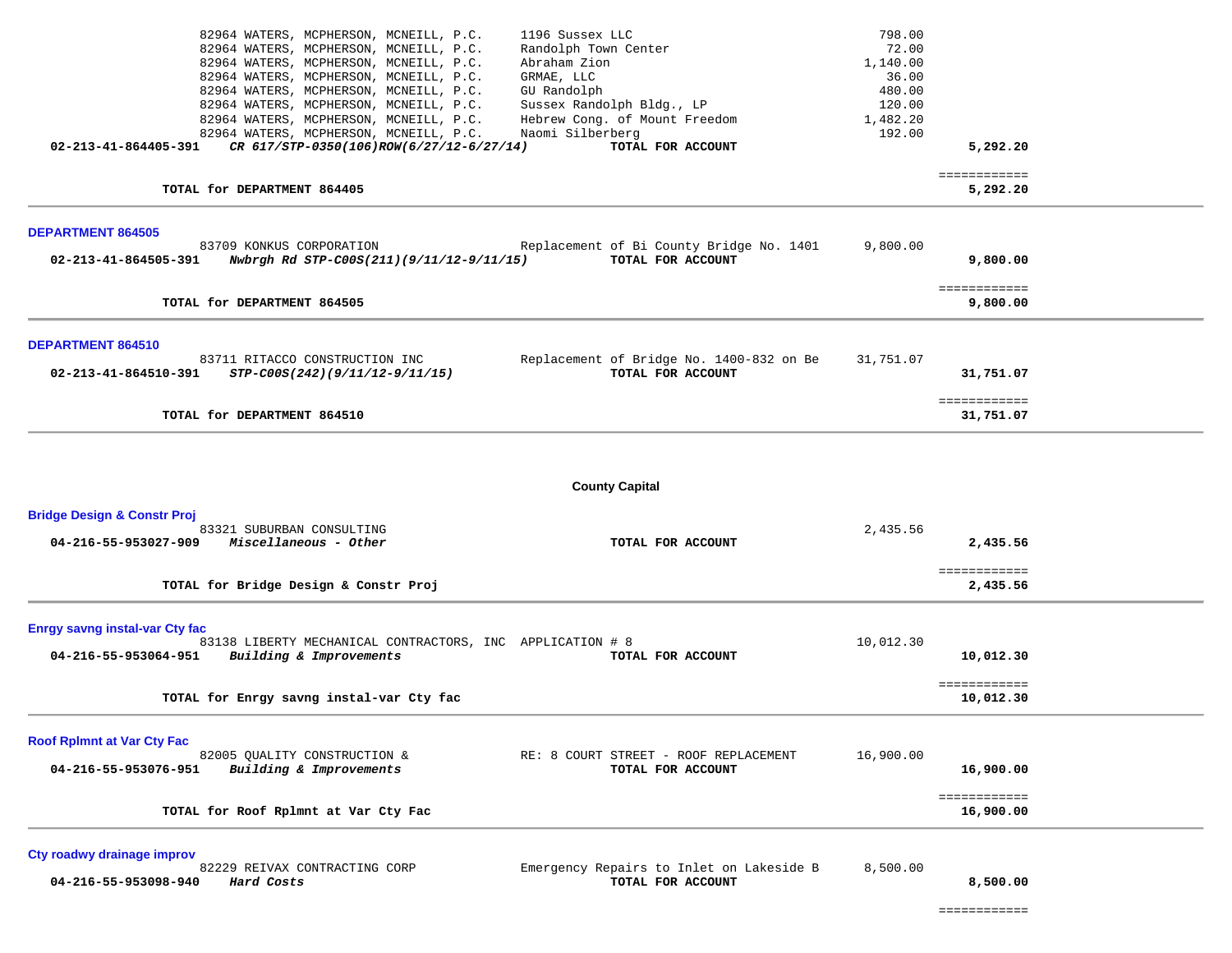| 82964 WATERS, MCPHERSON, MCNEILL, P.C.                                                                     | 1196 Sussex LLC                          | 798.00            |                           |  |
|------------------------------------------------------------------------------------------------------------|------------------------------------------|-------------------|---------------------------|--|
| 82964 WATERS, MCPHERSON, MCNEILL, P.C.<br>82964 WATERS, MCPHERSON, MCNEILL, P.C.                           | Randolph Town Center<br>Abraham Zion     | 72.00<br>1,140.00 |                           |  |
| 82964 WATERS, MCPHERSON, MCNEILL, P.C.                                                                     | GRMAE, LLC                               | 36.00             |                           |  |
| 82964 WATERS, MCPHERSON, MCNEILL, P.C.                                                                     | GU Randolph                              | 480.00            |                           |  |
| 82964 WATERS, MCPHERSON, MCNEILL, P.C.                                                                     | Sussex Randolph Bldg., LP                | 120.00            |                           |  |
| 82964 WATERS, MCPHERSON, MCNEILL, P.C.                                                                     | Hebrew Cong. of Mount Freedom            | 1,482.20          |                           |  |
| 82964 WATERS, MCPHERSON, MCNEILL, P.C.<br>02-213-41-864405-391<br>CR 617/STP-0350(106)ROW(6/27/12-6/27/14) | Naomi Silberberg<br>TOTAL FOR ACCOUNT    | 192.00            | 5,292.20                  |  |
|                                                                                                            |                                          |                   |                           |  |
| TOTAL for DEPARTMENT 864405                                                                                |                                          |                   | ============<br>5,292.20  |  |
| <b>DEPARTMENT 864505</b>                                                                                   |                                          |                   |                           |  |
| 83709 KONKUS CORPORATION                                                                                   | Replacement of Bi County Bridge No. 1401 | 9,800.00          |                           |  |
| 02-213-41-864505-391<br>Nwbrgh Rd STP-C00S(211)(9/11/12-9/11/15)                                           | TOTAL FOR ACCOUNT                        |                   | 9,800.00                  |  |
|                                                                                                            |                                          |                   | ============              |  |
| TOTAL for DEPARTMENT 864505                                                                                |                                          |                   | 9,800.00                  |  |
|                                                                                                            |                                          |                   |                           |  |
| <b>DEPARTMENT 864510</b>                                                                                   |                                          |                   |                           |  |
| 83711 RITACCO CONSTRUCTION INC                                                                             | Replacement of Bridge No. 1400-832 on Be | 31,751.07         |                           |  |
| 02-213-41-864510-391<br>STP-C00S(242)(9/11/12-9/11/15)                                                     | TOTAL FOR ACCOUNT                        |                   | 31,751.07                 |  |
|                                                                                                            |                                          |                   | ============              |  |
| TOTAL for DEPARTMENT 864510                                                                                |                                          |                   | 31,751.07                 |  |
|                                                                                                            | <b>County Capital</b>                    |                   |                           |  |
| <b>Bridge Design &amp; Constr Proj</b>                                                                     |                                          |                   |                           |  |
| 83321 SUBURBAN CONSULTING<br>04-216-55-953027-909<br>Miscellaneous - Other                                 | TOTAL FOR ACCOUNT                        | 2,435.56          | 2,435.56                  |  |
|                                                                                                            |                                          |                   |                           |  |
|                                                                                                            |                                          |                   | ============              |  |
| TOTAL for Bridge Design & Constr Proj                                                                      |                                          |                   | 2,435.56                  |  |
|                                                                                                            |                                          |                   |                           |  |
| <b>Enrgy savng instal-var Cty fac</b><br>83138 LIBERTY MECHANICAL CONTRACTORS, INC APPLICATION # 8         |                                          | 10,012.30         |                           |  |
| 04-216-55-953064-951 Building & Improvements                                                               | TOTAL FOR ACCOUNT                        |                   | 10,012.30                 |  |
|                                                                                                            |                                          |                   |                           |  |
| TOTAL for Enrgy savng instal-var Cty fac                                                                   |                                          |                   | ============<br>10,012.30 |  |
|                                                                                                            |                                          |                   |                           |  |
| <b>Roof RpImnt at Var Cty Fac</b>                                                                          |                                          |                   |                           |  |
| 82005 QUALITY CONSTRUCTION &                                                                               | RE: 8 COURT STREET - ROOF REPLACEMENT    | 16,900.00         |                           |  |
| Building & Improvements<br>04-216-55-953076-951                                                            | TOTAL FOR ACCOUNT                        |                   | 16,900.00                 |  |
|                                                                                                            |                                          |                   | ============              |  |
| TOTAL for Roof Rplmnt at Var Cty Fac                                                                       |                                          |                   | 16,900.00                 |  |
|                                                                                                            |                                          |                   |                           |  |
| Cty roadwy drainage improv<br>82229 REIVAX CONTRACTING CORP                                                | Emergency Repairs to Inlet on Lakeside B | 8,500.00          |                           |  |

 **04-216-55-953098-940** *Hard Costs* **TOTAL FOR ACCOUNT 8,500.00**

============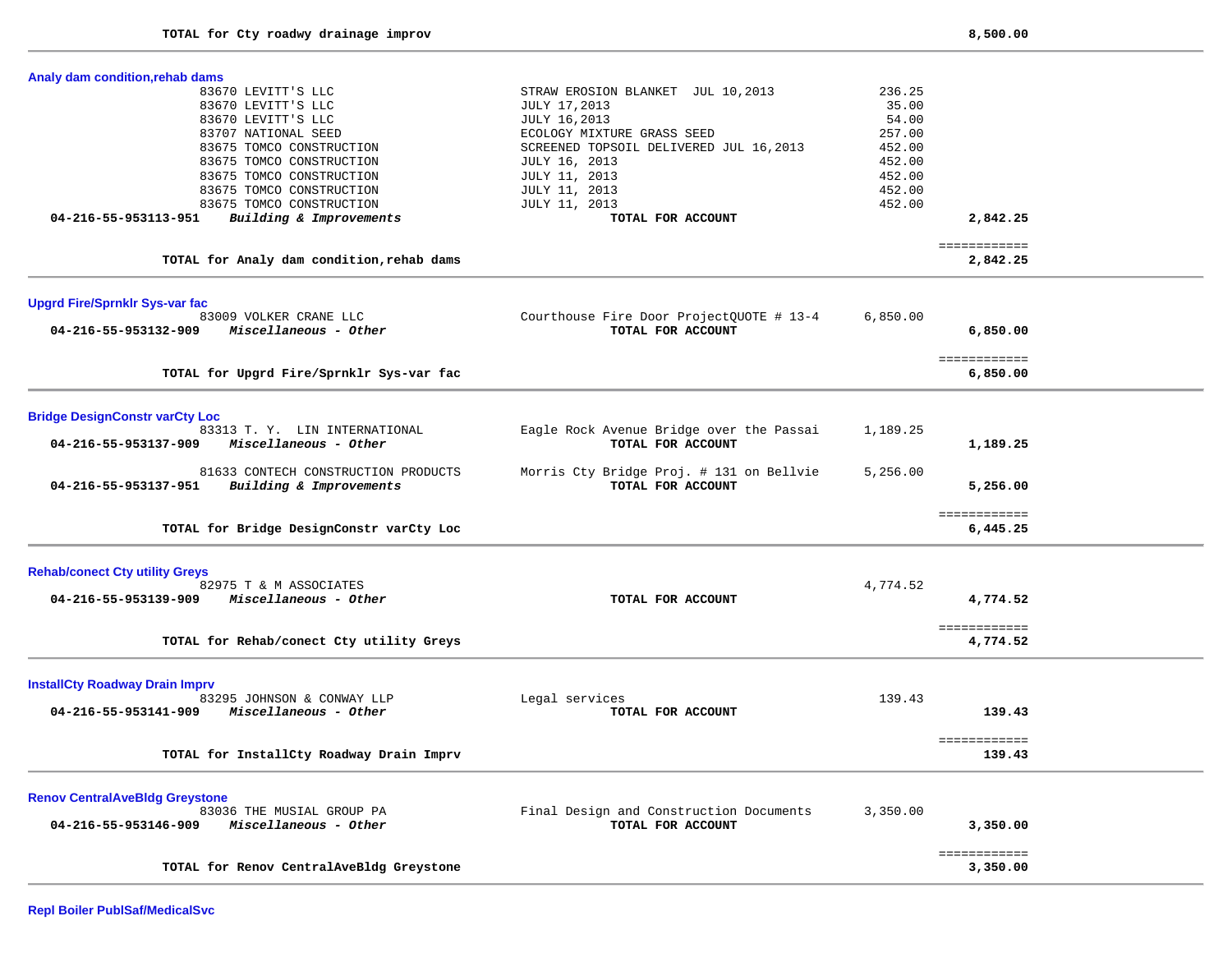| Analy dam condition, rehab dams                 |                                          |          |                          |  |
|-------------------------------------------------|------------------------------------------|----------|--------------------------|--|
| 83670 LEVITT'S LLC                              | STRAW EROSION BLANKET JUL 10,2013        | 236.25   |                          |  |
| 83670 LEVITT'S LLC                              | <b>JULY 17,2013</b>                      | 35.00    |                          |  |
| 83670 LEVITT'S LLC                              | <b>JULY 16,2013</b>                      | 54.00    |                          |  |
| 83707 NATIONAL SEED                             | ECOLOGY MIXTURE GRASS SEED               | 257.00   |                          |  |
|                                                 |                                          |          |                          |  |
| 83675 TOMCO CONSTRUCTION                        | SCREENED TOPSOIL DELIVERED JUL 16,2013   | 452.00   |                          |  |
| 83675 TOMCO CONSTRUCTION                        | JULY 16, 2013                            | 452.00   |                          |  |
| 83675 TOMCO CONSTRUCTION                        | JULY 11, 2013                            | 452.00   |                          |  |
| 83675 TOMCO CONSTRUCTION                        | JULY 11, 2013                            | 452.00   |                          |  |
| 83675 TOMCO CONSTRUCTION                        | JULY 11, 2013                            | 452.00   |                          |  |
| Building & Improvements<br>04-216-55-953113-951 | TOTAL FOR ACCOUNT                        |          | 2,842.25                 |  |
|                                                 |                                          |          |                          |  |
|                                                 |                                          |          | ============             |  |
| TOTAL for Analy dam condition, rehab dams       |                                          |          | 2,842.25                 |  |
| <b>Upgrd Fire/Sprnklr Sys-var fac</b>           |                                          |          |                          |  |
| 83009 VOLKER CRANE LLC                          | Courthouse Fire Door ProjectQUOTE # 13-4 | 6,850.00 |                          |  |
| 04-216-55-953132-909<br>Miscellaneous - Other   | TOTAL FOR ACCOUNT                        |          | 6,850.00                 |  |
|                                                 |                                          |          |                          |  |
| TOTAL for Upgrd Fire/Sprnklr Sys-var fac        |                                          |          | ============<br>6,850.00 |  |
|                                                 |                                          |          |                          |  |
| <b>Bridge DesignConstr varCty Loc</b>           |                                          |          |                          |  |
| 83313 T. Y. LIN INTERNATIONAL                   | Eagle Rock Avenue Bridge over the Passai | 1,189.25 |                          |  |
| Miscellaneous - Other<br>04-216-55-953137-909   | TOTAL FOR ACCOUNT                        |          | 1,189.25                 |  |
| 81633 CONTECH CONSTRUCTION PRODUCTS             | Morris Cty Bridge Proj. # 131 on Bellvie | 5,256.00 |                          |  |
| Building & Improvements<br>04-216-55-953137-951 | TOTAL FOR ACCOUNT                        |          | 5,256.00                 |  |
| TOTAL for Bridge DesignConstr varCty Loc        |                                          |          | ============<br>6,445.25 |  |
|                                                 |                                          |          |                          |  |
| <b>Rehab/conect Cty utility Greys</b>           |                                          |          |                          |  |
| 82975 T & M ASSOCIATES                          |                                          | 4,774.52 |                          |  |
| 04-216-55-953139-909<br>Miscellaneous - Other   | TOTAL FOR ACCOUNT                        |          | 4,774.52                 |  |
|                                                 |                                          |          | ============             |  |
| TOTAL for Rehab/conect Cty utility Greys        |                                          |          | 4,774.52                 |  |
| <b>InstallCty Roadway Drain Imprv</b>           |                                          |          |                          |  |
| 83295 JOHNSON & CONWAY LLP                      | Legal services                           | 139.43   |                          |  |
| 04-216-55-953141-909<br>Miscellaneous - Other   | TOTAL FOR ACCOUNT                        |          | 139.43                   |  |
|                                                 |                                          |          |                          |  |
|                                                 |                                          |          | ============             |  |
| TOTAL for InstallCty Roadway Drain Imprv        |                                          |          | 139.43                   |  |
| <b>Renov CentralAveBldg Greystone</b>           |                                          |          |                          |  |
| 83036 THE MUSIAL GROUP PA                       | Final Design and Construction Documents  | 3,350.00 |                          |  |
| Miscellaneous - Other<br>04-216-55-953146-909   | TOTAL FOR ACCOUNT                        |          | 3,350.00                 |  |
|                                                 |                                          |          |                          |  |
|                                                 |                                          |          | ============             |  |
| TOTAL for Renov CentralAveBldg Greystone        |                                          |          | 3,350.00                 |  |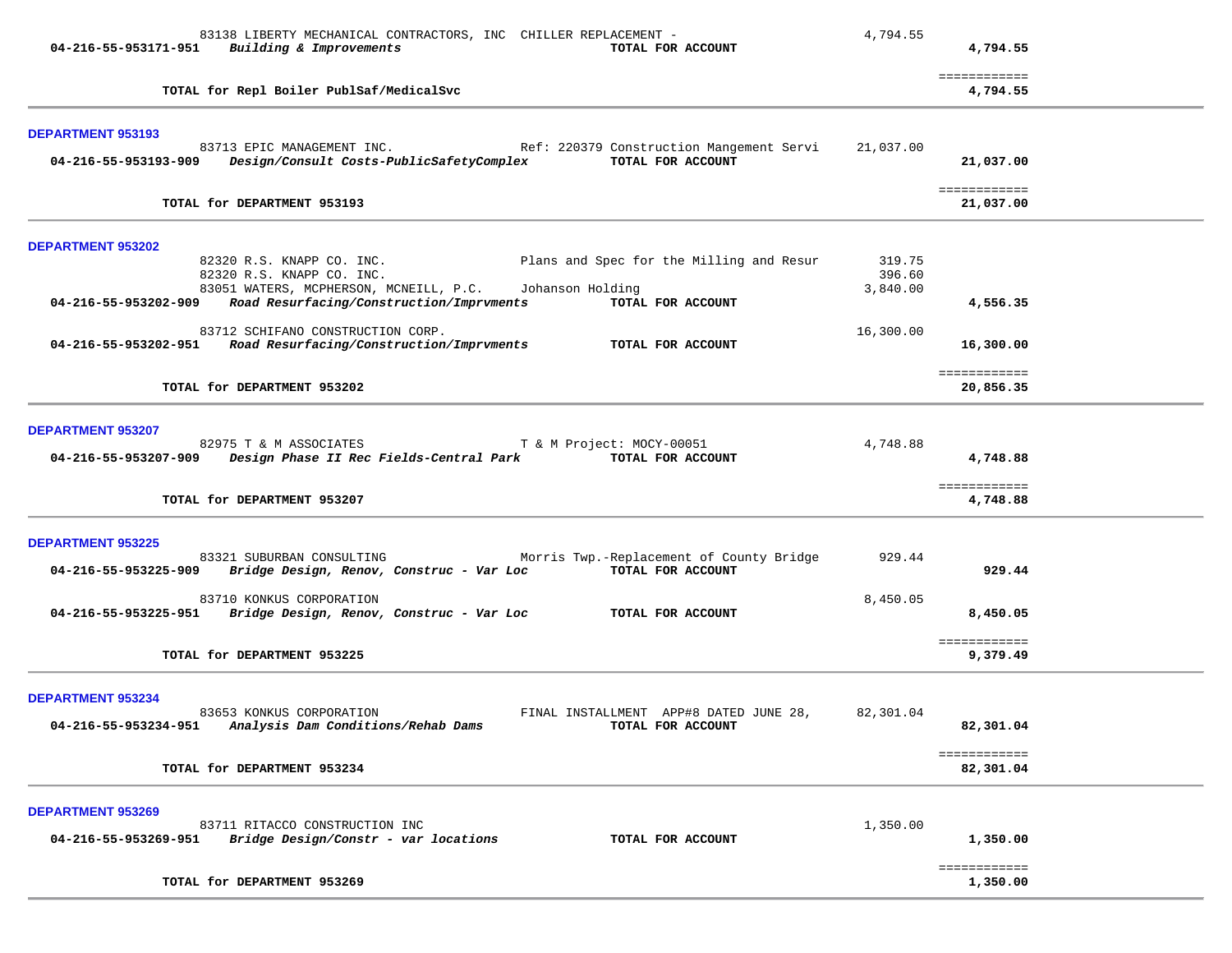| 83138 LIBERTY MECHANICAL CONTRACTORS, INC CHILLER REPLACEMENT -<br>04-216-55-953171-951 Building & Improvements<br>TOTAL FOR ACCOUNT                                                             | 4,794.55         | 4,794.55                             |  |
|--------------------------------------------------------------------------------------------------------------------------------------------------------------------------------------------------|------------------|--------------------------------------|--|
| TOTAL for Repl Boiler PublSaf/MedicalSvc                                                                                                                                                         |                  | ============<br>4,794.55             |  |
| DEPARTMENT 953193<br>Ref: 220379 Construction Mangement Servi<br>83713 EPIC MANAGEMENT INC.                                                                                                      | 21,037.00        |                                      |  |
| TOTAL FOR ACCOUNT<br>04-216-55-953193-909 Design/Consult Costs-PublicSafetyComplex                                                                                                               |                  | 21,037.00                            |  |
| TOTAL for DEPARTMENT 953193                                                                                                                                                                      |                  | ============<br>21,037.00            |  |
| <b>DEPARTMENT 953202</b>                                                                                                                                                                         |                  |                                      |  |
| 82320 R.S. KNAPP CO. INC.<br>Plans and Spec for the Milling and Resur<br>82320 R.S. KNAPP CO. INC.                                                                                               | 319.75<br>396.60 |                                      |  |
| 83051 WATERS, MCPHERSON, MCNEILL, P.C.<br>Johanson Holding<br>Road Resurfacing/Construction/Imprvments<br>04-216-55-953202-909<br>TOTAL FOR ACCOUNT                                              | 3,840.00         | 4,556.35                             |  |
| 83712 SCHIFANO CONSTRUCTION CORP.<br>04-216-55-953202-951 Road Resurfacing/Construction/Imprvments<br>TOTAL FOR ACCOUNT                                                                          | 16,300.00        | 16,300.00                            |  |
|                                                                                                                                                                                                  |                  | ============                         |  |
| TOTAL for DEPARTMENT 953202                                                                                                                                                                      |                  | 20,856.35                            |  |
| <b>DEPARTMENT 953207</b><br>82975 T & M ASSOCIATES<br>T & M Project: MOCY-00051<br>04-216-55-953207-909 Design Phase II Rec Fields-Central Park TOTAL FOR ACCOUNT<br>TOTAL for DEPARTMENT 953207 | 4,748.88         | 4,748.88<br>============<br>4,748.88 |  |
| <b>DEPARTMENT 953225</b>                                                                                                                                                                         |                  |                                      |  |
| Morris Twp.-Replacement of County Bridge<br>83321 SUBURBAN CONSULTING<br>TOTAL FOR ACCOUNT<br>Bridge Design, Renov, Construc - Var Loc<br>04-216-55-953225-909                                   | 929.44           | 929.44                               |  |
| 83710 KONKUS CORPORATION<br>04-216-55-953225-951 Bridge Design, Renov, Construc - Var Loc TOTAL FOR ACCOUNT                                                                                      | 8,450.05         | 8,450.05                             |  |
| TOTAL for DEPARTMENT 953225                                                                                                                                                                      |                  | ============<br>9,379.49             |  |
| <b>DEPARTMENT 953234</b><br>83653 KONKUS CORPORATION<br>FINAL INSTALLMENT APP#8 DATED JUNE 28,<br>Analysis Dam Conditions/Rehab Dams<br>04-216-55-953234-951<br>TOTAL FOR ACCOUNT                | 82,301.04        | 82,301.04                            |  |
| TOTAL for DEPARTMENT 953234                                                                                                                                                                      |                  | ============<br>82,301.04            |  |
| <b>DEPARTMENT 953269</b>                                                                                                                                                                         |                  |                                      |  |
| 83711 RITACCO CONSTRUCTION INC<br>04-216-55-953269-951<br>Bridge Design/Constr - var locations<br>TOTAL FOR ACCOUNT                                                                              | 1,350.00         | 1,350.00                             |  |
| TOTAL for DEPARTMENT 953269                                                                                                                                                                      |                  | ============<br>1,350.00             |  |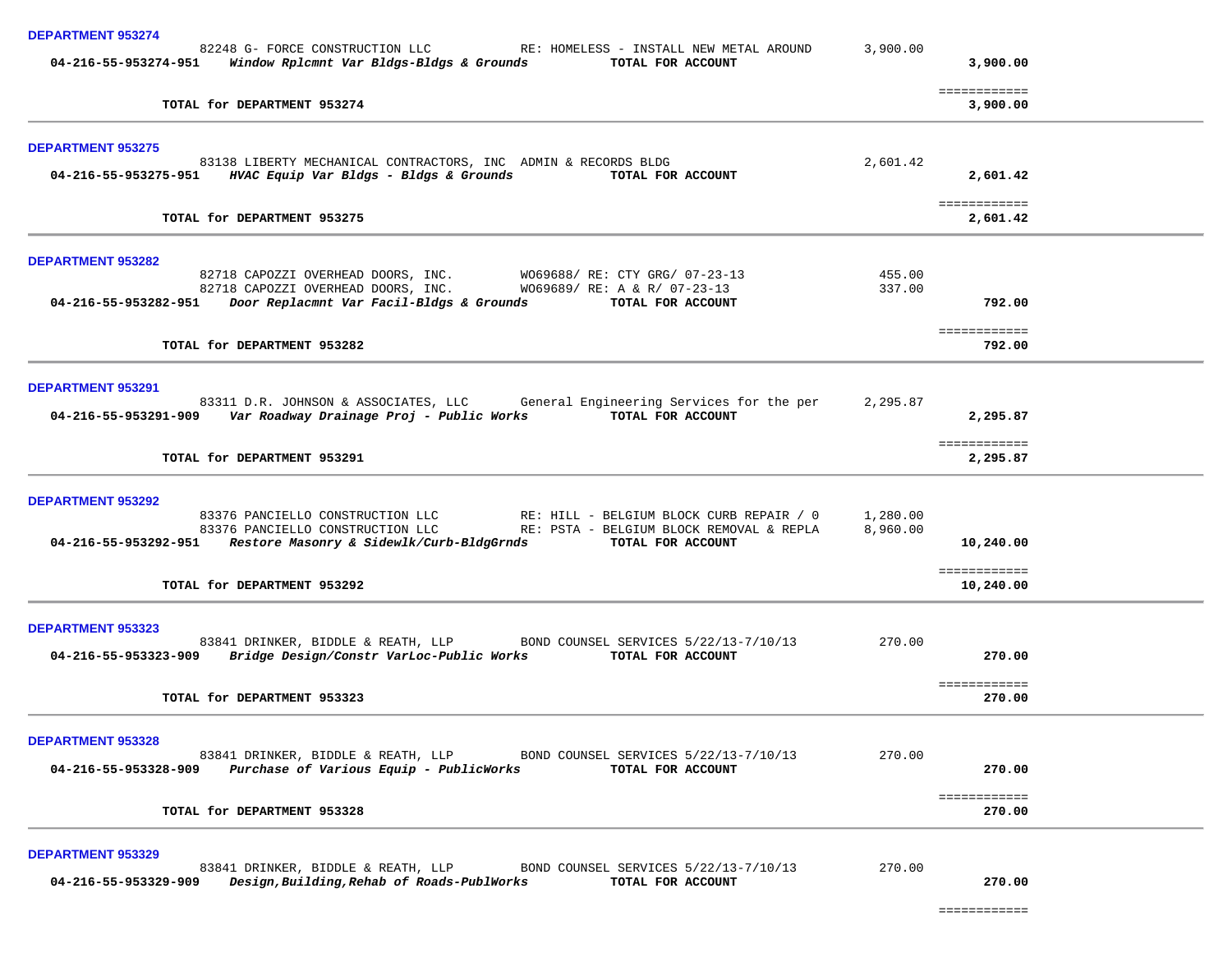| <b>DEPARTMENT 953274</b>                                                                                                                                                                                                                  |                      |                          |
|-------------------------------------------------------------------------------------------------------------------------------------------------------------------------------------------------------------------------------------------|----------------------|--------------------------|
| 82248 G- FORCE CONSTRUCTION LLC RE: HOMELESS - INSTALL NEW METAL AROUND<br>04-216-55-953274-951     Window Rplcmnt Var Bldgs-Bldgs & Grounds<br>TOTAL FOR ACCOUNT                                                                         | 3,900.00             | 3,900.00                 |
| TOTAL for DEPARTMENT 953274                                                                                                                                                                                                               |                      | ============<br>3,900.00 |
| <b>DEPARTMENT 953275</b>                                                                                                                                                                                                                  |                      |                          |
| 83138 LIBERTY MECHANICAL CONTRACTORS, INC ADMIN & RECORDS BLDG<br>04-216-55-953275-951 HVAC Equip Var Bldgs - Bldgs & Grounds<br>TOTAL FOR ACCOUNT                                                                                        | 2,601.42             | 2,601.42                 |
| TOTAL for DEPARTMENT 953275                                                                                                                                                                                                               |                      | ============<br>2,601.42 |
| <b>DEPARTMENT 953282</b>                                                                                                                                                                                                                  |                      |                          |
| 82718 CAPOZZI OVERHEAD DOORS, INC. WO69688/ RE: CTY GRG/ 07-23-13                                                                                                                                                                         | 455.00               |                          |
| 82718 CAPOZZI OVERHEAD DOORS, INC. WO69689/RE: A & R/ 07-23-13<br>04-216-55-953282-951 Door Replacmnt Var Facil-Bldgs & Grounds TOTAL FOR ACCOUNT                                                                                         | 337.00               | 792.00                   |
| TOTAL for DEPARTMENT 953282                                                                                                                                                                                                               |                      | ============<br>792.00   |
| <b>DEPARTMENT 953291</b>                                                                                                                                                                                                                  |                      |                          |
| 83311 D.R. JOHNSON & ASSOCIATES, LLC General Engineering Services for the per<br>04-216-55-953291-909 Var Roadway Drainage Proj - Public Works TOTAL FOR ACCOUNT                                                                          | 2,295.87             | 2,295.87                 |
| TOTAL for DEPARTMENT 953291                                                                                                                                                                                                               |                      | ============<br>2,295.87 |
| <b>DEPARTMENT 953292</b>                                                                                                                                                                                                                  |                      |                          |
| 83376 PANCIELLO CONSTRUCTION LLC RE: HILL - BELGIUM BLOCK CURB REPAIR / 0<br>83376 PANCIELLO CONSTRUCTION LLC RE: PSTA - BELGIUM BLOCK REMOVAL & REPLA<br>04-216-55-953292-951 Restore Masonry & Sidewlk/Curb-BldgGrnds TOTAL FOR ACCOUNT | 1,280.00<br>8,960.00 | 10,240.00                |
| TOTAL for DEPARTMENT 953292                                                                                                                                                                                                               |                      | ============             |
|                                                                                                                                                                                                                                           |                      | 10,240.00                |
| <b>DEPARTMENT 953323</b><br>83841 DRINKER, BIDDLE & REATH, LLP BOND COUNSEL SERVICES 5/22/13-7/10/13<br>04-216-55-953323-909 Bridge Design/Constr VarLoc-Public Works TOTAL FOR ACCOUNT                                                   | 270.00               | 270.00                   |
|                                                                                                                                                                                                                                           |                      | ============             |
| TOTAL for DEPARTMENT 953323                                                                                                                                                                                                               |                      | 270.00                   |
| <b>DEPARTMENT 953328</b><br>83841 DRINKER, BIDDLE & REATH, LLP<br>BOND COUNSEL SERVICES 5/22/13-7/10/13                                                                                                                                   | 270.00               |                          |
| Purchase of Various Equip - PublicWorks<br>04-216-55-953328-909<br>TOTAL FOR ACCOUNT                                                                                                                                                      |                      | 270.00                   |
| TOTAL for DEPARTMENT 953328                                                                                                                                                                                                               |                      | ============<br>270.00   |
| <b>DEPARTMENT 953329</b>                                                                                                                                                                                                                  |                      |                          |
| 83841 DRINKER, BIDDLE & REATH, LLP<br>BOND COUNSEL SERVICES 5/22/13-7/10/13<br>Design, Building, Rehab of Roads-PublWorks<br>04-216-55-953329-909<br>TOTAL FOR ACCOUNT                                                                    | 270.00               | 270.00                   |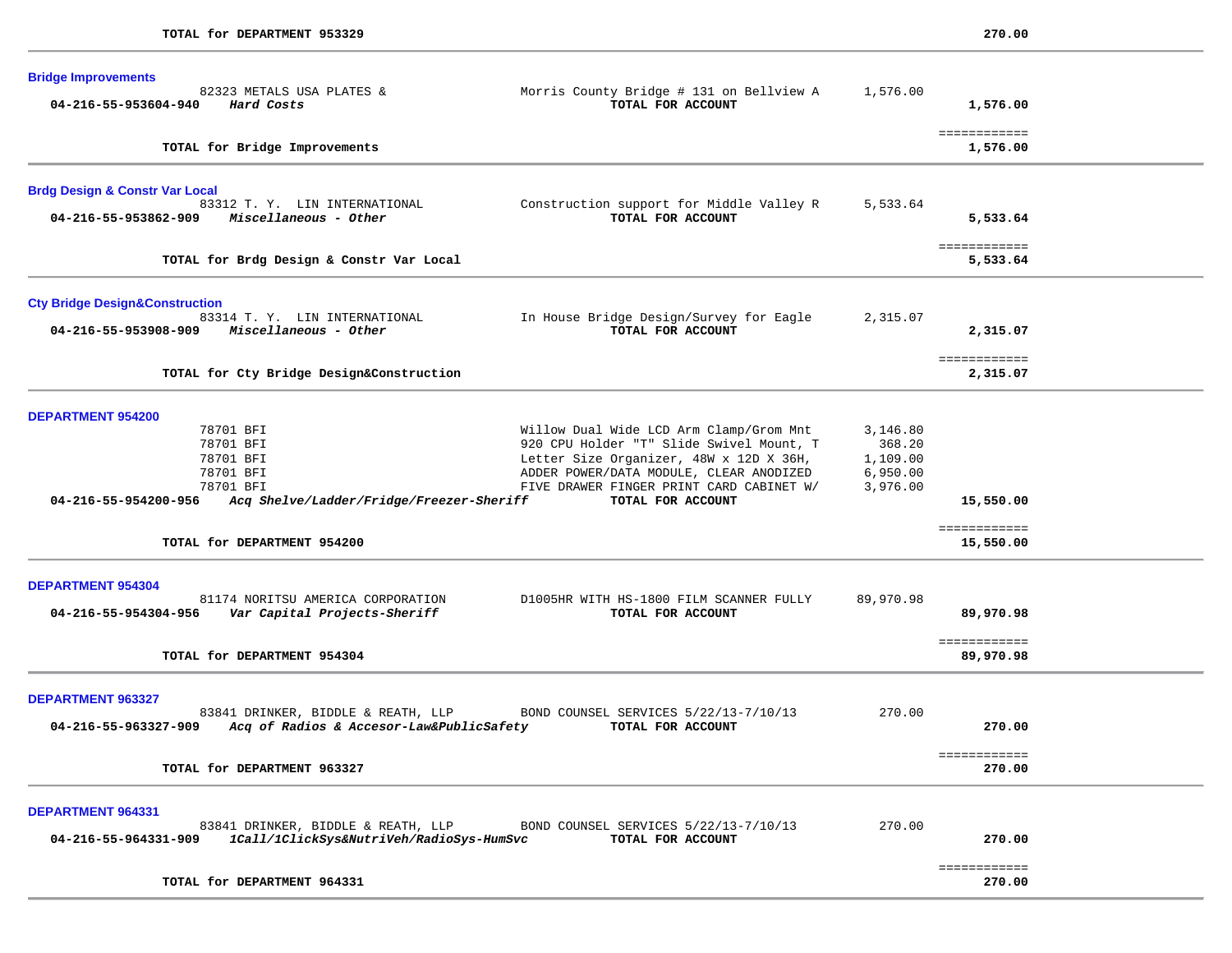| <b>Bridge Improvements</b><br>82323 METALS USA PLATES &<br>04-216-55-953604-940<br>Hard Costs                                                                 | Morris County Bridge # 131 on Bellview A<br>TOTAL FOR ACCOUNT                                                                                                                                                                              | 1,576.00                                               | 1,576.00                               |  |
|---------------------------------------------------------------------------------------------------------------------------------------------------------------|--------------------------------------------------------------------------------------------------------------------------------------------------------------------------------------------------------------------------------------------|--------------------------------------------------------|----------------------------------------|--|
| TOTAL for Bridge Improvements                                                                                                                                 |                                                                                                                                                                                                                                            |                                                        | ============<br>1,576.00               |  |
| <b>Brdg Design &amp; Constr Var Local</b><br>83312 T. Y. LIN INTERNATIONAL<br>Miscellaneous - Other<br>04-216-55-953862-909                                   | Construction support for Middle Valley R<br>TOTAL FOR ACCOUNT                                                                                                                                                                              | 5,533.64                                               | 5,533.64<br>============               |  |
| TOTAL for Brdg Design & Constr Var Local                                                                                                                      |                                                                                                                                                                                                                                            |                                                        | 5,533.64                               |  |
| <b>Cty Bridge Design&amp;Construction</b><br>83314 T. Y. LIN INTERNATIONAL<br>04-216-55-953908-909<br>Miscellaneous - Other                                   | In House Bridge Design/Survey for Eagle<br>TOTAL FOR ACCOUNT                                                                                                                                                                               | 2,315.07                                               | 2,315.07<br>============               |  |
| TOTAL for Cty Bridge Design&Construction                                                                                                                      |                                                                                                                                                                                                                                            |                                                        | 2,315.07                               |  |
| <b>DEPARTMENT 954200</b><br>78701 BFI<br>78701 BFI<br>78701 BFI<br>78701 BFI<br>78701 BFI<br>Acq Shelve/Ladder/Fridge/Freezer-Sheriff<br>04-216-55-954200-956 | Willow Dual Wide LCD Arm Clamp/Grom Mnt<br>920 CPU Holder "T" Slide Swivel Mount, T<br>Letter Size Organizer, 48W x 12D X 36H,<br>ADDER POWER/DATA MODULE, CLEAR ANODIZED<br>FIVE DRAWER FINGER PRINT CARD CABINET W/<br>TOTAL FOR ACCOUNT | 3,146.80<br>368.20<br>1,109.00<br>6,950.00<br>3,976.00 | 15,550.00                              |  |
| TOTAL for DEPARTMENT 954200                                                                                                                                   |                                                                                                                                                                                                                                            |                                                        | ============<br>15,550.00              |  |
| <b>DEPARTMENT 954304</b><br>81174 NORITSU AMERICA CORPORATION<br>Var Capital Projects-Sheriff<br>04-216-55-954304-956<br>TOTAL for DEPARTMENT 954304          | D1005HR WITH HS-1800 FILM SCANNER FULLY<br>TOTAL FOR ACCOUNT                                                                                                                                                                               | 89,970.98                                              | 89,970.98<br>============<br>89,970.98 |  |
| <b>DEPARTMENT 963327</b><br>83841 DRINKER, BIDDLE & REATH, LLP<br>Acq of Radios & Accesor-Law&PublicSafety<br>04-216-55-963327-909                            | BOND COUNSEL SERVICES 5/22/13-7/10/13<br>TOTAL FOR ACCOUNT                                                                                                                                                                                 | 270.00                                                 | 270.00<br>============                 |  |
| TOTAL for DEPARTMENT 963327                                                                                                                                   |                                                                                                                                                                                                                                            |                                                        | 270.00                                 |  |
| <b>DEPARTMENT 964331</b><br>83841 DRINKER, BIDDLE & REATH, LLP<br>04-216-55-964331-909<br>1Call/1ClickSys&NutriVeh/RadioSys-HumSvc                            | BOND COUNSEL SERVICES 5/22/13-7/10/13<br>TOTAL FOR ACCOUNT                                                                                                                                                                                 | 270.00                                                 | 270.00                                 |  |
| TOTAL for DEPARTMENT 964331                                                                                                                                   |                                                                                                                                                                                                                                            |                                                        | ============<br>270.00                 |  |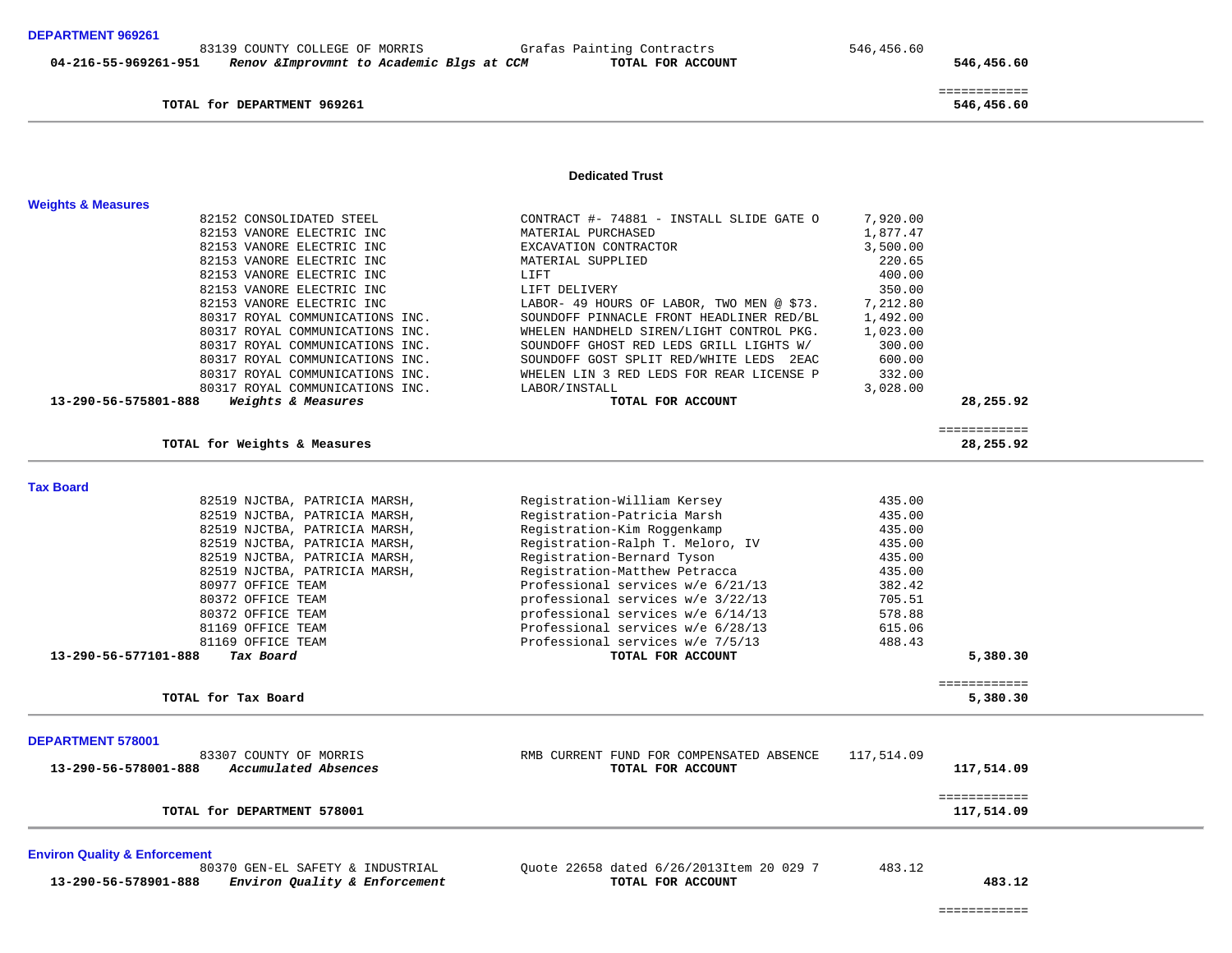TOTAL for DEPARTMENT 969261

 ============ 546,456.60

**Dedicated Trust** 

| <b>Weights &amp; Measures</b>                         |                                           |            |                            |  |
|-------------------------------------------------------|-------------------------------------------|------------|----------------------------|--|
| 82152 CONSOLIDATED STEEL                              | CONTRACT #- 74881 - INSTALL SLIDE GATE O  | 7,920.00   |                            |  |
| 82153 VANORE ELECTRIC INC                             | MATERIAL PURCHASED                        | 1,877.47   |                            |  |
| 82153 VANORE ELECTRIC INC                             | EXCAVATION CONTRACTOR                     | 3,500.00   |                            |  |
| 82153 VANORE ELECTRIC INC                             | MATERIAL SUPPLIED                         | 220.65     |                            |  |
| 82153 VANORE ELECTRIC INC                             | LIFT                                      | 400.00     |                            |  |
| 82153 VANORE ELECTRIC INC                             | LIFT DELIVERY                             | 350.00     |                            |  |
| 82153 VANORE ELECTRIC INC                             | LABOR- 49 HOURS OF LABOR, TWO MEN @ \$73. | 7,212.80   |                            |  |
| 80317 ROYAL COMMUNICATIONS INC.                       | SOUNDOFF PINNACLE FRONT HEADLINER RED/BL  | 1,492.00   |                            |  |
| 80317 ROYAL COMMUNICATIONS INC.                       | WHELEN HANDHELD SIREN/LIGHT CONTROL PKG.  | 1,023.00   |                            |  |
| 80317 ROYAL COMMUNICATIONS INC.                       | SOUNDOFF GHOST RED LEDS GRILL LIGHTS W/   | 300.00     |                            |  |
|                                                       |                                           |            |                            |  |
| 80317 ROYAL COMMUNICATIONS INC.                       | SOUNDOFF GOST SPLIT RED/WHITE LEDS 2EAC   | 600.00     |                            |  |
| 80317 ROYAL COMMUNICATIONS INC.                       | WHELEN LIN 3 RED LEDS FOR REAR LICENSE P  | 332.00     |                            |  |
| 80317 ROYAL COMMUNICATIONS INC.                       | LABOR/INSTALL                             | 3,028.00   |                            |  |
| Weights & Measures<br>13-290-56-575801-888            | TOTAL FOR ACCOUNT                         |            | 28,255.92                  |  |
| TOTAL for Weights & Measures                          |                                           |            | ============<br>28,255.92  |  |
|                                                       |                                           |            |                            |  |
| <b>Tax Board</b>                                      |                                           |            |                            |  |
| 82519 NJCTBA, PATRICIA MARSH,                         | Registration-William Kersey               | 435.00     |                            |  |
| 82519 NJCTBA, PATRICIA MARSH,                         | Registration-Patricia Marsh               | 435.00     |                            |  |
| 82519 NJCTBA, PATRICIA MARSH,                         | Registration-Kim Roggenkamp               | 435.00     |                            |  |
| 82519 NJCTBA, PATRICIA MARSH,                         | Registration-Ralph T. Meloro, IV          | 435.00     |                            |  |
| 82519 NJCTBA, PATRICIA MARSH,                         | Registration-Bernard Tyson                | 435.00     |                            |  |
| 82519 NJCTBA, PATRICIA MARSH,                         | Registration-Matthew Petracca             | 435.00     |                            |  |
| 80977 OFFICE TEAM                                     | Professional services w/e 6/21/13         | 382.42     |                            |  |
| 80372 OFFICE TEAM                                     | professional services w/e 3/22/13         | 705.51     |                            |  |
| 80372 OFFICE TEAM                                     | professional services w/e 6/14/13         | 578.88     |                            |  |
| 81169 OFFICE TEAM                                     | Professional services w/e 6/28/13         | 615.06     |                            |  |
| 81169 OFFICE TEAM                                     | Professional services w/e 7/5/13          | 488.43     |                            |  |
| 13-290-56-577101-888<br>Tax Board                     | TOTAL FOR ACCOUNT                         |            | 5,380.30                   |  |
|                                                       |                                           |            | ============               |  |
| TOTAL for Tax Board                                   |                                           |            | 5,380.30                   |  |
| <b>DEPARTMENT 578001</b>                              |                                           |            |                            |  |
| 83307 COUNTY OF MORRIS                                | RMB CURRENT FUND FOR COMPENSATED ABSENCE  | 117,514.09 |                            |  |
| Accumulated Absences<br>13-290-56-578001-888          | TOTAL FOR ACCOUNT                         |            | 117,514.09                 |  |
|                                                       |                                           |            |                            |  |
| TOTAL for DEPARTMENT 578001                           |                                           |            | ============<br>117,514.09 |  |
| <b>Environ Quality &amp; Enforcement</b>              |                                           |            |                            |  |
| 80370 GEN-EL SAFETY & INDUSTRIAL                      | Quote 22658 dated 6/26/2013Item 20 029 7  | 483.12     |                            |  |
| Environ Quality & Enforcement<br>13-290-56-578901-888 | TOTAL FOR ACCOUNT                         |            | 483.12                     |  |